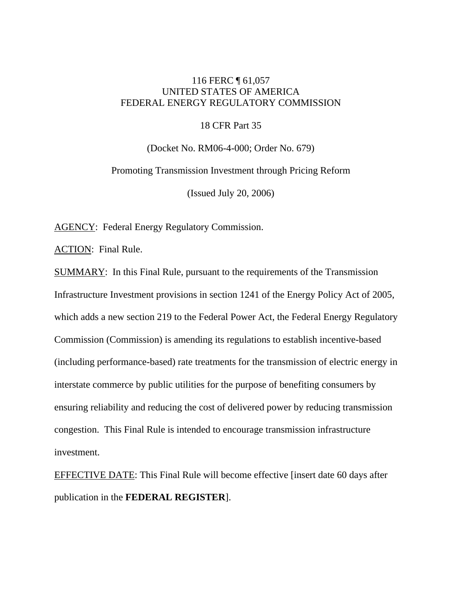# 116 FERC ¶ 61,057 UNITED STATES OF AMERICA FEDERAL ENERGY REGULATORY COMMISSION

# 18 CFR Part 35

(Docket No. RM06-4-000; Order No. 679) Promoting Transmission Investment through Pricing Reform (Issued July 20, 2006)

AGENCY: Federal Energy Regulatory Commission.

ACTION: Final Rule.

SUMMARY: In this Final Rule, pursuant to the requirements of the Transmission Infrastructure Investment provisions in section 1241 of the Energy Policy Act of 2005, which adds a new section 219 to the Federal Power Act, the Federal Energy Regulatory Commission (Commission) is amending its regulations to establish incentive-based (including performance-based) rate treatments for the transmission of electric energy in interstate commerce by public utilities for the purpose of benefiting consumers by ensuring reliability and reducing the cost of delivered power by reducing transmission congestion. This Final Rule is intended to encourage transmission infrastructure investment.

EFFECTIVE DATE: This Final Rule will become effective [insert date 60 days after publication in the **FEDERAL REGISTER**].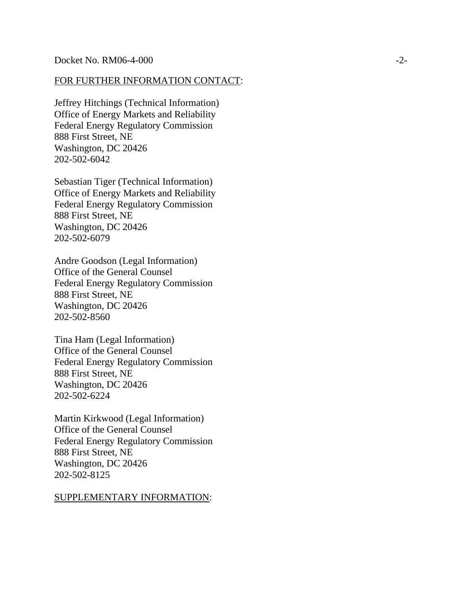## FOR FURTHER INFORMATION CONTACT:

Jeffrey Hitchings (Technical Information) Office of Energy Markets and Reliability Federal Energy Regulatory Commission 888 First Street, NE Washington, DC 20426 202-502-6042

Sebastian Tiger (Technical Information) Office of Energy Markets and Reliability Federal Energy Regulatory Commission 888 First Street, NE Washington, DC 20426 202-502-6079

Andre Goodson (Legal Information) Office of the General Counsel Federal Energy Regulatory Commission 888 First Street, NE Washington, DC 20426 202-502-8560

Tina Ham (Legal Information) Office of the General Counsel Federal Energy Regulatory Commission 888 First Street, NE Washington, DC 20426 202-502-6224

Martin Kirkwood (Legal Information) Office of the General Counsel Federal Energy Regulatory Commission 888 First Street, NE Washington, DC 20426 202-502-8125

## SUPPLEMENTARY INFORMATION: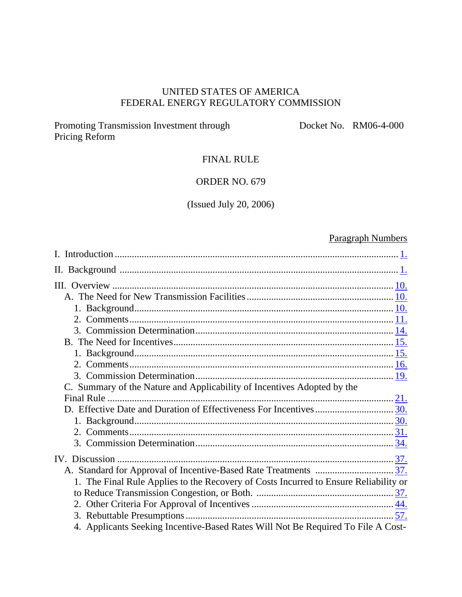# UNITED STATES OF AMERICA FEDERAL ENERGY REGULATORY COMMISSION

Promoting Transmission Investment through Pricing Reform

Docket No. RM06-4-000

# FINAL RULE

# ORDER NO. 679

# (Issued July 20, 2006)

# Paragraph Numbers

| C. Summary of the Nature and Applicability of Incentives Adopted by the              |  |
|--------------------------------------------------------------------------------------|--|
|                                                                                      |  |
|                                                                                      |  |
|                                                                                      |  |
|                                                                                      |  |
|                                                                                      |  |
|                                                                                      |  |
|                                                                                      |  |
| 1. The Final Rule Applies to the Recovery of Costs Incurred to Ensure Reliability or |  |
|                                                                                      |  |
|                                                                                      |  |
|                                                                                      |  |
| 4. Applicants Seeking Incentive-Based Rates Will Not Be Required To File A Cost-     |  |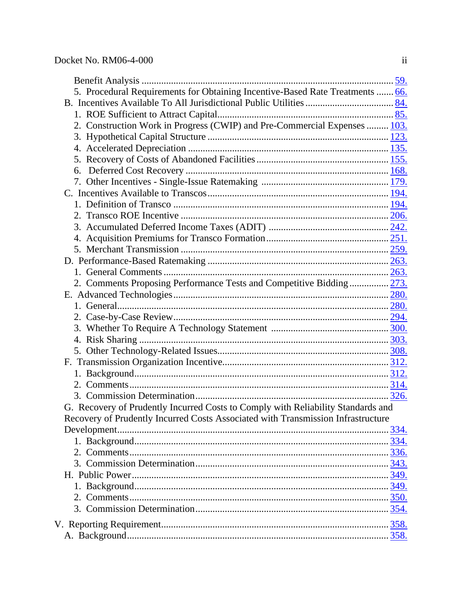| 5. Procedural Requirements for Obtaining Incentive-Based Rate Treatments  66.    |  |
|----------------------------------------------------------------------------------|--|
|                                                                                  |  |
|                                                                                  |  |
| 2. Construction Work in Progress (CWIP) and Pre-Commercial Expenses  103.        |  |
|                                                                                  |  |
|                                                                                  |  |
|                                                                                  |  |
| 6.                                                                               |  |
|                                                                                  |  |
|                                                                                  |  |
|                                                                                  |  |
|                                                                                  |  |
|                                                                                  |  |
|                                                                                  |  |
|                                                                                  |  |
|                                                                                  |  |
|                                                                                  |  |
| 2. Comments Proposing Performance Tests and Competitive Bidding 273.             |  |
|                                                                                  |  |
|                                                                                  |  |
|                                                                                  |  |
|                                                                                  |  |
|                                                                                  |  |
|                                                                                  |  |
|                                                                                  |  |
|                                                                                  |  |
|                                                                                  |  |
|                                                                                  |  |
| G. Recovery of Prudently Incurred Costs to Comply with Reliability Standards and |  |
| Recovery of Prudently Incurred Costs Associated with Transmission Infrastructure |  |
|                                                                                  |  |
|                                                                                  |  |
|                                                                                  |  |
|                                                                                  |  |
|                                                                                  |  |
|                                                                                  |  |
|                                                                                  |  |
|                                                                                  |  |
|                                                                                  |  |
|                                                                                  |  |
|                                                                                  |  |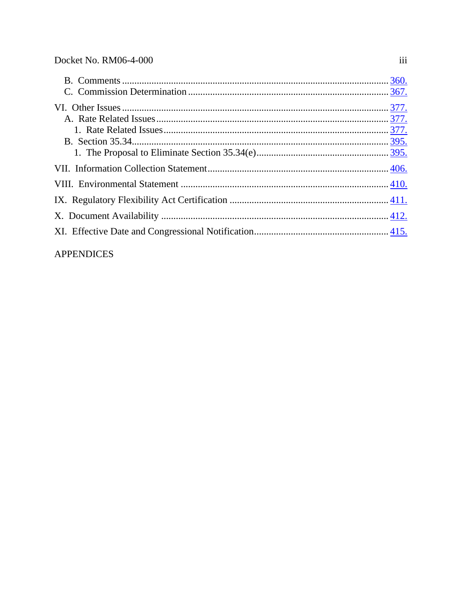# **APPENDICES**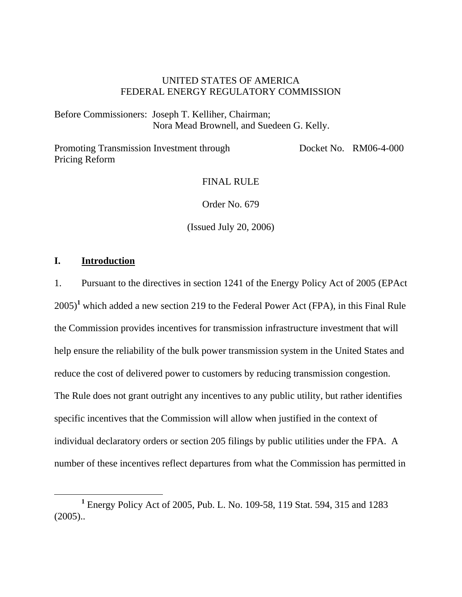# UNITED STATES OF AMERICA FEDERAL ENERGY REGULATORY COMMISSION

Before Commissioners: Joseph T. Kelliher, Chairman; Nora Mead Brownell, and Suedeen G. Kelly.

Promoting Transmission Investment through Pricing Reform Docket No. RM06-4-000

# FINAL RULE

Order No. 679

(Issued July 20, 2006)

# **I. Introduction**

1. Pursuant to the directives in section 1241 of the Energy Policy Act of 2005 (EPAct 2005)**<sup>1</sup>** which added a new section 219 to the Federal Power Act (FPA), in this Final Rule the Commission provides incentives for transmission infrastructure investment that will help ensure the reliability of the bulk power transmission system in the United States and reduce the cost of delivered power to customers by reducing transmission congestion. The Rule does not grant outright any incentives to any public utility, but rather identifies specific incentives that the Commission will allow when justified in the context of individual declaratory orders or section 205 filings by public utilities under the FPA. A number of these incentives reflect departures from what the Commission has permitted in

<sup>&</sup>lt;u>1</u> Energy Policy Act of 2005, Pub. L. No. 109-58, 119 Stat. 594, 315 and 1283  $(2005)$ ..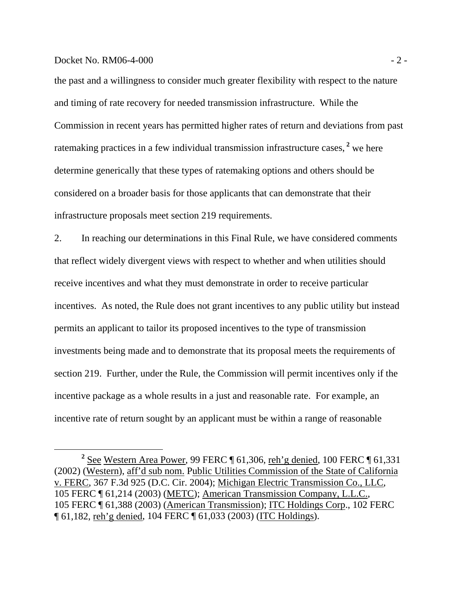### $Dacket No. RM06-4-000$  - 2 -

the past and a willingness to consider much greater flexibility with respect to the nature and timing of rate recovery for needed transmission infrastructure. While the Commission in recent years has permitted higher rates of return and deviations from past ratemaking practices in a few individual transmission infrastructure cases,<sup>2</sup> we here determine generically that these types of ratemaking options and others should be considered on a broader basis for those applicants that can demonstrate that their infrastructure proposals meet section 219 requirements.

2. In reaching our determinations in this Final Rule, we have considered comments that reflect widely divergent views with respect to whether and when utilities should receive incentives and what they must demonstrate in order to receive particular incentives. As noted, the Rule does not grant incentives to any public utility but instead permits an applicant to tailor its proposed incentives to the type of transmission investments being made and to demonstrate that its proposal meets the requirements of section 219. Further, under the Rule, the Commission will permit incentives only if the incentive package as a whole results in a just and reasonable rate. For example, an incentive rate of return sought by an applicant must be within a range of reasonable

**<sup>2</sup>**  $2$  See Western Area Power, 99 FERC  $\P$  61,306, reh'g denied, 100 FERC  $\P$  61,331 (2002) (Western), aff'd sub nom. Public Utilities Commission of the State of California v. FERC, 367 F.3d 925 (D.C. Cir. 2004); Michigan Electric Transmission Co., LLC, 105 FERC ¶ 61,214 (2003) (METC); American Transmission Company, L.L.C., 105 FERC ¶ 61,388 (2003) (American Transmission); ITC Holdings Corp., 102 FERC ¶ 61,182, reh'g denied, 104 FERC ¶ 61,033 (2003) (ITC Holdings).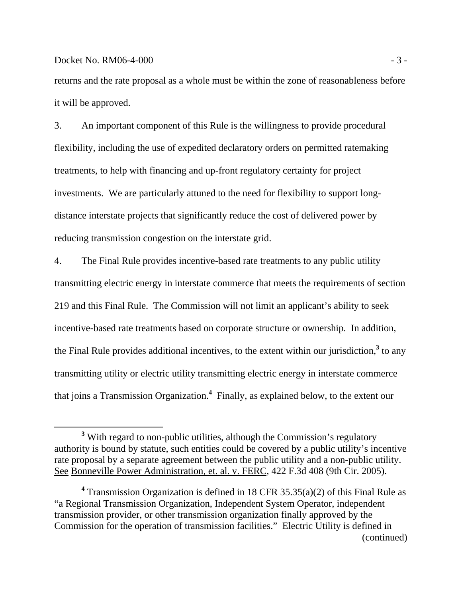## $Docke$ t No. RM06-4-000  $-3 -$

returns and the rate proposal as a whole must be within the zone of reasonableness before it will be approved.

3. An important component of this Rule is the willingness to provide procedural flexibility, including the use of expedited declaratory orders on permitted ratemaking treatments, to help with financing and up-front regulatory certainty for project investments. We are particularly attuned to the need for flexibility to support longdistance interstate projects that significantly reduce the cost of delivered power by reducing transmission congestion on the interstate grid.

4. The Final Rule provides incentive-based rate treatments to any public utility transmitting electric energy in interstate commerce that meets the requirements of section 219 and this Final Rule. The Commission will not limit an applicant's ability to seek incentive-based rate treatments based on corporate structure or ownership. In addition, the Final Rule provides additional incentives, to the extent within our jurisdiction,<sup>3</sup> to any transmitting utility or electric utility transmitting electric energy in interstate commerce that joins a Transmission Organization.**<sup>4</sup>** Finally, as explained below, to the extent our

**<sup>3</sup>** <sup>3</sup> With regard to non-public utilities, although the Commission's regulatory authority is bound by statute, such entities could be covered by a public utility's incentive rate proposal by a separate agreement between the public utility and a non-public utility. See Bonneville Power Administration, et. al. v. FERC, 422 F.3d 408 (9th Cir. 2005).

<sup>&</sup>lt;sup>4</sup> Transmission Organization is defined in 18 CFR 35.35(a)(2) of this Final Rule as "a Regional Transmission Organization, Independent System Operator, independent transmission provider, or other transmission organization finally approved by the Commission for the operation of transmission facilities." Electric Utility is defined in (continued)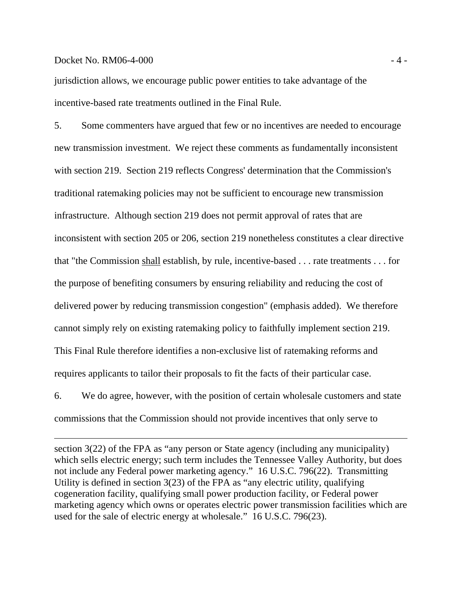## $Dacket No. RM06-4-000$   $-4-000$

jurisdiction allows, we encourage public power entities to take advantage of the incentive-based rate treatments outlined in the Final Rule.

5. Some commenters have argued that few or no incentives are needed to encourage new transmission investment. We reject these comments as fundamentally inconsistent with section 219. Section 219 reflects Congress' determination that the Commission's traditional ratemaking policies may not be sufficient to encourage new transmission infrastructure. Although section 219 does not permit approval of rates that are inconsistent with section 205 or 206, section 219 nonetheless constitutes a clear directive that "the Commission shall establish, by rule, incentive-based . . . rate treatments . . . for the purpose of benefiting consumers by ensuring reliability and reducing the cost of delivered power by reducing transmission congestion" (emphasis added). We therefore cannot simply rely on existing ratemaking policy to faithfully implement section 219. This Final Rule therefore identifies a non-exclusive list of ratemaking reforms and requires applicants to tailor their proposals to fit the facts of their particular case.

6. We do agree, however, with the position of certain wholesale customers and state commissions that the Commission should not provide incentives that only serve to

section 3(22) of the FPA as "any person or State agency (including any municipality) which sells electric energy; such term includes the Tennessee Valley Authority, but does not include any Federal power marketing agency." 16 U.S.C. 796(22). Transmitting Utility is defined in section 3(23) of the FPA as "any electric utility, qualifying cogeneration facility, qualifying small power production facility, or Federal power marketing agency which owns or operates electric power transmission facilities which are used for the sale of electric energy at wholesale." 16 U.S.C. 796(23).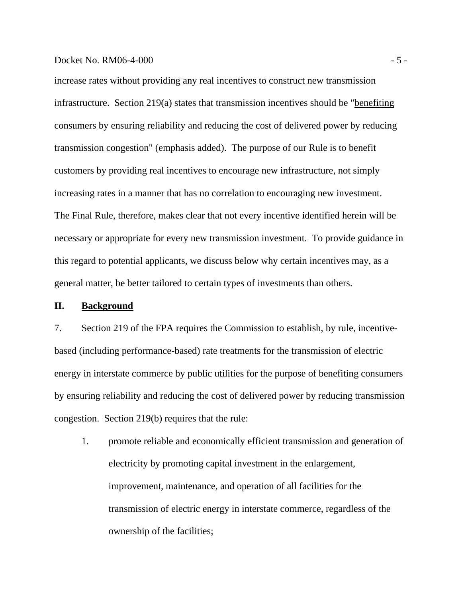increase rates without providing any real incentives to construct new transmission infrastructure. Section  $219(a)$  states that transmission incentives should be "benefiting consumers by ensuring reliability and reducing the cost of delivered power by reducing transmission congestion" (emphasis added). The purpose of our Rule is to benefit customers by providing real incentives to encourage new infrastructure, not simply increasing rates in a manner that has no correlation to encouraging new investment. The Final Rule, therefore, makes clear that not every incentive identified herein will be necessary or appropriate for every new transmission investment. To provide guidance in this regard to potential applicants, we discuss below why certain incentives may, as a general matter, be better tailored to certain types of investments than others.

### **II. Background**

7. Section 219 of the FPA requires the Commission to establish, by rule, incentivebased (including performance-based) rate treatments for the transmission of electric energy in interstate commerce by public utilities for the purpose of benefiting consumers by ensuring reliability and reducing the cost of delivered power by reducing transmission congestion. Section 219(b) requires that the rule:

1. promote reliable and economically efficient transmission and generation of electricity by promoting capital investment in the enlargement, improvement, maintenance, and operation of all facilities for the transmission of electric energy in interstate commerce, regardless of the ownership of the facilities;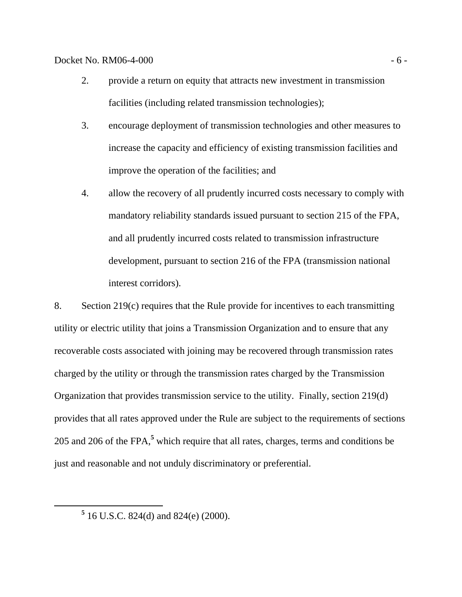$Docke$ t No. RM06-4-000  $-6$  -

- 2. provide a return on equity that attracts new investment in transmission facilities (including related transmission technologies);
- 3. encourage deployment of transmission technologies and other measures to increase the capacity and efficiency of existing transmission facilities and improve the operation of the facilities; and
- 4. allow the recovery of all prudently incurred costs necessary to comply with mandatory reliability standards issued pursuant to section 215 of the FPA, and all prudently incurred costs related to transmission infrastructure development, pursuant to section 216 of the FPA (transmission national interest corridors).

8. Section 219(c) requires that the Rule provide for incentives to each transmitting utility or electric utility that joins a Transmission Organization and to ensure that any recoverable costs associated with joining may be recovered through transmission rates charged by the utility or through the transmission rates charged by the Transmission Organization that provides transmission service to the utility. Finally, section 219(d) provides that all rates approved under the Rule are subject to the requirements of sections 205 and 206 of the FPA,**<sup>5</sup>** which require that all rates, charges, terms and conditions be just and reasonable and not unduly discriminatory or preferential.

 **<sup>5</sup>**  $5$  16 U.S.C. 824(d) and 824(e) (2000).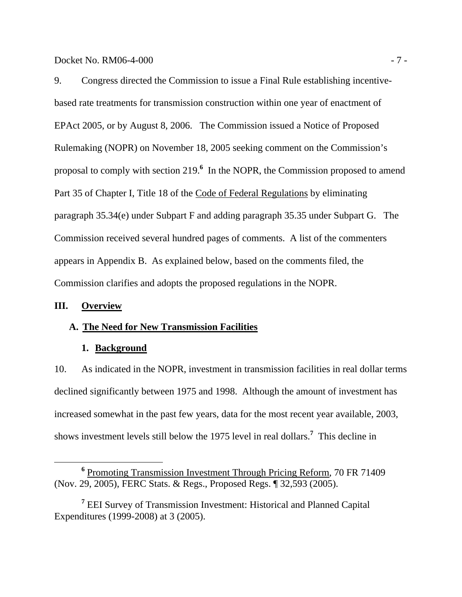Docket No. RM06-4-000 - 7 -

9. Congress directed the Commission to issue a Final Rule establishing incentivebased rate treatments for transmission construction within one year of enactment of EPAct 2005, or by August 8, 2006. The Commission issued a Notice of Proposed Rulemaking (NOPR) on November 18, 2005 seeking comment on the Commission's proposal to comply with section 219.<sup>6</sup> In the NOPR, the Commission proposed to amend Part 35 of Chapter I, Title 18 of the Code of Federal Regulations by eliminating paragraph 35.34(e) under Subpart F and adding paragraph 35.35 under Subpart G. The Commission received several hundred pages of comments. A list of the commenters appears in Appendix B. As explained below, based on the comments filed, the Commission clarifies and adopts the proposed regulations in the NOPR.

# **III. Overview**

# **A. The Need for New Transmission Facilities**

# **1. Background**

10. As indicated in the NOPR, investment in transmission facilities in real dollar terms declined significantly between 1975 and 1998. Although the amount of investment has increased somewhat in the past few years, data for the most recent year available, 2003, shows investment levels still below the 1975 level in real dollars.**<sup>7</sup>** This decline in

**<sup>6</sup>** <sup>6</sup> Promoting Transmission Investment Through Pricing Reform, 70 FR 71409 (Nov. 29, 2005), FERC Stats. & Regs., Proposed Regs. ¶ 32,593 (2005).

<sup>&</sup>lt;sup>7</sup> EEI Survey of Transmission Investment: Historical and Planned Capital Expenditures (1999-2008) at 3 (2005).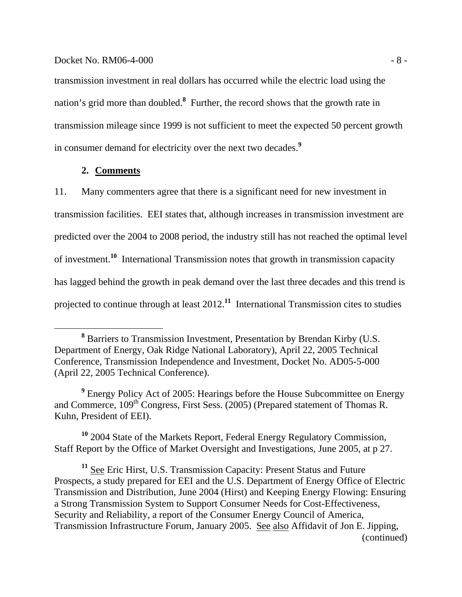#### $Docke$ t No. RM06-4-000  $-8$  -

transmission investment in real dollars has occurred while the electric load using the nation's grid more than doubled.**<sup>8</sup>** Further, the record shows that the growth rate in transmission mileage since 1999 is not sufficient to meet the expected 50 percent growth in consumer demand for electricity over the next two decades.**<sup>9</sup>**

## **2. Comments**

11. Many commenters agree that there is a significant need for new investment in transmission facilities. EEI states that, although increases in transmission investment are predicted over the 2004 to 2008 period, the industry still has not reached the optimal level of investment.**<sup>10</sup>** International Transmission notes that growth in transmission capacity has lagged behind the growth in peak demand over the last three decades and this trend is projected to continue through at least 2012.**<sup>11</sup>** International Transmission cites to studies

<sup>9</sup> Energy Policy Act of 2005: Hearings before the House Subcommittee on Energy and Commerce, 109<sup>th</sup> Congress, First Sess. (2005) (Prepared statement of Thomas R. Kuhn, President of EEI).

**<sup>10</sup>** 2004 State of the Markets Report*,* Federal Energy Regulatory Commission, Staff Report by the Office of Market Oversight and Investigations, June 2005, at p 27.

**<sup>11</sup>** See Eric Hirst, U.S. Transmission Capacity: Present Status and Future Prospects, a study prepared for EEI and the U.S. Department of Energy Office of Electric Transmission and Distribution, June 2004 (Hirst) and Keeping Energy Flowing: Ensuring a Strong Transmission System to Support Consumer Needs for Cost-Effectiveness, Security and Reliability, a report of the Consumer Energy Council of America, Transmission Infrastructure Forum, January 2005. See also Affidavit of Jon E. Jipping, (continued)

**<sup>8</sup>** Barriers to Transmission Investment, Presentation by Brendan Kirby (U.S. Department of Energy, Oak Ridge National Laboratory), April 22, 2005 Technical Conference, Transmission Independence and Investment, Docket No. AD05-5-000 (April 22, 2005 Technical Conference).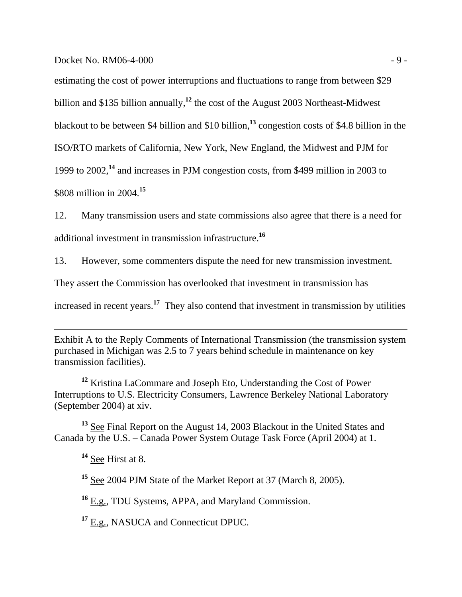$Dacket No. RM06-4-000$  - 9 -

estimating the cost of power interruptions and fluctuations to range from between \$29 billion and \$135 billion annually,**<sup>12</sup>** the cost of the August 2003 Northeast-Midwest blackout to be between \$4 billion and \$10 billion,**<sup>13</sup>** congestion costs of \$4.8 billion in the ISO/RTO markets of California, New York, New England, the Midwest and PJM for 1999 to 2002,**<sup>14</sup>** and increases in PJM congestion costs, from \$499 million in 2003 to \$808 million in 2004.**<sup>15</sup>**

12. Many transmission users and state commissions also agree that there is a need for additional investment in transmission infrastructure.**<sup>16</sup>**

13. However, some commenters dispute the need for new transmission investment.

They assert the Commission has overlooked that investment in transmission has

increased in recent years.**<sup>17</sup>** They also contend that investment in transmission by utilities

Exhibit A to the Reply Comments of International Transmission (the transmission system purchased in Michigan was 2.5 to 7 years behind schedule in maintenance on key transmission facilities).

**<sup>12</sup>** Kristina LaCommare and Joseph Eto, Understanding the Cost of Power Interruptions to U.S. Electricity Consumers, Lawrence Berkeley National Laboratory (September 2004) at xiv.

**<sup>13</sup>** See Final Report on the August 14, 2003 Blackout in the United States and Canada by the U.S. – Canada Power System Outage Task Force (April 2004) at 1.

**<sup>14</sup>** See Hirst at 8.

 $\overline{a}$ 

**<sup>15</sup>** See 2004 PJM State of the Market Report at 37 (March 8, 2005).

**<sup>16</sup>** E.g., TDU Systems, APPA, and Maryland Commission.

**<sup>17</sup>** E.g., NASUCA and Connecticut DPUC.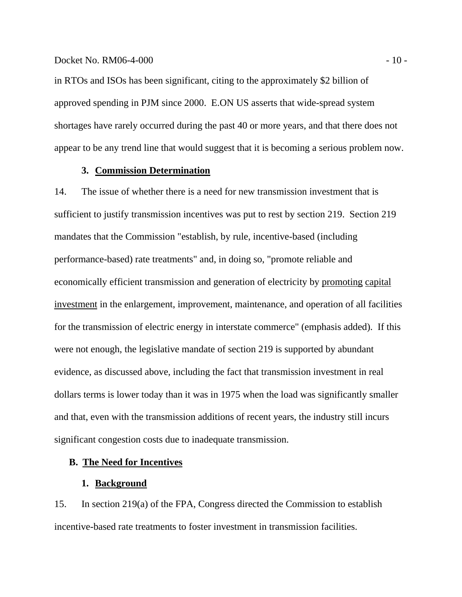in RTOs and ISOs has been significant, citing to the approximately \$2 billion of approved spending in PJM since 2000. E.ON US asserts that wide-spread system shortages have rarely occurred during the past 40 or more years, and that there does not appear to be any trend line that would suggest that it is becoming a serious problem now.

# **3. Commission Determination**

14. The issue of whether there is a need for new transmission investment that is sufficient to justify transmission incentives was put to rest by section 219. Section 219 mandates that the Commission "establish, by rule, incentive-based (including performance-based) rate treatments" and, in doing so, "promote reliable and economically efficient transmission and generation of electricity by promoting capital investment in the enlargement, improvement, maintenance, and operation of all facilities for the transmission of electric energy in interstate commerce" (emphasis added). If this were not enough, the legislative mandate of section 219 is supported by abundant evidence, as discussed above, including the fact that transmission investment in real dollars terms is lower today than it was in 1975 when the load was significantly smaller and that, even with the transmission additions of recent years, the industry still incurs significant congestion costs due to inadequate transmission.

# **B. The Need for Incentives**

### **1. Background**

15. In section 219(a) of the FPA, Congress directed the Commission to establish incentive-based rate treatments to foster investment in transmission facilities.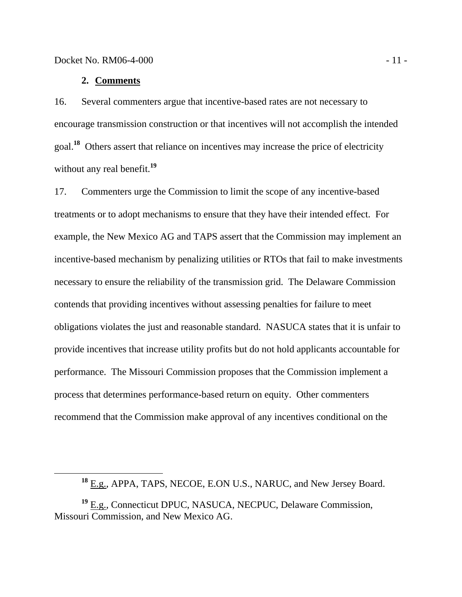## **2. Comments**

16. Several commenters argue that incentive-based rates are not necessary to encourage transmission construction or that incentives will not accomplish the intended goal.**<sup>18</sup>** Others assert that reliance on incentives may increase the price of electricity without any real benefit.<sup>19</sup>

17. Commenters urge the Commission to limit the scope of any incentive-based treatments or to adopt mechanisms to ensure that they have their intended effect. For example, the New Mexico AG and TAPS assert that the Commission may implement an incentive-based mechanism by penalizing utilities or RTOs that fail to make investments necessary to ensure the reliability of the transmission grid. The Delaware Commission contends that providing incentives without assessing penalties for failure to meet obligations violates the just and reasonable standard. NASUCA states that it is unfair to provide incentives that increase utility profits but do not hold applicants accountable for performance. The Missouri Commission proposes that the Commission implement a process that determines performance-based return on equity. Other commenters recommend that the Commission make approval of any incentives conditional on the

**<sup>18</sup>** E.g., APPA, TAPS, NECOE, E.ON U.S., NARUC, and New Jersey Board.

**<sup>19</sup>** E.g., Connecticut DPUC, NASUCA, NECPUC, Delaware Commission, Missouri Commission, and New Mexico AG.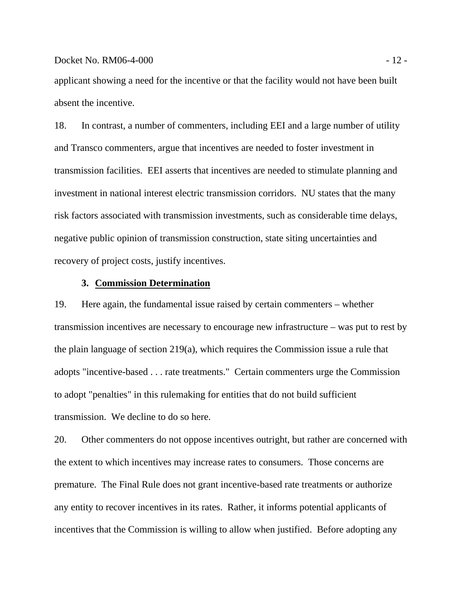applicant showing a need for the incentive or that the facility would not have been built absent the incentive.

18. In contrast, a number of commenters, including EEI and a large number of utility and Transco commenters, argue that incentives are needed to foster investment in transmission facilities. EEI asserts that incentives are needed to stimulate planning and investment in national interest electric transmission corridors. NU states that the many risk factors associated with transmission investments, such as considerable time delays, negative public opinion of transmission construction, state siting uncertainties and recovery of project costs, justify incentives.

# **3. Commission Determination**

19. Here again, the fundamental issue raised by certain commenters – whether transmission incentives are necessary to encourage new infrastructure – was put to rest by the plain language of section 219(a), which requires the Commission issue a rule that adopts "incentive-based . . . rate treatments." Certain commenters urge the Commission to adopt "penalties" in this rulemaking for entities that do not build sufficient transmission. We decline to do so here.

20. Other commenters do not oppose incentives outright, but rather are concerned with the extent to which incentives may increase rates to consumers. Those concerns are premature. The Final Rule does not grant incentive-based rate treatments or authorize any entity to recover incentives in its rates. Rather, it informs potential applicants of incentives that the Commission is willing to allow when justified. Before adopting any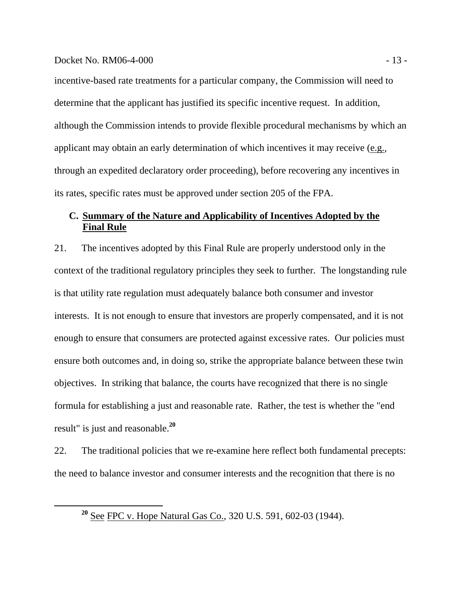#### Docket No. RM06-4-000 - 13 -

incentive-based rate treatments for a particular company, the Commission will need to determine that the applicant has justified its specific incentive request. In addition, although the Commission intends to provide flexible procedural mechanisms by which an applicant may obtain an early determination of which incentives it may receive (e.g., through an expedited declaratory order proceeding), before recovering any incentives in its rates, specific rates must be approved under section 205 of the FPA.

# **C. Summary of the Nature and Applicability of Incentives Adopted by the Final Rule**

21. The incentives adopted by this Final Rule are properly understood only in the context of the traditional regulatory principles they seek to further. The longstanding rule is that utility rate regulation must adequately balance both consumer and investor interests. It is not enough to ensure that investors are properly compensated, and it is not enough to ensure that consumers are protected against excessive rates. Our policies must ensure both outcomes and, in doing so, strike the appropriate balance between these twin objectives. In striking that balance, the courts have recognized that there is no single formula for establishing a just and reasonable rate. Rather, the test is whether the "end result" is just and reasonable.**<sup>20</sup>**

22. The traditional policies that we re-examine here reflect both fundamental precepts: the need to balance investor and consumer interests and the recognition that there is no

**<sup>20</sup>** See FPC v. Hope Natural Gas Co., 320 U.S. 591, 602-03 (1944).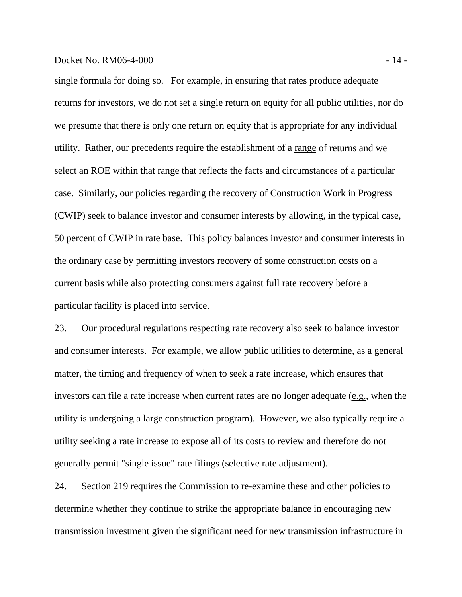# Docket No. RM06-4-000 - 14 -

single formula for doing so. For example, in ensuring that rates produce adequate returns for investors, we do not set a single return on equity for all public utilities, nor do we presume that there is only one return on equity that is appropriate for any individual utility. Rather, our precedents require the establishment of a range of returns and we select an ROE within that range that reflects the facts and circumstances of a particular case. Similarly, our policies regarding the recovery of Construction Work in Progress (CWIP) seek to balance investor and consumer interests by allowing, in the typical case, 50 percent of CWIP in rate base. This policy balances investor and consumer interests in the ordinary case by permitting investors recovery of some construction costs on a current basis while also protecting consumers against full rate recovery before a particular facility is placed into service.

23. Our procedural regulations respecting rate recovery also seek to balance investor and consumer interests. For example, we allow public utilities to determine, as a general matter, the timing and frequency of when to seek a rate increase, which ensures that investors can file a rate increase when current rates are no longer adequate (e.g., when the utility is undergoing a large construction program). However, we also typically require a utility seeking a rate increase to expose all of its costs to review and therefore do not generally permit "single issue" rate filings (selective rate adjustment).

24. Section 219 requires the Commission to re-examine these and other policies to determine whether they continue to strike the appropriate balance in encouraging new transmission investment given the significant need for new transmission infrastructure in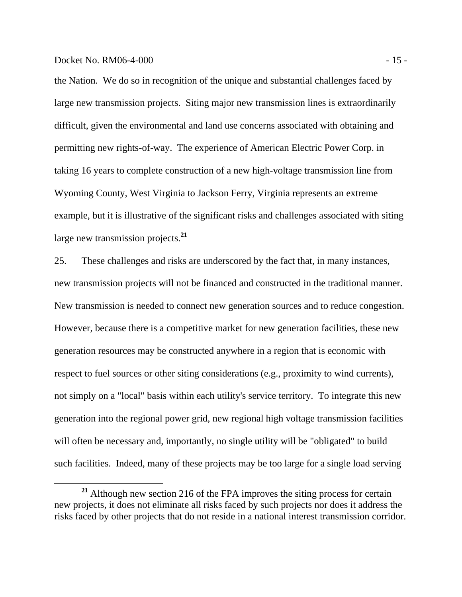## Docket No. RM06-4-000 - 15 -

the Nation. We do so in recognition of the unique and substantial challenges faced by large new transmission projects. Siting major new transmission lines is extraordinarily difficult, given the environmental and land use concerns associated with obtaining and permitting new rights-of-way. The experience of American Electric Power Corp. in taking 16 years to complete construction of a new high-voltage transmission line from Wyoming County, West Virginia to Jackson Ferry, Virginia represents an extreme example, but it is illustrative of the significant risks and challenges associated with siting large new transmission projects.**<sup>21</sup>**

25. These challenges and risks are underscored by the fact that, in many instances, new transmission projects will not be financed and constructed in the traditional manner. New transmission is needed to connect new generation sources and to reduce congestion. However, because there is a competitive market for new generation facilities, these new generation resources may be constructed anywhere in a region that is economic with respect to fuel sources or other siting considerations (e.g., proximity to wind currents), not simply on a "local" basis within each utility's service territory. To integrate this new generation into the regional power grid, new regional high voltage transmission facilities will often be necessary and, importantly, no single utility will be "obligated" to build such facilities. Indeed, many of these projects may be too large for a single load serving

**<sup>21</sup>** Although new section 216 of the FPA improves the siting process for certain new projects, it does not eliminate all risks faced by such projects nor does it address the risks faced by other projects that do not reside in a national interest transmission corridor.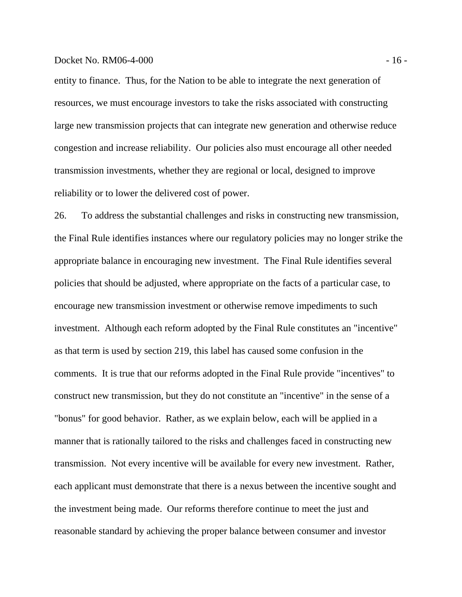#### Docket No. RM06-4-000 - 16 -

entity to finance. Thus, for the Nation to be able to integrate the next generation of resources, we must encourage investors to take the risks associated with constructing large new transmission projects that can integrate new generation and otherwise reduce congestion and increase reliability. Our policies also must encourage all other needed transmission investments, whether they are regional or local, designed to improve reliability or to lower the delivered cost of power.

26. To address the substantial challenges and risks in constructing new transmission, the Final Rule identifies instances where our regulatory policies may no longer strike the appropriate balance in encouraging new investment. The Final Rule identifies several policies that should be adjusted, where appropriate on the facts of a particular case, to encourage new transmission investment or otherwise remove impediments to such investment. Although each reform adopted by the Final Rule constitutes an "incentive" as that term is used by section 219, this label has caused some confusion in the comments. It is true that our reforms adopted in the Final Rule provide "incentives" to construct new transmission, but they do not constitute an "incentive" in the sense of a "bonus" for good behavior. Rather, as we explain below, each will be applied in a manner that is rationally tailored to the risks and challenges faced in constructing new transmission. Not every incentive will be available for every new investment. Rather, each applicant must demonstrate that there is a nexus between the incentive sought and the investment being made. Our reforms therefore continue to meet the just and reasonable standard by achieving the proper balance between consumer and investor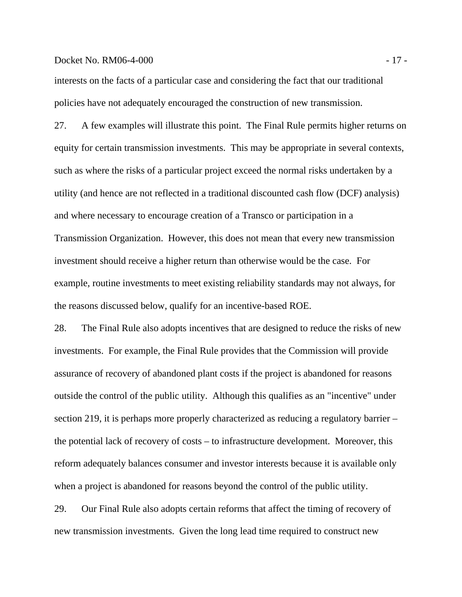#### Docket No. RM06-4-000 - 17 -

interests on the facts of a particular case and considering the fact that our traditional policies have not adequately encouraged the construction of new transmission.

27. A few examples will illustrate this point. The Final Rule permits higher returns on equity for certain transmission investments. This may be appropriate in several contexts, such as where the risks of a particular project exceed the normal risks undertaken by a utility (and hence are not reflected in a traditional discounted cash flow (DCF) analysis) and where necessary to encourage creation of a Transco or participation in a Transmission Organization. However, this does not mean that every new transmission investment should receive a higher return than otherwise would be the case. For example, routine investments to meet existing reliability standards may not always, for the reasons discussed below, qualify for an incentive-based ROE.

28. The Final Rule also adopts incentives that are designed to reduce the risks of new investments. For example, the Final Rule provides that the Commission will provide assurance of recovery of abandoned plant costs if the project is abandoned for reasons outside the control of the public utility. Although this qualifies as an "incentive" under section 219, it is perhaps more properly characterized as reducing a regulatory barrier – the potential lack of recovery of costs – to infrastructure development. Moreover, this reform adequately balances consumer and investor interests because it is available only when a project is abandoned for reasons beyond the control of the public utility.

29. Our Final Rule also adopts certain reforms that affect the timing of recovery of new transmission investments. Given the long lead time required to construct new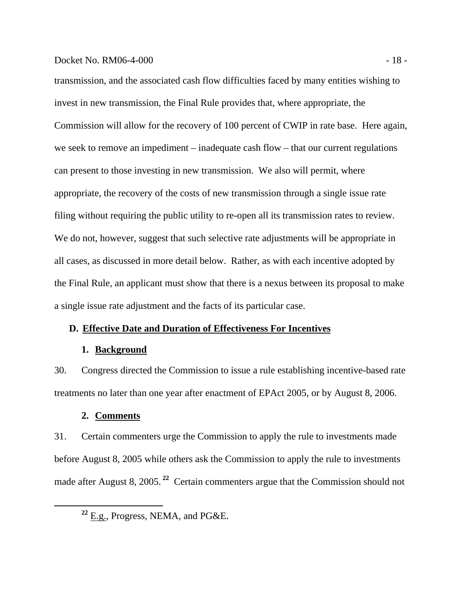## Docket No. RM06-4-000 - 18 -

transmission, and the associated cash flow difficulties faced by many entities wishing to invest in new transmission, the Final Rule provides that, where appropriate, the Commission will allow for the recovery of 100 percent of CWIP in rate base. Here again, we seek to remove an impediment – inadequate cash flow – that our current regulations can present to those investing in new transmission. We also will permit, where appropriate, the recovery of the costs of new transmission through a single issue rate filing without requiring the public utility to re-open all its transmission rates to review. We do not, however, suggest that such selective rate adjustments will be appropriate in all cases, as discussed in more detail below. Rather, as with each incentive adopted by the Final Rule, an applicant must show that there is a nexus between its proposal to make a single issue rate adjustment and the facts of its particular case.

# **D. Effective Date and Duration of Effectiveness For Incentives**

# **1. Background**

30. Congress directed the Commission to issue a rule establishing incentive-based rate treatments no later than one year after enactment of EPAct 2005, or by August 8, 2006.

# **2. Comments**

31. Certain commenters urge the Commission to apply the rule to investments made before August 8, 2005 while others ask the Commission to apply the rule to investments made after August 8, 2005.<sup>22</sup> Certain commenters argue that the Commission should not

**<sup>22</sup>** E.g., Progress, NEMA, and PG&E.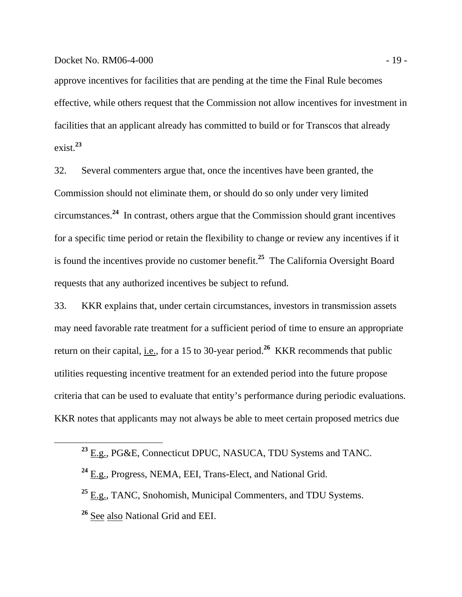### Docket No. RM06-4-000 - 19 -

approve incentives for facilities that are pending at the time the Final Rule becomes effective, while others request that the Commission not allow incentives for investment in facilities that an applicant already has committed to build or for Transcos that already exist.**<sup>23</sup>**

32. Several commenters argue that, once the incentives have been granted, the Commission should not eliminate them, or should do so only under very limited circumstances.**<sup>24</sup>** In contrast, others argue that the Commission should grant incentives for a specific time period or retain the flexibility to change or review any incentives if it is found the incentives provide no customer benefit.**<sup>25</sup>** The California Oversight Board requests that any authorized incentives be subject to refund.

33. KKR explains that, under certain circumstances, investors in transmission assets may need favorable rate treatment for a sufficient period of time to ensure an appropriate return on their capital, i.e., for a 15 to 30-year period.**<sup>26</sup>** KKR recommends that public utilities requesting incentive treatment for an extended period into the future propose criteria that can be used to evaluate that entity's performance during periodic evaluations. KKR notes that applicants may not always be able to meet certain proposed metrics due

**<sup>23</sup>** E.g., PG&E, Connecticut DPUC, NASUCA, TDU Systems and TANC.

**<sup>24</sup>** E.g., Progress, NEMA, EEI, Trans-Elect, and National Grid.

**<sup>25</sup>** E.g., TANC, Snohomish, Municipal Commenters, and TDU Systems.

**<sup>26</sup>** See also National Grid and EEI.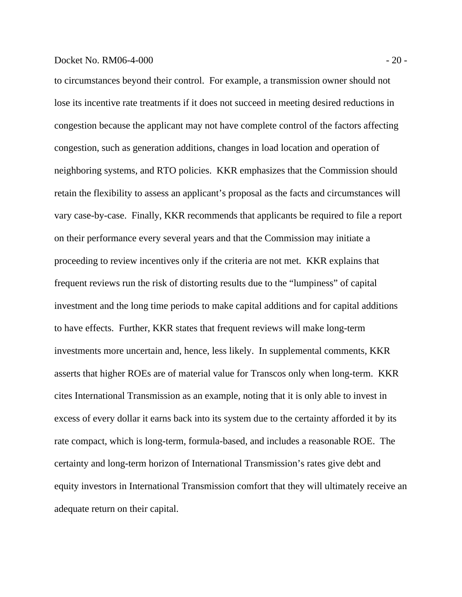## Docket No. RM06-4-000 - 20 -

to circumstances beyond their control. For example, a transmission owner should not lose its incentive rate treatments if it does not succeed in meeting desired reductions in congestion because the applicant may not have complete control of the factors affecting congestion, such as generation additions, changes in load location and operation of neighboring systems, and RTO policies. KKR emphasizes that the Commission should retain the flexibility to assess an applicant's proposal as the facts and circumstances will vary case-by-case. Finally, KKR recommends that applicants be required to file a report on their performance every several years and that the Commission may initiate a proceeding to review incentives only if the criteria are not met. KKR explains that frequent reviews run the risk of distorting results due to the "lumpiness" of capital investment and the long time periods to make capital additions and for capital additions to have effects. Further, KKR states that frequent reviews will make long-term investments more uncertain and, hence, less likely. In supplemental comments, KKR asserts that higher ROEs are of material value for Transcos only when long-term. KKR cites International Transmission as an example, noting that it is only able to invest in excess of every dollar it earns back into its system due to the certainty afforded it by its rate compact, which is long-term, formula-based, and includes a reasonable ROE. The certainty and long-term horizon of International Transmission's rates give debt and equity investors in International Transmission comfort that they will ultimately receive an adequate return on their capital.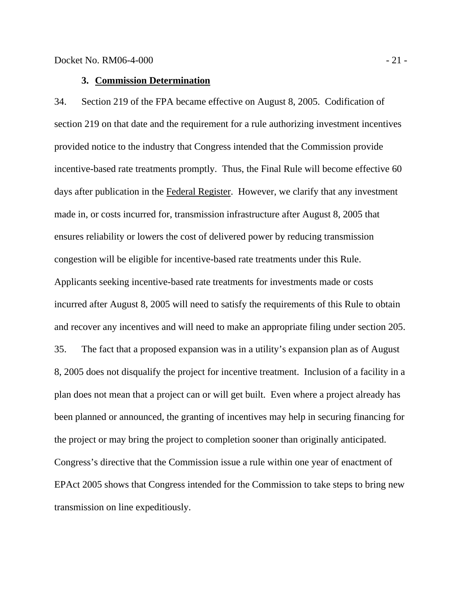# **3. Commission Determination**

34. Section 219 of the FPA became effective on August 8, 2005. Codification of section 219 on that date and the requirement for a rule authorizing investment incentives provided notice to the industry that Congress intended that the Commission provide incentive-based rate treatments promptly. Thus, the Final Rule will become effective 60 days after publication in the Federal Register. However, we clarify that any investment made in, or costs incurred for, transmission infrastructure after August 8, 2005 that ensures reliability or lowers the cost of delivered power by reducing transmission congestion will be eligible for incentive-based rate treatments under this Rule. Applicants seeking incentive-based rate treatments for investments made or costs incurred after August 8, 2005 will need to satisfy the requirements of this Rule to obtain and recover any incentives and will need to make an appropriate filing under section 205. 35. The fact that a proposed expansion was in a utility's expansion plan as of August 8, 2005 does not disqualify the project for incentive treatment. Inclusion of a facility in a plan does not mean that a project can or will get built. Even where a project already has been planned or announced, the granting of incentives may help in securing financing for the project or may bring the project to completion sooner than originally anticipated. Congress's directive that the Commission issue a rule within one year of enactment of EPAct 2005 shows that Congress intended for the Commission to take steps to bring new transmission on line expeditiously.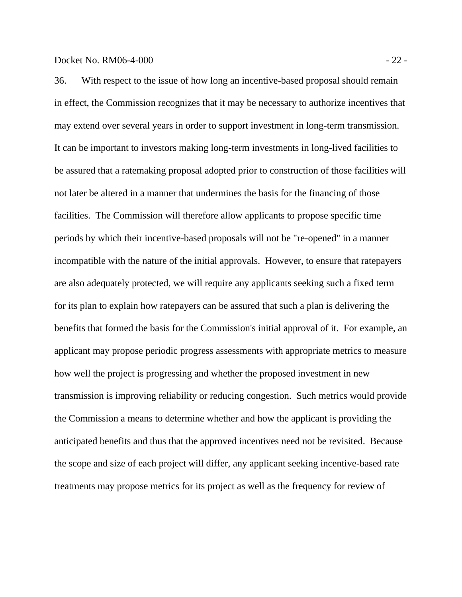36. With respect to the issue of how long an incentive-based proposal should remain in effect, the Commission recognizes that it may be necessary to authorize incentives that may extend over several years in order to support investment in long-term transmission. It can be important to investors making long-term investments in long-lived facilities to be assured that a ratemaking proposal adopted prior to construction of those facilities will not later be altered in a manner that undermines the basis for the financing of those facilities. The Commission will therefore allow applicants to propose specific time periods by which their incentive-based proposals will not be "re-opened" in a manner incompatible with the nature of the initial approvals. However, to ensure that ratepayers are also adequately protected, we will require any applicants seeking such a fixed term for its plan to explain how ratepayers can be assured that such a plan is delivering the benefits that formed the basis for the Commission's initial approval of it. For example, an applicant may propose periodic progress assessments with appropriate metrics to measure how well the project is progressing and whether the proposed investment in new transmission is improving reliability or reducing congestion. Such metrics would provide the Commission a means to determine whether and how the applicant is providing the anticipated benefits and thus that the approved incentives need not be revisited. Because the scope and size of each project will differ, any applicant seeking incentive-based rate treatments may propose metrics for its project as well as the frequency for review of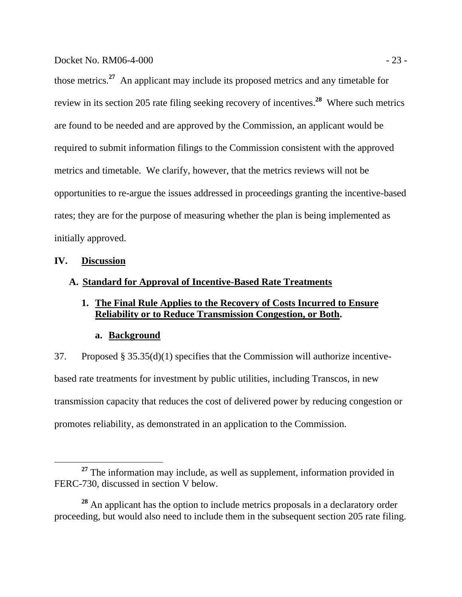those metrics.**<sup>27</sup>** An applicant may include its proposed metrics and any timetable for review in its section 205 rate filing seeking recovery of incentives.**<sup>28</sup>** Where such metrics are found to be needed and are approved by the Commission, an applicant would be required to submit information filings to the Commission consistent with the approved metrics and timetable. We clarify, however, that the metrics reviews will not be opportunities to re-argue the issues addressed in proceedings granting the incentive-based rates; they are for the purpose of measuring whether the plan is being implemented as initially approved.

# **IV. Discussion**

# **A. Standard for Approval of Incentive-Based Rate Treatments**

# **1. The Final Rule Applies to the Recovery of Costs Incurred to Ensure Reliability or to Reduce Transmission Congestion, or Both.**

# **a. Background**

37. Proposed § 35.35(d)(1) specifies that the Commission will authorize incentivebased rate treatments for investment by public utilities, including Transcos, in new transmission capacity that reduces the cost of delivered power by reducing congestion or promotes reliability, as demonstrated in an application to the Commission.

<sup>&</sup>lt;sup>27</sup> The information may include, as well as supplement, information provided in FERC-730, discussed in section V below.

**<sup>28</sup>** An applicant has the option to include metrics proposals in a declaratory order proceeding, but would also need to include them in the subsequent section 205 rate filing.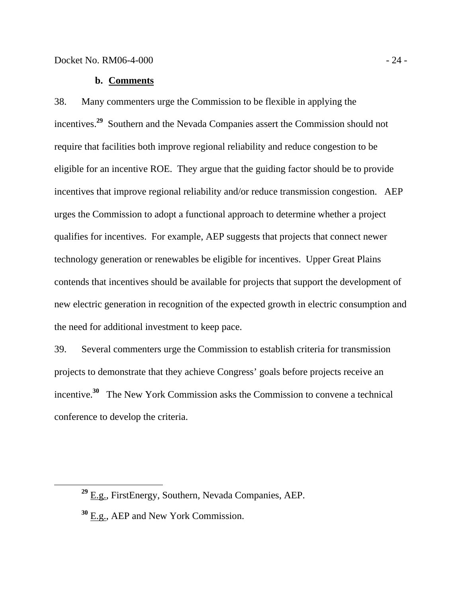# **b. Comments**

38. Many commenters urge the Commission to be flexible in applying the incentives.**<sup>29</sup>** Southern and the Nevada Companies assert the Commission should not require that facilities both improve regional reliability and reduce congestion to be eligible for an incentive ROE. They argue that the guiding factor should be to provide incentives that improve regional reliability and/or reduce transmission congestion. AEP urges the Commission to adopt a functional approach to determine whether a project qualifies for incentives. For example, AEP suggests that projects that connect newer technology generation or renewables be eligible for incentives. Upper Great Plains contends that incentives should be available for projects that support the development of new electric generation in recognition of the expected growth in electric consumption and the need for additional investment to keep pace.

39. Several commenters urge the Commission to establish criteria for transmission projects to demonstrate that they achieve Congress' goals before projects receive an incentive.**<sup>30</sup>** The New York Commission asks the Commission to convene a technical conference to develop the criteria.

**<sup>29</sup>** E.g., FirstEnergy, Southern, Nevada Companies, AEP.

**<sup>30</sup>** E.g., AEP and New York Commission.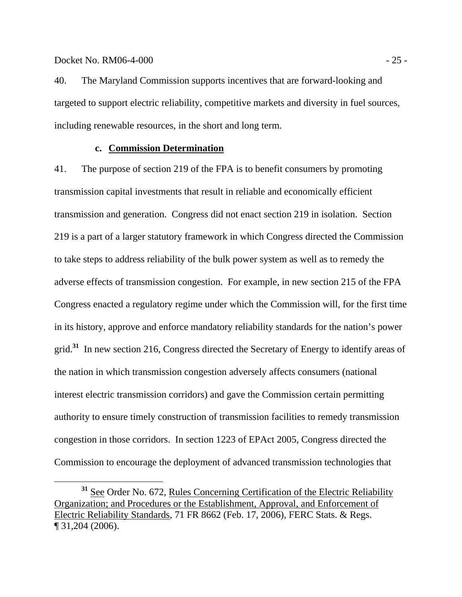## Docket No. RM06-4-000 - 25 -

40. The Maryland Commission supports incentives that are forward-looking and targeted to support electric reliability, competitive markets and diversity in fuel sources, including renewable resources, in the short and long term.

## **c. Commission Determination**

41. The purpose of section 219 of the FPA is to benefit consumers by promoting transmission capital investments that result in reliable and economically efficient transmission and generation. Congress did not enact section 219 in isolation. Section 219 is a part of a larger statutory framework in which Congress directed the Commission to take steps to address reliability of the bulk power system as well as to remedy the adverse effects of transmission congestion. For example, in new section 215 of the FPA Congress enacted a regulatory regime under which the Commission will, for the first time in its history, approve and enforce mandatory reliability standards for the nation's power grid.**<sup>31</sup>** In new section 216, Congress directed the Secretary of Energy to identify areas of the nation in which transmission congestion adversely affects consumers (national interest electric transmission corridors) and gave the Commission certain permitting authority to ensure timely construction of transmission facilities to remedy transmission congestion in those corridors. In section 1223 of EPAct 2005, Congress directed the Commission to encourage the deployment of advanced transmission technologies that

**<sup>31</sup>** See Order No. 672, Rules Concerning Certification of the Electric Reliability Organization; and Procedures or the Establishment, Approval, and Enforcement of Electric Reliability Standards, 71 FR 8662 (Feb. 17, 2006), FERC Stats. & Regs. ¶ 31,204 (2006).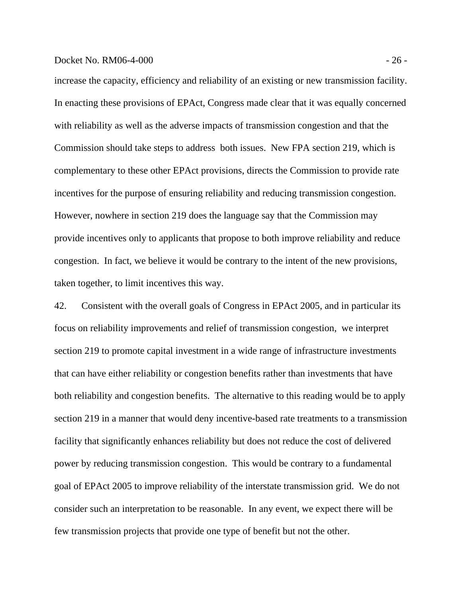#### Docket No. RM06-4-000 - 26 -

increase the capacity, efficiency and reliability of an existing or new transmission facility. In enacting these provisions of EPAct, Congress made clear that it was equally concerned with reliability as well as the adverse impacts of transmission congestion and that the Commission should take steps to address both issues. New FPA section 219, which is complementary to these other EPAct provisions, directs the Commission to provide rate incentives for the purpose of ensuring reliability and reducing transmission congestion. However, nowhere in section 219 does the language say that the Commission may provide incentives only to applicants that propose to both improve reliability and reduce congestion. In fact, we believe it would be contrary to the intent of the new provisions, taken together, to limit incentives this way.

42. Consistent with the overall goals of Congress in EPAct 2005, and in particular its focus on reliability improvements and relief of transmission congestion, we interpret section 219 to promote capital investment in a wide range of infrastructure investments that can have either reliability or congestion benefits rather than investments that have both reliability and congestion benefits. The alternative to this reading would be to apply section 219 in a manner that would deny incentive-based rate treatments to a transmission facility that significantly enhances reliability but does not reduce the cost of delivered power by reducing transmission congestion. This would be contrary to a fundamental goal of EPAct 2005 to improve reliability of the interstate transmission grid. We do not consider such an interpretation to be reasonable. In any event, we expect there will be few transmission projects that provide one type of benefit but not the other.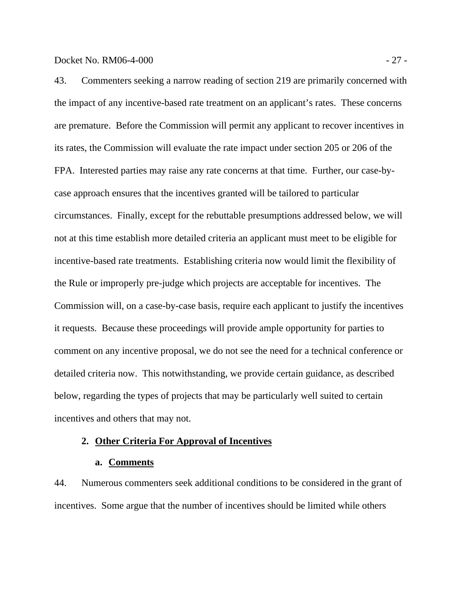43. Commenters seeking a narrow reading of section 219 are primarily concerned with the impact of any incentive-based rate treatment on an applicant's rates. These concerns are premature. Before the Commission will permit any applicant to recover incentives in its rates, the Commission will evaluate the rate impact under section 205 or 206 of the FPA. Interested parties may raise any rate concerns at that time. Further, our case-bycase approach ensures that the incentives granted will be tailored to particular circumstances. Finally, except for the rebuttable presumptions addressed below, we will not at this time establish more detailed criteria an applicant must meet to be eligible for incentive-based rate treatments. Establishing criteria now would limit the flexibility of the Rule or improperly pre-judge which projects are acceptable for incentives. The Commission will, on a case-by-case basis, require each applicant to justify the incentives it requests. Because these proceedings will provide ample opportunity for parties to comment on any incentive proposal, we do not see the need for a technical conference or detailed criteria now. This notwithstanding, we provide certain guidance, as described below, regarding the types of projects that may be particularly well suited to certain incentives and others that may not.

# **2. Other Criteria For Approval of Incentives**

#### **a. Comments**

44. Numerous commenters seek additional conditions to be considered in the grant of incentives. Some argue that the number of incentives should be limited while others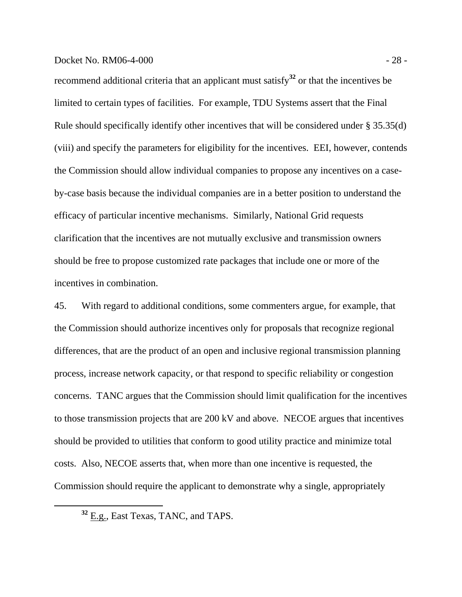## Docket No. RM06-4-000 - 28 -

recommend additional criteria that an applicant must satisfy**<sup>32</sup>** or that the incentives be limited to certain types of facilities. For example, TDU Systems assert that the Final Rule should specifically identify other incentives that will be considered under § 35.35(d) (viii) and specify the parameters for eligibility for the incentives. EEI, however, contends the Commission should allow individual companies to propose any incentives on a caseby-case basis because the individual companies are in a better position to understand the efficacy of particular incentive mechanisms. Similarly, National Grid requests clarification that the incentives are not mutually exclusive and transmission owners should be free to propose customized rate packages that include one or more of the incentives in combination.

45. With regard to additional conditions, some commenters argue, for example, that the Commission should authorize incentives only for proposals that recognize regional differences, that are the product of an open and inclusive regional transmission planning process, increase network capacity, or that respond to specific reliability or congestion concerns. TANC argues that the Commission should limit qualification for the incentives to those transmission projects that are 200 kV and above. NECOE argues that incentives should be provided to utilities that conform to good utility practice and minimize total costs. Also, NECOE asserts that, when more than one incentive is requested, the Commission should require the applicant to demonstrate why a single, appropriately

**<sup>32</sup>** E.g., East Texas, TANC, and TAPS.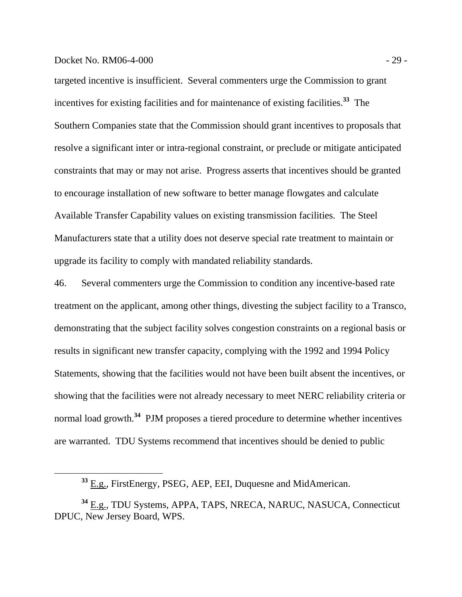## Docket No. RM06-4-000 - 29 -

targeted incentive is insufficient. Several commenters urge the Commission to grant incentives for existing facilities and for maintenance of existing facilities.**<sup>33</sup>** The Southern Companies state that the Commission should grant incentives to proposals that resolve a significant inter or intra-regional constraint, or preclude or mitigate anticipated constraints that may or may not arise. Progress asserts that incentives should be granted to encourage installation of new software to better manage flowgates and calculate Available Transfer Capability values on existing transmission facilities. The Steel Manufacturers state that a utility does not deserve special rate treatment to maintain or upgrade its facility to comply with mandated reliability standards.

46. Several commenters urge the Commission to condition any incentive-based rate treatment on the applicant, among other things, divesting the subject facility to a Transco, demonstrating that the subject facility solves congestion constraints on a regional basis or results in significant new transfer capacity, complying with the 1992 and 1994 Policy Statements, showing that the facilities would not have been built absent the incentives, or showing that the facilities were not already necessary to meet NERC reliability criteria or normal load growth.**<sup>34</sup>** PJM proposes a tiered procedure to determine whether incentives are warranted. TDU Systems recommend that incentives should be denied to public

**<sup>33</sup>** E.g., FirstEnergy, PSEG, AEP, EEI, Duquesne and MidAmerican.

**<sup>34</sup>** E.g., TDU Systems, APPA, TAPS, NRECA, NARUC, NASUCA, Connecticut DPUC, New Jersey Board, WPS.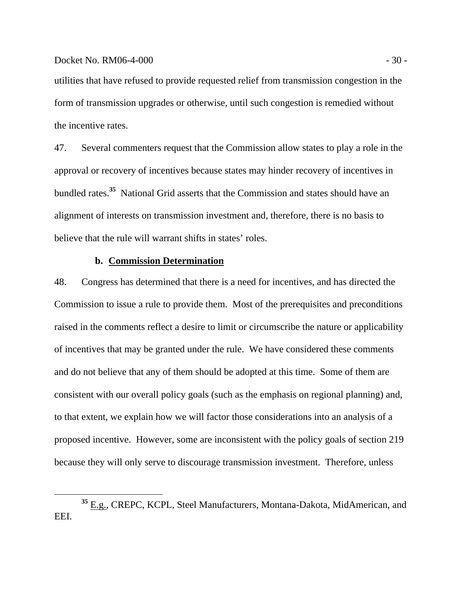utilities that have refused to provide requested relief from transmission congestion in the form of transmission upgrades or otherwise, until such congestion is remedied without the incentive rates.

47. Several commenters request that the Commission allow states to play a role in the approval or recovery of incentives because states may hinder recovery of incentives in bundled rates.**<sup>35</sup>** National Grid asserts that the Commission and states should have an alignment of interests on transmission investment and, therefore, there is no basis to believe that the rule will warrant shifts in states' roles.

# **b. Commission Determination**

48. Congress has determined that there is a need for incentives, and has directed the Commission to issue a rule to provide them. Most of the prerequisites and preconditions raised in the comments reflect a desire to limit or circumscribe the nature or applicability of incentives that may be granted under the rule. We have considered these comments and do not believe that any of them should be adopted at this time. Some of them are consistent with our overall policy goals (such as the emphasis on regional planning) and, to that extent, we explain how we will factor those considerations into an analysis of a proposed incentive. However, some are inconsistent with the policy goals of section 219 because they will only serve to discourage transmission investment. Therefore, unless

**<sup>35</sup>** E.g., CREPC, KCPL, Steel Manufacturers, Montana-Dakota, MidAmerican, and EEI.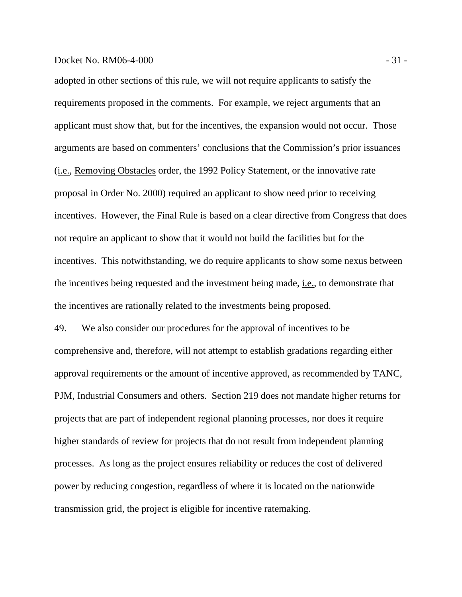#### Docket No. RM06-4-000 - 31 -

adopted in other sections of this rule, we will not require applicants to satisfy the requirements proposed in the comments. For example, we reject arguments that an applicant must show that, but for the incentives, the expansion would not occur. Those arguments are based on commenters' conclusions that the Commission's prior issuances (i.e., Removing Obstacles order, the 1992 Policy Statement, or the innovative rate proposal in Order No. 2000) required an applicant to show need prior to receiving incentives. However, the Final Rule is based on a clear directive from Congress that does not require an applicant to show that it would not build the facilities but for the incentives. This notwithstanding, we do require applicants to show some nexus between the incentives being requested and the investment being made, i.e., to demonstrate that the incentives are rationally related to the investments being proposed.

49. We also consider our procedures for the approval of incentives to be comprehensive and, therefore, will not attempt to establish gradations regarding either approval requirements or the amount of incentive approved, as recommended by TANC, PJM, Industrial Consumers and others. Section 219 does not mandate higher returns for projects that are part of independent regional planning processes, nor does it require higher standards of review for projects that do not result from independent planning processes. As long as the project ensures reliability or reduces the cost of delivered power by reducing congestion, regardless of where it is located on the nationwide transmission grid, the project is eligible for incentive ratemaking.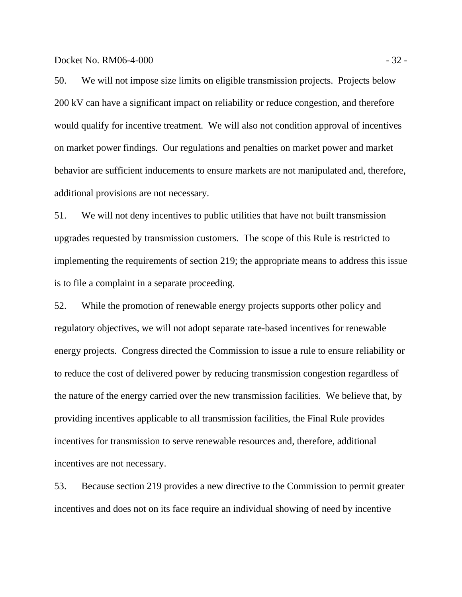Docket No. RM06-4-000 - 32 -

50. We will not impose size limits on eligible transmission projects. Projects below 200 kV can have a significant impact on reliability or reduce congestion, and therefore would qualify for incentive treatment. We will also not condition approval of incentives on market power findings. Our regulations and penalties on market power and market behavior are sufficient inducements to ensure markets are not manipulated and, therefore, additional provisions are not necessary.

51. We will not deny incentives to public utilities that have not built transmission upgrades requested by transmission customers. The scope of this Rule is restricted to implementing the requirements of section 219; the appropriate means to address this issue is to file a complaint in a separate proceeding.

52. While the promotion of renewable energy projects supports other policy and regulatory objectives, we will not adopt separate rate-based incentives for renewable energy projects. Congress directed the Commission to issue a rule to ensure reliability or to reduce the cost of delivered power by reducing transmission congestion regardless of the nature of the energy carried over the new transmission facilities. We believe that, by providing incentives applicable to all transmission facilities, the Final Rule provides incentives for transmission to serve renewable resources and, therefore, additional incentives are not necessary.

53. Because section 219 provides a new directive to the Commission to permit greater incentives and does not on its face require an individual showing of need by incentive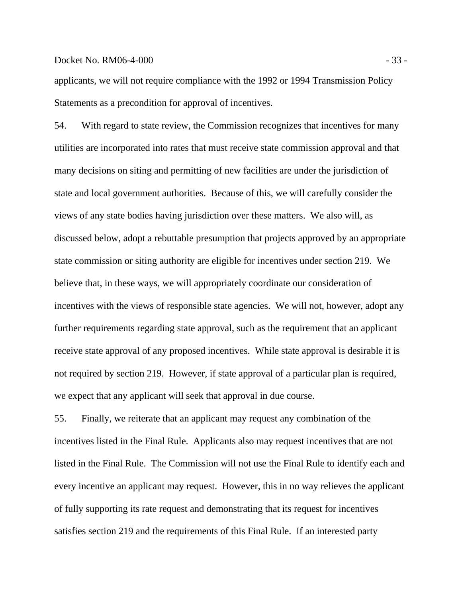## Docket No. RM06-4-000 - 33 -

applicants, we will not require compliance with the 1992 or 1994 Transmission Policy Statements as a precondition for approval of incentives.

54. With regard to state review, the Commission recognizes that incentives for many utilities are incorporated into rates that must receive state commission approval and that many decisions on siting and permitting of new facilities are under the jurisdiction of state and local government authorities. Because of this, we will carefully consider the views of any state bodies having jurisdiction over these matters. We also will, as discussed below, adopt a rebuttable presumption that projects approved by an appropriate state commission or siting authority are eligible for incentives under section 219. We believe that, in these ways, we will appropriately coordinate our consideration of incentives with the views of responsible state agencies. We will not, however, adopt any further requirements regarding state approval, such as the requirement that an applicant receive state approval of any proposed incentives. While state approval is desirable it is not required by section 219. However, if state approval of a particular plan is required, we expect that any applicant will seek that approval in due course.

55. Finally, we reiterate that an applicant may request any combination of the incentives listed in the Final Rule. Applicants also may request incentives that are not listed in the Final Rule. The Commission will not use the Final Rule to identify each and every incentive an applicant may request. However, this in no way relieves the applicant of fully supporting its rate request and demonstrating that its request for incentives satisfies section 219 and the requirements of this Final Rule. If an interested party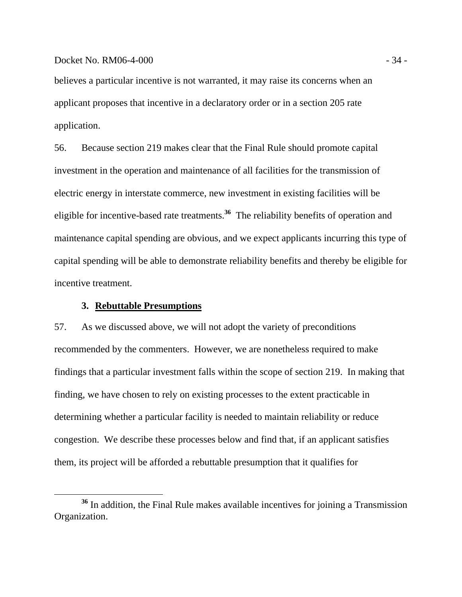believes a particular incentive is not warranted, it may raise its concerns when an applicant proposes that incentive in a declaratory order or in a section 205 rate application.

56. Because section 219 makes clear that the Final Rule should promote capital investment in the operation and maintenance of all facilities for the transmission of electric energy in interstate commerce, new investment in existing facilities will be eligible for incentive-based rate treatments.**<sup>36</sup>** The reliability benefits of operation and maintenance capital spending are obvious, and we expect applicants incurring this type of capital spending will be able to demonstrate reliability benefits and thereby be eligible for incentive treatment.

## **3. Rebuttable Presumptions**

57. As we discussed above, we will not adopt the variety of preconditions recommended by the commenters. However, we are nonetheless required to make findings that a particular investment falls within the scope of section 219. In making that finding, we have chosen to rely on existing processes to the extent practicable in determining whether a particular facility is needed to maintain reliability or reduce congestion. We describe these processes below and find that, if an applicant satisfies them, its project will be afforded a rebuttable presumption that it qualifies for

**<sup>36</sup>** In addition, the Final Rule makes available incentives for joining a Transmission Organization.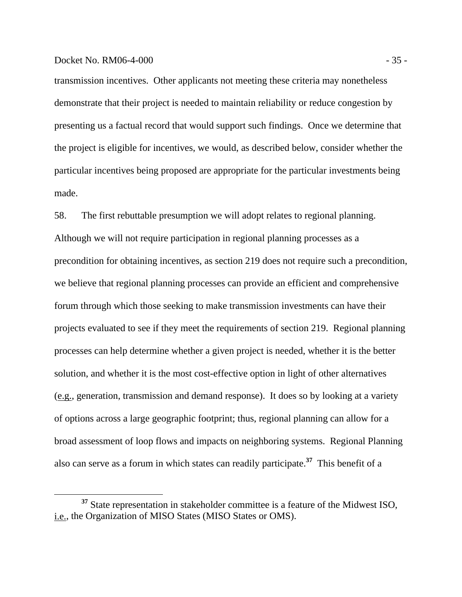## Docket No. RM06-4-000 - 35 -

transmission incentives. Other applicants not meeting these criteria may nonetheless demonstrate that their project is needed to maintain reliability or reduce congestion by presenting us a factual record that would support such findings. Once we determine that the project is eligible for incentives, we would, as described below, consider whether the particular incentives being proposed are appropriate for the particular investments being made.

58. The first rebuttable presumption we will adopt relates to regional planning. Although we will not require participation in regional planning processes as a precondition for obtaining incentives, as section 219 does not require such a precondition, we believe that regional planning processes can provide an efficient and comprehensive forum through which those seeking to make transmission investments can have their projects evaluated to see if they meet the requirements of section 219. Regional planning processes can help determine whether a given project is needed, whether it is the better solution, and whether it is the most cost-effective option in light of other alternatives (e.g., generation, transmission and demand response). It does so by looking at a variety of options across a large geographic footprint; thus, regional planning can allow for a broad assessment of loop flows and impacts on neighboring systems. Regional Planning also can serve as a forum in which states can readily participate.**<sup>37</sup>** This benefit of a

**<sup>37</sup>** State representation in stakeholder committee is a feature of the Midwest ISO, i.e., the Organization of MISO States (MISO States or OMS).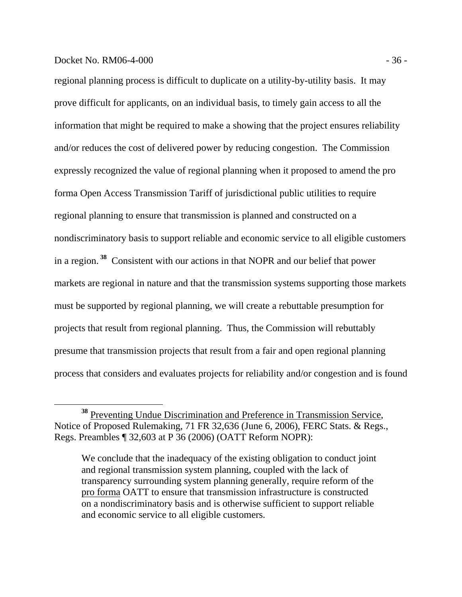## Docket No. RM06-4-000 - 36 -

regional planning process is difficult to duplicate on a utility-by-utility basis. It may prove difficult for applicants, on an individual basis, to timely gain access to all the information that might be required to make a showing that the project ensures reliability and/or reduces the cost of delivered power by reducing congestion. The Commission expressly recognized the value of regional planning when it proposed to amend the pro forma Open Access Transmission Tariff of jurisdictional public utilities to require regional planning to ensure that transmission is planned and constructed on a nondiscriminatory basis to support reliable and economic service to all eligible customers in a region.**<sup>38</sup>** Consistent with our actions in that NOPR and our belief that power markets are regional in nature and that the transmission systems supporting those markets must be supported by regional planning, we will create a rebuttable presumption for projects that result from regional planning. Thus, the Commission will rebuttably presume that transmission projects that result from a fair and open regional planning process that considers and evaluates projects for reliability and/or congestion and is found

**<sup>38</sup>** Preventing Undue Discrimination and Preference in Transmission Service, Notice of Proposed Rulemaking, 71 FR 32,636 (June 6, 2006), FERC Stats. & Regs., Regs. Preambles ¶ 32,603 at P 36 (2006) (OATT Reform NOPR):

We conclude that the inadequacy of the existing obligation to conduct joint and regional transmission system planning, coupled with the lack of transparency surrounding system planning generally, require reform of the pro forma OATT to ensure that transmission infrastructure is constructed on a nondiscriminatory basis and is otherwise sufficient to support reliable and economic service to all eligible customers.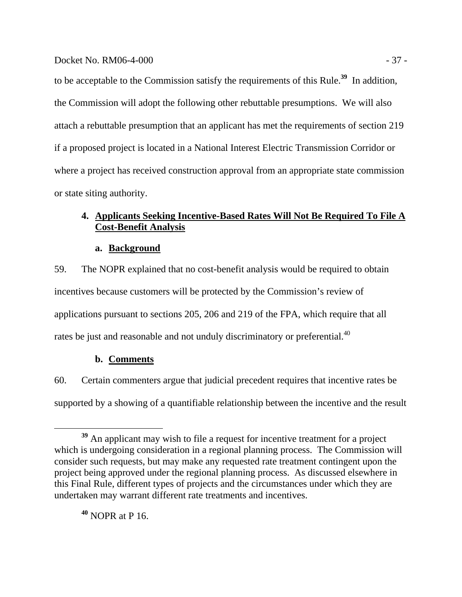to be acceptable to the Commission satisfy the requirements of this Rule.**<sup>39</sup>** In addition, the Commission will adopt the following other rebuttable presumptions. We will also attach a rebuttable presumption that an applicant has met the requirements of section 219 if a proposed project is located in a National Interest Electric Transmission Corridor or where a project has received construction approval from an appropriate state commission or state siting authority.

# **4. Applicants Seeking Incentive-Based Rates Will Not Be Required To File A Cost-Benefit Analysis**

**a. Background**

59. The NOPR explained that no cost-benefit analysis would be required to obtain incentives because customers will be protected by the Commission's review of applications pursuant to sections 205, 206 and 219 of the FPA, which require that all rates be just and reasonable and not unduly discriminatory or preferential.<sup>40</sup>

# **b. Comments**

60. Certain commenters argue that judicial precedent requires that incentive rates be supported by a showing of a quantifiable relationship between the incentive and the result

**<sup>40</sup>** NOPR at P 16.

**<sup>39</sup>** An applicant may wish to file a request for incentive treatment for a project which is undergoing consideration in a regional planning process. The Commission will consider such requests, but may make any requested rate treatment contingent upon the project being approved under the regional planning process. As discussed elsewhere in this Final Rule, different types of projects and the circumstances under which they are undertaken may warrant different rate treatments and incentives.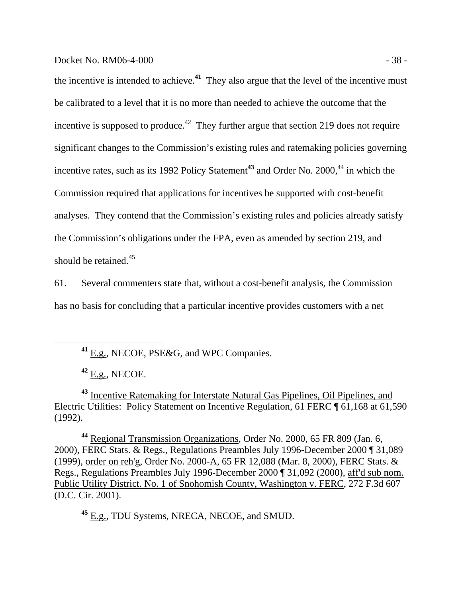## Docket No. RM06-4-000 - 38 -

the incentive is intended to achieve.**<sup>41</sup>** They also argue that the level of the incentive must be calibrated to a level that it is no more than needed to achieve the outcome that the incentive is supposed to produce.<sup>42</sup> They further argue that section 219 does not require significant changes to the Commission's existing rules and ratemaking policies governing incentive rates, such as its 1992 Policy Statement<sup>43</sup> and Order No. 2000,<sup>44</sup> in which the Commission required that applications for incentives be supported with cost-benefit analyses. They contend that the Commission's existing rules and policies already satisfy the Commission's obligations under the FPA, even as amended by section 219, and should be retained.<sup>45</sup>

61. Several commenters state that, without a cost-benefit analysis, the Commission has no basis for concluding that a particular incentive provides customers with a net

**<sup>42</sup>** E.g., NECOE.

**<sup>43</sup>** Incentive Ratemaking for Interstate Natural Gas Pipelines, Oil Pipelines, and Electric Utilities: Policy Statement on Incentive Regulation, 61 FERC ¶ 61,168 at 61,590 (1992).

**<sup>44</sup>** Regional Transmission Organizations, Order No. 2000, 65 FR 809 (Jan. 6, 2000), FERC Stats. & Regs., Regulations Preambles July 1996-December 2000 ¶ 31,089 (1999), order on reh'g, Order No. 2000-A, 65 FR 12,088 (Mar. 8, 2000), FERC Stats. & Regs., Regulations Preambles July 1996-December 2000 ¶ 31,092 (2000), aff'd sub nom. Public Utility District. No. 1 of Snohomish County, Washington v. FERC, 272 F.3d 607 (D.C. Cir. 2001).

**<sup>45</sup>** E.g., TDU Systems, NRECA, NECOE, and SMUD.

**<sup>41</sup>** E.g., NECOE, PSE&G, and WPC Companies.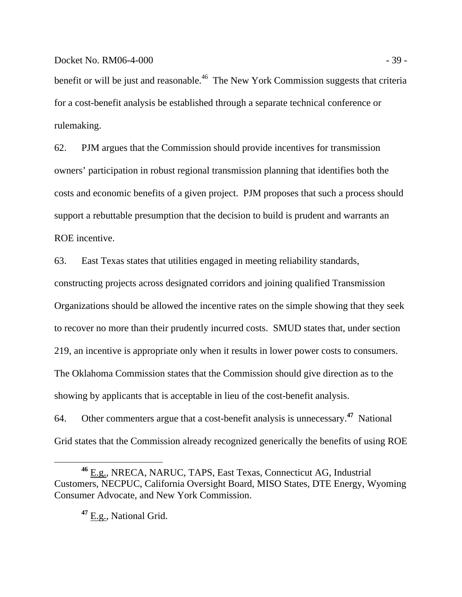benefit or will be just and reasonable.<sup>46</sup> The New York Commission suggests that criteria for a cost-benefit analysis be established through a separate technical conference or rulemaking.

62. PJM argues that the Commission should provide incentives for transmission owners' participation in robust regional transmission planning that identifies both the costs and economic benefits of a given project. PJM proposes that such a process should support a rebuttable presumption that the decision to build is prudent and warrants an ROE incentive.

63. East Texas states that utilities engaged in meeting reliability standards,

constructing projects across designated corridors and joining qualified Transmission Organizations should be allowed the incentive rates on the simple showing that they seek to recover no more than their prudently incurred costs. SMUD states that, under section 219, an incentive is appropriate only when it results in lower power costs to consumers. The Oklahoma Commission states that the Commission should give direction as to the showing by applicants that is acceptable in lieu of the cost-benefit analysis.

64. Other commenters argue that a cost-benefit analysis is unnecessary.**<sup>47</sup>** National Grid states that the Commission already recognized generically the benefits of using ROE

**<sup>47</sup>** E.g., National Grid.

**<sup>46</sup>** E.g., NRECA, NARUC, TAPS, East Texas, Connecticut AG, Industrial Customers, NECPUC, California Oversight Board, MISO States, DTE Energy, Wyoming Consumer Advocate, and New York Commission.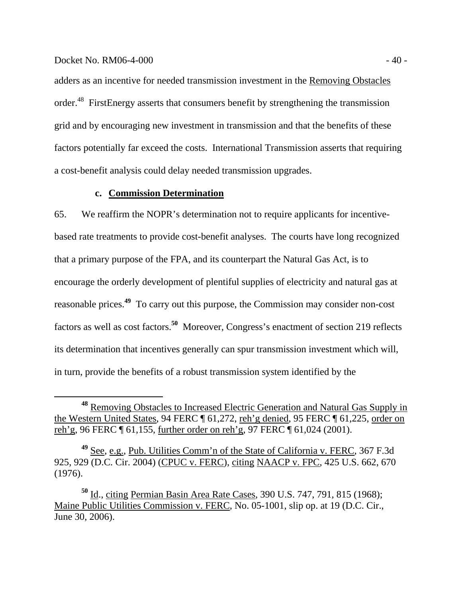## $Dacket No. RM06-4-000$   $-400$

adders as an incentive for needed transmission investment in the Removing Obstacles order.<sup>48</sup> FirstEnergy asserts that consumers benefit by strengthening the transmission grid and by encouraging new investment in transmission and that the benefits of these factors potentially far exceed the costs. International Transmission asserts that requiring a cost-benefit analysis could delay needed transmission upgrades.

# **c. Commission Determination**

65. We reaffirm the NOPR's determination not to require applicants for incentivebased rate treatments to provide cost-benefit analyses. The courts have long recognized that a primary purpose of the FPA, and its counterpart the Natural Gas Act, is to encourage the orderly development of plentiful supplies of electricity and natural gas at reasonable prices.**<sup>49</sup>** To carry out this purpose, the Commission may consider non-cost factors as well as cost factors.**<sup>50</sup>** Moreover, Congress's enactment of section 219 reflects its determination that incentives generally can spur transmission investment which will, in turn, provide the benefits of a robust transmission system identified by the

**<sup>48</sup>** Removing Obstacles to Increased Electric Generation and Natural Gas Supply in the Western United States, 94 FERC ¶ 61,272, reh'g denied, 95 FERC ¶ 61,225, order on reh'g, 96 FERC ¶ 61,155, further order on reh'g, 97 FERC ¶ 61,024 (2001).

**<sup>49</sup>** See, e.g., Pub. Utilities Comm'n of the State of California v. FERC, 367 F.3d 925, 929 (D.C. Cir. 2004) (CPUC v. FERC), citing NAACP v. FPC, 425 U.S. 662, 670 (1976).

**<sup>50</sup>** Id., citing Permian Basin Area Rate Cases, 390 U.S. 747, 791, 815 (1968); Maine Public Utilities Commission v. FERC, No. 05-1001, slip op. at 19 (D.C. Cir., June 30, 2006).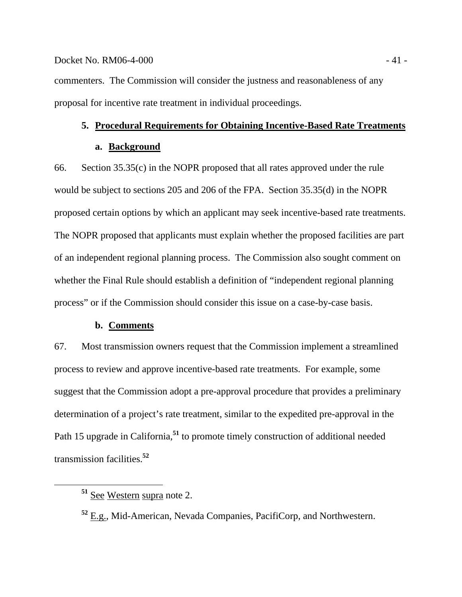## $Docke$ t No. RM06-4-000  $-41$  -

commenters. The Commission will consider the justness and reasonableness of any proposal for incentive rate treatment in individual proceedings.

# **5. Procedural Requirements for Obtaining Incentive-Based Rate Treatments**

#### **a. Background**

66. Section 35.35(c) in the NOPR proposed that all rates approved under the rule would be subject to sections 205 and 206 of the FPA. Section 35.35(d) in the NOPR proposed certain options by which an applicant may seek incentive-based rate treatments. The NOPR proposed that applicants must explain whether the proposed facilities are part of an independent regional planning process. The Commission also sought comment on whether the Final Rule should establish a definition of "independent regional planning process" or if the Commission should consider this issue on a case-by-case basis.

# **b. Comments**

67. Most transmission owners request that the Commission implement a streamlined process to review and approve incentive-based rate treatments. For example, some suggest that the Commission adopt a pre-approval procedure that provides a preliminary determination of a project's rate treatment, similar to the expedited pre-approval in the Path 15 upgrade in California,<sup>51</sup> to promote timely construction of additional needed transmission facilities.**<sup>52</sup>**

**<sup>51</sup>** See Western supra note 2.

**<sup>52</sup>** E.g., Mid-American, Nevada Companies, PacifiCorp, and Northwestern.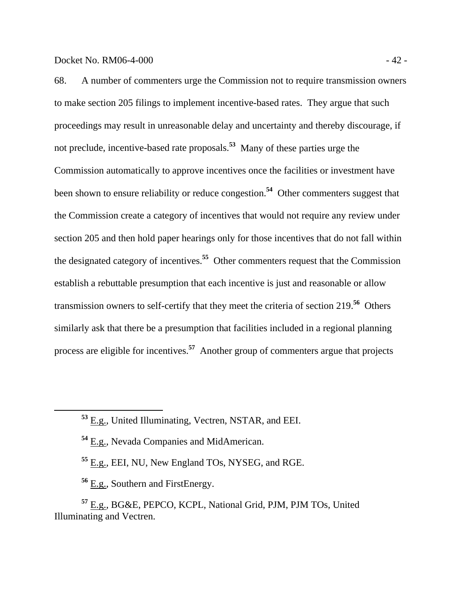68. A number of commenters urge the Commission not to require transmission owners to make section 205 filings to implement incentive-based rates. They argue that such proceedings may result in unreasonable delay and uncertainty and thereby discourage, if not preclude, incentive-based rate proposals.**<sup>53</sup>** Many of these parties urge the Commission automatically to approve incentives once the facilities or investment have been shown to ensure reliability or reduce congestion.**<sup>54</sup>** Other commenters suggest that the Commission create a category of incentives that would not require any review under section 205 and then hold paper hearings only for those incentives that do not fall within the designated category of incentives.**<sup>55</sup>** Other commenters request that the Commission establish a rebuttable presumption that each incentive is just and reasonable or allow transmission owners to self-certify that they meet the criteria of section 219.**<sup>56</sup>** Others similarly ask that there be a presumption that facilities included in a regional planning process are eligible for incentives.**<sup>57</sup>** Another group of commenters argue that projects

**<sup>53</sup>** E.g., United Illuminating, Vectren, NSTAR, and EEI.

**<sup>54</sup>** E.g., Nevada Companies and MidAmerican.

**<sup>55</sup>** E.g., EEI, NU, New England TOs, NYSEG, and RGE.

**<sup>56</sup>** E.g., Southern and FirstEnergy.

**<sup>57</sup>** E.g., BG&E, PEPCO, KCPL, National Grid, PJM, PJM TOs, United Illuminating and Vectren.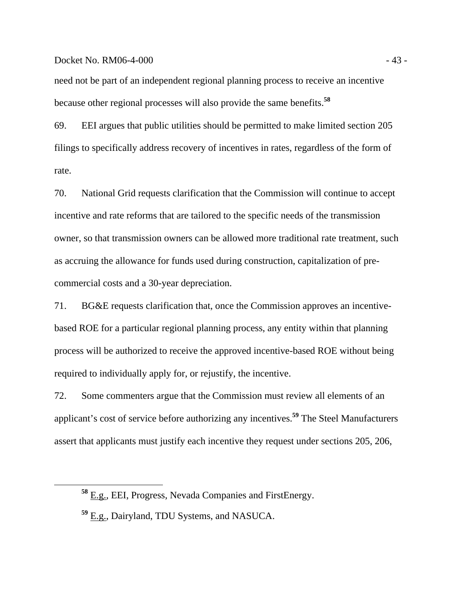## Docket No. RM06-4-000 - 43 -

need not be part of an independent regional planning process to receive an incentive because other regional processes will also provide the same benefits.**<sup>58</sup>**

69. EEI argues that public utilities should be permitted to make limited section 205 filings to specifically address recovery of incentives in rates, regardless of the form of rate.

70. National Grid requests clarification that the Commission will continue to accept incentive and rate reforms that are tailored to the specific needs of the transmission owner, so that transmission owners can be allowed more traditional rate treatment, such as accruing the allowance for funds used during construction, capitalization of precommercial costs and a 30-year depreciation.

71. BG&E requests clarification that, once the Commission approves an incentivebased ROE for a particular regional planning process, any entity within that planning process will be authorized to receive the approved incentive-based ROE without being required to individually apply for, or rejustify, the incentive.

72. Some commenters argue that the Commission must review all elements of an applicant's cost of service before authorizing any incentives.**<sup>59</sup>** The Steel Manufacturers assert that applicants must justify each incentive they request under sections 205, 206,

**<sup>58</sup>** E.g., EEI, Progress, Nevada Companies and FirstEnergy.

**<sup>59</sup>** E.g., Dairyland, TDU Systems, and NASUCA.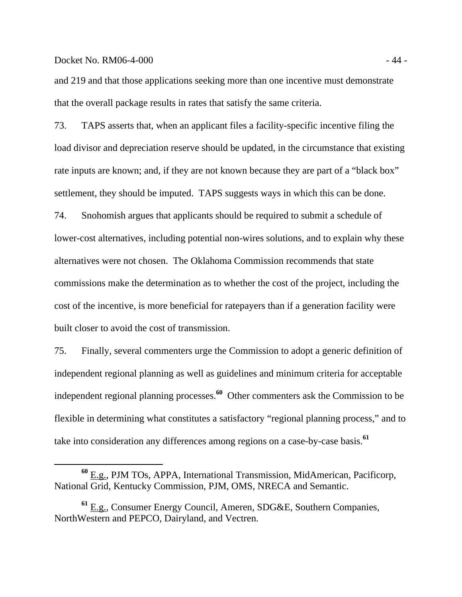## Docket No. RM06-4-000 - 44 -

and 219 and that those applications seeking more than one incentive must demonstrate that the overall package results in rates that satisfy the same criteria.

73. TAPS asserts that, when an applicant files a facility-specific incentive filing the load divisor and depreciation reserve should be updated, in the circumstance that existing rate inputs are known; and, if they are not known because they are part of a "black box" settlement, they should be imputed. TAPS suggests ways in which this can be done.

74. Snohomish argues that applicants should be required to submit a schedule of lower-cost alternatives, including potential non-wires solutions, and to explain why these alternatives were not chosen. The Oklahoma Commission recommends that state commissions make the determination as to whether the cost of the project, including the cost of the incentive, is more beneficial for ratepayers than if a generation facility were built closer to avoid the cost of transmission.

75. Finally, several commenters urge the Commission to adopt a generic definition of independent regional planning as well as guidelines and minimum criteria for acceptable independent regional planning processes.**<sup>60</sup>** Other commenters ask the Commission to be flexible in determining what constitutes a satisfactory "regional planning process," and to take into consideration any differences among regions on a case-by-case basis.**<sup>61</sup>**

**<sup>60</sup>** E.g., PJM TOs, APPA, International Transmission, MidAmerican, Pacificorp, National Grid, Kentucky Commission, PJM, OMS, NRECA and Semantic.

**<sup>61</sup>** E.g., Consumer Energy Council, Ameren, SDG&E, Southern Companies, NorthWestern and PEPCO, Dairyland, and Vectren.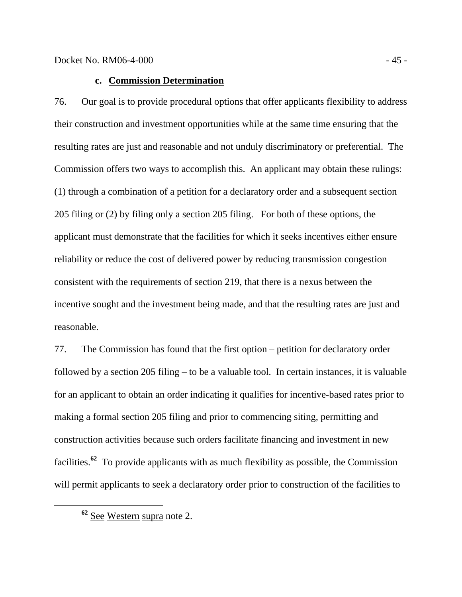# **c. Commission Determination**

76. Our goal is to provide procedural options that offer applicants flexibility to address their construction and investment opportunities while at the same time ensuring that the resulting rates are just and reasonable and not unduly discriminatory or preferential. The Commission offers two ways to accomplish this. An applicant may obtain these rulings: (1) through a combination of a petition for a declaratory order and a subsequent section 205 filing or (2) by filing only a section 205 filing. For both of these options, the applicant must demonstrate that the facilities for which it seeks incentives either ensure reliability or reduce the cost of delivered power by reducing transmission congestion consistent with the requirements of section 219, that there is a nexus between the incentive sought and the investment being made, and that the resulting rates are just and reasonable.

77. The Commission has found that the first option – petition for declaratory order followed by a section 205 filing – to be a valuable tool. In certain instances, it is valuable for an applicant to obtain an order indicating it qualifies for incentive-based rates prior to making a formal section 205 filing and prior to commencing siting, permitting and construction activities because such orders facilitate financing and investment in new facilities.**<sup>62</sup>** To provide applicants with as much flexibility as possible, the Commission will permit applicants to seek a declaratory order prior to construction of the facilities to

**<sup>62</sup>** See Western supra note 2.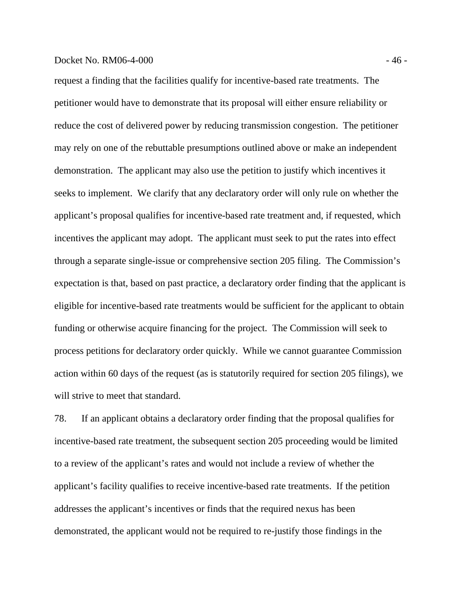## Docket No. RM06-4-000 - 46 -

request a finding that the facilities qualify for incentive-based rate treatments. The petitioner would have to demonstrate that its proposal will either ensure reliability or reduce the cost of delivered power by reducing transmission congestion. The petitioner may rely on one of the rebuttable presumptions outlined above or make an independent demonstration. The applicant may also use the petition to justify which incentives it seeks to implement. We clarify that any declaratory order will only rule on whether the applicant's proposal qualifies for incentive-based rate treatment and, if requested, which incentives the applicant may adopt. The applicant must seek to put the rates into effect through a separate single-issue or comprehensive section 205 filing. The Commission's expectation is that, based on past practice, a declaratory order finding that the applicant is eligible for incentive-based rate treatments would be sufficient for the applicant to obtain funding or otherwise acquire financing for the project. The Commission will seek to process petitions for declaratory order quickly. While we cannot guarantee Commission action within 60 days of the request (as is statutorily required for section 205 filings), we will strive to meet that standard.

78. If an applicant obtains a declaratory order finding that the proposal qualifies for incentive-based rate treatment, the subsequent section 205 proceeding would be limited to a review of the applicant's rates and would not include a review of whether the applicant's facility qualifies to receive incentive-based rate treatments. If the petition addresses the applicant's incentives or finds that the required nexus has been demonstrated, the applicant would not be required to re-justify those findings in the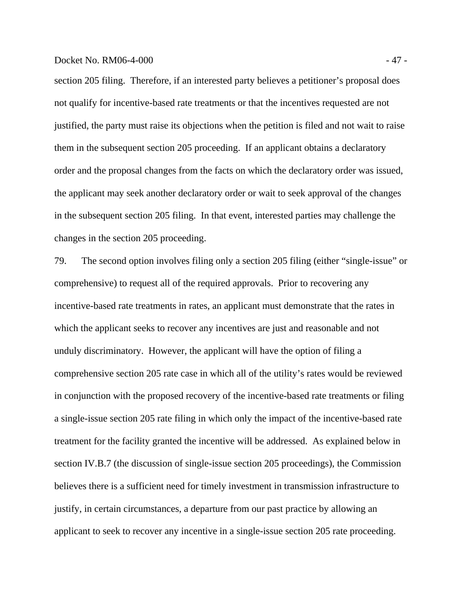## Docket No. RM06-4-000 - 47 -

section 205 filing. Therefore, if an interested party believes a petitioner's proposal does not qualify for incentive-based rate treatments or that the incentives requested are not justified, the party must raise its objections when the petition is filed and not wait to raise them in the subsequent section 205 proceeding. If an applicant obtains a declaratory order and the proposal changes from the facts on which the declaratory order was issued, the applicant may seek another declaratory order or wait to seek approval of the changes in the subsequent section 205 filing. In that event, interested parties may challenge the changes in the section 205 proceeding.

79. The second option involves filing only a section 205 filing (either "single-issue" or comprehensive) to request all of the required approvals. Prior to recovering any incentive-based rate treatments in rates, an applicant must demonstrate that the rates in which the applicant seeks to recover any incentives are just and reasonable and not unduly discriminatory. However, the applicant will have the option of filing a comprehensive section 205 rate case in which all of the utility's rates would be reviewed in conjunction with the proposed recovery of the incentive-based rate treatments or filing a single-issue section 205 rate filing in which only the impact of the incentive-based rate treatment for the facility granted the incentive will be addressed. As explained below in section IV.B.7 (the discussion of single-issue section 205 proceedings), the Commission believes there is a sufficient need for timely investment in transmission infrastructure to justify, in certain circumstances, a departure from our past practice by allowing an applicant to seek to recover any incentive in a single-issue section 205 rate proceeding.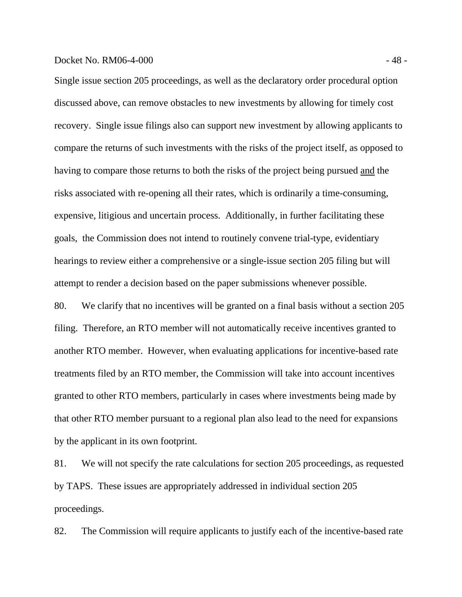## Docket No. RM06-4-000 - 48 -

Single issue section 205 proceedings, as well as the declaratory order procedural option discussed above, can remove obstacles to new investments by allowing for timely cost recovery. Single issue filings also can support new investment by allowing applicants to compare the returns of such investments with the risks of the project itself, as opposed to having to compare those returns to both the risks of the project being pursued and the risks associated with re-opening all their rates, which is ordinarily a time-consuming, expensive, litigious and uncertain process. Additionally, in further facilitating these goals, the Commission does not intend to routinely convene trial-type, evidentiary hearings to review either a comprehensive or a single-issue section 205 filing but will attempt to render a decision based on the paper submissions whenever possible.

80. We clarify that no incentives will be granted on a final basis without a section 205 filing. Therefore, an RTO member will not automatically receive incentives granted to another RTO member. However, when evaluating applications for incentive-based rate treatments filed by an RTO member, the Commission will take into account incentives granted to other RTO members, particularly in cases where investments being made by that other RTO member pursuant to a regional plan also lead to the need for expansions by the applicant in its own footprint.

81. We will not specify the rate calculations for section 205 proceedings, as requested by TAPS. These issues are appropriately addressed in individual section 205 proceedings.

82. The Commission will require applicants to justify each of the incentive-based rate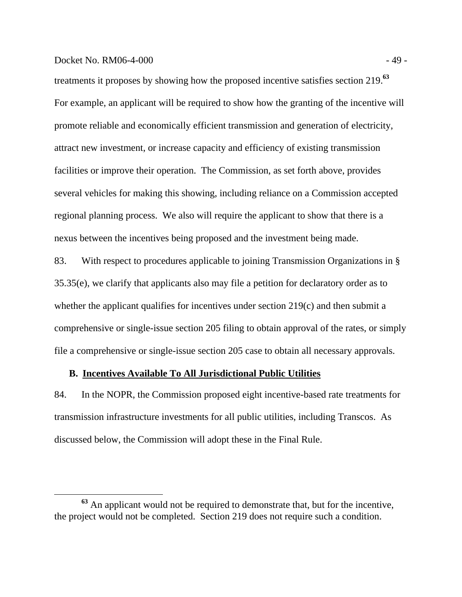## Docket No. RM06-4-000 - 49 -

treatments it proposes by showing how the proposed incentive satisfies section 219.**<sup>63</sup>** For example, an applicant will be required to show how the granting of the incentive will promote reliable and economically efficient transmission and generation of electricity, attract new investment, or increase capacity and efficiency of existing transmission facilities or improve their operation. The Commission, as set forth above, provides several vehicles for making this showing, including reliance on a Commission accepted regional planning process. We also will require the applicant to show that there is a nexus between the incentives being proposed and the investment being made.

83. With respect to procedures applicable to joining Transmission Organizations in § 35.35(e), we clarify that applicants also may file a petition for declaratory order as to whether the applicant qualifies for incentives under section 219(c) and then submit a comprehensive or single-issue section 205 filing to obtain approval of the rates, or simply file a comprehensive or single-issue section 205 case to obtain all necessary approvals.

# **B. Incentives Available To All Jurisdictional Public Utilities**

84. In the NOPR, the Commission proposed eight incentive-based rate treatments for transmission infrastructure investments for all public utilities, including Transcos. As discussed below, the Commission will adopt these in the Final Rule.

**<sup>63</sup>** An applicant would not be required to demonstrate that, but for the incentive, the project would not be completed. Section 219 does not require such a condition.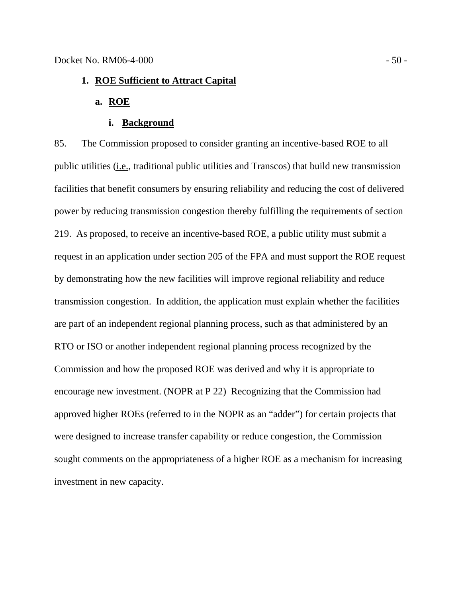# **1. ROE Sufficient to Attract Capital**

# **a. ROE**

## **i. Background**

85. The Commission proposed to consider granting an incentive-based ROE to all public utilities (i.e., traditional public utilities and Transcos) that build new transmission facilities that benefit consumers by ensuring reliability and reducing the cost of delivered power by reducing transmission congestion thereby fulfilling the requirements of section 219. As proposed, to receive an incentive-based ROE, a public utility must submit a request in an application under section 205 of the FPA and must support the ROE request by demonstrating how the new facilities will improve regional reliability and reduce transmission congestion. In addition, the application must explain whether the facilities are part of an independent regional planning process, such as that administered by an RTO or ISO or another independent regional planning process recognized by the Commission and how the proposed ROE was derived and why it is appropriate to encourage new investment. (NOPR at P 22) Recognizing that the Commission had approved higher ROEs (referred to in the NOPR as an "adder") for certain projects that were designed to increase transfer capability or reduce congestion, the Commission sought comments on the appropriateness of a higher ROE as a mechanism for increasing investment in new capacity.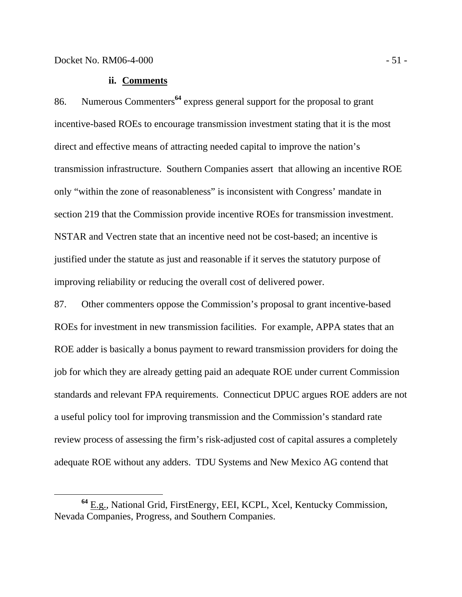## **ii. Comments**

86. Numerous Commenters**<sup>64</sup>** express general support for the proposal to grant incentive-based ROEs to encourage transmission investment stating that it is the most direct and effective means of attracting needed capital to improve the nation's transmission infrastructure. Southern Companies assert that allowing an incentive ROE only "within the zone of reasonableness" is inconsistent with Congress' mandate in section 219 that the Commission provide incentive ROEs for transmission investment. NSTAR and Vectren state that an incentive need not be cost-based; an incentive is justified under the statute as just and reasonable if it serves the statutory purpose of improving reliability or reducing the overall cost of delivered power.

87. Other commenters oppose the Commission's proposal to grant incentive-based ROEs for investment in new transmission facilities. For example, APPA states that an ROE adder is basically a bonus payment to reward transmission providers for doing the job for which they are already getting paid an adequate ROE under current Commission standards and relevant FPA requirements. Connecticut DPUC argues ROE adders are not a useful policy tool for improving transmission and the Commission's standard rate review process of assessing the firm's risk-adjusted cost of capital assures a completely adequate ROE without any adders. TDU Systems and New Mexico AG contend that

**<sup>64</sup>** E.g., National Grid, FirstEnergy, EEI, KCPL, Xcel, Kentucky Commission, Nevada Companies, Progress, and Southern Companies.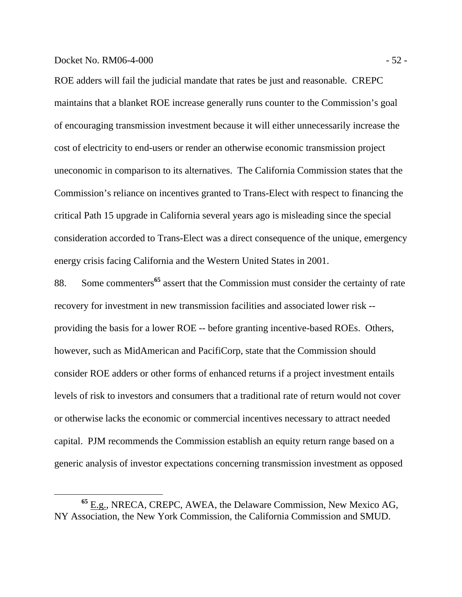## Docket No. RM06-4-000 - 52 -

ROE adders will fail the judicial mandate that rates be just and reasonable. CREPC maintains that a blanket ROE increase generally runs counter to the Commission's goal of encouraging transmission investment because it will either unnecessarily increase the cost of electricity to end-users or render an otherwise economic transmission project uneconomic in comparison to its alternatives. The California Commission states that the Commission's reliance on incentives granted to Trans-Elect with respect to financing the critical Path 15 upgrade in California several years ago is misleading since the special consideration accorded to Trans-Elect was a direct consequence of the unique, emergency energy crisis facing California and the Western United States in 2001.

88. Some commenters**<sup>65</sup>** assert that the Commission must consider the certainty of rate recovery for investment in new transmission facilities and associated lower risk - providing the basis for a lower ROE -- before granting incentive-based ROEs. Others, however, such as MidAmerican and PacifiCorp, state that the Commission should consider ROE adders or other forms of enhanced returns if a project investment entails levels of risk to investors and consumers that a traditional rate of return would not cover or otherwise lacks the economic or commercial incentives necessary to attract needed capital. PJM recommends the Commission establish an equity return range based on a generic analysis of investor expectations concerning transmission investment as opposed

**<sup>65</sup>** E.g., NRECA, CREPC, AWEA, the Delaware Commission, New Mexico AG, NY Association, the New York Commission, the California Commission and SMUD.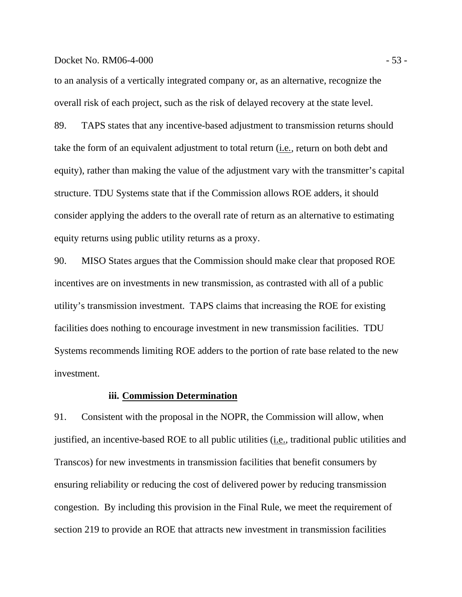#### Docket No. RM06-4-000 - 53 -

to an analysis of a vertically integrated company or, as an alternative, recognize the overall risk of each project, such as the risk of delayed recovery at the state level.

89. TAPS states that any incentive-based adjustment to transmission returns should take the form of an equivalent adjustment to total return (i.e*.,* return on both debt and equity), rather than making the value of the adjustment vary with the transmitter's capital structure. TDU Systems state that if the Commission allows ROE adders, it should consider applying the adders to the overall rate of return as an alternative to estimating equity returns using public utility returns as a proxy.

90. MISO States argues that the Commission should make clear that proposed ROE incentives are on investments in new transmission, as contrasted with all of a public utility's transmission investment. TAPS claims that increasing the ROE for existing facilities does nothing to encourage investment in new transmission facilities. TDU Systems recommends limiting ROE adders to the portion of rate base related to the new investment.

## **iii. Commission Determination**

91. Consistent with the proposal in the NOPR, the Commission will allow, when justified, an incentive-based ROE to all public utilities (*i.e.*, traditional public utilities and Transcos) for new investments in transmission facilities that benefit consumers by ensuring reliability or reducing the cost of delivered power by reducing transmission congestion. By including this provision in the Final Rule, we meet the requirement of section 219 to provide an ROE that attracts new investment in transmission facilities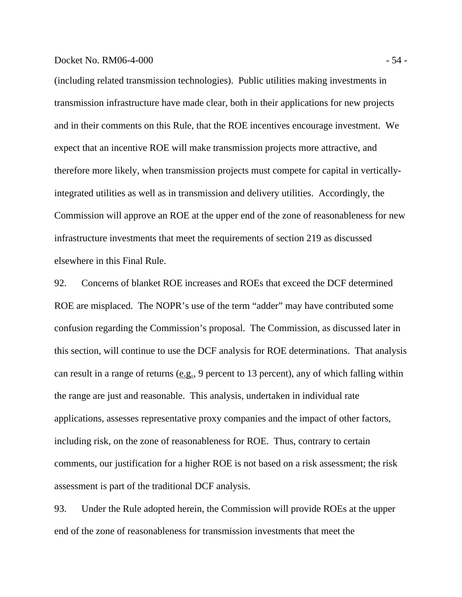## Docket No. RM06-4-000 - 54 -

(including related transmission technologies). Public utilities making investments in transmission infrastructure have made clear, both in their applications for new projects and in their comments on this Rule, that the ROE incentives encourage investment. We expect that an incentive ROE will make transmission projects more attractive, and therefore more likely, when transmission projects must compete for capital in verticallyintegrated utilities as well as in transmission and delivery utilities. Accordingly, the Commission will approve an ROE at the upper end of the zone of reasonableness for new infrastructure investments that meet the requirements of section 219 as discussed elsewhere in this Final Rule.

92. Concerns of blanket ROE increases and ROEs that exceed the DCF determined ROE are misplaced. The NOPR's use of the term "adder" may have contributed some confusion regarding the Commission's proposal. The Commission, as discussed later in this section, will continue to use the DCF analysis for ROE determinations. That analysis can result in a range of returns  $(e.g., 9$  percent to 13 percent), any of which falling within the range are just and reasonable. This analysis, undertaken in individual rate applications, assesses representative proxy companies and the impact of other factors, including risk, on the zone of reasonableness for ROE. Thus, contrary to certain comments, our justification for a higher ROE is not based on a risk assessment; the risk assessment is part of the traditional DCF analysis.

93. Under the Rule adopted herein, the Commission will provide ROEs at the upper end of the zone of reasonableness for transmission investments that meet the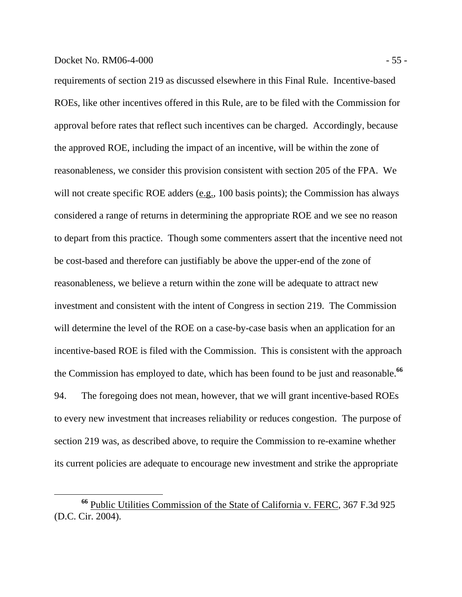requirements of section 219 as discussed elsewhere in this Final Rule. Incentive-based ROEs, like other incentives offered in this Rule, are to be filed with the Commission for approval before rates that reflect such incentives can be charged. Accordingly, because the approved ROE, including the impact of an incentive, will be within the zone of reasonableness, we consider this provision consistent with section 205 of the FPA. We will not create specific ROE adders (e.g., 100 basis points); the Commission has always considered a range of returns in determining the appropriate ROE and we see no reason to depart from this practice. Though some commenters assert that the incentive need not be cost-based and therefore can justifiably be above the upper-end of the zone of reasonableness, we believe a return within the zone will be adequate to attract new investment and consistent with the intent of Congress in section 219. The Commission will determine the level of the ROE on a case-by-case basis when an application for an incentive-based ROE is filed with the Commission. This is consistent with the approach the Commission has employed to date, which has been found to be just and reasonable.**<sup>66</sup>**

94. The foregoing does not mean, however, that we will grant incentive-based ROEs to every new investment that increases reliability or reduces congestion. The purpose of section 219 was, as described above, to require the Commission to re-examine whether its current policies are adequate to encourage new investment and strike the appropriate

**<sup>66</sup>** Public Utilities Commission of the State of California v. FERC, 367 F.3d 925 (D.C. Cir. 2004).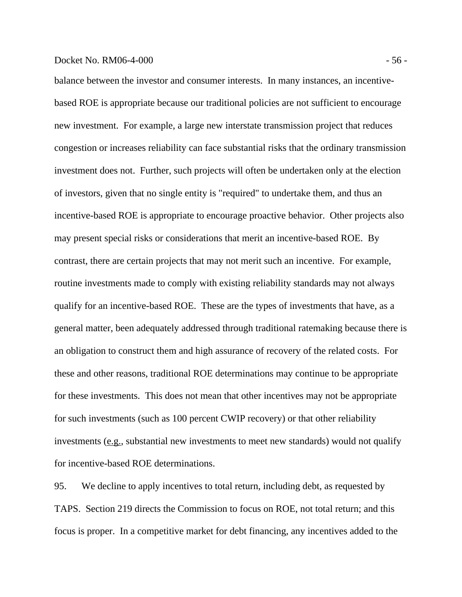## Docket No. RM06-4-000 - 56 -

balance between the investor and consumer interests. In many instances, an incentivebased ROE is appropriate because our traditional policies are not sufficient to encourage new investment. For example, a large new interstate transmission project that reduces congestion or increases reliability can face substantial risks that the ordinary transmission investment does not. Further, such projects will often be undertaken only at the election of investors, given that no single entity is "required" to undertake them, and thus an incentive-based ROE is appropriate to encourage proactive behavior. Other projects also may present special risks or considerations that merit an incentive-based ROE. By contrast, there are certain projects that may not merit such an incentive. For example, routine investments made to comply with existing reliability standards may not always qualify for an incentive-based ROE. These are the types of investments that have, as a general matter, been adequately addressed through traditional ratemaking because there is an obligation to construct them and high assurance of recovery of the related costs. For these and other reasons, traditional ROE determinations may continue to be appropriate for these investments. This does not mean that other incentives may not be appropriate for such investments (such as 100 percent CWIP recovery) or that other reliability investments (e.g., substantial new investments to meet new standards) would not qualify for incentive-based ROE determinations.

95. We decline to apply incentives to total return, including debt, as requested by TAPS. Section 219 directs the Commission to focus on ROE, not total return; and this focus is proper. In a competitive market for debt financing, any incentives added to the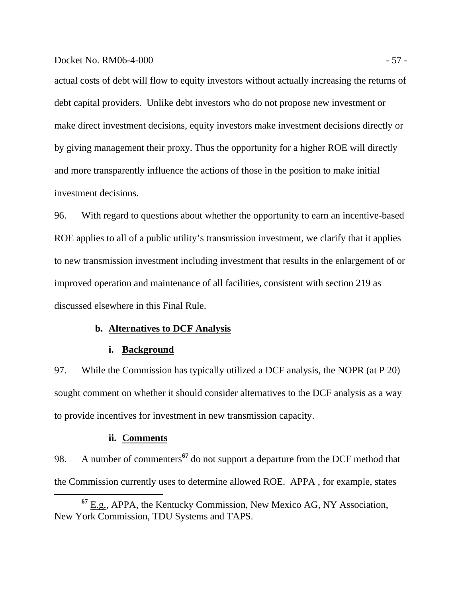## Docket No. RM06-4-000 - 57 -

actual costs of debt will flow to equity investors without actually increasing the returns of debt capital providers. Unlike debt investors who do not propose new investment or make direct investment decisions, equity investors make investment decisions directly or by giving management their proxy. Thus the opportunity for a higher ROE will directly and more transparently influence the actions of those in the position to make initial investment decisions.

96. With regard to questions about whether the opportunity to earn an incentive-based ROE applies to all of a public utility's transmission investment, we clarify that it applies to new transmission investment including investment that results in the enlargement of or improved operation and maintenance of all facilities, consistent with section 219 as discussed elsewhere in this Final Rule.

# **b. Alternatives to DCF Analysis**

# **i. Background**

97. While the Commission has typically utilized a DCF analysis, the NOPR (at P 20) sought comment on whether it should consider alternatives to the DCF analysis as a way to provide incentives for investment in new transmission capacity.

#### **ii. Comments**

98. A number of commenters**<sup>67</sup>** do not support a departure from the DCF method that the Commission currently uses to determine allowed ROE. APPA , for example, states

**<sup>67</sup>** E.g., APPA, the Kentucky Commission, New Mexico AG, NY Association, New York Commission, TDU Systems and TAPS.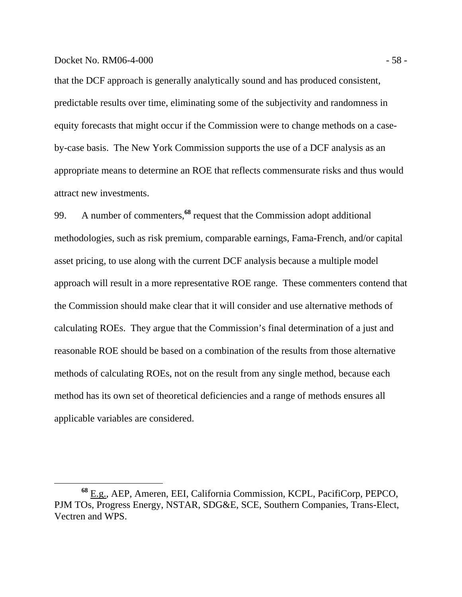## Docket No. RM06-4-000 - 58 -

that the DCF approach is generally analytically sound and has produced consistent, predictable results over time, eliminating some of the subjectivity and randomness in equity forecasts that might occur if the Commission were to change methods on a caseby-case basis. The New York Commission supports the use of a DCF analysis as an appropriate means to determine an ROE that reflects commensurate risks and thus would attract new investments.

99. A number of commenters,**<sup>68</sup>** request that the Commission adopt additional methodologies, such as risk premium, comparable earnings, Fama-French, and/or capital asset pricing, to use along with the current DCF analysis because a multiple model approach will result in a more representative ROE range. These commenters contend that the Commission should make clear that it will consider and use alternative methods of calculating ROEs. They argue that the Commission's final determination of a just and reasonable ROE should be based on a combination of the results from those alternative methods of calculating ROEs, not on the result from any single method, because each method has its own set of theoretical deficiencies and a range of methods ensures all applicable variables are considered.

**<sup>68</sup>** E.g., AEP, Ameren, EEI, California Commission, KCPL, PacifiCorp, PEPCO, PJM TOs, Progress Energy, NSTAR, SDG&E, SCE, Southern Companies, Trans-Elect, Vectren and WPS.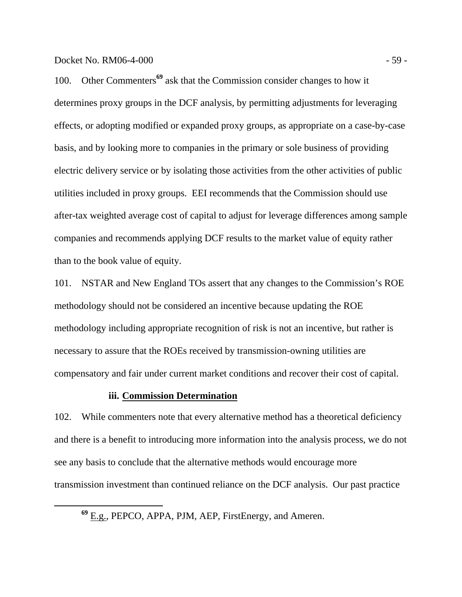100. Other Commenters**<sup>69</sup>** ask that the Commission consider changes to how it determines proxy groups in the DCF analysis, by permitting adjustments for leveraging effects, or adopting modified or expanded proxy groups, as appropriate on a case-by-case basis, and by looking more to companies in the primary or sole business of providing electric delivery service or by isolating those activities from the other activities of public utilities included in proxy groups. EEI recommends that the Commission should use after-tax weighted average cost of capital to adjust for leverage differences among sample companies and recommends applying DCF results to the market value of equity rather than to the book value of equity.

101. NSTAR and New England TOs assert that any changes to the Commission's ROE methodology should not be considered an incentive because updating the ROE methodology including appropriate recognition of risk is not an incentive, but rather is necessary to assure that the ROEs received by transmission-owning utilities are compensatory and fair under current market conditions and recover their cost of capital.

# **iii. Commission Determination**

102. While commenters note that every alternative method has a theoretical deficiency and there is a benefit to introducing more information into the analysis process, we do not see any basis to conclude that the alternative methods would encourage more transmission investment than continued reliance on the DCF analysis. Our past practice

**<sup>69</sup>** E.g., PEPCO, APPA, PJM, AEP, FirstEnergy, and Ameren.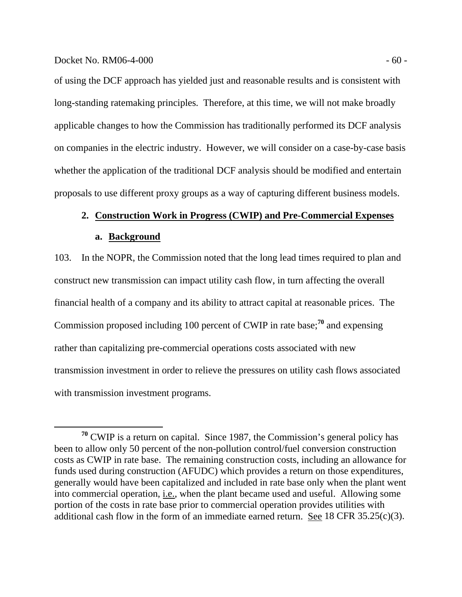of using the DCF approach has yielded just and reasonable results and is consistent with long-standing ratemaking principles. Therefore, at this time, we will not make broadly applicable changes to how the Commission has traditionally performed its DCF analysis on companies in the electric industry. However, we will consider on a case-by-case basis whether the application of the traditional DCF analysis should be modified and entertain proposals to use different proxy groups as a way of capturing different business models.

# **2. Construction Work in Progress (CWIP) and Pre-Commercial Expenses**

## **a. Background**

103. In the NOPR, the Commission noted that the long lead times required to plan and construct new transmission can impact utility cash flow, in turn affecting the overall financial health of a company and its ability to attract capital at reasonable prices. The Commission proposed including 100 percent of CWIP in rate base;**<sup>70</sup>** and expensing rather than capitalizing pre-commercial operations costs associated with new transmission investment in order to relieve the pressures on utility cash flows associated with transmission investment programs.

**<sup>70</sup>** CWIP is a return on capital. Since 1987, the Commission's general policy has been to allow only 50 percent of the non-pollution control/fuel conversion construction costs as CWIP in rate base. The remaining construction costs, including an allowance for funds used during construction (AFUDC) which provides a return on those expenditures, generally would have been capitalized and included in rate base only when the plant went into commercial operation, i.e., when the plant became used and useful. Allowing some portion of the costs in rate base prior to commercial operation provides utilities with additional cash flow in the form of an immediate earned return. See 18 CFR 35.25(c)(3).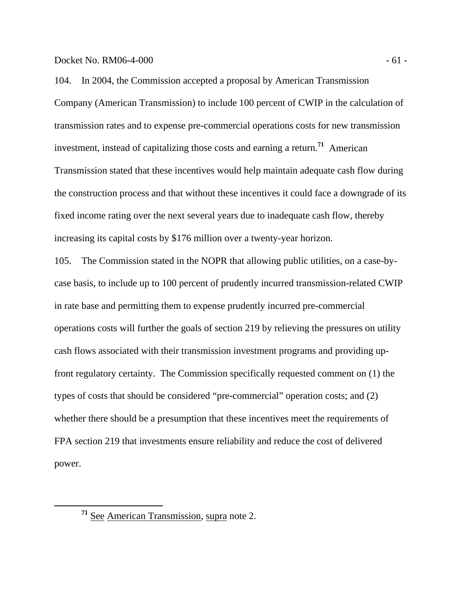Docket No. RM06-4-000 - 61 -

104. In 2004, the Commission accepted a proposal by American Transmission Company (American Transmission) to include 100 percent of CWIP in the calculation of transmission rates and to expense pre-commercial operations costs for new transmission investment, instead of capitalizing those costs and earning a return.**<sup>71</sup>** American Transmission stated that these incentives would help maintain adequate cash flow during the construction process and that without these incentives it could face a downgrade of its fixed income rating over the next several years due to inadequate cash flow, thereby increasing its capital costs by \$176 million over a twenty-year horizon.

105. The Commission stated in the NOPR that allowing public utilities, on a case-bycase basis, to include up to 100 percent of prudently incurred transmission-related CWIP in rate base and permitting them to expense prudently incurred pre-commercial operations costs will further the goals of section 219 by relieving the pressures on utility cash flows associated with their transmission investment programs and providing upfront regulatory certainty. The Commission specifically requested comment on (1) the types of costs that should be considered "pre-commercial" operation costs; and (2) whether there should be a presumption that these incentives meet the requirements of FPA section 219 that investments ensure reliability and reduce the cost of delivered power.

**<sup>71</sup>** See American Transmission, supra note 2.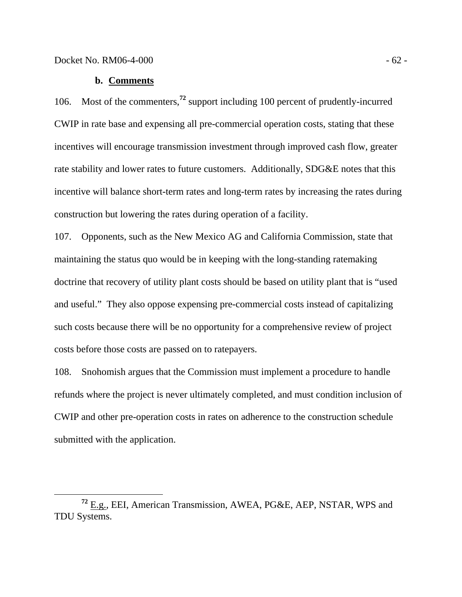## **b. Comments**

106. Most of the commenters,**<sup>72</sup>** support including 100 percent of prudently-incurred CWIP in rate base and expensing all pre-commercial operation costs, stating that these incentives will encourage transmission investment through improved cash flow, greater rate stability and lower rates to future customers. Additionally, SDG&E notes that this incentive will balance short-term rates and long-term rates by increasing the rates during construction but lowering the rates during operation of a facility.

107. Opponents, such as the New Mexico AG and California Commission, state that maintaining the status quo would be in keeping with the long-standing ratemaking doctrine that recovery of utility plant costs should be based on utility plant that is "used and useful." They also oppose expensing pre-commercial costs instead of capitalizing such costs because there will be no opportunity for a comprehensive review of project costs before those costs are passed on to ratepayers.

108. Snohomish argues that the Commission must implement a procedure to handle refunds where the project is never ultimately completed, and must condition inclusion of CWIP and other pre-operation costs in rates on adherence to the construction schedule submitted with the application.

**<sup>72</sup>** E.g., EEI, American Transmission, AWEA, PG&E, AEP, NSTAR, WPS and TDU Systems.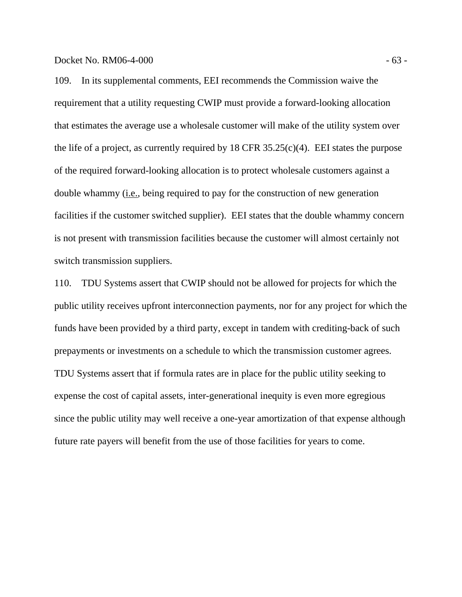109. In its supplemental comments, EEI recommends the Commission waive the requirement that a utility requesting CWIP must provide a forward-looking allocation that estimates the average use a wholesale customer will make of the utility system over the life of a project, as currently required by  $18$  CFR  $35.25(c)(4)$ . EEI states the purpose of the required forward-looking allocation is to protect wholesale customers against a double whammy (i.e., being required to pay for the construction of new generation facilities if the customer switched supplier). EEI states that the double whammy concern is not present with transmission facilities because the customer will almost certainly not switch transmission suppliers.

110. TDU Systems assert that CWIP should not be allowed for projects for which the public utility receives upfront interconnection payments, nor for any project for which the funds have been provided by a third party, except in tandem with crediting-back of such prepayments or investments on a schedule to which the transmission customer agrees. TDU Systems assert that if formula rates are in place for the public utility seeking to expense the cost of capital assets, inter-generational inequity is even more egregious since the public utility may well receive a one-year amortization of that expense although future rate payers will benefit from the use of those facilities for years to come.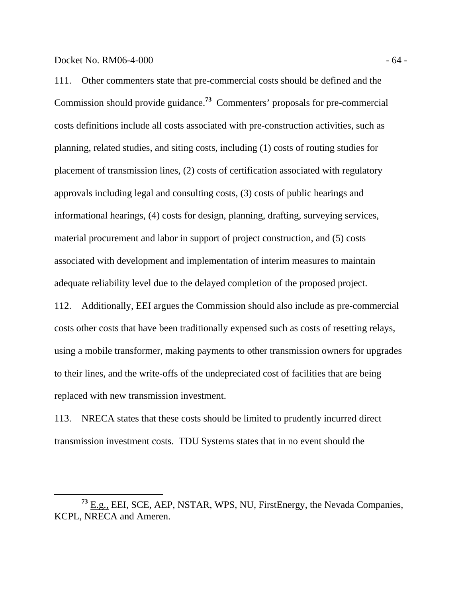111. Other commenters state that pre-commercial costs should be defined and the Commission should provide guidance.**<sup>73</sup>** Commenters' proposals for pre-commercial costs definitions include all costs associated with pre-construction activities, such as planning, related studies, and siting costs, including (1) costs of routing studies for placement of transmission lines, (2) costs of certification associated with regulatory approvals including legal and consulting costs, (3) costs of public hearings and informational hearings, (4) costs for design, planning, drafting, surveying services, material procurement and labor in support of project construction, and (5) costs associated with development and implementation of interim measures to maintain adequate reliability level due to the delayed completion of the proposed project.

112. Additionally, EEI argues the Commission should also include as pre-commercial costs other costs that have been traditionally expensed such as costs of resetting relays, using a mobile transformer, making payments to other transmission owners for upgrades to their lines, and the write-offs of the undepreciated cost of facilities that are being replaced with new transmission investment.

113. NRECA states that these costs should be limited to prudently incurred direct transmission investment costs. TDU Systems states that in no event should the

**<sup>73</sup>** E.g., EEI, SCE, AEP, NSTAR, WPS, NU, FirstEnergy, the Nevada Companies, KCPL, NRECA and Ameren.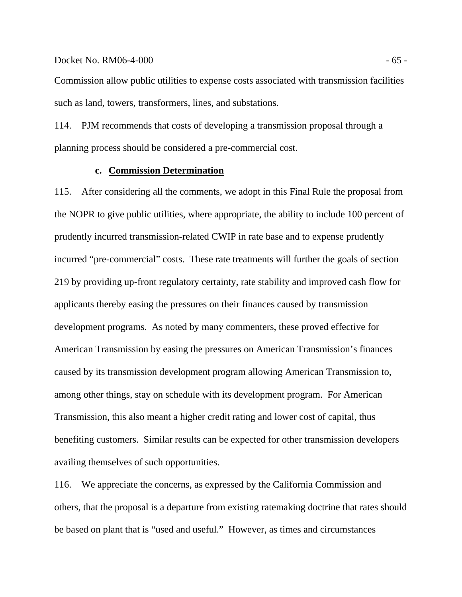## Docket No. RM06-4-000 - 65 -

Commission allow public utilities to expense costs associated with transmission facilities such as land, towers, transformers, lines, and substations.

114. PJM recommends that costs of developing a transmission proposal through a planning process should be considered a pre-commercial cost.

# **c. Commission Determination**

115. After considering all the comments, we adopt in this Final Rule the proposal from the NOPR to give public utilities, where appropriate, the ability to include 100 percent of prudently incurred transmission-related CWIP in rate base and to expense prudently incurred "pre-commercial" costs. These rate treatments will further the goals of section 219 by providing up-front regulatory certainty, rate stability and improved cash flow for applicants thereby easing the pressures on their finances caused by transmission development programs. As noted by many commenters, these proved effective for American Transmission by easing the pressures on American Transmission's finances caused by its transmission development program allowing American Transmission to, among other things, stay on schedule with its development program. For American Transmission, this also meant a higher credit rating and lower cost of capital, thus benefiting customers. Similar results can be expected for other transmission developers availing themselves of such opportunities.

116. We appreciate the concerns, as expressed by the California Commission and others, that the proposal is a departure from existing ratemaking doctrine that rates should be based on plant that is "used and useful." However, as times and circumstances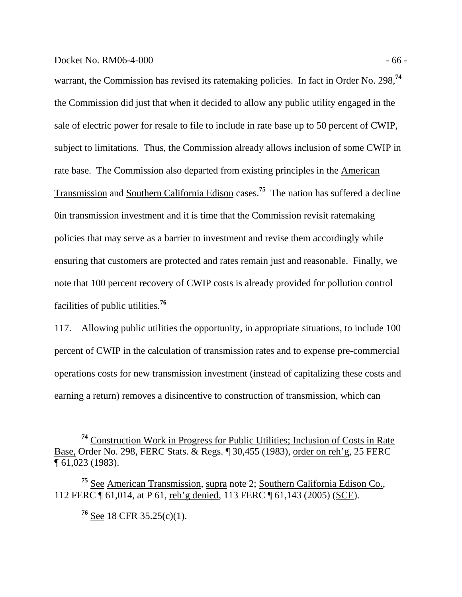## Docket No. RM06-4-000 - 66 -

warrant, the Commission has revised its ratemaking policies. In fact in Order No. 298,**<sup>74</sup>** the Commission did just that when it decided to allow any public utility engaged in the sale of electric power for resale to file to include in rate base up to 50 percent of CWIP, subject to limitations. Thus, the Commission already allows inclusion of some CWIP in rate base. The Commission also departed from existing principles in the American Transmission and Southern California Edison cases.**<sup>75</sup>** The nation has suffered a decline 0in transmission investment and it is time that the Commission revisit ratemaking policies that may serve as a barrier to investment and revise them accordingly while ensuring that customers are protected and rates remain just and reasonable. Finally, we note that 100 percent recovery of CWIP costs is already provided for pollution control facilities of public utilities.**<sup>76</sup>**

117. Allowing public utilities the opportunity, in appropriate situations, to include 100 percent of CWIP in the calculation of transmission rates and to expense pre-commercial operations costs for new transmission investment (instead of capitalizing these costs and earning a return) removes a disincentive to construction of transmission, which can

**<sup>76</sup>** See 18 CFR 35.25(c)(1).

**<sup>74</sup>** Construction Work in Progress for Public Utilities; Inclusion of Costs in Rate Base, Order No. 298, FERC Stats. & Regs. ¶ 30,455 (1983), order on reh'g, 25 FERC ¶ 61,023 (1983).

**<sup>75</sup>** See American Transmission, supra note 2; Southern California Edison Co., 112 FERC ¶ 61,014, at P 61, reh'g denied, 113 FERC ¶ 61,143 (2005) (SCE).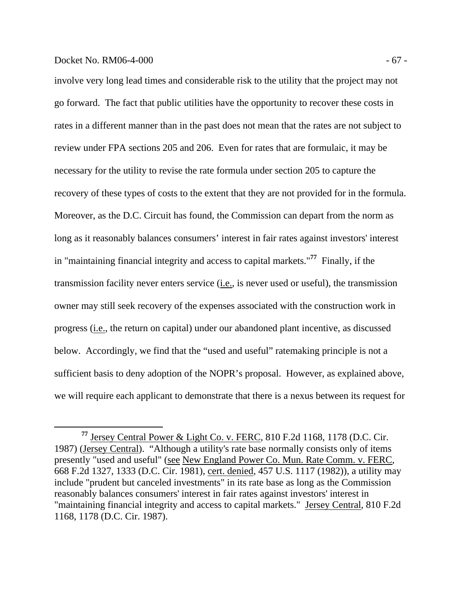## Docket No. RM06-4-000 - 67 -

involve very long lead times and considerable risk to the utility that the project may not go forward. The fact that public utilities have the opportunity to recover these costs in rates in a different manner than in the past does not mean that the rates are not subject to review under FPA sections 205 and 206. Even for rates that are formulaic, it may be necessary for the utility to revise the rate formula under section 205 to capture the recovery of these types of costs to the extent that they are not provided for in the formula. Moreover, as the D.C. Circuit has found, the Commission can depart from the norm as long as it reasonably balances consumers' interest in fair rates against investors' interest in "maintaining financial integrity and access to capital markets."**<sup>77</sup>** Finally, if the transmission facility never enters service (i.e., is never used or useful), the transmission owner may still seek recovery of the expenses associated with the construction work in progress (i.e., the return on capital) under our abandoned plant incentive, as discussed below. Accordingly, we find that the "used and useful" ratemaking principle is not a sufficient basis to deny adoption of the NOPR's proposal. However, as explained above, we will require each applicant to demonstrate that there is a nexus between its request for

**<sup>77</sup>** Jersey Central Power & Light Co. v. FERC, 810 F.2d 1168, 1178 (D.C. Cir. 1987) (Jersey Central). "Although a utility's rate base normally consists only of items presently "used and useful" (see New England Power Co. Mun. Rate Comm. v. FERC*,*  668 F.2d 1327, 1333 (D.C. Cir. 1981), cert. denied*,* 457 U.S. 1117 (1982)), a utility may include "prudent but canceled investments" in its rate base as long as the Commission reasonably balances consumers' interest in fair rates against investors' interest in "maintaining financial integrity and access to capital markets." Jersey Central*,* 810 F.2d 1168, 1178 (D.C. Cir. 1987).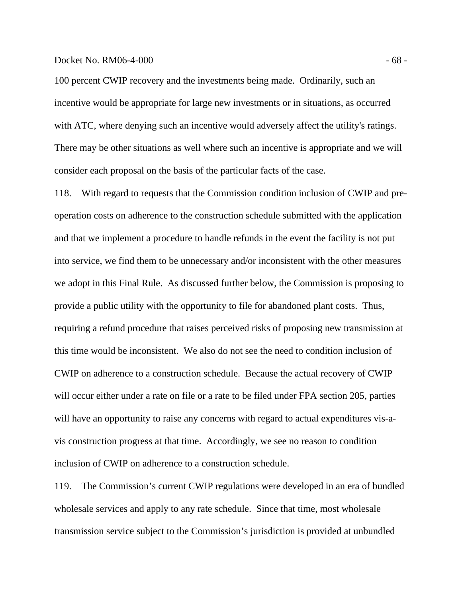#### Docket No. RM06-4-000 - 68 -

100 percent CWIP recovery and the investments being made. Ordinarily, such an incentive would be appropriate for large new investments or in situations, as occurred with ATC, where denying such an incentive would adversely affect the utility's ratings. There may be other situations as well where such an incentive is appropriate and we will consider each proposal on the basis of the particular facts of the case.

118. With regard to requests that the Commission condition inclusion of CWIP and preoperation costs on adherence to the construction schedule submitted with the application and that we implement a procedure to handle refunds in the event the facility is not put into service, we find them to be unnecessary and/or inconsistent with the other measures we adopt in this Final Rule. As discussed further below, the Commission is proposing to provide a public utility with the opportunity to file for abandoned plant costs. Thus, requiring a refund procedure that raises perceived risks of proposing new transmission at this time would be inconsistent. We also do not see the need to condition inclusion of CWIP on adherence to a construction schedule. Because the actual recovery of CWIP will occur either under a rate on file or a rate to be filed under FPA section 205, parties will have an opportunity to raise any concerns with regard to actual expenditures vis-avis construction progress at that time. Accordingly, we see no reason to condition inclusion of CWIP on adherence to a construction schedule.

119. The Commission's current CWIP regulations were developed in an era of bundled wholesale services and apply to any rate schedule. Since that time, most wholesale transmission service subject to the Commission's jurisdiction is provided at unbundled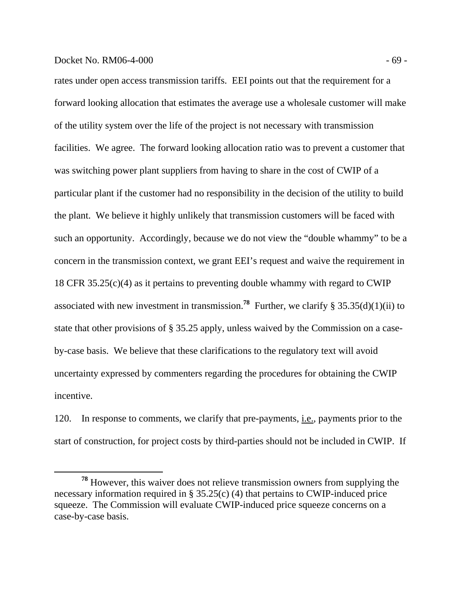## Docket No. RM06-4-000 - 69 -

rates under open access transmission tariffs. EEI points out that the requirement for a forward looking allocation that estimates the average use a wholesale customer will make of the utility system over the life of the project is not necessary with transmission facilities. We agree. The forward looking allocation ratio was to prevent a customer that was switching power plant suppliers from having to share in the cost of CWIP of a particular plant if the customer had no responsibility in the decision of the utility to build the plant. We believe it highly unlikely that transmission customers will be faced with such an opportunity. Accordingly, because we do not view the "double whammy" to be a concern in the transmission context, we grant EEI's request and waive the requirement in 18 CFR 35.25(c)(4) as it pertains to preventing double whammy with regard to CWIP associated with new investment in transmission.<sup>78</sup> Further, we clarify § 35.35(d)(1)(ii) to state that other provisions of § 35.25 apply, unless waived by the Commission on a caseby-case basis. We believe that these clarifications to the regulatory text will avoid uncertainty expressed by commenters regarding the procedures for obtaining the CWIP incentive.

120. In response to comments, we clarify that pre-payments, i.e., payments prior to the start of construction, for project costs by third-parties should not be included in CWIP. If

**<sup>78</sup>** However, this waiver does not relieve transmission owners from supplying the necessary information required in § 35.25(c) (4) that pertains to CWIP-induced price squeeze. The Commission will evaluate CWIP-induced price squeeze concerns on a case-by-case basis.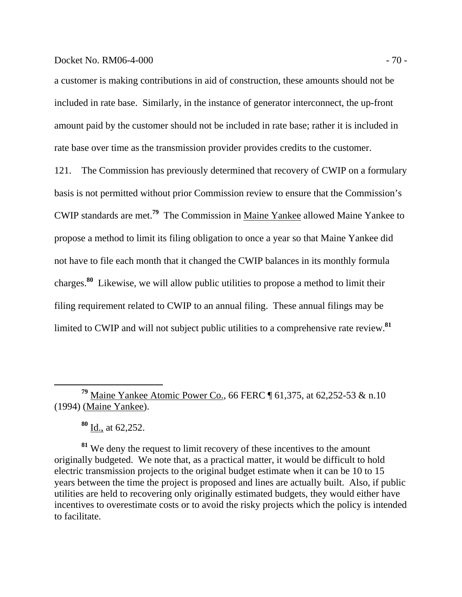## Docket No. RM06-4-000 - 70 -

a customer is making contributions in aid of construction, these amounts should not be included in rate base. Similarly, in the instance of generator interconnect, the up-front amount paid by the customer should not be included in rate base; rather it is included in rate base over time as the transmission provider provides credits to the customer.

121. The Commission has previously determined that recovery of CWIP on a formulary basis is not permitted without prior Commission review to ensure that the Commission's CWIP standards are met.**<sup>79</sup>** The Commission in Maine Yankee allowed Maine Yankee to propose a method to limit its filing obligation to once a year so that Maine Yankee did not have to file each month that it changed the CWIP balances in its monthly formula charges.**<sup>80</sup>** Likewise, we will allow public utilities to propose a method to limit their filing requirement related to CWIP to an annual filing. These annual filings may be limited to CWIP and will not subject public utilities to a comprehensive rate review.**<sup>81</sup>**

**<sup>80</sup>** Id., at 62,252.

**<sup>81</sup>** We deny the request to limit recovery of these incentives to the amount originally budgeted. We note that, as a practical matter, it would be difficult to hold electric transmission projects to the original budget estimate when it can be 10 to 15 years between the time the project is proposed and lines are actually built. Also, if public utilities are held to recovering only originally estimated budgets, they would either have incentives to overestimate costs or to avoid the risky projects which the policy is intended to facilitate.

**<sup>79</sup>** Maine Yankee Atomic Power Co., 66 FERC ¶ 61,375, at 62,252-53 & n.10 (1994) (Maine Yankee).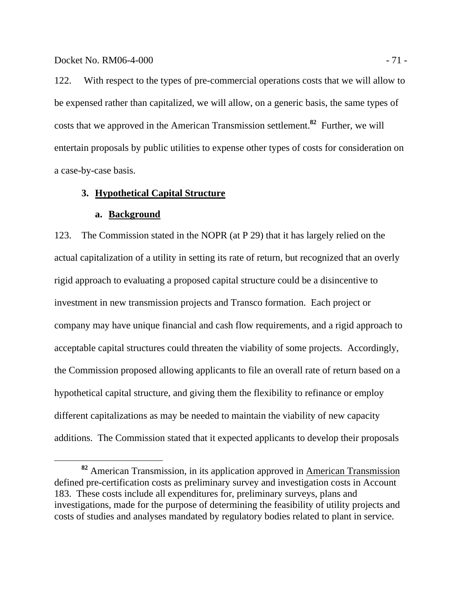122. With respect to the types of pre-commercial operations costs that we will allow to be expensed rather than capitalized, we will allow, on a generic basis, the same types of costs that we approved in the American Transmission settlement.**<sup>82</sup>** Further, we will entertain proposals by public utilities to expense other types of costs for consideration on a case-by-case basis.

# **3. Hypothetical Capital Structure**

#### **a. Background**

123. The Commission stated in the NOPR (at P 29) that it has largely relied on the actual capitalization of a utility in setting its rate of return, but recognized that an overly rigid approach to evaluating a proposed capital structure could be a disincentive to investment in new transmission projects and Transco formation. Each project or company may have unique financial and cash flow requirements, and a rigid approach to acceptable capital structures could threaten the viability of some projects. Accordingly, the Commission proposed allowing applicants to file an overall rate of return based on a hypothetical capital structure, and giving them the flexibility to refinance or employ different capitalizations as may be needed to maintain the viability of new capacity additions. The Commission stated that it expected applicants to develop their proposals

**<sup>82</sup>** American Transmission, in its application approved in American Transmission defined pre-certification costs as preliminary survey and investigation costs in Account 183. These costs include all expenditures for, preliminary surveys, plans and investigations, made for the purpose of determining the feasibility of utility projects and costs of studies and analyses mandated by regulatory bodies related to plant in service.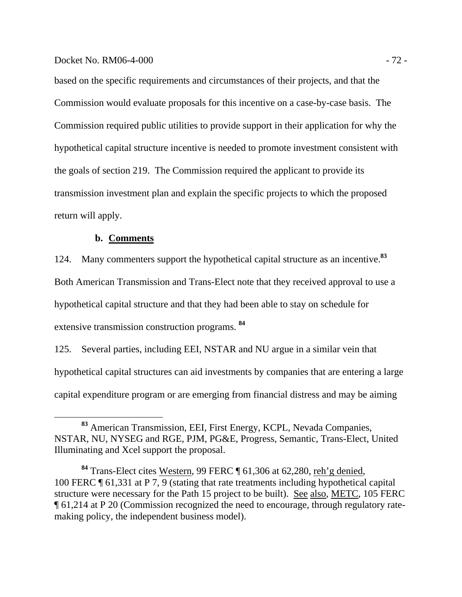based on the specific requirements and circumstances of their projects, and that the Commission would evaluate proposals for this incentive on a case-by-case basis. The Commission required public utilities to provide support in their application for why the hypothetical capital structure incentive is needed to promote investment consistent with the goals of section 219. The Commission required the applicant to provide its transmission investment plan and explain the specific projects to which the proposed return will apply.

# **b. Comments**

124. Many commenters support the hypothetical capital structure as an incentive.**<sup>83</sup>** Both American Transmission and Trans-Elect note that they received approval to use a hypothetical capital structure and that they had been able to stay on schedule for extensive transmission construction programs. **<sup>84</sup>**

125. Several parties, including EEI, NSTAR and NU argue in a similar vein that hypothetical capital structures can aid investments by companies that are entering a large capital expenditure program or are emerging from financial distress and may be aiming

**<sup>83</sup>** American Transmission, EEI, First Energy, KCPL, Nevada Companies, NSTAR, NU, NYSEG and RGE, PJM, PG&E, Progress, Semantic, Trans-Elect, United Illuminating and Xcel support the proposal.

**<sup>84</sup>** Trans-Elect cites Western, 99 FERC ¶ 61,306 at 62,280, reh'g denied, 100 FERC ¶ 61,331 at P 7, 9 (stating that rate treatments including hypothetical capital structure were necessary for the Path 15 project to be built). See also, METC, 105 FERC ¶ 61,214 at P 20 (Commission recognized the need to encourage, through regulatory ratemaking policy, the independent business model).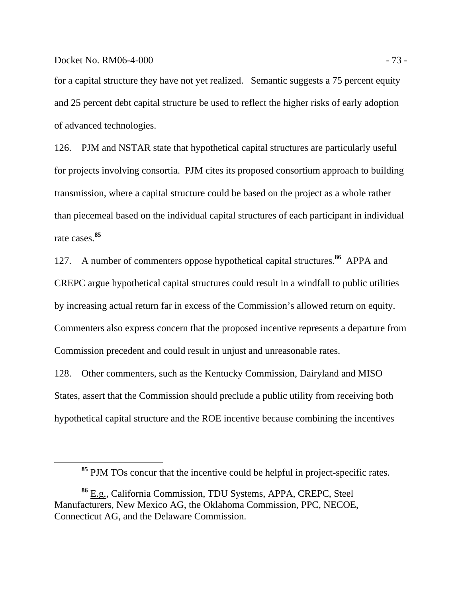### Docket No. RM06-4-000 - 73 -

for a capital structure they have not yet realized. Semantic suggests a 75 percent equity and 25 percent debt capital structure be used to reflect the higher risks of early adoption of advanced technologies.

126. PJM and NSTAR state that hypothetical capital structures are particularly useful for projects involving consortia. PJM cites its proposed consortium approach to building transmission, where a capital structure could be based on the project as a whole rather than piecemeal based on the individual capital structures of each participant in individual rate cases.**<sup>85</sup>**

127. A number of commenters oppose hypothetical capital structures.**<sup>86</sup>** APPA and CREPC argue hypothetical capital structures could result in a windfall to public utilities by increasing actual return far in excess of the Commission's allowed return on equity. Commenters also express concern that the proposed incentive represents a departure from Commission precedent and could result in unjust and unreasonable rates.

128. Other commenters, such as the Kentucky Commission, Dairyland and MISO States, assert that the Commission should preclude a public utility from receiving both hypothetical capital structure and the ROE incentive because combining the incentives

**<sup>85</sup>** PJM TOs concur that the incentive could be helpful in project-specific rates.

**<sup>86</sup>** E.g., California Commission, TDU Systems, APPA, CREPC, Steel Manufacturers, New Mexico AG, the Oklahoma Commission, PPC, NECOE, Connecticut AG, and the Delaware Commission.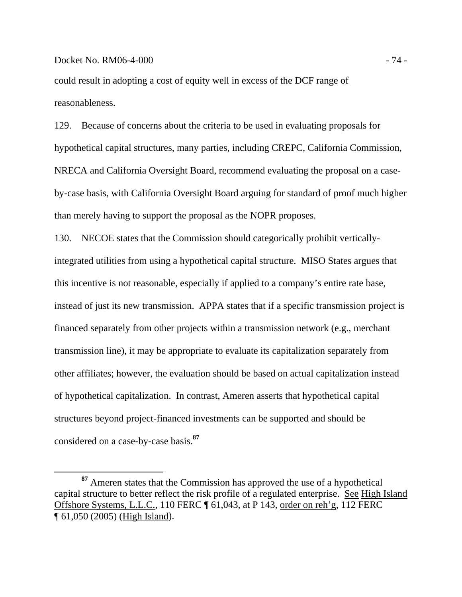# Docket No. RM06-4-000 - 74 -

could result in adopting a cost of equity well in excess of the DCF range of reasonableness.

129. Because of concerns about the criteria to be used in evaluating proposals for hypothetical capital structures, many parties, including CREPC, California Commission, NRECA and California Oversight Board, recommend evaluating the proposal on a caseby-case basis, with California Oversight Board arguing for standard of proof much higher than merely having to support the proposal as the NOPR proposes.

130. NECOE states that the Commission should categorically prohibit verticallyintegrated utilities from using a hypothetical capital structure. MISO States argues that this incentive is not reasonable, especially if applied to a company's entire rate base, instead of just its new transmission. APPA states that if a specific transmission project is financed separately from other projects within a transmission network (e.g., merchant transmission line), it may be appropriate to evaluate its capitalization separately from other affiliates; however, the evaluation should be based on actual capitalization instead of hypothetical capitalization. In contrast, Ameren asserts that hypothetical capital structures beyond project-financed investments can be supported and should be considered on a case-by-case basis.**<sup>87</sup>**

**<sup>87</sup>** Ameren states that the Commission has approved the use of a hypothetical capital structure to better reflect the risk profile of a regulated enterprise. See High Island Offshore Systems, L.L.C., 110 FERC ¶ 61,043, at P 143, order on reh'g, 112 FERC ¶ 61,050 (2005) (High Island).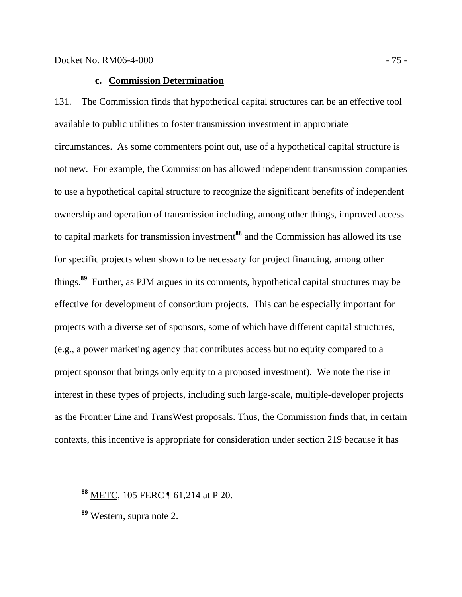# **c. Commission Determination**

131. The Commission finds that hypothetical capital structures can be an effective tool available to public utilities to foster transmission investment in appropriate circumstances. As some commenters point out, use of a hypothetical capital structure is not new. For example, the Commission has allowed independent transmission companies to use a hypothetical capital structure to recognize the significant benefits of independent ownership and operation of transmission including, among other things, improved access to capital markets for transmission investment**<sup>88</sup>** and the Commission has allowed its use for specific projects when shown to be necessary for project financing, among other things.**<sup>89</sup>** Further, as PJM argues in its comments, hypothetical capital structures may be effective for development of consortium projects. This can be especially important for projects with a diverse set of sponsors, some of which have different capital structures, (e.g., a power marketing agency that contributes access but no equity compared to a project sponsor that brings only equity to a proposed investment). We note the rise in interest in these types of projects, including such large-scale, multiple-developer projects as the Frontier Line and TransWest proposals. Thus, the Commission finds that, in certain contexts, this incentive is appropriate for consideration under section 219 because it has

**<sup>88</sup>** METC, 105 FERC ¶ 61,214 at P 20.

**<sup>89</sup>** Western, supra note 2.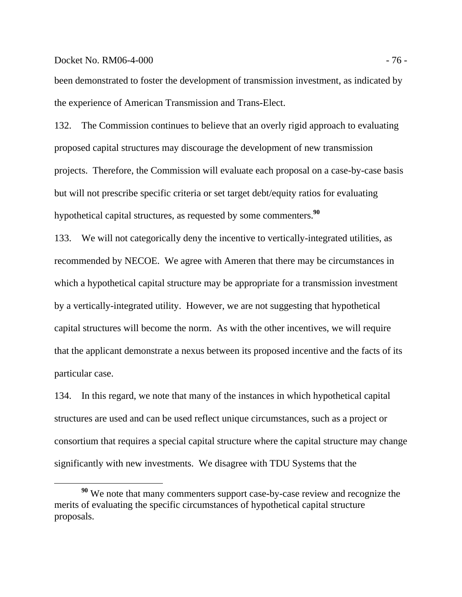### Docket No. RM06-4-000 - 76 -

been demonstrated to foster the development of transmission investment, as indicated by the experience of American Transmission and Trans-Elect.

132. The Commission continues to believe that an overly rigid approach to evaluating proposed capital structures may discourage the development of new transmission projects. Therefore, the Commission will evaluate each proposal on a case-by-case basis but will not prescribe specific criteria or set target debt/equity ratios for evaluating hypothetical capital structures, as requested by some commenters.**<sup>90</sup>**

133. We will not categorically deny the incentive to vertically-integrated utilities, as recommended by NECOE. We agree with Ameren that there may be circumstances in which a hypothetical capital structure may be appropriate for a transmission investment by a vertically-integrated utility. However, we are not suggesting that hypothetical capital structures will become the norm. As with the other incentives, we will require that the applicant demonstrate a nexus between its proposed incentive and the facts of its particular case.

134. In this regard, we note that many of the instances in which hypothetical capital structures are used and can be used reflect unique circumstances, such as a project or consortium that requires a special capital structure where the capital structure may change significantly with new investments. We disagree with TDU Systems that the

**<sup>90</sup>** We note that many commenters support case-by-case review and recognize the merits of evaluating the specific circumstances of hypothetical capital structure proposals.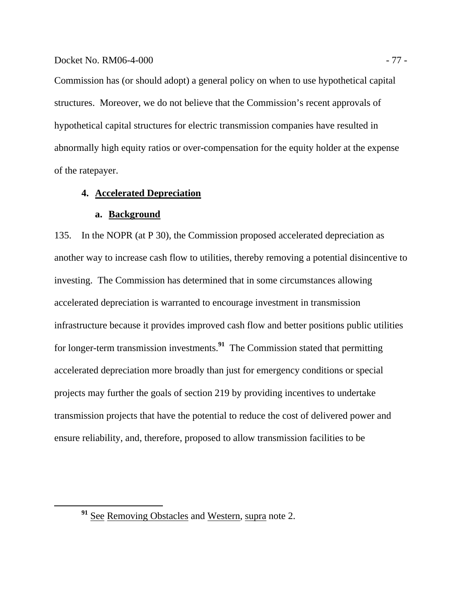# Docket No. RM06-4-000 - 77 -

Commission has (or should adopt) a general policy on when to use hypothetical capital structures. Moreover, we do not believe that the Commission's recent approvals of hypothetical capital structures for electric transmission companies have resulted in abnormally high equity ratios or over-compensation for the equity holder at the expense of the ratepayer.

# **4. Accelerated Depreciation**

### **a. Background**

135. In the NOPR (at P 30), the Commission proposed accelerated depreciation as another way to increase cash flow to utilities, thereby removing a potential disincentive to investing. The Commission has determined that in some circumstances allowing accelerated depreciation is warranted to encourage investment in transmission infrastructure because it provides improved cash flow and better positions public utilities for longer-term transmission investments.**<sup>91</sup>** The Commission stated that permitting accelerated depreciation more broadly than just for emergency conditions or special projects may further the goals of section 219 by providing incentives to undertake transmission projects that have the potential to reduce the cost of delivered power and ensure reliability, and, therefore, proposed to allow transmission facilities to be

**<sup>91</sup>** See Removing Obstacles and Western, supra note 2.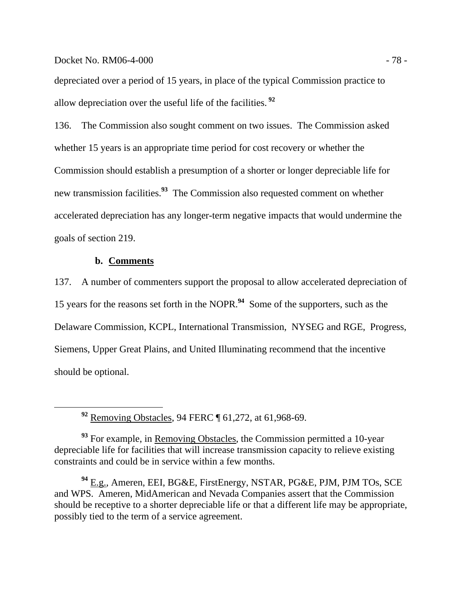### Docket No. RM06-4-000 - 78 -

depreciated over a period of 15 years, in place of the typical Commission practice to allow depreciation over the useful life of the facilities.**<sup>92</sup>**

136. The Commission also sought comment on two issues. The Commission asked whether 15 years is an appropriate time period for cost recovery or whether the Commission should establish a presumption of a shorter or longer depreciable life for new transmission facilities.**<sup>93</sup>** The Commission also requested comment on whether accelerated depreciation has any longer-term negative impacts that would undermine the goals of section 219.

# **b. Comments**

137. A number of commenters support the proposal to allow accelerated depreciation of 15 years for the reasons set forth in the NOPR.**<sup>94</sup>** Some of the supporters, such as the Delaware Commission, KCPL, International Transmission, NYSEG and RGE, Progress, Siemens, Upper Great Plains, and United Illuminating recommend that the incentive should be optional.

**<sup>92</sup>** Removing Obstacles, 94 FERC ¶ 61,272, at 61,968-69.

<sup>93</sup> For example, in Removing Obstacles, the Commission permitted a 10-year depreciable life for facilities that will increase transmission capacity to relieve existing constraints and could be in service within a few months.

**<sup>94</sup>** E.g., Ameren, EEI, BG&E, FirstEnergy, NSTAR, PG&E, PJM, PJM TOs, SCE and WPS. Ameren, MidAmerican and Nevada Companies assert that the Commission should be receptive to a shorter depreciable life or that a different life may be appropriate, possibly tied to the term of a service agreement.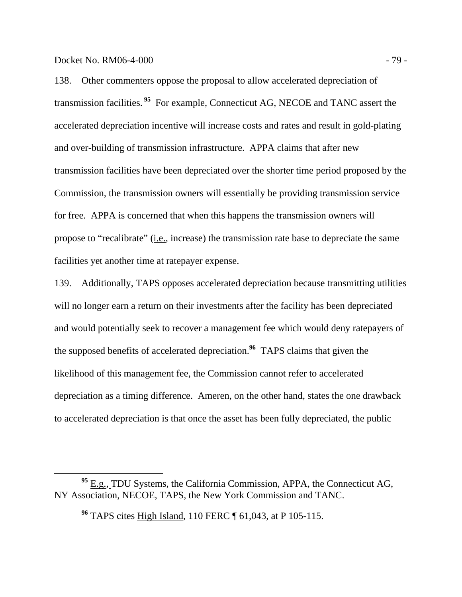Docket No. RM06-4-000 - 79 -

138. Other commenters oppose the proposal to allow accelerated depreciation of transmission facilities.**<sup>95</sup>** For example, Connecticut AG, NECOE and TANC assert the accelerated depreciation incentive will increase costs and rates and result in gold-plating and over-building of transmission infrastructure. APPA claims that after new transmission facilities have been depreciated over the shorter time period proposed by the Commission, the transmission owners will essentially be providing transmission service for free. APPA is concerned that when this happens the transmission owners will propose to "recalibrate" (i.e., increase) the transmission rate base to depreciate the same facilities yet another time at ratepayer expense.

139. Additionally, TAPS opposes accelerated depreciation because transmitting utilities will no longer earn a return on their investments after the facility has been depreciated and would potentially seek to recover a management fee which would deny ratepayers of the supposed benefits of accelerated depreciation.**<sup>96</sup>** TAPS claims that given the likelihood of this management fee, the Commission cannot refer to accelerated depreciation as a timing difference. Ameren, on the other hand, states the one drawback to accelerated depreciation is that once the asset has been fully depreciated, the public

<sup>&</sup>lt;sup>95</sup> E.g., TDU Systems, the California Commission, APPA, the Connecticut AG, NY Association, NECOE, TAPS, the New York Commission and TANC.

**<sup>96</sup>** TAPS cites High Island, 110 FERC ¶ 61,043, at P 105-115.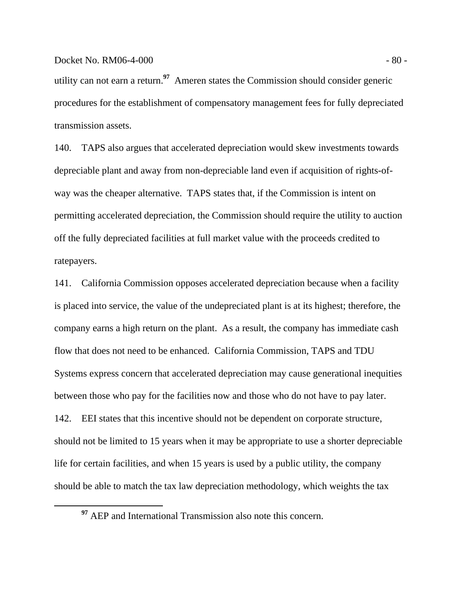utility can not earn a return.**<sup>97</sup>** Ameren states the Commission should consider generic procedures for the establishment of compensatory management fees for fully depreciated transmission assets.

140. TAPS also argues that accelerated depreciation would skew investments towards depreciable plant and away from non-depreciable land even if acquisition of rights-ofway was the cheaper alternative. TAPS states that, if the Commission is intent on permitting accelerated depreciation, the Commission should require the utility to auction off the fully depreciated facilities at full market value with the proceeds credited to ratepayers.

141. California Commission opposes accelerated depreciation because when a facility is placed into service, the value of the undepreciated plant is at its highest; therefore, the company earns a high return on the plant. As a result, the company has immediate cash flow that does not need to be enhanced. California Commission, TAPS and TDU Systems express concern that accelerated depreciation may cause generational inequities between those who pay for the facilities now and those who do not have to pay later. 142. EEI states that this incentive should not be dependent on corporate structure, should not be limited to 15 years when it may be appropriate to use a shorter depreciable life for certain facilities, and when 15 years is used by a public utility, the company should be able to match the tax law depreciation methodology, which weights the tax

<sup>&</sup>lt;sup>97</sup> AEP and International Transmission also note this concern.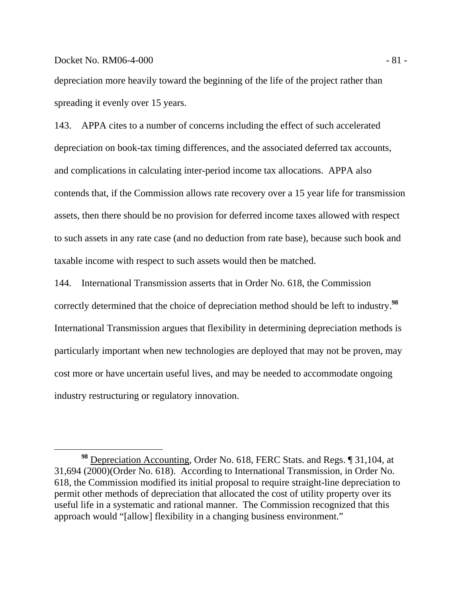### Docket No. RM06-4-000 - 81 -

depreciation more heavily toward the beginning of the life of the project rather than spreading it evenly over 15 years.

143. APPA cites to a number of concerns including the effect of such accelerated depreciation on book-tax timing differences, and the associated deferred tax accounts, and complications in calculating inter-period income tax allocations. APPA also contends that, if the Commission allows rate recovery over a 15 year life for transmission assets, then there should be no provision for deferred income taxes allowed with respect to such assets in any rate case (and no deduction from rate base), because such book and taxable income with respect to such assets would then be matched.

144. International Transmission asserts that in Order No. 618, the Commission correctly determined that the choice of depreciation method should be left to industry.**<sup>98</sup>** International Transmission argues that flexibility in determining depreciation methods is particularly important when new technologies are deployed that may not be proven, may cost more or have uncertain useful lives, and may be needed to accommodate ongoing industry restructuring or regulatory innovation.

**<sup>98</sup>** Depreciation Accounting, Order No. 618, FERC Stats. and Regs. ¶ 31,104, at 31,694 (2000)(Order No. 618). According to International Transmission, in Order No. 618, the Commission modified its initial proposal to require straight-line depreciation to permit other methods of depreciation that allocated the cost of utility property over its useful life in a systematic and rational manner. The Commission recognized that this approach would "[allow] flexibility in a changing business environment."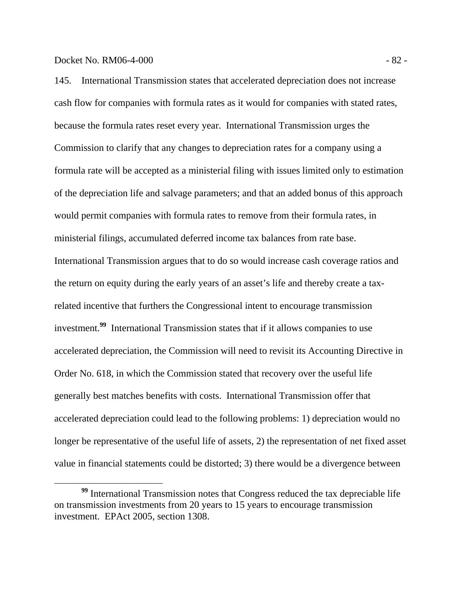145. International Transmission states that accelerated depreciation does not increase cash flow for companies with formula rates as it would for companies with stated rates, because the formula rates reset every year. International Transmission urges the Commission to clarify that any changes to depreciation rates for a company using a formula rate will be accepted as a ministerial filing with issues limited only to estimation of the depreciation life and salvage parameters; and that an added bonus of this approach would permit companies with formula rates to remove from their formula rates, in ministerial filings, accumulated deferred income tax balances from rate base. International Transmission argues that to do so would increase cash coverage ratios and the return on equity during the early years of an asset's life and thereby create a taxrelated incentive that furthers the Congressional intent to encourage transmission investment.**<sup>99</sup>** International Transmission states that if it allows companies to use accelerated depreciation, the Commission will need to revisit its Accounting Directive in Order No. 618, in which the Commission stated that recovery over the useful life generally best matches benefits with costs. International Transmission offer that accelerated depreciation could lead to the following problems: 1) depreciation would no longer be representative of the useful life of assets, 2) the representation of net fixed asset value in financial statements could be distorted; 3) there would be a divergence between

**<sup>99</sup>** International Transmission notes that Congress reduced the tax depreciable life on transmission investments from 20 years to 15 years to encourage transmission investment. EPAct 2005, section 1308.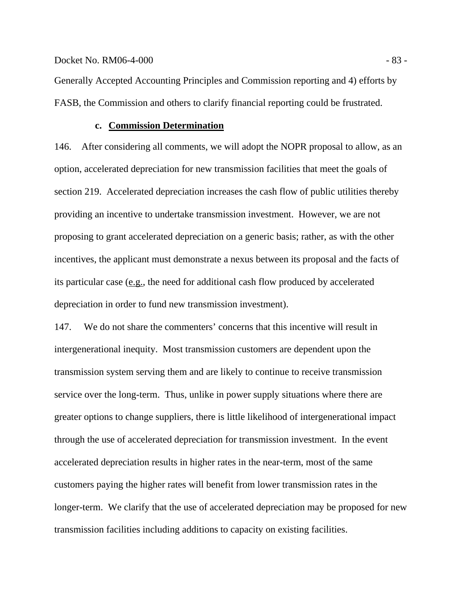Generally Accepted Accounting Principles and Commission reporting and 4) efforts by FASB, the Commission and others to clarify financial reporting could be frustrated.

# **c. Commission Determination**

146. After considering all comments, we will adopt the NOPR proposal to allow, as an option, accelerated depreciation for new transmission facilities that meet the goals of section 219. Accelerated depreciation increases the cash flow of public utilities thereby providing an incentive to undertake transmission investment. However, we are not proposing to grant accelerated depreciation on a generic basis; rather, as with the other incentives, the applicant must demonstrate a nexus between its proposal and the facts of its particular case (e.g., the need for additional cash flow produced by accelerated depreciation in order to fund new transmission investment).

147. We do not share the commenters' concerns that this incentive will result in intergenerational inequity. Most transmission customers are dependent upon the transmission system serving them and are likely to continue to receive transmission service over the long-term. Thus, unlike in power supply situations where there are greater options to change suppliers, there is little likelihood of intergenerational impact through the use of accelerated depreciation for transmission investment. In the event accelerated depreciation results in higher rates in the near-term, most of the same customers paying the higher rates will benefit from lower transmission rates in the longer-term. We clarify that the use of accelerated depreciation may be proposed for new transmission facilities including additions to capacity on existing facilities.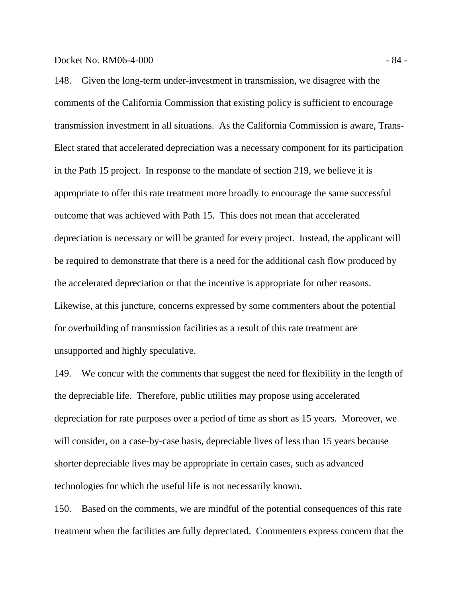148. Given the long-term under-investment in transmission, we disagree with the comments of the California Commission that existing policy is sufficient to encourage transmission investment in all situations. As the California Commission is aware, Trans-Elect stated that accelerated depreciation was a necessary component for its participation in the Path 15 project. In response to the mandate of section 219, we believe it is appropriate to offer this rate treatment more broadly to encourage the same successful outcome that was achieved with Path 15. This does not mean that accelerated depreciation is necessary or will be granted for every project. Instead, the applicant will be required to demonstrate that there is a need for the additional cash flow produced by the accelerated depreciation or that the incentive is appropriate for other reasons. Likewise, at this juncture, concerns expressed by some commenters about the potential for overbuilding of transmission facilities as a result of this rate treatment are unsupported and highly speculative.

149. We concur with the comments that suggest the need for flexibility in the length of the depreciable life. Therefore, public utilities may propose using accelerated depreciation for rate purposes over a period of time as short as 15 years. Moreover, we will consider, on a case-by-case basis, depreciable lives of less than 15 years because shorter depreciable lives may be appropriate in certain cases, such as advanced technologies for which the useful life is not necessarily known.

150. Based on the comments, we are mindful of the potential consequences of this rate treatment when the facilities are fully depreciated. Commenters express concern that the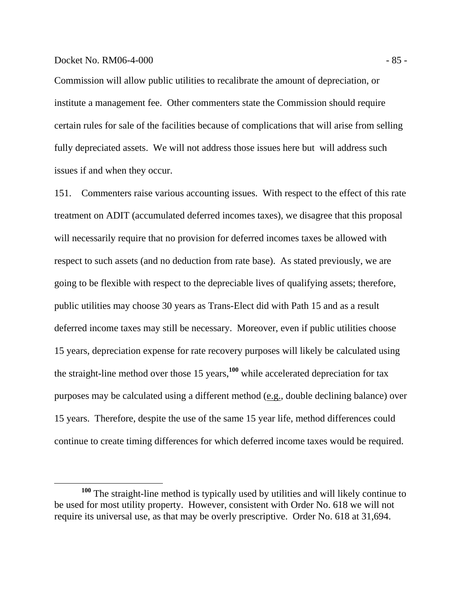## Docket No. RM06-4-000 - 85 -

Commission will allow public utilities to recalibrate the amount of depreciation, or institute a management fee. Other commenters state the Commission should require certain rules for sale of the facilities because of complications that will arise from selling fully depreciated assets. We will not address those issues here but will address such issues if and when they occur.

151. Commenters raise various accounting issues. With respect to the effect of this rate treatment on ADIT (accumulated deferred incomes taxes), we disagree that this proposal will necessarily require that no provision for deferred incomes taxes be allowed with respect to such assets (and no deduction from rate base). As stated previously, we are going to be flexible with respect to the depreciable lives of qualifying assets; therefore, public utilities may choose 30 years as Trans-Elect did with Path 15 and as a result deferred income taxes may still be necessary. Moreover, even if public utilities choose 15 years, depreciation expense for rate recovery purposes will likely be calculated using the straight-line method over those 15 years,**<sup>100</sup>** while accelerated depreciation for tax purposes may be calculated using a different method (e.g., double declining balance) over 15 years. Therefore, despite the use of the same 15 year life, method differences could continue to create timing differences for which deferred income taxes would be required.

**<sup>100</sup>** The straight-line method is typically used by utilities and will likely continue to be used for most utility property. However, consistent with Order No. 618 we will not require its universal use, as that may be overly prescriptive. Order No. 618 at 31,694.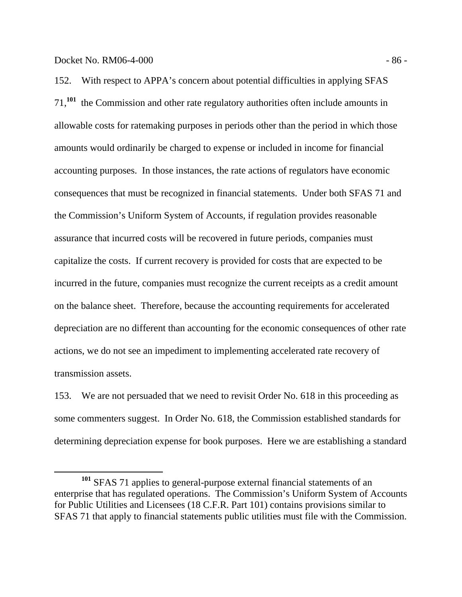# Docket No. RM06-4-000 - 86 -

152. With respect to APPA's concern about potential difficulties in applying SFAS 71,**<sup>101</sup>** the Commission and other rate regulatory authorities often include amounts in allowable costs for ratemaking purposes in periods other than the period in which those amounts would ordinarily be charged to expense or included in income for financial accounting purposes. In those instances, the rate actions of regulators have economic consequences that must be recognized in financial statements. Under both SFAS 71 and the Commission's Uniform System of Accounts, if regulation provides reasonable assurance that incurred costs will be recovered in future periods, companies must capitalize the costs. If current recovery is provided for costs that are expected to be incurred in the future, companies must recognize the current receipts as a credit amount on the balance sheet. Therefore, because the accounting requirements for accelerated depreciation are no different than accounting for the economic consequences of other rate actions, we do not see an impediment to implementing accelerated rate recovery of transmission assets.

153. We are not persuaded that we need to revisit Order No. 618 in this proceeding as some commenters suggest. In Order No. 618, the Commission established standards for determining depreciation expense for book purposes. Here we are establishing a standard

**<sup>101</sup>** SFAS 71 applies to general-purpose external financial statements of an enterprise that has regulated operations. The Commission's Uniform System of Accounts for Public Utilities and Licensees (18 C.F.R. Part 101) contains provisions similar to SFAS 71 that apply to financial statements public utilities must file with the Commission.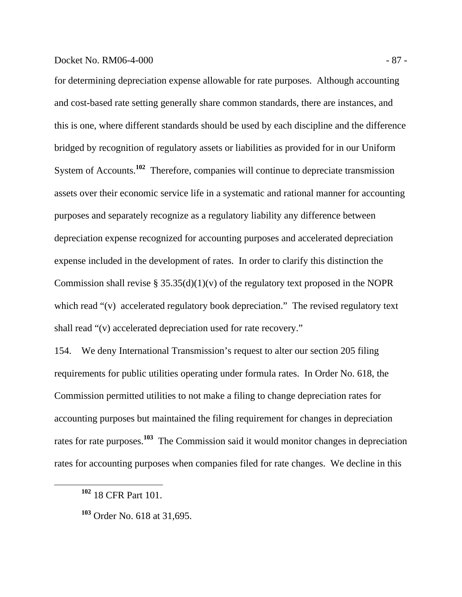# Docket No. RM06-4-000 - 87 -

for determining depreciation expense allowable for rate purposes. Although accounting and cost-based rate setting generally share common standards, there are instances, and this is one, where different standards should be used by each discipline and the difference bridged by recognition of regulatory assets or liabilities as provided for in our Uniform System of Accounts.**<sup>102</sup>** Therefore, companies will continue to depreciate transmission assets over their economic service life in a systematic and rational manner for accounting purposes and separately recognize as a regulatory liability any difference between depreciation expense recognized for accounting purposes and accelerated depreciation expense included in the development of rates. In order to clarify this distinction the Commission shall revise  $\S 35.35(d)(1)(v)$  of the regulatory text proposed in the NOPR which read "(v) accelerated regulatory book depreciation." The revised regulatory text shall read "(v) accelerated depreciation used for rate recovery."

154. We deny International Transmission's request to alter our section 205 filing requirements for public utilities operating under formula rates. In Order No. 618, the Commission permitted utilities to not make a filing to change depreciation rates for accounting purposes but maintained the filing requirement for changes in depreciation rates for rate purposes.**<sup>103</sup>** The Commission said it would monitor changes in depreciation rates for accounting purposes when companies filed for rate changes. We decline in this

**<sup>102</sup>** 18 CFR Part 101.

**<sup>103</sup>** Order No. 618 at 31,695.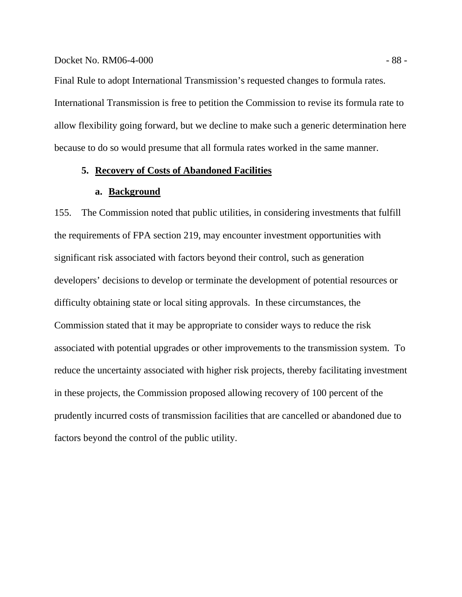# Docket No. RM06-4-000 - 88 -

Final Rule to adopt International Transmission's requested changes to formula rates. International Transmission is free to petition the Commission to revise its formula rate to allow flexibility going forward, but we decline to make such a generic determination here because to do so would presume that all formula rates worked in the same manner.

# **5. Recovery of Costs of Abandoned Facilities**

# **a. Background**

155. The Commission noted that public utilities, in considering investments that fulfill the requirements of FPA section 219, may encounter investment opportunities with significant risk associated with factors beyond their control, such as generation developers' decisions to develop or terminate the development of potential resources or difficulty obtaining state or local siting approvals. In these circumstances, the Commission stated that it may be appropriate to consider ways to reduce the risk associated with potential upgrades or other improvements to the transmission system. To reduce the uncertainty associated with higher risk projects, thereby facilitating investment in these projects, the Commission proposed allowing recovery of 100 percent of the prudently incurred costs of transmission facilities that are cancelled or abandoned due to factors beyond the control of the public utility.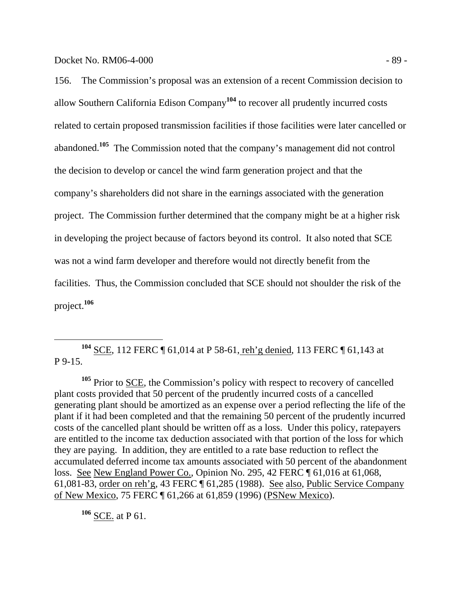156. The Commission's proposal was an extension of a recent Commission decision to allow Southern California Edison Company**<sup>104</sup>** to recover all prudently incurred costs related to certain proposed transmission facilities if those facilities were later cancelled or abandoned.**<sup>105</sup>** The Commission noted that the company's management did not control the decision to develop or cancel the wind farm generation project and that the company's shareholders did not share in the earnings associated with the generation project. The Commission further determined that the company might be at a higher risk in developing the project because of factors beyond its control. It also noted that SCE was not a wind farm developer and therefore would not directly benefit from the facilities. Thus, the Commission concluded that SCE should not shoulder the risk of the project.**<sup>106</sup>**

 **<sup>104</sup>** SCE, 112 FERC ¶ 61,014 at P 58-61, reh'g denied, 113 FERC ¶ 61,143 at P 9-15.

**<sup>105</sup>** Prior to SCE, the Commission's policy with respect to recovery of cancelled plant costs provided that 50 percent of the prudently incurred costs of a cancelled generating plant should be amortized as an expense over a period reflecting the life of the plant if it had been completed and that the remaining 50 percent of the prudently incurred costs of the cancelled plant should be written off as a loss. Under this policy, ratepayers are entitled to the income tax deduction associated with that portion of the loss for which they are paying. In addition, they are entitled to a rate base reduction to reflect the accumulated deferred income tax amounts associated with 50 percent of the abandonment loss. See New England Power Co., Opinion No. 295, 42 FERC ¶ 61,016 at 61,068, 61,081-83, order on reh'g, 43 FERC ¶ 61,285 (1988). See also, Public Service Company of New Mexico, 75 FERC ¶ 61,266 at 61,859 (1996) (PSNew Mexico).

**<sup>106</sup>** SCE. at P 61.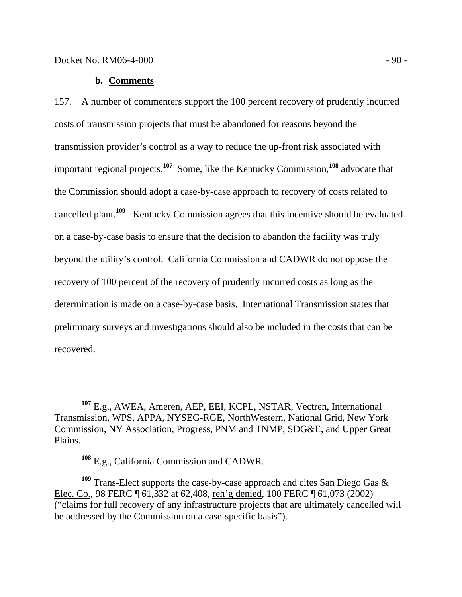### **b. Comments**

157. A number of commenters support the 100 percent recovery of prudently incurred costs of transmission projects that must be abandoned for reasons beyond the transmission provider's control as a way to reduce the up-front risk associated with important regional projects.**<sup>107</sup>** Some, like the Kentucky Commission,**<sup>108</sup>** advocate that the Commission should adopt a case-by-case approach to recovery of costs related to cancelled plant.**<sup>109</sup>** Kentucky Commission agrees that this incentive should be evaluated on a case-by-case basis to ensure that the decision to abandon the facility was truly beyond the utility's control. California Commission and CADWR do not oppose the recovery of 100 percent of the recovery of prudently incurred costs as long as the determination is made on a case-by-case basis. International Transmission states that preliminary surveys and investigations should also be included in the costs that can be recovered.

<sup>109</sup> Trans-Elect supports the case-by-case approach and cites **San Diego Gas &** Elec. Co., 98 FERC ¶ 61,332 at 62,408, reh'g denied, 100 FERC ¶ 61,073 (2002) ("claims for full recovery of any infrastructure projects that are ultimately cancelled will be addressed by the Commission on a case-specific basis").

**<sup>107</sup>** E.g., AWEA, Ameren, AEP, EEI, KCPL, NSTAR, Vectren, International Transmission, WPS, APPA, NYSEG-RGE, NorthWestern, National Grid, New York Commission, NY Association, Progress, PNM and TNMP, SDG&E, and Upper Great Plains.

**<sup>108</sup>** E.g., California Commission and CADWR.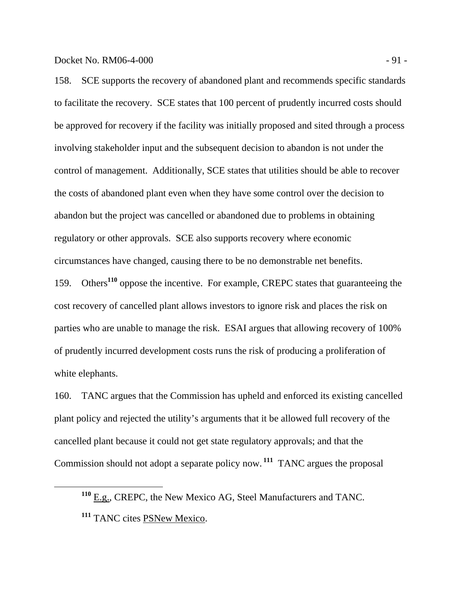158. SCE supports the recovery of abandoned plant and recommends specific standards to facilitate the recovery. SCE states that 100 percent of prudently incurred costs should be approved for recovery if the facility was initially proposed and sited through a process involving stakeholder input and the subsequent decision to abandon is not under the control of management. Additionally, SCE states that utilities should be able to recover the costs of abandoned plant even when they have some control over the decision to abandon but the project was cancelled or abandoned due to problems in obtaining regulatory or other approvals. SCE also supports recovery where economic circumstances have changed, causing there to be no demonstrable net benefits.

159. Others**<sup>110</sup>** oppose the incentive. For example, CREPC states that guaranteeing the cost recovery of cancelled plant allows investors to ignore risk and places the risk on parties who are unable to manage the risk. ESAI argues that allowing recovery of 100% of prudently incurred development costs runs the risk of producing a proliferation of white elephants.

160. TANC argues that the Commission has upheld and enforced its existing cancelled plant policy and rejected the utility's arguments that it be allowed full recovery of the cancelled plant because it could not get state regulatory approvals; and that the Commission should not adopt a separate policy now.**<sup>111</sup>** TANC argues the proposal

**<sup>110</sup>** E.g., CREPC, the New Mexico AG, Steel Manufacturers and TANC.

**<sup>111</sup>** TANC cites PSNew Mexico.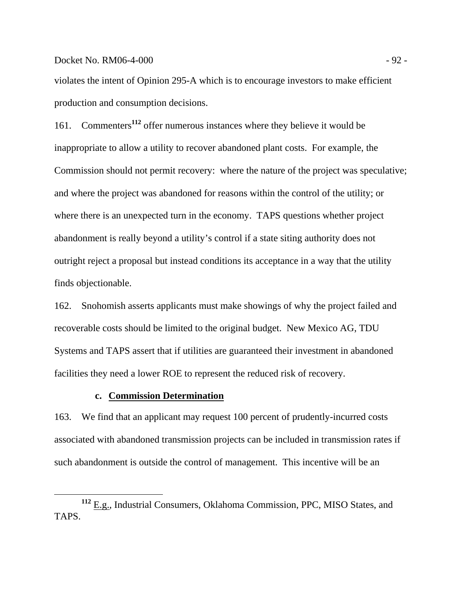Docket No. RM06-4-000 - 92 -

violates the intent of Opinion 295-A which is to encourage investors to make efficient production and consumption decisions.

161. Commenters**<sup>112</sup>** offer numerous instances where they believe it would be inappropriate to allow a utility to recover abandoned plant costs. For example, the Commission should not permit recovery: where the nature of the project was speculative; and where the project was abandoned for reasons within the control of the utility; or where there is an unexpected turn in the economy. TAPS questions whether project abandonment is really beyond a utility's control if a state siting authority does not outright reject a proposal but instead conditions its acceptance in a way that the utility finds objectionable.

162. Snohomish asserts applicants must make showings of why the project failed and recoverable costs should be limited to the original budget. New Mexico AG, TDU Systems and TAPS assert that if utilities are guaranteed their investment in abandoned facilities they need a lower ROE to represent the reduced risk of recovery.

# **c. Commission Determination**

163. We find that an applicant may request 100 percent of prudently-incurred costs associated with abandoned transmission projects can be included in transmission rates if such abandonment is outside the control of management. This incentive will be an

**<sup>112</sup>** E.g., Industrial Consumers, Oklahoma Commission, PPC, MISO States, and TAPS.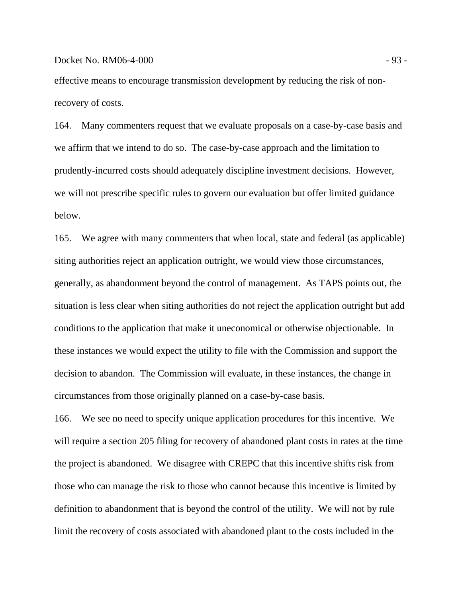effective means to encourage transmission development by reducing the risk of nonrecovery of costs.

164. Many commenters request that we evaluate proposals on a case-by-case basis and we affirm that we intend to do so. The case-by-case approach and the limitation to prudently-incurred costs should adequately discipline investment decisions. However, we will not prescribe specific rules to govern our evaluation but offer limited guidance below.

165. We agree with many commenters that when local, state and federal (as applicable) siting authorities reject an application outright, we would view those circumstances, generally, as abandonment beyond the control of management. As TAPS points out, the situation is less clear when siting authorities do not reject the application outright but add conditions to the application that make it uneconomical or otherwise objectionable. In these instances we would expect the utility to file with the Commission and support the decision to abandon. The Commission will evaluate, in these instances, the change in circumstances from those originally planned on a case-by-case basis.

166. We see no need to specify unique application procedures for this incentive. We will require a section 205 filing for recovery of abandoned plant costs in rates at the time the project is abandoned. We disagree with CREPC that this incentive shifts risk from those who can manage the risk to those who cannot because this incentive is limited by definition to abandonment that is beyond the control of the utility. We will not by rule limit the recovery of costs associated with abandoned plant to the costs included in the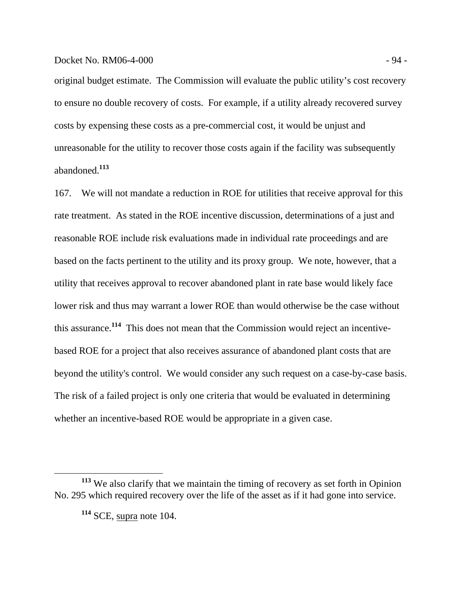## Docket No. RM06-4-000 - 94 -

original budget estimate. The Commission will evaluate the public utility's cost recovery to ensure no double recovery of costs. For example, if a utility already recovered survey costs by expensing these costs as a pre-commercial cost, it would be unjust and unreasonable for the utility to recover those costs again if the facility was subsequently abandoned.**<sup>113</sup>**

167. We will not mandate a reduction in ROE for utilities that receive approval for this rate treatment. As stated in the ROE incentive discussion, determinations of a just and reasonable ROE include risk evaluations made in individual rate proceedings and are based on the facts pertinent to the utility and its proxy group. We note, however, that a utility that receives approval to recover abandoned plant in rate base would likely face lower risk and thus may warrant a lower ROE than would otherwise be the case without this assurance.**<sup>114</sup>** This does not mean that the Commission would reject an incentivebased ROE for a project that also receives assurance of abandoned plant costs that are beyond the utility's control. We would consider any such request on a case-by-case basis. The risk of a failed project is only one criteria that would be evaluated in determining whether an incentive-based ROE would be appropriate in a given case.

**<sup>113</sup>** We also clarify that we maintain the timing of recovery as set forth in Opinion No. 295 which required recovery over the life of the asset as if it had gone into service.

**<sup>114</sup>** SCE, supra note 104.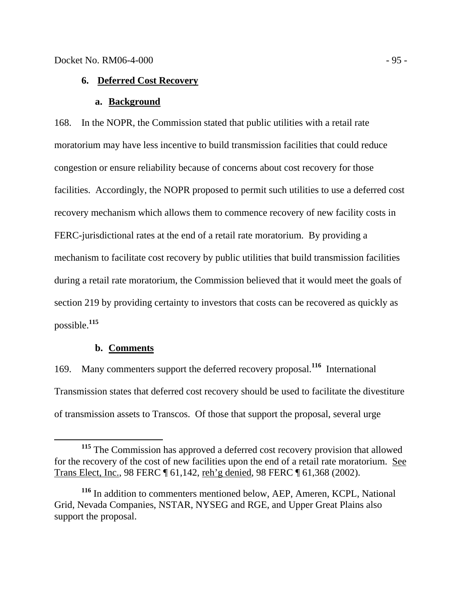# **6. Deferred Cost Recovery**

#### **a. Background**

168. In the NOPR, the Commission stated that public utilities with a retail rate moratorium may have less incentive to build transmission facilities that could reduce congestion or ensure reliability because of concerns about cost recovery for those facilities. Accordingly, the NOPR proposed to permit such utilities to use a deferred cost recovery mechanism which allows them to commence recovery of new facility costs in FERC-jurisdictional rates at the end of a retail rate moratorium. By providing a mechanism to facilitate cost recovery by public utilities that build transmission facilities during a retail rate moratorium, the Commission believed that it would meet the goals of section 219 by providing certainty to investors that costs can be recovered as quickly as possible.**<sup>115</sup>**

# **b. Comments**

169. Many commenters support the deferred recovery proposal.**<sup>116</sup>** International Transmission states that deferred cost recovery should be used to facilitate the divestiture of transmission assets to Transcos. Of those that support the proposal, several urge

**<sup>115</sup>** The Commission has approved a deferred cost recovery provision that allowed for the recovery of the cost of new facilities upon the end of a retail rate moratorium. See Trans Elect, Inc., 98 FERC ¶ 61,142, reh'g denied, 98 FERC ¶ 61,368 (2002).

**<sup>116</sup>** In addition to commenters mentioned below, AEP, Ameren, KCPL, National Grid, Nevada Companies, NSTAR, NYSEG and RGE, and Upper Great Plains also support the proposal.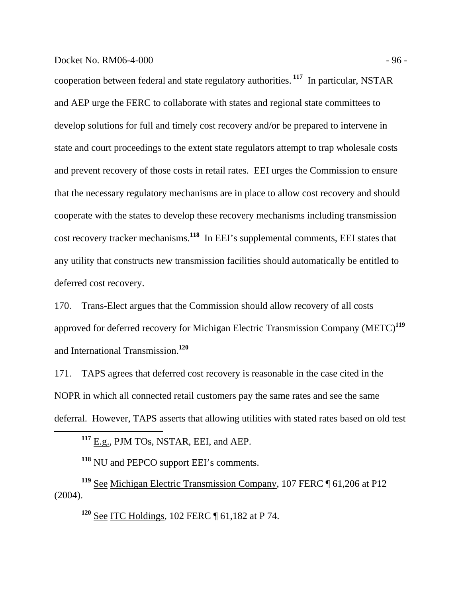### Docket No. RM06-4-000 - 96 -

cooperation between federal and state regulatory authorities.**<sup>117</sup>** In particular, NSTAR and AEP urge the FERC to collaborate with states and regional state committees to develop solutions for full and timely cost recovery and/or be prepared to intervene in state and court proceedings to the extent state regulators attempt to trap wholesale costs and prevent recovery of those costs in retail rates. EEI urges the Commission to ensure that the necessary regulatory mechanisms are in place to allow cost recovery and should cooperate with the states to develop these recovery mechanisms including transmission cost recovery tracker mechanisms.**<sup>118</sup>** In EEI's supplemental comments, EEI states that any utility that constructs new transmission facilities should automatically be entitled to deferred cost recovery.

170. Trans-Elect argues that the Commission should allow recovery of all costs approved for deferred recovery for Michigan Electric Transmission Company (METC)**<sup>119</sup>** and International Transmission.**<sup>120</sup>**

171. TAPS agrees that deferred cost recovery is reasonable in the case cited in the NOPR in which all connected retail customers pay the same rates and see the same deferral. However, TAPS asserts that allowing utilities with stated rates based on old test

**<sup>117</sup>** E.g., PJM TOs, NSTAR, EEI, and AEP.

**<sup>118</sup>** NU and PEPCO support EEI's comments.

**<sup>119</sup>** See Michigan Electric Transmission Company, 107 FERC ¶ 61,206 at P12 (2004).

**<sup>120</sup>** See ITC Holdings, 102 FERC ¶ 61,182 at P 74.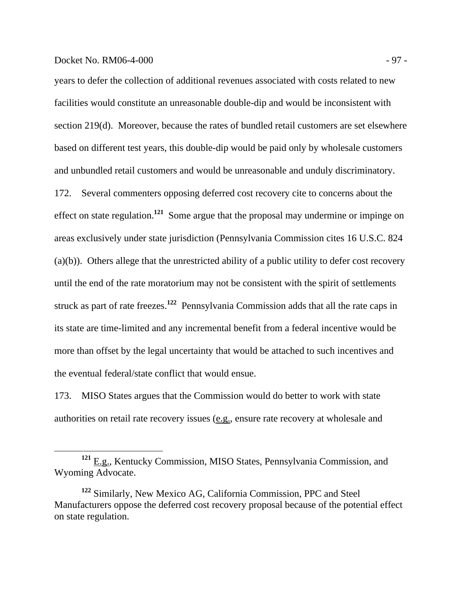### Docket No. RM06-4-000 - 97 -

years to defer the collection of additional revenues associated with costs related to new facilities would constitute an unreasonable double-dip and would be inconsistent with section 219(d). Moreover, because the rates of bundled retail customers are set elsewhere based on different test years, this double-dip would be paid only by wholesale customers and unbundled retail customers and would be unreasonable and unduly discriminatory. 172. Several commenters opposing deferred cost recovery cite to concerns about the effect on state regulation.**<sup>121</sup>** Some argue that the proposal may undermine or impinge on areas exclusively under state jurisdiction (Pennsylvania Commission cites 16 U.S.C. 824 (a)(b)). Others allege that the unrestricted ability of a public utility to defer cost recovery until the end of the rate moratorium may not be consistent with the spirit of settlements struck as part of rate freezes.**<sup>122</sup>** Pennsylvania Commission adds that all the rate caps in its state are time-limited and any incremental benefit from a federal incentive would be more than offset by the legal uncertainty that would be attached to such incentives and the eventual federal/state conflict that would ensue.

173. MISO States argues that the Commission would do better to work with state authorities on retail rate recovery issues (e.g., ensure rate recovery at wholesale and

**<sup>121</sup>** E.g., Kentucky Commission, MISO States, Pennsylvania Commission, and Wyoming Advocate.

**<sup>122</sup>** Similarly, New Mexico AG, California Commission, PPC and Steel Manufacturers oppose the deferred cost recovery proposal because of the potential effect on state regulation.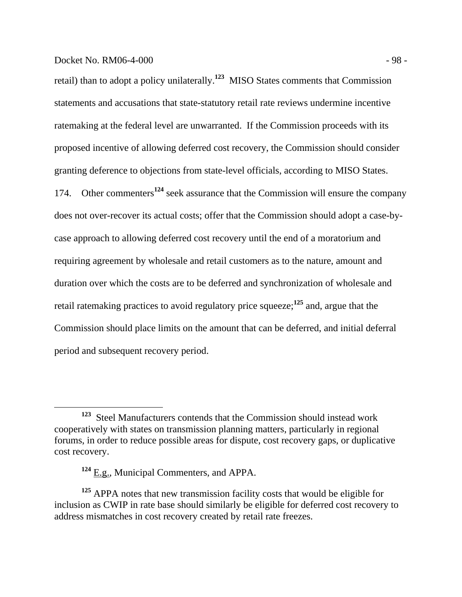retail) than to adopt a policy unilaterally.**<sup>123</sup>** MISO States comments that Commission statements and accusations that state-statutory retail rate reviews undermine incentive ratemaking at the federal level are unwarranted. If the Commission proceeds with its proposed incentive of allowing deferred cost recovery, the Commission should consider granting deference to objections from state-level officials, according to MISO States. 174. Other commenters**<sup>124</sup>** seek assurance that the Commission will ensure the company does not over-recover its actual costs; offer that the Commission should adopt a case-bycase approach to allowing deferred cost recovery until the end of a moratorium and requiring agreement by wholesale and retail customers as to the nature, amount and duration over which the costs are to be deferred and synchronization of wholesale and retail ratemaking practices to avoid regulatory price squeeze;**<sup>125</sup>** and, argue that the Commission should place limits on the amount that can be deferred, and initial deferral period and subsequent recovery period.

**<sup>123</sup>** Steel Manufacturers contends that the Commission should instead work cooperatively with states on transmission planning matters, particularly in regional forums, in order to reduce possible areas for dispute, cost recovery gaps, or duplicative cost recovery.

<sup>&</sup>lt;sup>124</sup> E.g., Municipal Commenters, and APPA.

**<sup>125</sup>** APPA notes that new transmission facility costs that would be eligible for inclusion as CWIP in rate base should similarly be eligible for deferred cost recovery to address mismatches in cost recovery created by retail rate freezes.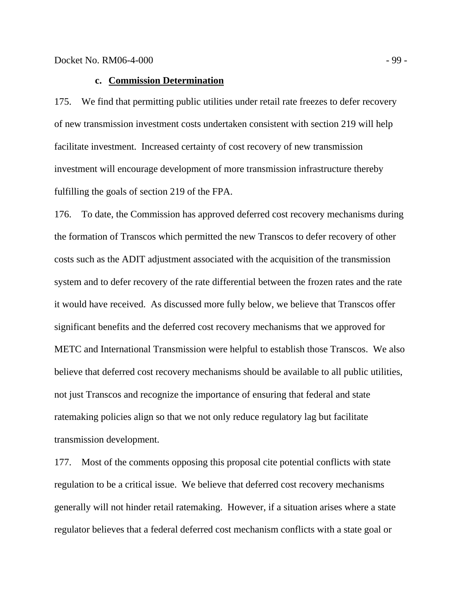# **c. Commission Determination**

175. We find that permitting public utilities under retail rate freezes to defer recovery of new transmission investment costs undertaken consistent with section 219 will help facilitate investment. Increased certainty of cost recovery of new transmission investment will encourage development of more transmission infrastructure thereby fulfilling the goals of section 219 of the FPA.

176. To date, the Commission has approved deferred cost recovery mechanisms during the formation of Transcos which permitted the new Transcos to defer recovery of other costs such as the ADIT adjustment associated with the acquisition of the transmission system and to defer recovery of the rate differential between the frozen rates and the rate it would have received. As discussed more fully below, we believe that Transcos offer significant benefits and the deferred cost recovery mechanisms that we approved for METC and International Transmission were helpful to establish those Transcos. We also believe that deferred cost recovery mechanisms should be available to all public utilities, not just Transcos and recognize the importance of ensuring that federal and state ratemaking policies align so that we not only reduce regulatory lag but facilitate transmission development.

177. Most of the comments opposing this proposal cite potential conflicts with state regulation to be a critical issue. We believe that deferred cost recovery mechanisms generally will not hinder retail ratemaking. However, if a situation arises where a state regulator believes that a federal deferred cost mechanism conflicts with a state goal or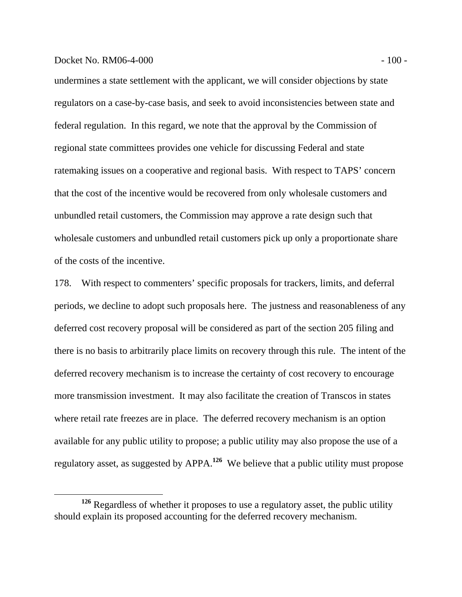### Docket No. RM06-4-000 - 100 - 100 - 100 - 100 - 100 - 100 - 100 - 100 - 100 - 100 - 100 - 100 - 100 - 100 - 100 - 100 - 100 - 100 - 100 - 100 - 100 - 100 - 100 - 100 - 100 - 100 - 100 - 100 - 100 - 100 - 100 - 100 - 100 -

undermines a state settlement with the applicant, we will consider objections by state regulators on a case-by-case basis, and seek to avoid inconsistencies between state and federal regulation. In this regard, we note that the approval by the Commission of regional state committees provides one vehicle for discussing Federal and state ratemaking issues on a cooperative and regional basis. With respect to TAPS' concern that the cost of the incentive would be recovered from only wholesale customers and unbundled retail customers, the Commission may approve a rate design such that wholesale customers and unbundled retail customers pick up only a proportionate share of the costs of the incentive.

178. With respect to commenters' specific proposals for trackers, limits, and deferral periods, we decline to adopt such proposals here. The justness and reasonableness of any deferred cost recovery proposal will be considered as part of the section 205 filing and there is no basis to arbitrarily place limits on recovery through this rule. The intent of the deferred recovery mechanism is to increase the certainty of cost recovery to encourage more transmission investment. It may also facilitate the creation of Transcos in states where retail rate freezes are in place. The deferred recovery mechanism is an option available for any public utility to propose; a public utility may also propose the use of a regulatory asset, as suggested by APPA.**<sup>126</sup>** We believe that a public utility must propose

**<sup>126</sup>** Regardless of whether it proposes to use a regulatory asset, the public utility should explain its proposed accounting for the deferred recovery mechanism.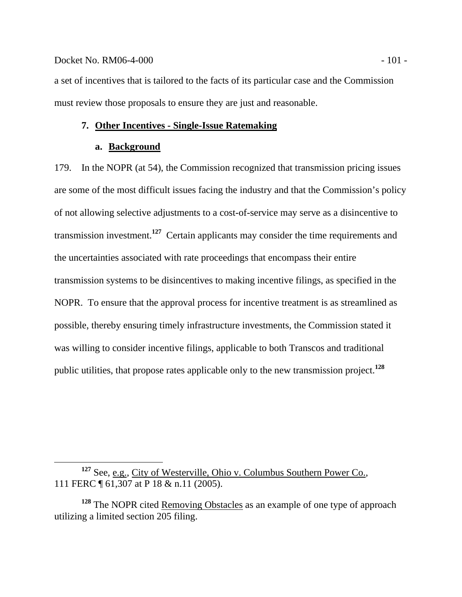### Docket No. RM06-4-000 - 101 -

a set of incentives that is tailored to the facts of its particular case and the Commission must review those proposals to ensure they are just and reasonable.

# **7. Other Incentives - Single-Issue Ratemaking**

### **a. Background**

179. In the NOPR (at 54), the Commission recognized that transmission pricing issues are some of the most difficult issues facing the industry and that the Commission's policy of not allowing selective adjustments to a cost-of-service may serve as a disincentive to transmission investment.**<sup>127</sup>** Certain applicants may consider the time requirements and the uncertainties associated with rate proceedings that encompass their entire transmission systems to be disincentives to making incentive filings, as specified in the NOPR. To ensure that the approval process for incentive treatment is as streamlined as possible, thereby ensuring timely infrastructure investments, the Commission stated it was willing to consider incentive filings, applicable to both Transcos and traditional public utilities, that propose rates applicable only to the new transmission project.**<sup>128</sup>**

<sup>&</sup>lt;sup>127</sup> See, e.g., City of Westerville, Ohio v. Columbus Southern Power Co., 111 FERC ¶ 61,307 at P 18 & n.11 (2005).

**<sup>128</sup>** The NOPR cited Removing Obstacles as an example of one type of approach utilizing a limited section 205 filing.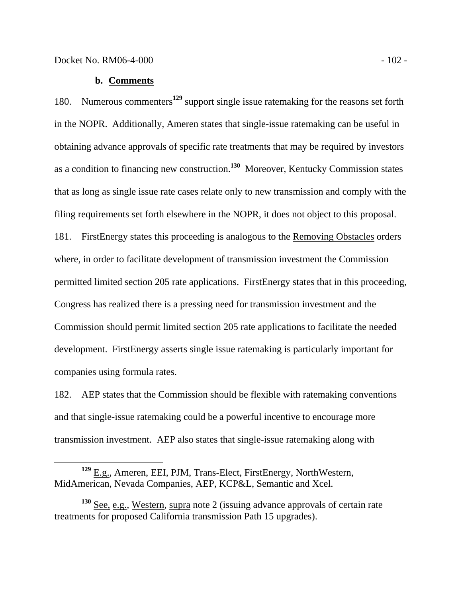### **b. Comments**

180. Numerous commenters**<sup>129</sup>** support single issue ratemaking for the reasons set forth in the NOPR. Additionally, Ameren states that single-issue ratemaking can be useful in obtaining advance approvals of specific rate treatments that may be required by investors as a condition to financing new construction.**<sup>130</sup>** Moreover, Kentucky Commission states that as long as single issue rate cases relate only to new transmission and comply with the filing requirements set forth elsewhere in the NOPR, it does not object to this proposal. 181. FirstEnergy states this proceeding is analogous to the Removing Obstacles orders where, in order to facilitate development of transmission investment the Commission permitted limited section 205 rate applications. FirstEnergy states that in this proceeding, Congress has realized there is a pressing need for transmission investment and the Commission should permit limited section 205 rate applications to facilitate the needed development. FirstEnergy asserts single issue ratemaking is particularly important for companies using formula rates.

182. AEP states that the Commission should be flexible with ratemaking conventions and that single-issue ratemaking could be a powerful incentive to encourage more transmission investment. AEP also states that single-issue ratemaking along with

**<sup>129</sup>** E.g., Ameren, EEI, PJM, Trans-Elect, FirstEnergy, NorthWestern, MidAmerican, Nevada Companies, AEP, KCP&L, Semantic and Xcel.

**<sup>130</sup>** See, e.g., Western, supra note 2 (issuing advance approvals of certain rate treatments for proposed California transmission Path 15 upgrades).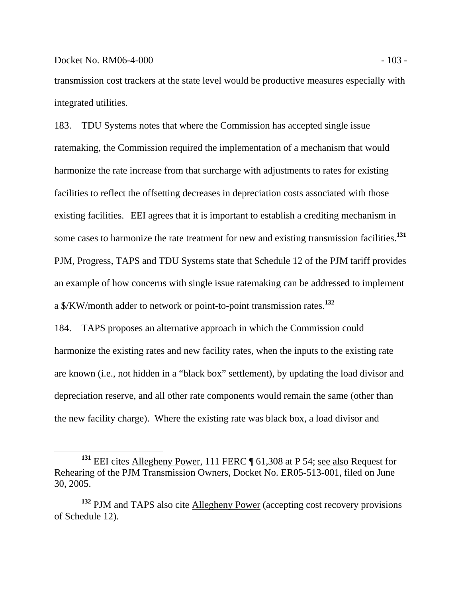transmission cost trackers at the state level would be productive measures especially with integrated utilities.

183. TDU Systems notes that where the Commission has accepted single issue ratemaking, the Commission required the implementation of a mechanism that would harmonize the rate increase from that surcharge with adjustments to rates for existing facilities to reflect the offsetting decreases in depreciation costs associated with those existing facilities. EEI agrees that it is important to establish a crediting mechanism in some cases to harmonize the rate treatment for new and existing transmission facilities.**<sup>131</sup>** PJM, Progress, TAPS and TDU Systems state that Schedule 12 of the PJM tariff provides an example of how concerns with single issue ratemaking can be addressed to implement a \$/KW/month adder to network or point-to-point transmission rates.**<sup>132</sup>**

184. TAPS proposes an alternative approach in which the Commission could harmonize the existing rates and new facility rates, when the inputs to the existing rate are known (*i.e.*, not hidden in a "black box" settlement), by updating the load divisor and depreciation reserve, and all other rate components would remain the same (other than the new facility charge). Where the existing rate was black box, a load divisor and

**<sup>131</sup>** EEI cites Allegheny Power, 111 FERC ¶ 61,308 at P 54; see also Request for Rehearing of the PJM Transmission Owners, Docket No. ER05-513-001, filed on June 30, 2005.

<sup>&</sup>lt;sup>132</sup> PJM and TAPS also cite **Allegheny Power** (accepting cost recovery provisions of Schedule 12).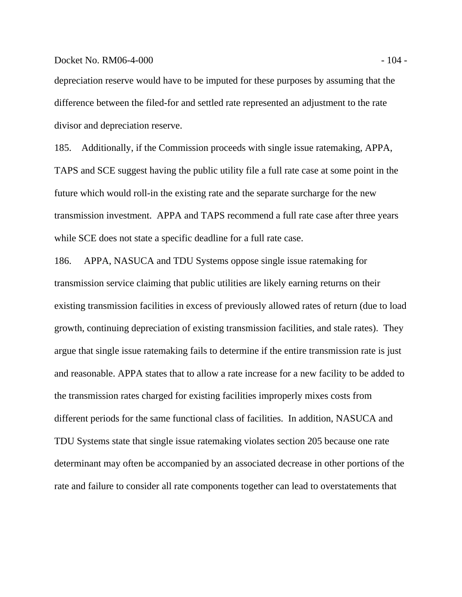### Docket No. RM06-4-000 - 104 - 104 - 104 - 104 - 104 - 104 - 104 - 104 - 104 - 104 - 104 - 104 - 104 - 104 - 10

depreciation reserve would have to be imputed for these purposes by assuming that the difference between the filed-for and settled rate represented an adjustment to the rate divisor and depreciation reserve.

185. Additionally, if the Commission proceeds with single issue ratemaking, APPA, TAPS and SCE suggest having the public utility file a full rate case at some point in the future which would roll-in the existing rate and the separate surcharge for the new transmission investment. APPA and TAPS recommend a full rate case after three years while SCE does not state a specific deadline for a full rate case.

186. APPA, NASUCA and TDU Systems oppose single issue ratemaking for transmission service claiming that public utilities are likely earning returns on their existing transmission facilities in excess of previously allowed rates of return (due to load growth, continuing depreciation of existing transmission facilities, and stale rates). They argue that single issue ratemaking fails to determine if the entire transmission rate is just and reasonable. APPA states that to allow a rate increase for a new facility to be added to the transmission rates charged for existing facilities improperly mixes costs from different periods for the same functional class of facilities. In addition, NASUCA and TDU Systems state that single issue ratemaking violates section 205 because one rate determinant may often be accompanied by an associated decrease in other portions of the rate and failure to consider all rate components together can lead to overstatements that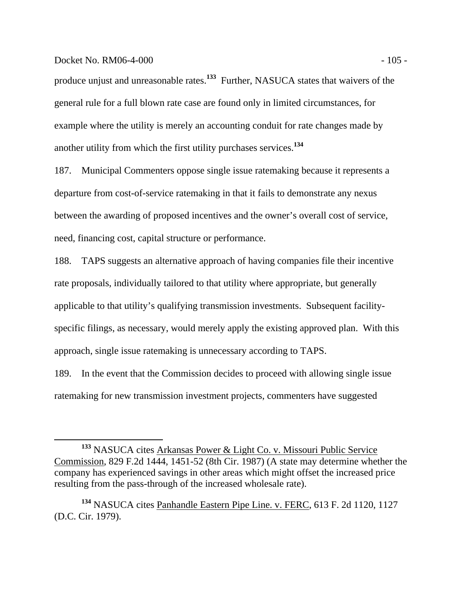### Docket No. RM06-4-000 - 105 -

produce unjust and unreasonable rates.**<sup>133</sup>** Further, NASUCA states that waivers of the general rule for a full blown rate case are found only in limited circumstances, for example where the utility is merely an accounting conduit for rate changes made by another utility from which the first utility purchases services.**<sup>134</sup>**

187. Municipal Commenters oppose single issue ratemaking because it represents a departure from cost-of-service ratemaking in that it fails to demonstrate any nexus between the awarding of proposed incentives and the owner's overall cost of service, need, financing cost, capital structure or performance.

188. TAPS suggests an alternative approach of having companies file their incentive rate proposals, individually tailored to that utility where appropriate, but generally applicable to that utility's qualifying transmission investments. Subsequent facilityspecific filings, as necessary, would merely apply the existing approved plan. With this approach, single issue ratemaking is unnecessary according to TAPS.

189. In the event that the Commission decides to proceed with allowing single issue ratemaking for new transmission investment projects, commenters have suggested

**<sup>133</sup>** NASUCA cites Arkansas Power & Light Co. v. Missouri Public Service Commission, 829 F.2d 1444, 1451-52 (8th Cir. 1987) (A state may determine whether the company has experienced savings in other areas which might offset the increased price resulting from the pass-through of the increased wholesale rate).

**<sup>134</sup>** NASUCA cites Panhandle Eastern Pipe Line. v. FERC, 613 F. 2d 1120, 1127 (D.C. Cir. 1979).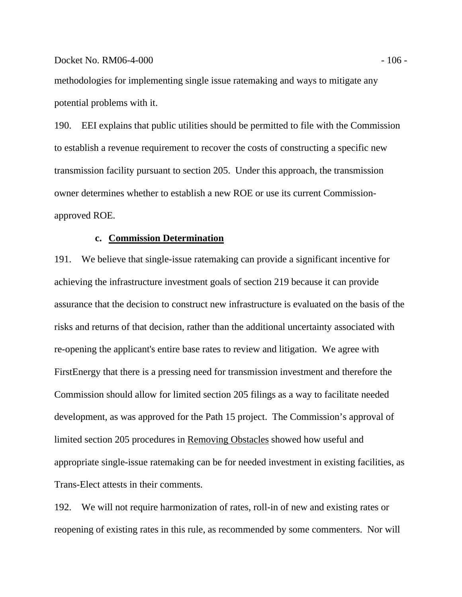### Docket No. RM06-4-000 - 106 - 106 - 106 - 106 - 106 - 106 - 106 - 106 - 106 - 106 - 106 - 106 - 106 - 106 - 10

methodologies for implementing single issue ratemaking and ways to mitigate any potential problems with it.

190. EEI explains that public utilities should be permitted to file with the Commission to establish a revenue requirement to recover the costs of constructing a specific new transmission facility pursuant to section 205. Under this approach, the transmission owner determines whether to establish a new ROE or use its current Commissionapproved ROE.

# **c. Commission Determination**

191. We believe that single-issue ratemaking can provide a significant incentive for achieving the infrastructure investment goals of section 219 because it can provide assurance that the decision to construct new infrastructure is evaluated on the basis of the risks and returns of that decision, rather than the additional uncertainty associated with re-opening the applicant's entire base rates to review and litigation. We agree with FirstEnergy that there is a pressing need for transmission investment and therefore the Commission should allow for limited section 205 filings as a way to facilitate needed development, as was approved for the Path 15 project. The Commission's approval of limited section 205 procedures in Removing Obstacles showed how useful and appropriate single-issue ratemaking can be for needed investment in existing facilities, as Trans-Elect attests in their comments.

192. We will not require harmonization of rates, roll-in of new and existing rates or reopening of existing rates in this rule, as recommended by some commenters. Nor will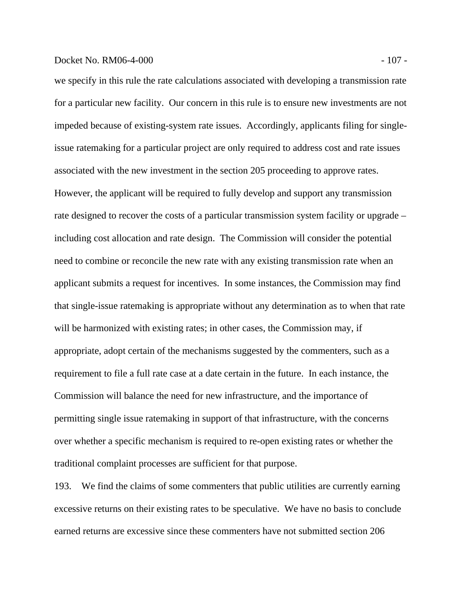### Docket No. RM06-4-000 - 107 -

we specify in this rule the rate calculations associated with developing a transmission rate for a particular new facility. Our concern in this rule is to ensure new investments are not impeded because of existing-system rate issues. Accordingly, applicants filing for singleissue ratemaking for a particular project are only required to address cost and rate issues associated with the new investment in the section 205 proceeding to approve rates. However, the applicant will be required to fully develop and support any transmission rate designed to recover the costs of a particular transmission system facility or upgrade – including cost allocation and rate design. The Commission will consider the potential need to combine or reconcile the new rate with any existing transmission rate when an applicant submits a request for incentives. In some instances, the Commission may find that single-issue ratemaking is appropriate without any determination as to when that rate will be harmonized with existing rates; in other cases, the Commission may, if appropriate, adopt certain of the mechanisms suggested by the commenters, such as a requirement to file a full rate case at a date certain in the future. In each instance, the Commission will balance the need for new infrastructure, and the importance of permitting single issue ratemaking in support of that infrastructure, with the concerns over whether a specific mechanism is required to re-open existing rates or whether the traditional complaint processes are sufficient for that purpose.

193. We find the claims of some commenters that public utilities are currently earning excessive returns on their existing rates to be speculative. We have no basis to conclude earned returns are excessive since these commenters have not submitted section 206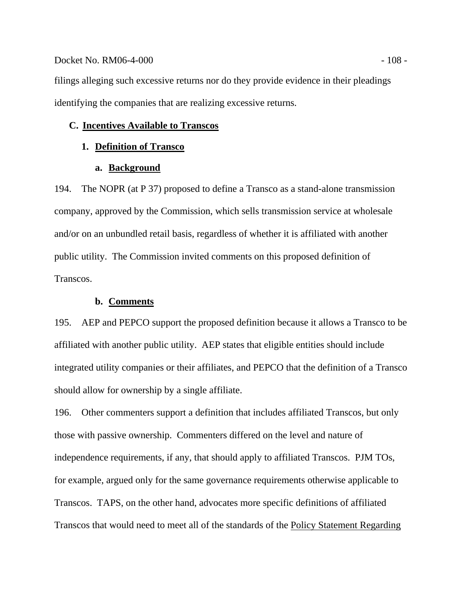### Docket No. RM06-4-000 - 108 -

filings alleging such excessive returns nor do they provide evidence in their pleadings identifying the companies that are realizing excessive returns.

### **C. Incentives Available to Transcos**

# **1. Definition of Transco**

### **a. Background**

194. The NOPR (at P 37) proposed to define a Transco as a stand-alone transmission company, approved by the Commission, which sells transmission service at wholesale and/or on an unbundled retail basis, regardless of whether it is affiliated with another public utility. The Commission invited comments on this proposed definition of Transcos.

#### **b. Comments**

195. AEP and PEPCO support the proposed definition because it allows a Transco to be affiliated with another public utility. AEP states that eligible entities should include integrated utility companies or their affiliates, and PEPCO that the definition of a Transco should allow for ownership by a single affiliate.

196. Other commenters support a definition that includes affiliated Transcos, but only those with passive ownership. Commenters differed on the level and nature of independence requirements, if any, that should apply to affiliated Transcos. PJM TOs, for example, argued only for the same governance requirements otherwise applicable to Transcos. TAPS, on the other hand, advocates more specific definitions of affiliated Transcos that would need to meet all of the standards of the Policy Statement Regarding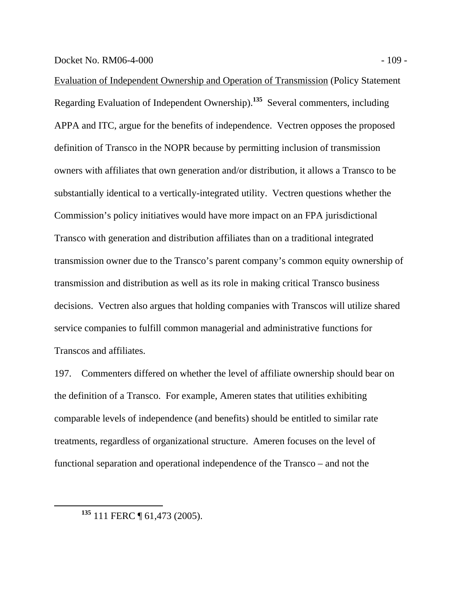Evaluation of Independent Ownership and Operation of Transmission (Policy Statement Regarding Evaluation of Independent Ownership).**<sup>135</sup>** Several commenters, including APPA and ITC, argue for the benefits of independence. Vectren opposes the proposed definition of Transco in the NOPR because by permitting inclusion of transmission owners with affiliates that own generation and/or distribution, it allows a Transco to be substantially identical to a vertically-integrated utility. Vectren questions whether the Commission's policy initiatives would have more impact on an FPA jurisdictional Transco with generation and distribution affiliates than on a traditional integrated transmission owner due to the Transco's parent company's common equity ownership of transmission and distribution as well as its role in making critical Transco business decisions. Vectren also argues that holding companies with Transcos will utilize shared service companies to fulfill common managerial and administrative functions for Transcos and affiliates.

197. Commenters differed on whether the level of affiliate ownership should bear on the definition of a Transco. For example, Ameren states that utilities exhibiting comparable levels of independence (and benefits) should be entitled to similar rate treatments, regardless of organizational structure. Ameren focuses on the level of functional separation and operational independence of the Transco – and not the

**<sup>135</sup>** 111 FERC ¶ 61,473 (2005).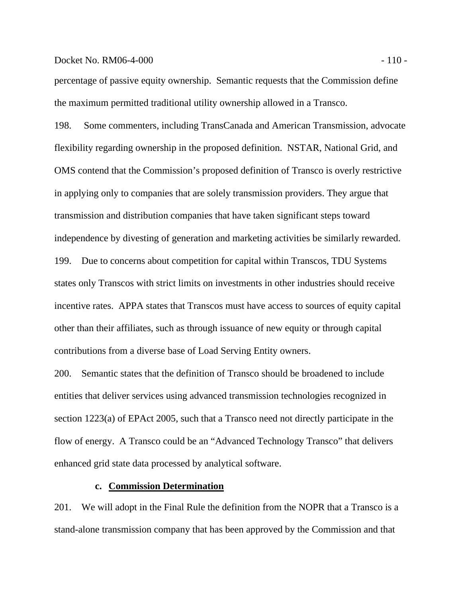#### Docket No. RM06-4-000 - 110 - 110 - 110 - 110 - 110 - 110 - 110 - 110 - 110 - 110 - 110 - 110 - 110 - 110 - 110 - 110 - 110 - 110 - 110 - 110 - 110 - 110 - 110 - 110 - 110 - 110 - 110 - 110 - 110 - 110 - 110 - 110 - 110 -

percentage of passive equity ownership. Semantic requests that the Commission define the maximum permitted traditional utility ownership allowed in a Transco.

198. Some commenters, including TransCanada and American Transmission, advocate flexibility regarding ownership in the proposed definition. NSTAR, National Grid, and OMS contend that the Commission's proposed definition of Transco is overly restrictive in applying only to companies that are solely transmission providers. They argue that transmission and distribution companies that have taken significant steps toward independence by divesting of generation and marketing activities be similarly rewarded. 199. Due to concerns about competition for capital within Transcos, TDU Systems states only Transcos with strict limits on investments in other industries should receive incentive rates. APPA states that Transcos must have access to sources of equity capital other than their affiliates, such as through issuance of new equity or through capital contributions from a diverse base of Load Serving Entity owners.

200. Semantic states that the definition of Transco should be broadened to include entities that deliver services using advanced transmission technologies recognized in section 1223(a) of EPAct 2005, such that a Transco need not directly participate in the flow of energy. A Transco could be an "Advanced Technology Transco" that delivers enhanced grid state data processed by analytical software.

## **c. Commission Determination**

201. We will adopt in the Final Rule the definition from the NOPR that a Transco is a stand-alone transmission company that has been approved by the Commission and that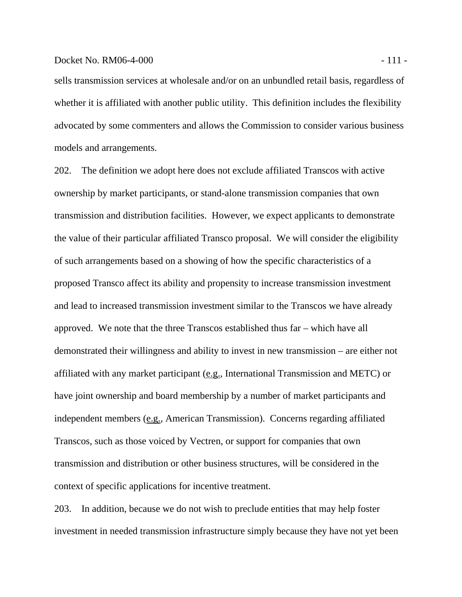### Docket No. RM06-4-000 - 111 -

sells transmission services at wholesale and/or on an unbundled retail basis, regardless of whether it is affiliated with another public utility. This definition includes the flexibility advocated by some commenters and allows the Commission to consider various business models and arrangements.

202. The definition we adopt here does not exclude affiliated Transcos with active ownership by market participants, or stand-alone transmission companies that own transmission and distribution facilities. However, we expect applicants to demonstrate the value of their particular affiliated Transco proposal. We will consider the eligibility of such arrangements based on a showing of how the specific characteristics of a proposed Transco affect its ability and propensity to increase transmission investment and lead to increased transmission investment similar to the Transcos we have already approved. We note that the three Transcos established thus far – which have all demonstrated their willingness and ability to invest in new transmission – are either not affiliated with any market participant (e.g., International Transmission and METC) or have joint ownership and board membership by a number of market participants and independent members (e.g., American Transmission). Concerns regarding affiliated Transcos, such as those voiced by Vectren, or support for companies that own transmission and distribution or other business structures, will be considered in the context of specific applications for incentive treatment.

203. In addition, because we do not wish to preclude entities that may help foster investment in needed transmission infrastructure simply because they have not yet been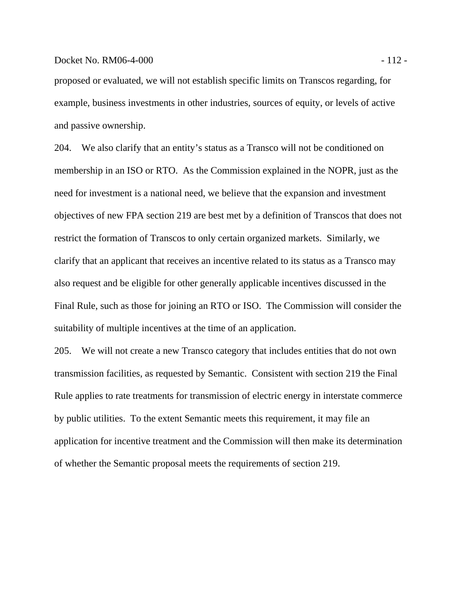proposed or evaluated, we will not establish specific limits on Transcos regarding, for example, business investments in other industries, sources of equity, or levels of active and passive ownership.

204. We also clarify that an entity's status as a Transco will not be conditioned on membership in an ISO or RTO. As the Commission explained in the NOPR, just as the need for investment is a national need, we believe that the expansion and investment objectives of new FPA section 219 are best met by a definition of Transcos that does not restrict the formation of Transcos to only certain organized markets. Similarly, we clarify that an applicant that receives an incentive related to its status as a Transco may also request and be eligible for other generally applicable incentives discussed in the Final Rule, such as those for joining an RTO or ISO. The Commission will consider the suitability of multiple incentives at the time of an application.

205. We will not create a new Transco category that includes entities that do not own transmission facilities, as requested by Semantic. Consistent with section 219 the Final Rule applies to rate treatments for transmission of electric energy in interstate commerce by public utilities. To the extent Semantic meets this requirement, it may file an application for incentive treatment and the Commission will then make its determination of whether the Semantic proposal meets the requirements of section 219.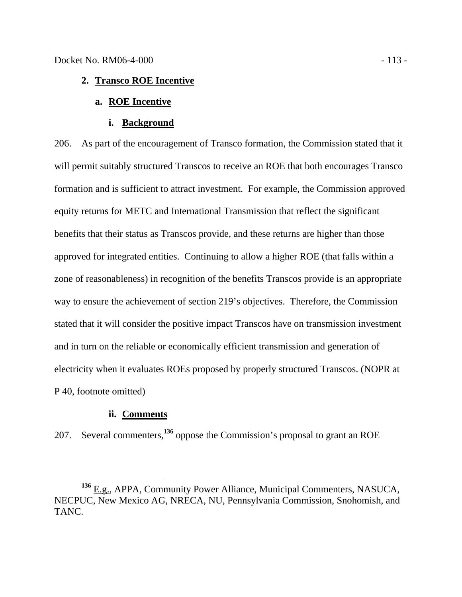# **2. Transco ROE Incentive**

# **a. ROE Incentive**

**i. Background**

206. As part of the encouragement of Transco formation, the Commission stated that it will permit suitably structured Transcos to receive an ROE that both encourages Transco formation and is sufficient to attract investment. For example, the Commission approved equity returns for METC and International Transmission that reflect the significant benefits that their status as Transcos provide, and these returns are higher than those approved for integrated entities. Continuing to allow a higher ROE (that falls within a zone of reasonableness) in recognition of the benefits Transcos provide is an appropriate way to ensure the achievement of section 219's objectives. Therefore, the Commission stated that it will consider the positive impact Transcos have on transmission investment and in turn on the reliable or economically efficient transmission and generation of electricity when it evaluates ROEs proposed by properly structured Transcos. (NOPR at P 40, footnote omitted)

### **ii. Comments**

207. Several commenters,**<sup>136</sup>** oppose the Commission's proposal to grant an ROE

**<sup>136</sup>** E.g., APPA, Community Power Alliance, Municipal Commenters, NASUCA, NECPUC, New Mexico AG, NRECA, NU, Pennsylvania Commission, Snohomish, and TANC.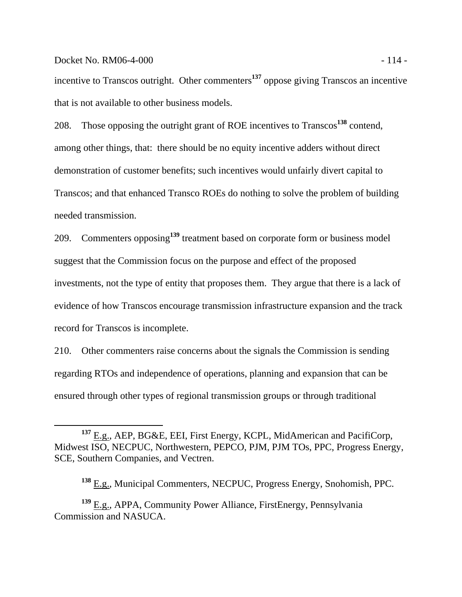### Docket No. RM06-4-000 - 114 -

incentive to Transcos outright. Other commenters**<sup>137</sup>** oppose giving Transcos an incentive that is not available to other business models.

208. Those opposing the outright grant of ROE incentives to Transcos**<sup>138</sup>** contend, among other things, that: there should be no equity incentive adders without direct demonstration of customer benefits; such incentives would unfairly divert capital to Transcos; and that enhanced Transco ROEs do nothing to solve the problem of building needed transmission.

209. Commenters opposing**<sup>139</sup>** treatment based on corporate form or business model suggest that the Commission focus on the purpose and effect of the proposed investments, not the type of entity that proposes them. They argue that there is a lack of evidence of how Transcos encourage transmission infrastructure expansion and the track record for Transcos is incomplete.

210. Other commenters raise concerns about the signals the Commission is sending regarding RTOs and independence of operations, planning and expansion that can be ensured through other types of regional transmission groups or through traditional

**<sup>137</sup>** E.g., AEP, BG&E, EEI, First Energy, KCPL, MidAmerican and PacifiCorp, Midwest ISO, NECPUC, Northwestern, PEPCO, PJM, PJM TOs, PPC, Progress Energy, SCE, Southern Companies, and Vectren.

**<sup>138</sup>** E.g., Municipal Commenters, NECPUC, Progress Energy, Snohomish, PPC.

**<sup>139</sup>** E.g., APPA, Community Power Alliance, FirstEnergy, Pennsylvania Commission and NASUCA.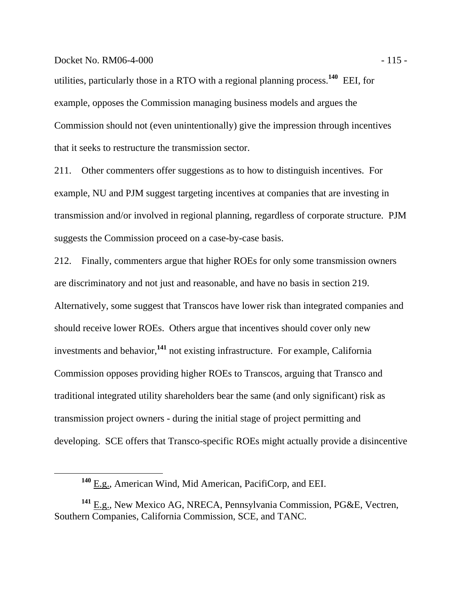### Docket No. RM06-4-000 - 115 -

utilities, particularly those in a RTO with a regional planning process.**<sup>140</sup>** EEI, for example, opposes the Commission managing business models and argues the Commission should not (even unintentionally) give the impression through incentives that it seeks to restructure the transmission sector.

211. Other commenters offer suggestions as to how to distinguish incentives. For example, NU and PJM suggest targeting incentives at companies that are investing in transmission and/or involved in regional planning, regardless of corporate structure. PJM suggests the Commission proceed on a case-by-case basis.

212. Finally, commenters argue that higher ROEs for only some transmission owners are discriminatory and not just and reasonable, and have no basis in section 219. Alternatively, some suggest that Transcos have lower risk than integrated companies and should receive lower ROEs. Others argue that incentives should cover only new investments and behavior,**<sup>141</sup>** not existing infrastructure. For example, California Commission opposes providing higher ROEs to Transcos, arguing that Transco and traditional integrated utility shareholders bear the same (and only significant) risk as transmission project owners - during the initial stage of project permitting and developing. SCE offers that Transco-specific ROEs might actually provide a disincentive

**<sup>140</sup>** E.g., American Wind, Mid American, PacifiCorp, and EEI.

**<sup>141</sup>** E.g., New Mexico AG, NRECA, Pennsylvania Commission, PG&E, Vectren, Southern Companies, California Commission, SCE, and TANC.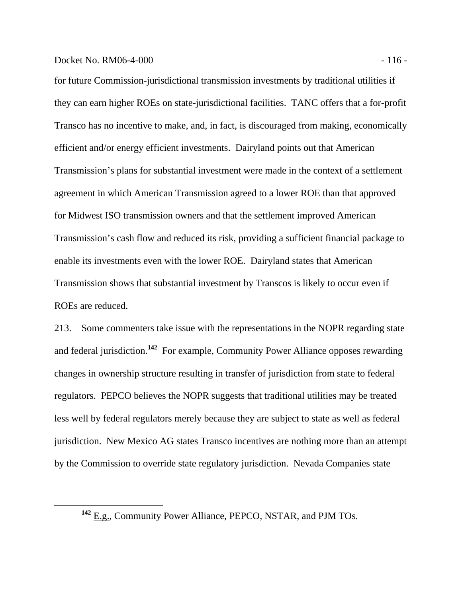### Docket No. RM06-4-000 - 116 - 116 - 116 - 116 - 116 - 116 - 116 - 116 - 116 - 116 - 116 - 116 - 116 - 116 - 116 - 116 - 116 - 116 - 116 - 116 - 116 - 116 - 116 - 116 - 116 - 116 - 116 - 116 - 116 - 116 - 116 - 116 - 116 -

for future Commission-jurisdictional transmission investments by traditional utilities if they can earn higher ROEs on state-jurisdictional facilities. TANC offers that a for-profit Transco has no incentive to make, and, in fact, is discouraged from making, economically efficient and/or energy efficient investments. Dairyland points out that American Transmission's plans for substantial investment were made in the context of a settlement agreement in which American Transmission agreed to a lower ROE than that approved for Midwest ISO transmission owners and that the settlement improved American Transmission's cash flow and reduced its risk, providing a sufficient financial package to enable its investments even with the lower ROE. Dairyland states that American Transmission shows that substantial investment by Transcos is likely to occur even if ROEs are reduced.

213. Some commenters take issue with the representations in the NOPR regarding state and federal jurisdiction.**<sup>142</sup>** For example, Community Power Alliance opposes rewarding changes in ownership structure resulting in transfer of jurisdiction from state to federal regulators. PEPCO believes the NOPR suggests that traditional utilities may be treated less well by federal regulators merely because they are subject to state as well as federal jurisdiction. New Mexico AG states Transco incentives are nothing more than an attempt by the Commission to override state regulatory jurisdiction. Nevada Companies state

**<sup>142</sup>** E.g., Community Power Alliance, PEPCO, NSTAR, and PJM TOs.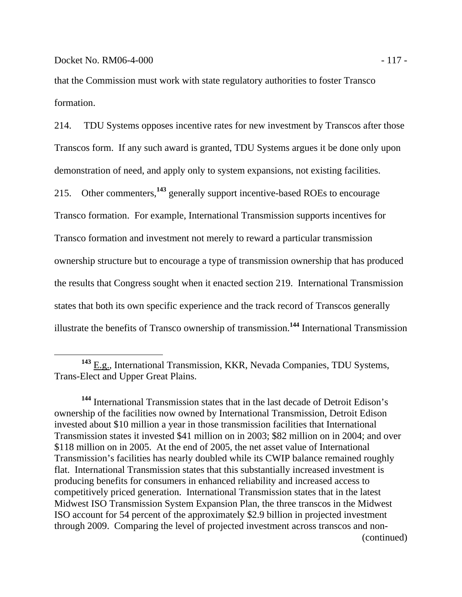that the Commission must work with state regulatory authorities to foster Transco formation.

214. TDU Systems opposes incentive rates for new investment by Transcos after those Transcos form. If any such award is granted, TDU Systems argues it be done only upon demonstration of need, and apply only to system expansions, not existing facilities. 215. Other commenters,**<sup>143</sup>** generally support incentive-based ROEs to encourage Transco formation. For example, International Transmission supports incentives for Transco formation and investment not merely to reward a particular transmission ownership structure but to encourage a type of transmission ownership that has produced the results that Congress sought when it enacted section 219. International Transmission states that both its own specific experience and the track record of Transcos generally illustrate the benefits of Transco ownership of transmission.**<sup>144</sup>** International Transmission

**<sup>144</sup>** International Transmission states that in the last decade of Detroit Edison's ownership of the facilities now owned by International Transmission, Detroit Edison invested about \$10 million a year in those transmission facilities that International Transmission states it invested \$41 million on in 2003; \$82 million on in 2004; and over \$118 million on in 2005. At the end of 2005, the net asset value of International Transmission's facilities has nearly doubled while its CWIP balance remained roughly flat. International Transmission states that this substantially increased investment is producing benefits for consumers in enhanced reliability and increased access to competitively priced generation. International Transmission states that in the latest Midwest ISO Transmission System Expansion Plan, the three transcos in the Midwest ISO account for 54 percent of the approximately \$2.9 billion in projected investment through 2009. Comparing the level of projected investment across transcos and non- (continued)

**<sup>143</sup>** E.g., International Transmission, KKR, Nevada Companies, TDU Systems, Trans-Elect and Upper Great Plains.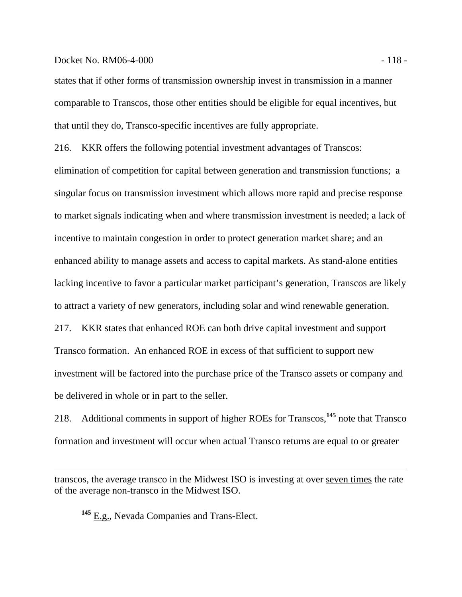### Docket No. RM06-4-000 - 118 -

states that if other forms of transmission ownership invest in transmission in a manner comparable to Transcos, those other entities should be eligible for equal incentives, but that until they do, Transco-specific incentives are fully appropriate.

216. KKR offers the following potential investment advantages of Transcos:

elimination of competition for capital between generation and transmission functions; a singular focus on transmission investment which allows more rapid and precise response to market signals indicating when and where transmission investment is needed; a lack of incentive to maintain congestion in order to protect generation market share; and an enhanced ability to manage assets and access to capital markets. As stand-alone entities lacking incentive to favor a particular market participant's generation, Transcos are likely to attract a variety of new generators, including solar and wind renewable generation. 217. KKR states that enhanced ROE can both drive capital investment and support Transco formation. An enhanced ROE in excess of that sufficient to support new investment will be factored into the purchase price of the Transco assets or company and

be delivered in whole or in part to the seller.

218. Additional comments in support of higher ROEs for Transcos,**<sup>145</sup>** note that Transco formation and investment will occur when actual Transco returns are equal to or greater

transcos, the average transco in the Midwest ISO is investing at over seven times the rate of the average non-transco in the Midwest ISO.

**<sup>145</sup>** E.g., Nevada Companies and Trans-Elect.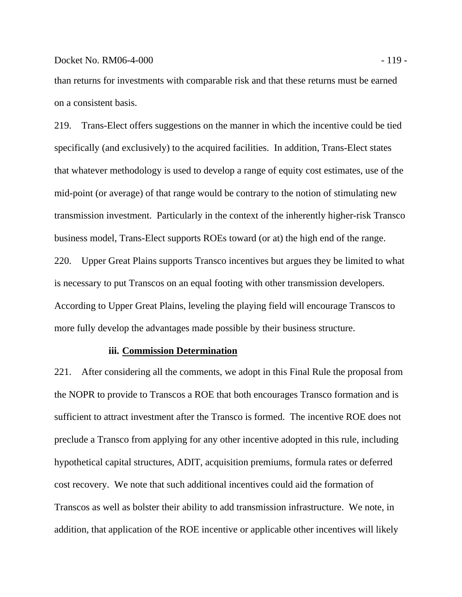### Docket No. RM06-4-000 - 119 - 119 - 119 - 119 - 119 - 119 - 119 - 119 - 119 - 119 - 119 - 119 - 119 - 119 - 119 - 119 - 119 - 119 - 119 - 119 - 119 - 119 - 119 - 119 - 119 - 119 - 119 - 119 - 119 - 119 - 119 - 119 - 119 -

than returns for investments with comparable risk and that these returns must be earned on a consistent basis.

219. Trans-Elect offers suggestions on the manner in which the incentive could be tied specifically (and exclusively) to the acquired facilities. In addition, Trans-Elect states that whatever methodology is used to develop a range of equity cost estimates, use of the mid-point (or average) of that range would be contrary to the notion of stimulating new transmission investment. Particularly in the context of the inherently higher-risk Transco business model, Trans-Elect supports ROEs toward (or at) the high end of the range. 220. Upper Great Plains supports Transco incentives but argues they be limited to what is necessary to put Transcos on an equal footing with other transmission developers. According to Upper Great Plains, leveling the playing field will encourage Transcos to more fully develop the advantages made possible by their business structure.

### **iii. Commission Determination**

221. After considering all the comments, we adopt in this Final Rule the proposal from the NOPR to provide to Transcos a ROE that both encourages Transco formation and is sufficient to attract investment after the Transco is formed. The incentive ROE does not preclude a Transco from applying for any other incentive adopted in this rule, including hypothetical capital structures, ADIT, acquisition premiums, formula rates or deferred cost recovery. We note that such additional incentives could aid the formation of Transcos as well as bolster their ability to add transmission infrastructure. We note, in addition, that application of the ROE incentive or applicable other incentives will likely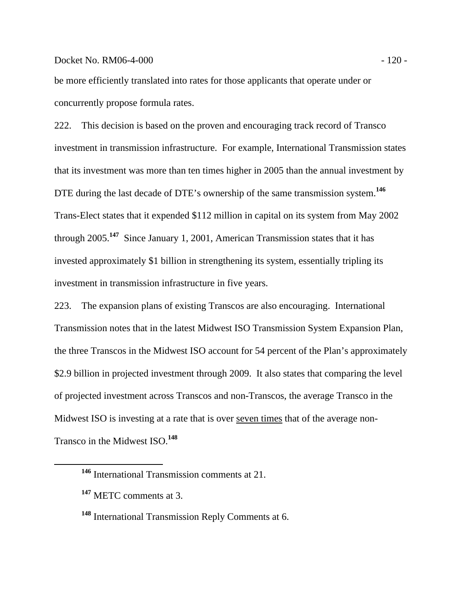### Docket No. RM06-4-000 - 120 - 120 - 120 - 120 - 120 - 120 - 120 - 120 - 120 - 120 - 120 - 120 - 120 - 120 - 120 - 120 - 120 - 120 - 120 - 120 - 120 - 120 - 120 - 120 - 120 - 120 - 120 - 120 - 120 - 120 - 120 - 120 - 120 -

be more efficiently translated into rates for those applicants that operate under or concurrently propose formula rates.

222. This decision is based on the proven and encouraging track record of Transco investment in transmission infrastructure. For example, International Transmission states that its investment was more than ten times higher in 2005 than the annual investment by DTE during the last decade of DTE's ownership of the same transmission system.**<sup>146</sup>** Trans-Elect states that it expended \$112 million in capital on its system from May 2002 through 2005.**<sup>147</sup>** Since January 1, 2001, American Transmission states that it has invested approximately \$1 billion in strengthening its system, essentially tripling its investment in transmission infrastructure in five years.

223. The expansion plans of existing Transcos are also encouraging. International Transmission notes that in the latest Midwest ISO Transmission System Expansion Plan, the three Transcos in the Midwest ISO account for 54 percent of the Plan's approximately \$2.9 billion in projected investment through 2009. It also states that comparing the level of projected investment across Transcos and non-Transcos, the average Transco in the Midwest ISO is investing at a rate that is over seven times that of the average non-Transco in the Midwest ISO.**<sup>148</sup>**

**<sup>146</sup>** International Transmission comments at 21.

**<sup>147</sup>** METC comments at 3.

**<sup>148</sup>** International Transmission Reply Comments at 6.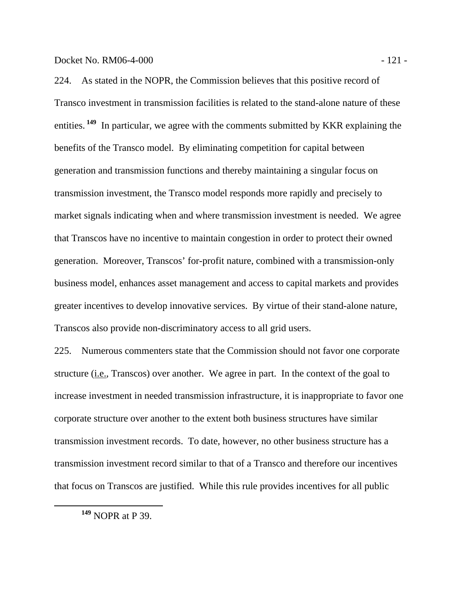Docket No. RM06-4-000 - 121 -

224. As stated in the NOPR, the Commission believes that this positive record of Transco investment in transmission facilities is related to the stand-alone nature of these entities.<sup>149</sup> In particular, we agree with the comments submitted by KKR explaining the benefits of the Transco model. By eliminating competition for capital between generation and transmission functions and thereby maintaining a singular focus on transmission investment, the Transco model responds more rapidly and precisely to market signals indicating when and where transmission investment is needed. We agree that Transcos have no incentive to maintain congestion in order to protect their owned generation. Moreover, Transcos' for-profit nature, combined with a transmission-only business model, enhances asset management and access to capital markets and provides greater incentives to develop innovative services. By virtue of their stand-alone nature, Transcos also provide non-discriminatory access to all grid users.

225. Numerous commenters state that the Commission should not favor one corporate structure (i.e., Transcos) over another. We agree in part. In the context of the goal to increase investment in needed transmission infrastructure, it is inappropriate to favor one corporate structure over another to the extent both business structures have similar transmission investment records. To date, however, no other business structure has a transmission investment record similar to that of a Transco and therefore our incentives that focus on Transcos are justified. While this rule provides incentives for all public

**<sup>149</sup>** NOPR at P 39.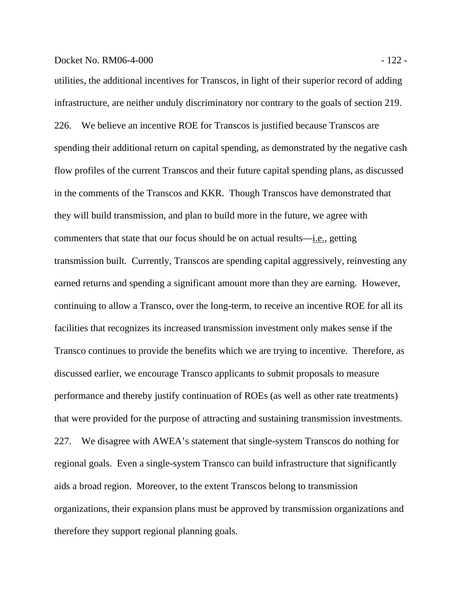# Docket No. RM06-4-000 - 122 -

utilities, the additional incentives for Transcos, in light of their superior record of adding infrastructure, are neither unduly discriminatory nor contrary to the goals of section 219. 226. We believe an incentive ROE for Transcos is justified because Transcos are spending their additional return on capital spending, as demonstrated by the negative cash flow profiles of the current Transcos and their future capital spending plans, as discussed in the comments of the Transcos and KKR. Though Transcos have demonstrated that they will build transmission, and plan to build more in the future, we agree with commenters that state that our focus should be on actual results—i.e., getting transmission built. Currently, Transcos are spending capital aggressively, reinvesting any earned returns and spending a significant amount more than they are earning. However, continuing to allow a Transco, over the long-term, to receive an incentive ROE for all its facilities that recognizes its increased transmission investment only makes sense if the Transco continues to provide the benefits which we are trying to incentive. Therefore, as discussed earlier, we encourage Transco applicants to submit proposals to measure performance and thereby justify continuation of ROEs (as well as other rate treatments) that were provided for the purpose of attracting and sustaining transmission investments. 227. We disagree with AWEA's statement that single-system Transcos do nothing for regional goals. Even a single-system Transco can build infrastructure that significantly aids a broad region. Moreover, to the extent Transcos belong to transmission organizations, their expansion plans must be approved by transmission organizations and

therefore they support regional planning goals.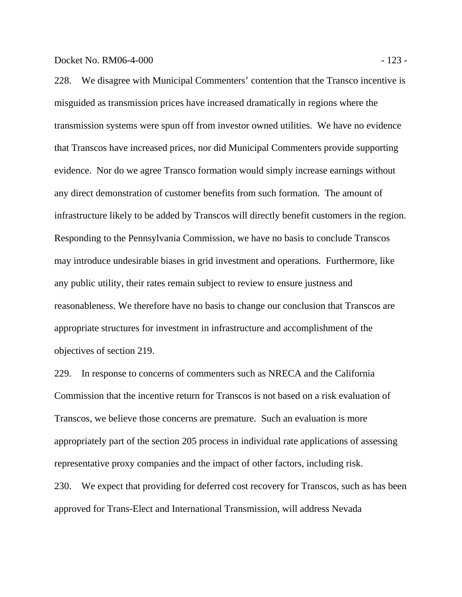228. We disagree with Municipal Commenters' contention that the Transco incentive is misguided as transmission prices have increased dramatically in regions where the transmission systems were spun off from investor owned utilities. We have no evidence that Transcos have increased prices, nor did Municipal Commenters provide supporting evidence. Nor do we agree Transco formation would simply increase earnings without any direct demonstration of customer benefits from such formation. The amount of infrastructure likely to be added by Transcos will directly benefit customers in the region. Responding to the Pennsylvania Commission, we have no basis to conclude Transcos may introduce undesirable biases in grid investment and operations. Furthermore, like any public utility, their rates remain subject to review to ensure justness and reasonableness. We therefore have no basis to change our conclusion that Transcos are appropriate structures for investment in infrastructure and accomplishment of the objectives of section 219.

229. In response to concerns of commenters such as NRECA and the California Commission that the incentive return for Transcos is not based on a risk evaluation of Transcos, we believe those concerns are premature. Such an evaluation is more appropriately part of the section 205 process in individual rate applications of assessing representative proxy companies and the impact of other factors, including risk. 230. We expect that providing for deferred cost recovery for Transcos, such as has been approved for Trans-Elect and International Transmission, will address Nevada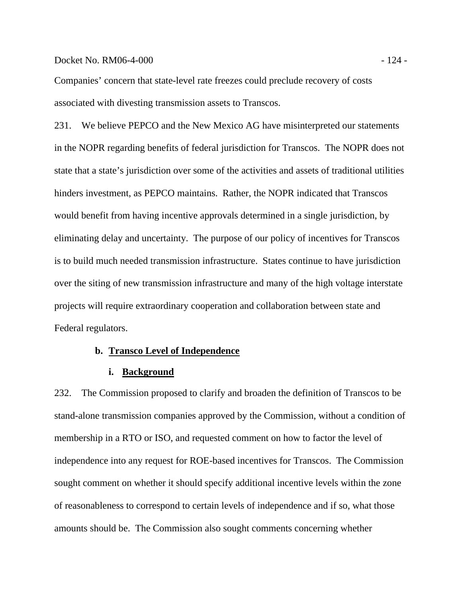# Docket No. RM06-4-000 - 124 -

Companies' concern that state-level rate freezes could preclude recovery of costs associated with divesting transmission assets to Transcos.

231. We believe PEPCO and the New Mexico AG have misinterpreted our statements in the NOPR regarding benefits of federal jurisdiction for Transcos. The NOPR does not state that a state's jurisdiction over some of the activities and assets of traditional utilities hinders investment, as PEPCO maintains. Rather, the NOPR indicated that Transcos would benefit from having incentive approvals determined in a single jurisdiction, by eliminating delay and uncertainty. The purpose of our policy of incentives for Transcos is to build much needed transmission infrastructure. States continue to have jurisdiction over the siting of new transmission infrastructure and many of the high voltage interstate projects will require extraordinary cooperation and collaboration between state and Federal regulators.

### **b. Transco Level of Independence**

#### **i. Background**

232. The Commission proposed to clarify and broaden the definition of Transcos to be stand-alone transmission companies approved by the Commission, without a condition of membership in a RTO or ISO, and requested comment on how to factor the level of independence into any request for ROE-based incentives for Transcos. The Commission sought comment on whether it should specify additional incentive levels within the zone of reasonableness to correspond to certain levels of independence and if so, what those amounts should be. The Commission also sought comments concerning whether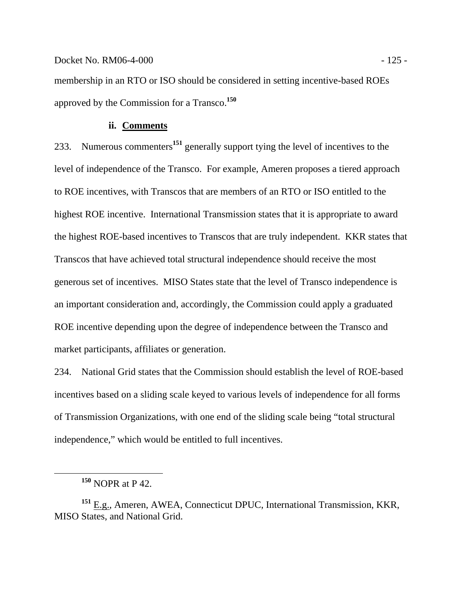membership in an RTO or ISO should be considered in setting incentive-based ROEs approved by the Commission for a Transco.**<sup>150</sup>**

## **ii. Comments**

233. Numerous commenters**<sup>151</sup>** generally support tying the level of incentives to the level of independence of the Transco. For example, Ameren proposes a tiered approach to ROE incentives, with Transcos that are members of an RTO or ISO entitled to the highest ROE incentive. International Transmission states that it is appropriate to award the highest ROE-based incentives to Transcos that are truly independent. KKR states that Transcos that have achieved total structural independence should receive the most generous set of incentives. MISO States state that the level of Transco independence is an important consideration and, accordingly, the Commission could apply a graduated ROE incentive depending upon the degree of independence between the Transco and market participants, affiliates or generation.

234. National Grid states that the Commission should establish the level of ROE-based incentives based on a sliding scale keyed to various levels of independence for all forms of Transmission Organizations, with one end of the sliding scale being "total structural independence," which would be entitled to full incentives.

**<sup>150</sup>** NOPR at P 42.

**<sup>151</sup>** E.g., Ameren, AWEA, Connecticut DPUC, International Transmission, KKR, MISO States, and National Grid.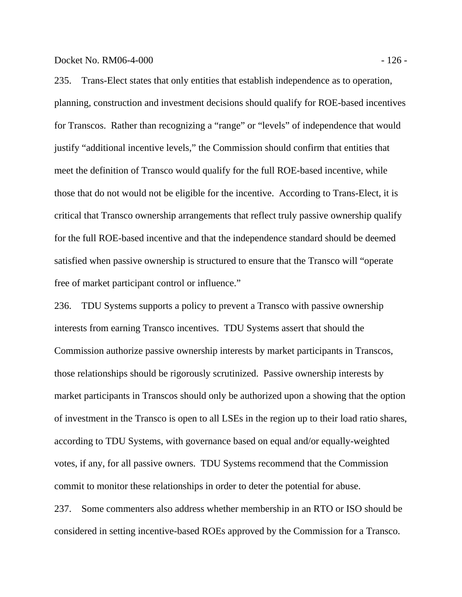Docket No. RM06-4-000 - 126 -

235. Trans-Elect states that only entities that establish independence as to operation, planning, construction and investment decisions should qualify for ROE-based incentives for Transcos. Rather than recognizing a "range" or "levels" of independence that would justify "additional incentive levels," the Commission should confirm that entities that meet the definition of Transco would qualify for the full ROE-based incentive, while those that do not would not be eligible for the incentive. According to Trans-Elect, it is critical that Transco ownership arrangements that reflect truly passive ownership qualify for the full ROE-based incentive and that the independence standard should be deemed satisfied when passive ownership is structured to ensure that the Transco will "operate free of market participant control or influence."

236. TDU Systems supports a policy to prevent a Transco with passive ownership interests from earning Transco incentives. TDU Systems assert that should the Commission authorize passive ownership interests by market participants in Transcos, those relationships should be rigorously scrutinized. Passive ownership interests by market participants in Transcos should only be authorized upon a showing that the option of investment in the Transco is open to all LSEs in the region up to their load ratio shares, according to TDU Systems, with governance based on equal and/or equally-weighted votes, if any, for all passive owners. TDU Systems recommend that the Commission commit to monitor these relationships in order to deter the potential for abuse.

237. Some commenters also address whether membership in an RTO or ISO should be considered in setting incentive-based ROEs approved by the Commission for a Transco.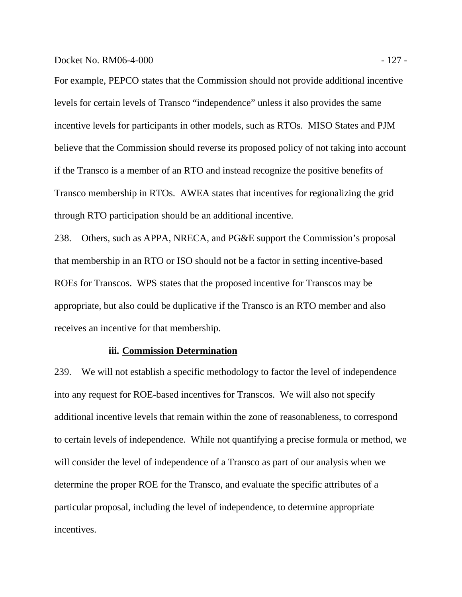Docket No. RM06-4-000 - 127 -

For example, PEPCO states that the Commission should not provide additional incentive levels for certain levels of Transco "independence" unless it also provides the same incentive levels for participants in other models, such as RTOs. MISO States and PJM believe that the Commission should reverse its proposed policy of not taking into account if the Transco is a member of an RTO and instead recognize the positive benefits of Transco membership in RTOs. AWEA states that incentives for regionalizing the grid through RTO participation should be an additional incentive.

238. Others, such as APPA, NRECA, and PG&E support the Commission's proposal that membership in an RTO or ISO should not be a factor in setting incentive-based ROEs for Transcos. WPS states that the proposed incentive for Transcos may be appropriate, but also could be duplicative if the Transco is an RTO member and also receives an incentive for that membership.

# **iii. Commission Determination**

239. We will not establish a specific methodology to factor the level of independence into any request for ROE-based incentives for Transcos. We will also not specify additional incentive levels that remain within the zone of reasonableness, to correspond to certain levels of independence. While not quantifying a precise formula or method, we will consider the level of independence of a Transco as part of our analysis when we determine the proper ROE for the Transco, and evaluate the specific attributes of a particular proposal, including the level of independence, to determine appropriate incentives.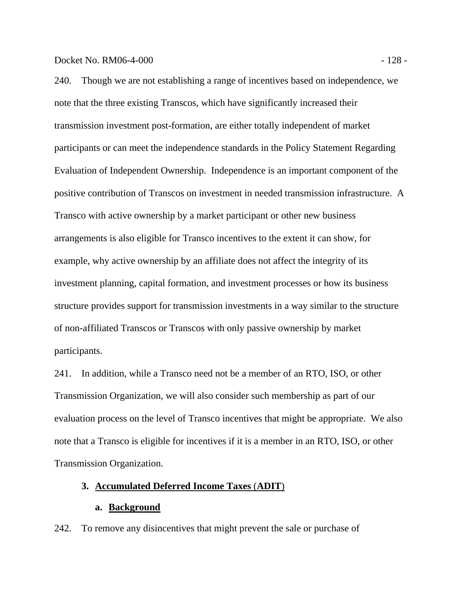240. Though we are not establishing a range of incentives based on independence, we note that the three existing Transcos, which have significantly increased their transmission investment post-formation, are either totally independent of market participants or can meet the independence standards in the Policy Statement Regarding Evaluation of Independent Ownership. Independence is an important component of the positive contribution of Transcos on investment in needed transmission infrastructure. A Transco with active ownership by a market participant or other new business arrangements is also eligible for Transco incentives to the extent it can show, for example, why active ownership by an affiliate does not affect the integrity of its investment planning, capital formation, and investment processes or how its business structure provides support for transmission investments in a way similar to the structure of non-affiliated Transcos or Transcos with only passive ownership by market participants.

241. In addition, while a Transco need not be a member of an RTO, ISO, or other Transmission Organization, we will also consider such membership as part of our evaluation process on the level of Transco incentives that might be appropriate. We also note that a Transco is eligible for incentives if it is a member in an RTO, ISO, or other Transmission Organization.

## **3. Accumulated Deferred Income Taxes** (**ADIT**)

#### **a. Background**

242. To remove any disincentives that might prevent the sale or purchase of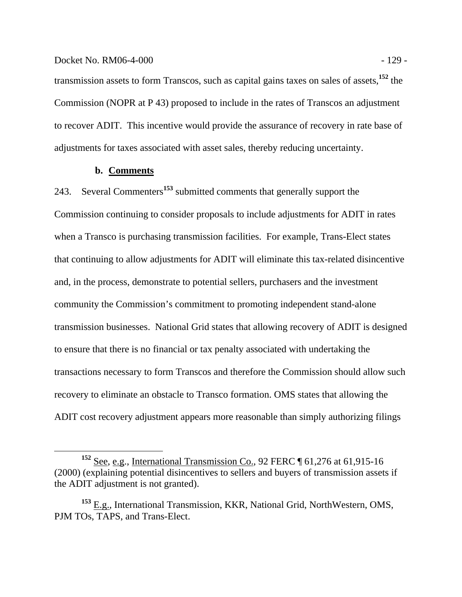transmission assets to form Transcos, such as capital gains taxes on sales of assets,**<sup>152</sup>** the Commission (NOPR at P 43) proposed to include in the rates of Transcos an adjustment to recover ADIT. This incentive would provide the assurance of recovery in rate base of adjustments for taxes associated with asset sales, thereby reducing uncertainty.

#### **b. Comments**

243. Several Commenters**<sup>153</sup>** submitted comments that generally support the Commission continuing to consider proposals to include adjustments for ADIT in rates when a Transco is purchasing transmission facilities. For example, Trans-Elect states that continuing to allow adjustments for ADIT will eliminate this tax-related disincentive and, in the process, demonstrate to potential sellers, purchasers and the investment community the Commission's commitment to promoting independent stand-alone transmission businesses. National Grid states that allowing recovery of ADIT is designed to ensure that there is no financial or tax penalty associated with undertaking the transactions necessary to form Transcos and therefore the Commission should allow such recovery to eliminate an obstacle to Transco formation. OMS states that allowing the ADIT cost recovery adjustment appears more reasonable than simply authorizing filings

<sup>&</sup>lt;sup>152</sup> See, e.g., International Transmission Co., 92 FERC ¶ 61,276 at 61,915-16 (2000) (explaining potential disincentives to sellers and buyers of transmission assets if the ADIT adjustment is not granted).

**<sup>153</sup>** E.g., International Transmission, KKR, National Grid, NorthWestern, OMS, PJM TOs, TAPS, and Trans-Elect.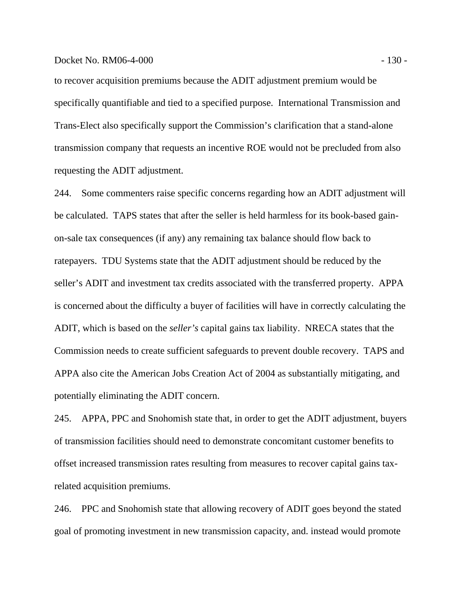#### Docket No. RM06-4-000 - 130 - 130 - 130 - 130 - 130 - 130 - 130 - 130 - 130 - 130 - 130 - 130 - 130 - 130 - 130 - 130 - 130 - 130 - 130 - 130 - 130 - 130 - 130 - 130 - 130 - 130 - 130 - 130 - 130 - 130 - 130 - 130 - 130 -

to recover acquisition premiums because the ADIT adjustment premium would be specifically quantifiable and tied to a specified purpose. International Transmission and Trans-Elect also specifically support the Commission's clarification that a stand-alone transmission company that requests an incentive ROE would not be precluded from also requesting the ADIT adjustment.

244. Some commenters raise specific concerns regarding how an ADIT adjustment will be calculated. TAPS states that after the seller is held harmless for its book-based gainon-sale tax consequences (if any) any remaining tax balance should flow back to ratepayers. TDU Systems state that the ADIT adjustment should be reduced by the seller's ADIT and investment tax credits associated with the transferred property. APPA is concerned about the difficulty a buyer of facilities will have in correctly calculating the ADIT, which is based on the *seller's* capital gains tax liability. NRECA states that the Commission needs to create sufficient safeguards to prevent double recovery. TAPS and APPA also cite the American Jobs Creation Act of 2004 as substantially mitigating, and potentially eliminating the ADIT concern.

245. APPA, PPC and Snohomish state that, in order to get the ADIT adjustment, buyers of transmission facilities should need to demonstrate concomitant customer benefits to offset increased transmission rates resulting from measures to recover capital gains taxrelated acquisition premiums.

246. PPC and Snohomish state that allowing recovery of ADIT goes beyond the stated goal of promoting investment in new transmission capacity, and. instead would promote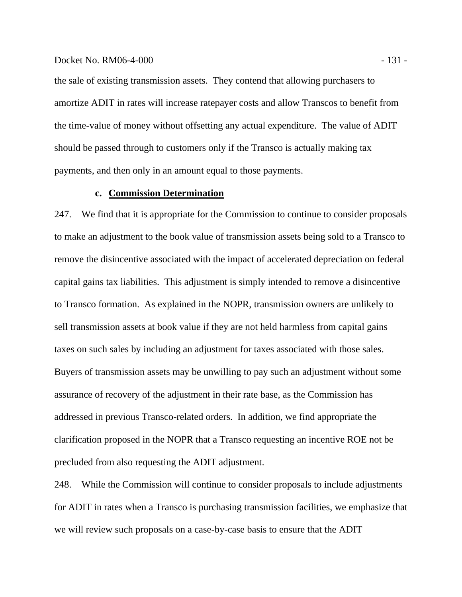### Docket No. RM06-4-000 - 131 -

the sale of existing transmission assets. They contend that allowing purchasers to amortize ADIT in rates will increase ratepayer costs and allow Transcos to benefit from the time-value of money without offsetting any actual expenditure. The value of ADIT should be passed through to customers only if the Transco is actually making tax payments, and then only in an amount equal to those payments.

# **c. Commission Determination**

247. We find that it is appropriate for the Commission to continue to consider proposals to make an adjustment to the book value of transmission assets being sold to a Transco to remove the disincentive associated with the impact of accelerated depreciation on federal capital gains tax liabilities. This adjustment is simply intended to remove a disincentive to Transco formation. As explained in the NOPR, transmission owners are unlikely to sell transmission assets at book value if they are not held harmless from capital gains taxes on such sales by including an adjustment for taxes associated with those sales. Buyers of transmission assets may be unwilling to pay such an adjustment without some assurance of recovery of the adjustment in their rate base, as the Commission has addressed in previous Transco-related orders. In addition, we find appropriate the clarification proposed in the NOPR that a Transco requesting an incentive ROE not be precluded from also requesting the ADIT adjustment.

248. While the Commission will continue to consider proposals to include adjustments for ADIT in rates when a Transco is purchasing transmission facilities, we emphasize that we will review such proposals on a case-by-case basis to ensure that the ADIT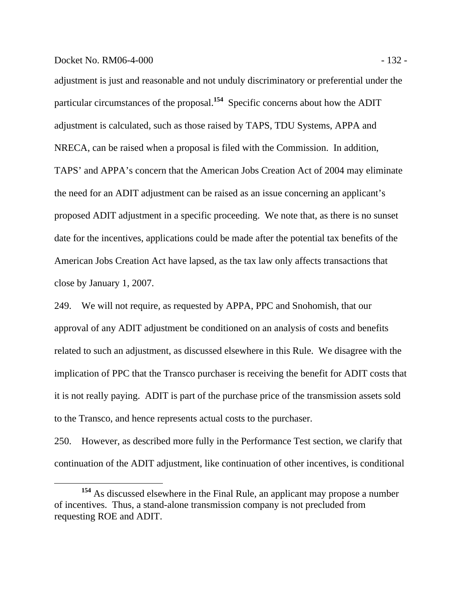### Docket No. RM06-4-000 - 132 -

adjustment is just and reasonable and not unduly discriminatory or preferential under the particular circumstances of the proposal.**<sup>154</sup>** Specific concerns about how the ADIT adjustment is calculated, such as those raised by TAPS, TDU Systems, APPA and NRECA, can be raised when a proposal is filed with the Commission. In addition, TAPS' and APPA's concern that the American Jobs Creation Act of 2004 may eliminate the need for an ADIT adjustment can be raised as an issue concerning an applicant's proposed ADIT adjustment in a specific proceeding. We note that, as there is no sunset date for the incentives, applications could be made after the potential tax benefits of the American Jobs Creation Act have lapsed, as the tax law only affects transactions that close by January 1, 2007.

249. We will not require, as requested by APPA, PPC and Snohomish, that our approval of any ADIT adjustment be conditioned on an analysis of costs and benefits related to such an adjustment, as discussed elsewhere in this Rule. We disagree with the implication of PPC that the Transco purchaser is receiving the benefit for ADIT costs that it is not really paying. ADIT is part of the purchase price of the transmission assets sold to the Transco, and hence represents actual costs to the purchaser.

250. However, as described more fully in the Performance Test section, we clarify that continuation of the ADIT adjustment, like continuation of other incentives, is conditional

**<sup>154</sup>** As discussed elsewhere in the Final Rule, an applicant may propose a number of incentives. Thus, a stand-alone transmission company is not precluded from requesting ROE and ADIT.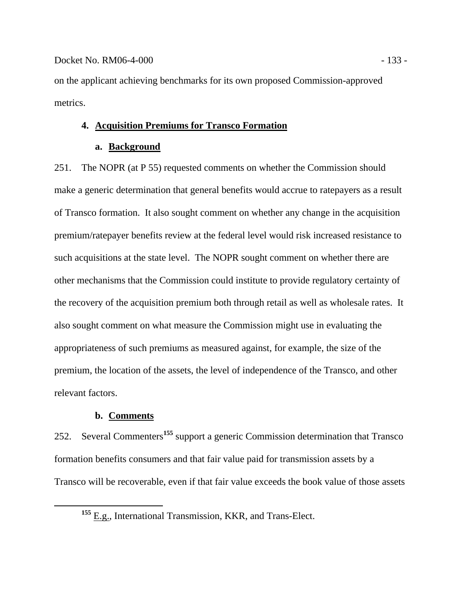on the applicant achieving benchmarks for its own proposed Commission-approved metrics.

# **4. Acquisition Premiums for Transco Formation**

# **a. Background**

251. The NOPR (at P 55) requested comments on whether the Commission should make a generic determination that general benefits would accrue to ratepayers as a result of Transco formation. It also sought comment on whether any change in the acquisition premium/ratepayer benefits review at the federal level would risk increased resistance to such acquisitions at the state level. The NOPR sought comment on whether there are other mechanisms that the Commission could institute to provide regulatory certainty of the recovery of the acquisition premium both through retail as well as wholesale rates. It also sought comment on what measure the Commission might use in evaluating the appropriateness of such premiums as measured against, for example, the size of the premium, the location of the assets, the level of independence of the Transco, and other relevant factors.

# **b. Comments**

252. Several Commenters**<sup>155</sup>** support a generic Commission determination that Transco formation benefits consumers and that fair value paid for transmission assets by a Transco will be recoverable, even if that fair value exceeds the book value of those assets

<sup>&</sup>lt;sup>155</sup> E.g., International Transmission, KKR, and Trans-Elect.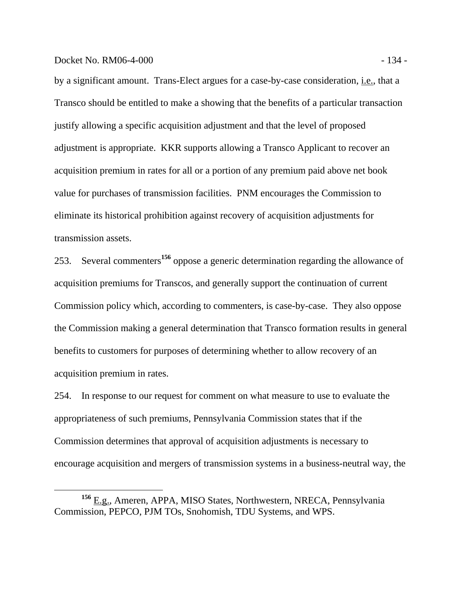### Docket No. RM06-4-000 - 134 -

by a significant amount. Trans-Elect argues for a case-by-case consideration, i.e., that a Transco should be entitled to make a showing that the benefits of a particular transaction justify allowing a specific acquisition adjustment and that the level of proposed adjustment is appropriate. KKR supports allowing a Transco Applicant to recover an acquisition premium in rates for all or a portion of any premium paid above net book value for purchases of transmission facilities. PNM encourages the Commission to eliminate its historical prohibition against recovery of acquisition adjustments for transmission assets.

253. Several commenters**<sup>156</sup>** oppose a generic determination regarding the allowance of acquisition premiums for Transcos, and generally support the continuation of current Commission policy which, according to commenters, is case-by-case. They also oppose the Commission making a general determination that Transco formation results in general benefits to customers for purposes of determining whether to allow recovery of an acquisition premium in rates.

254. In response to our request for comment on what measure to use to evaluate the appropriateness of such premiums, Pennsylvania Commission states that if the Commission determines that approval of acquisition adjustments is necessary to encourage acquisition and mergers of transmission systems in a business-neutral way, the

**<sup>156</sup>** E.g., Ameren, APPA, MISO States, Northwestern, NRECA, Pennsylvania Commission, PEPCO, PJM TOs, Snohomish, TDU Systems, and WPS.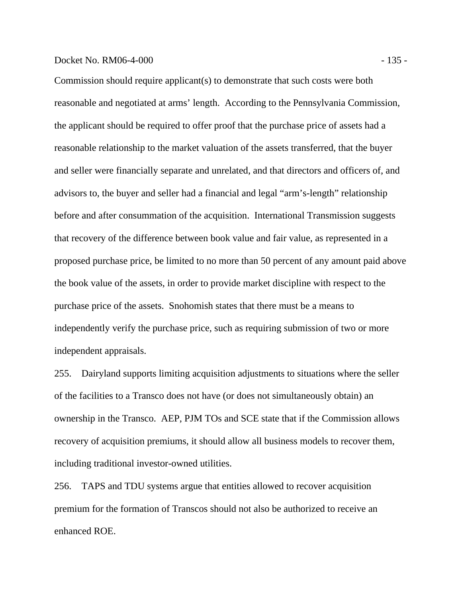### Docket No. RM06-4-000 - 135 -

Commission should require applicant(s) to demonstrate that such costs were both reasonable and negotiated at arms' length. According to the Pennsylvania Commission, the applicant should be required to offer proof that the purchase price of assets had a reasonable relationship to the market valuation of the assets transferred, that the buyer and seller were financially separate and unrelated, and that directors and officers of, and advisors to, the buyer and seller had a financial and legal "arm's-length" relationship before and after consummation of the acquisition. International Transmission suggests that recovery of the difference between book value and fair value, as represented in a proposed purchase price, be limited to no more than 50 percent of any amount paid above the book value of the assets, in order to provide market discipline with respect to the purchase price of the assets. Snohomish states that there must be a means to independently verify the purchase price, such as requiring submission of two or more independent appraisals.

255. Dairyland supports limiting acquisition adjustments to situations where the seller of the facilities to a Transco does not have (or does not simultaneously obtain) an ownership in the Transco. AEP, PJM TOs and SCE state that if the Commission allows recovery of acquisition premiums, it should allow all business models to recover them, including traditional investor-owned utilities.

256. TAPS and TDU systems argue that entities allowed to recover acquisition premium for the formation of Transcos should not also be authorized to receive an enhanced ROE.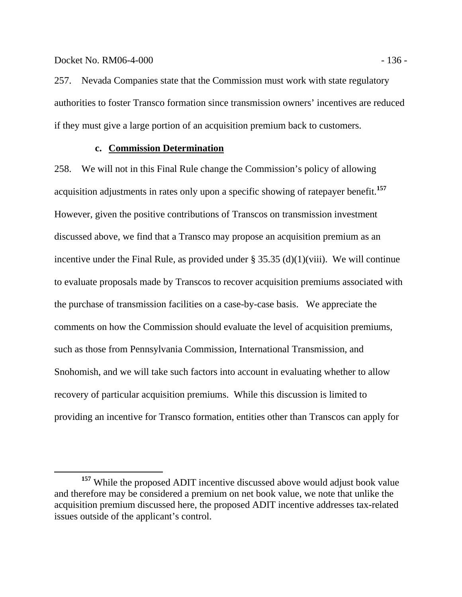257. Nevada Companies state that the Commission must work with state regulatory authorities to foster Transco formation since transmission owners' incentives are reduced if they must give a large portion of an acquisition premium back to customers.

### **c. Commission Determination**

258. We will not in this Final Rule change the Commission's policy of allowing acquisition adjustments in rates only upon a specific showing of ratepayer benefit.**<sup>157</sup>** However, given the positive contributions of Transcos on transmission investment discussed above, we find that a Transco may propose an acquisition premium as an incentive under the Final Rule, as provided under  $\S 35.35$  (d)(1)(viii). We will continue to evaluate proposals made by Transcos to recover acquisition premiums associated with the purchase of transmission facilities on a case-by-case basis. We appreciate the comments on how the Commission should evaluate the level of acquisition premiums, such as those from Pennsylvania Commission, International Transmission, and Snohomish, and we will take such factors into account in evaluating whether to allow recovery of particular acquisition premiums. While this discussion is limited to providing an incentive for Transco formation, entities other than Transcos can apply for

**<sup>157</sup>** While the proposed ADIT incentive discussed above would adjust book value and therefore may be considered a premium on net book value, we note that unlike the acquisition premium discussed here, the proposed ADIT incentive addresses tax-related issues outside of the applicant's control.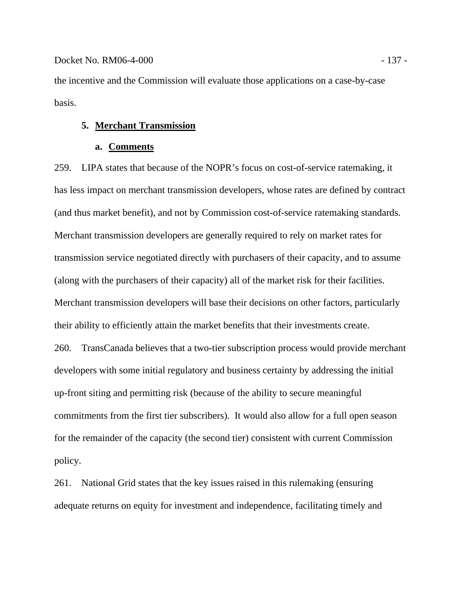the incentive and the Commission will evaluate those applications on a case-by-case basis.

### **5. Merchant Transmission**

#### **a. Comments**

259. LIPA states that because of the NOPR's focus on cost-of-service ratemaking, it has less impact on merchant transmission developers, whose rates are defined by contract (and thus market benefit), and not by Commission cost-of-service ratemaking standards. Merchant transmission developers are generally required to rely on market rates for transmission service negotiated directly with purchasers of their capacity, and to assume (along with the purchasers of their capacity) all of the market risk for their facilities. Merchant transmission developers will base their decisions on other factors, particularly their ability to efficiently attain the market benefits that their investments create. 260. TransCanada believes that a two-tier subscription process would provide merchant developers with some initial regulatory and business certainty by addressing the initial up-front siting and permitting risk (because of the ability to secure meaningful commitments from the first tier subscribers). It would also allow for a full open season

for the remainder of the capacity (the second tier) consistent with current Commission policy.

261. National Grid states that the key issues raised in this rulemaking (ensuring adequate returns on equity for investment and independence, facilitating timely and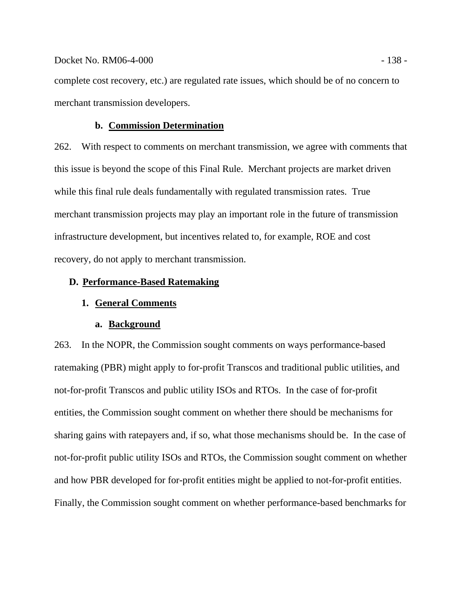complete cost recovery, etc.) are regulated rate issues, which should be of no concern to merchant transmission developers.

### **b. Commission Determination**

262. With respect to comments on merchant transmission, we agree with comments that this issue is beyond the scope of this Final Rule. Merchant projects are market driven while this final rule deals fundamentally with regulated transmission rates. True merchant transmission projects may play an important role in the future of transmission infrastructure development, but incentives related to, for example, ROE and cost recovery, do not apply to merchant transmission.

# **D. Performance-Based Ratemaking**

# **1. General Comments**

### **a. Background**

263. In the NOPR, the Commission sought comments on ways performance-based ratemaking (PBR) might apply to for-profit Transcos and traditional public utilities, and not-for-profit Transcos and public utility ISOs and RTOs. In the case of for-profit entities, the Commission sought comment on whether there should be mechanisms for sharing gains with ratepayers and, if so, what those mechanisms should be. In the case of not-for-profit public utility ISOs and RTOs, the Commission sought comment on whether and how PBR developed for for-profit entities might be applied to not-for-profit entities. Finally, the Commission sought comment on whether performance-based benchmarks for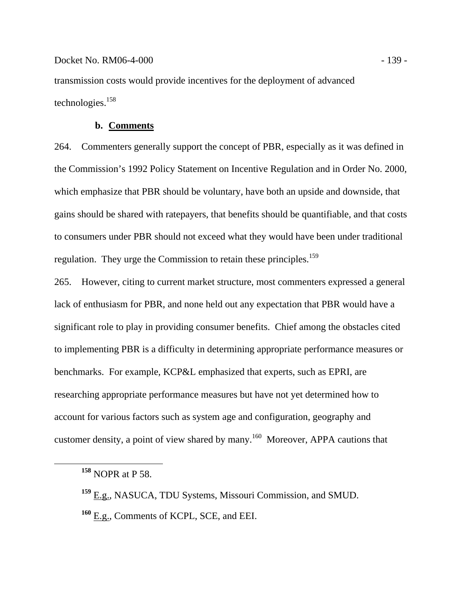### Docket No. RM06-4-000 - 139 - 139 - 139 - 139 - 139 - 139 - 139 - 139 - 139 - 139 - 139 - 139 - 139 - 139 - 139 - 139 - 139 - 139 - 139 - 139 - 139 - 139 - 139 - 139 - 139 - 139 - 139 - 139 - 139 - 139 - 139 - 139 - 139 -

transmission costs would provide incentives for the deployment of advanced technologies.158

# **b. Comments**

264. Commenters generally support the concept of PBR, especially as it was defined in the Commission's 1992 Policy Statement on Incentive Regulation and in Order No. 2000, which emphasize that PBR should be voluntary, have both an upside and downside, that gains should be shared with ratepayers, that benefits should be quantifiable, and that costs to consumers under PBR should not exceed what they would have been under traditional regulation. They urge the Commission to retain these principles.<sup>159</sup>

265. However, citing to current market structure, most commenters expressed a general lack of enthusiasm for PBR, and none held out any expectation that PBR would have a significant role to play in providing consumer benefits. Chief among the obstacles cited to implementing PBR is a difficulty in determining appropriate performance measures or benchmarks. For example, KCP&L emphasized that experts, such as EPRI, are researching appropriate performance measures but have not yet determined how to account for various factors such as system age and configuration, geography and customer density, a point of view shared by many.<sup>160</sup> Moreover, APPA cautions that

**<sup>158</sup>** NOPR at P 58.

**<sup>159</sup>** E.g., NASUCA, TDU Systems, Missouri Commission, and SMUD. **<sup>160</sup>** E.g., Comments of KCPL, SCE, and EEI.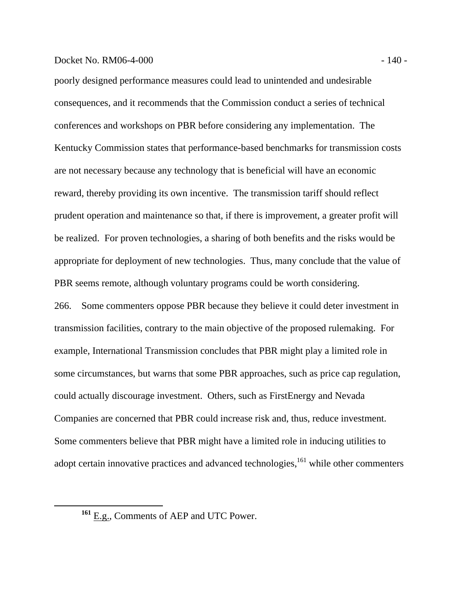#### Docket No. RM06-4-000 - 140 - 140 - 140 - 140 - 140 - 140 - 140 - 140 - 140 - 140 - 140 - 140 - 140 - 140 - 140 - 140 - 140 - 140 - 140 - 140 - 140 - 140 - 140 - 140 - 140 - 140 - 140 - 140 - 140 - 140 - 140 - 140 - 140 -

poorly designed performance measures could lead to unintended and undesirable consequences, and it recommends that the Commission conduct a series of technical conferences and workshops on PBR before considering any implementation. The Kentucky Commission states that performance-based benchmarks for transmission costs are not necessary because any technology that is beneficial will have an economic reward, thereby providing its own incentive. The transmission tariff should reflect prudent operation and maintenance so that, if there is improvement, a greater profit will be realized. For proven technologies, a sharing of both benefits and the risks would be appropriate for deployment of new technologies. Thus, many conclude that the value of PBR seems remote, although voluntary programs could be worth considering.

266. Some commenters oppose PBR because they believe it could deter investment in transmission facilities, contrary to the main objective of the proposed rulemaking. For example, International Transmission concludes that PBR might play a limited role in some circumstances, but warns that some PBR approaches, such as price cap regulation, could actually discourage investment. Others, such as FirstEnergy and Nevada Companies are concerned that PBR could increase risk and, thus, reduce investment. Some commenters believe that PBR might have a limited role in inducing utilities to adopt certain innovative practices and advanced technologies, $161$  while other commenters

**<sup>161</sup>** E.g., Comments of AEP and UTC Power.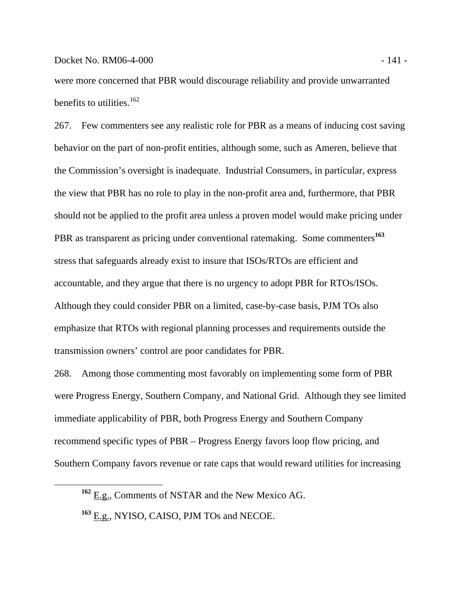were more concerned that PBR would discourage reliability and provide unwarranted benefits to utilities. $162$ 

267. Few commenters see any realistic role for PBR as a means of inducing cost saving behavior on the part of non-profit entities, although some, such as Ameren, believe that the Commission's oversight is inadequate. Industrial Consumers, in particular, express the view that PBR has no role to play in the non-profit area and, furthermore, that PBR should not be applied to the profit area unless a proven model would make pricing under PBR as transparent as pricing under conventional ratemaking. Some commenters**<sup>163</sup>** stress that safeguards already exist to insure that ISOs/RTOs are efficient and accountable, and they argue that there is no urgency to adopt PBR for RTOs/ISOs. Although they could consider PBR on a limited, case-by-case basis, PJM TOs also emphasize that RTOs with regional planning processes and requirements outside the transmission owners' control are poor candidates for PBR.

268. Among those commenting most favorably on implementing some form of PBR were Progress Energy, Southern Company, and National Grid. Although they see limited immediate applicability of PBR, both Progress Energy and Southern Company recommend specific types of PBR – Progress Energy favors loop flow pricing, and Southern Company favors revenue or rate caps that would reward utilities for increasing

**<sup>162</sup>** E.g., Comments of NSTAR and the New Mexico AG.

**<sup>163</sup>** E.g., NYISO, CAISO, PJM TOs and NECOE.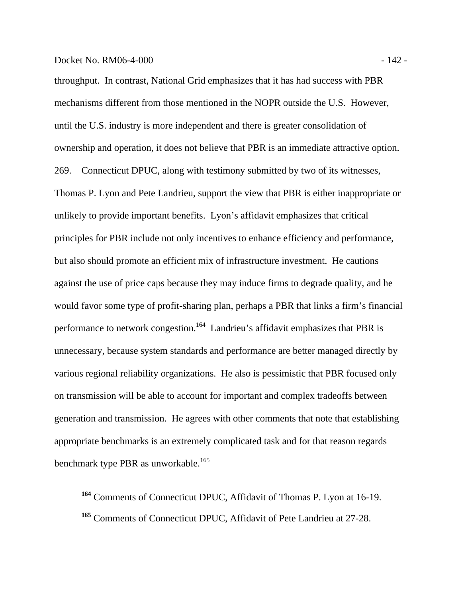throughput. In contrast, National Grid emphasizes that it has had success with PBR mechanisms different from those mentioned in the NOPR outside the U.S. However, until the U.S. industry is more independent and there is greater consolidation of ownership and operation, it does not believe that PBR is an immediate attractive option. 269. Connecticut DPUC, along with testimony submitted by two of its witnesses, Thomas P. Lyon and Pete Landrieu, support the view that PBR is either inappropriate or unlikely to provide important benefits. Lyon's affidavit emphasizes that critical principles for PBR include not only incentives to enhance efficiency and performance, but also should promote an efficient mix of infrastructure investment. He cautions against the use of price caps because they may induce firms to degrade quality, and he would favor some type of profit-sharing plan, perhaps a PBR that links a firm's financial performance to network congestion.<sup>164</sup> Landrieu's affidavit emphasizes that PBR is unnecessary, because system standards and performance are better managed directly by various regional reliability organizations. He also is pessimistic that PBR focused only on transmission will be able to account for important and complex tradeoffs between generation and transmission. He agrees with other comments that note that establishing appropriate benchmarks is an extremely complicated task and for that reason regards benchmark type PBR as unworkable.<sup>165</sup>

**<sup>164</sup>** Comments of Connecticut DPUC, Affidavit of Thomas P. Lyon at 16-19. **<sup>165</sup>** Comments of Connecticut DPUC, Affidavit of Pete Landrieu at 27-28.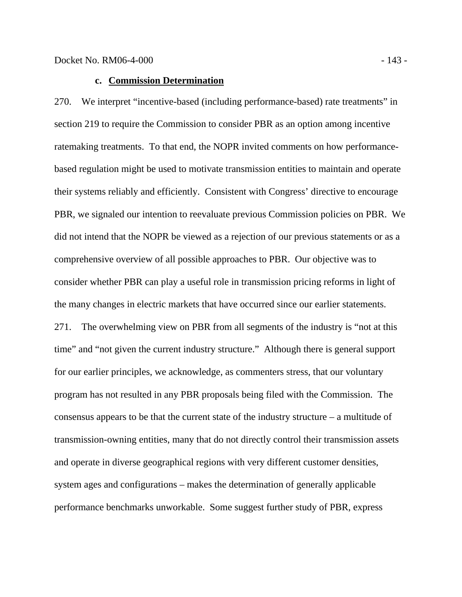270. We interpret "incentive-based (including performance-based) rate treatments" in section 219 to require the Commission to consider PBR as an option among incentive ratemaking treatments. To that end, the NOPR invited comments on how performancebased regulation might be used to motivate transmission entities to maintain and operate their systems reliably and efficiently. Consistent with Congress' directive to encourage PBR, we signaled our intention to reevaluate previous Commission policies on PBR. We did not intend that the NOPR be viewed as a rejection of our previous statements or as a comprehensive overview of all possible approaches to PBR. Our objective was to consider whether PBR can play a useful role in transmission pricing reforms in light of the many changes in electric markets that have occurred since our earlier statements. 271. The overwhelming view on PBR from all segments of the industry is "not at this time" and "not given the current industry structure." Although there is general support for our earlier principles, we acknowledge, as commenters stress, that our voluntary program has not resulted in any PBR proposals being filed with the Commission. The consensus appears to be that the current state of the industry structure – a multitude of transmission-owning entities, many that do not directly control their transmission assets and operate in diverse geographical regions with very different customer densities, system ages and configurations – makes the determination of generally applicable performance benchmarks unworkable. Some suggest further study of PBR, express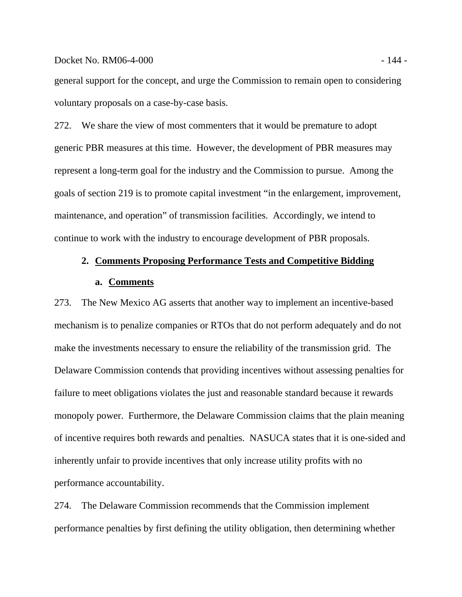#### Docket No. RM06-4-000 - 144 -

general support for the concept, and urge the Commission to remain open to considering voluntary proposals on a case-by-case basis.

272. We share the view of most commenters that it would be premature to adopt generic PBR measures at this time. However, the development of PBR measures may represent a long-term goal for the industry and the Commission to pursue. Among the goals of section 219 is to promote capital investment "in the enlargement, improvement, maintenance, and operation" of transmission facilities. Accordingly, we intend to continue to work with the industry to encourage development of PBR proposals.

# **2. Comments Proposing Performance Tests and Competitive Bidding a. Comments**

273. The New Mexico AG asserts that another way to implement an incentive-based mechanism is to penalize companies or RTOs that do not perform adequately and do not make the investments necessary to ensure the reliability of the transmission grid. The Delaware Commission contends that providing incentives without assessing penalties for failure to meet obligations violates the just and reasonable standard because it rewards monopoly power. Furthermore, the Delaware Commission claims that the plain meaning of incentive requires both rewards and penalties. NASUCA states that it is one-sided and inherently unfair to provide incentives that only increase utility profits with no performance accountability.

274. The Delaware Commission recommends that the Commission implement performance penalties by first defining the utility obligation, then determining whether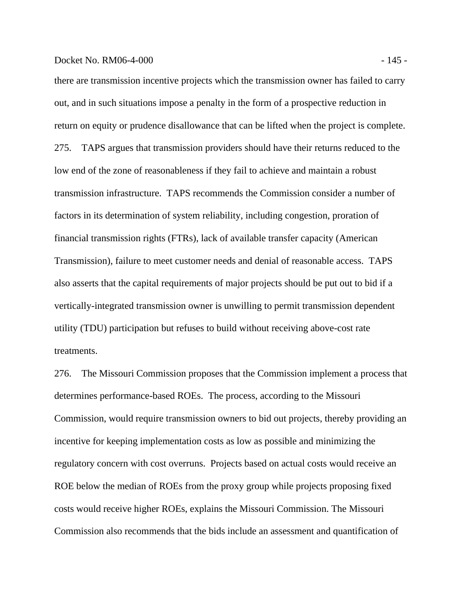#### Docket No. RM06-4-000 - 145 -

there are transmission incentive projects which the transmission owner has failed to carry out, and in such situations impose a penalty in the form of a prospective reduction in return on equity or prudence disallowance that can be lifted when the project is complete. 275. TAPS argues that transmission providers should have their returns reduced to the low end of the zone of reasonableness if they fail to achieve and maintain a robust transmission infrastructure. TAPS recommends the Commission consider a number of factors in its determination of system reliability, including congestion, proration of financial transmission rights (FTRs), lack of available transfer capacity (American Transmission), failure to meet customer needs and denial of reasonable access. TAPS also asserts that the capital requirements of major projects should be put out to bid if a vertically-integrated transmission owner is unwilling to permit transmission dependent utility (TDU) participation but refuses to build without receiving above-cost rate treatments.

276. The Missouri Commission proposes that the Commission implement a process that determines performance-based ROEs. The process, according to the Missouri Commission, would require transmission owners to bid out projects, thereby providing an incentive for keeping implementation costs as low as possible and minimizing the regulatory concern with cost overruns. Projects based on actual costs would receive an ROE below the median of ROEs from the proxy group while projects proposing fixed costs would receive higher ROEs, explains the Missouri Commission. The Missouri Commission also recommends that the bids include an assessment and quantification of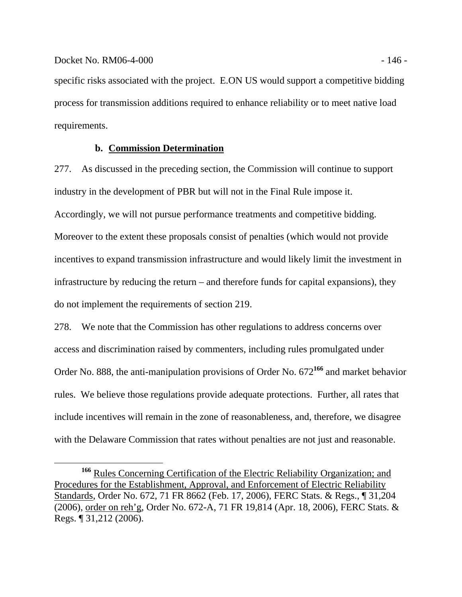specific risks associated with the project. E.ON US would support a competitive bidding process for transmission additions required to enhance reliability or to meet native load requirements.

# **b. Commission Determination**

277. As discussed in the preceding section, the Commission will continue to support industry in the development of PBR but will not in the Final Rule impose it. Accordingly, we will not pursue performance treatments and competitive bidding. Moreover to the extent these proposals consist of penalties (which would not provide incentives to expand transmission infrastructure and would likely limit the investment in infrastructure by reducing the return – and therefore funds for capital expansions), they do not implement the requirements of section 219.

278. We note that the Commission has other regulations to address concerns over access and discrimination raised by commenters, including rules promulgated under Order No. 888, the anti-manipulation provisions of Order No. 672**<sup>166</sup>** and market behavior rules. We believe those regulations provide adequate protections. Further, all rates that include incentives will remain in the zone of reasonableness, and, therefore, we disagree with the Delaware Commission that rates without penalties are not just and reasonable.

<sup>&</sup>lt;sup>166</sup> Rules Concerning Certification of the Electric Reliability Organization; and Procedures for the Establishment, Approval, and Enforcement of Electric Reliability Standards, Order No. 672, 71 FR 8662 (Feb. 17, 2006), FERC Stats. & Regs., ¶ 31,204 (2006), order on reh'g, Order No. 672-A, 71 FR 19,814 (Apr. 18, 2006), FERC Stats. & Regs. ¶ 31,212 (2006).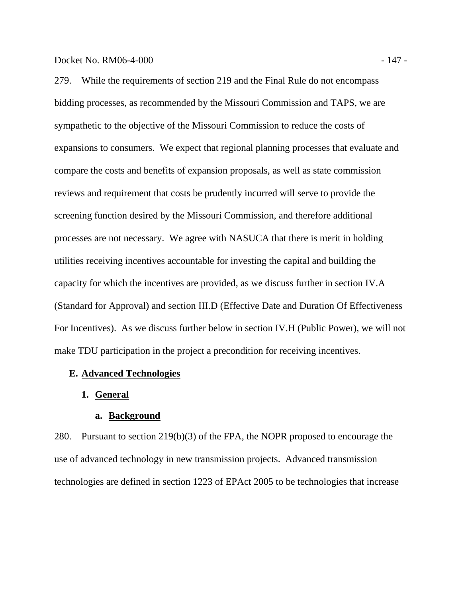279. While the requirements of section 219 and the Final Rule do not encompass bidding processes, as recommended by the Missouri Commission and TAPS, we are sympathetic to the objective of the Missouri Commission to reduce the costs of expansions to consumers. We expect that regional planning processes that evaluate and compare the costs and benefits of expansion proposals, as well as state commission reviews and requirement that costs be prudently incurred will serve to provide the screening function desired by the Missouri Commission, and therefore additional processes are not necessary. We agree with NASUCA that there is merit in holding utilities receiving incentives accountable for investing the capital and building the capacity for which the incentives are provided, as we discuss further in section IV.A (Standard for Approval) and section III.D (Effective Date and Duration Of Effectiveness For Incentives). As we discuss further below in section IV.H (Public Power), we will not make TDU participation in the project a precondition for receiving incentives.

# **E. Advanced Technologies**

### **1. General**

#### **a. Background**

280. Pursuant to section 219(b)(3) of the FPA, the NOPR proposed to encourage the use of advanced technology in new transmission projects. Advanced transmission technologies are defined in section 1223 of EPAct 2005 to be technologies that increase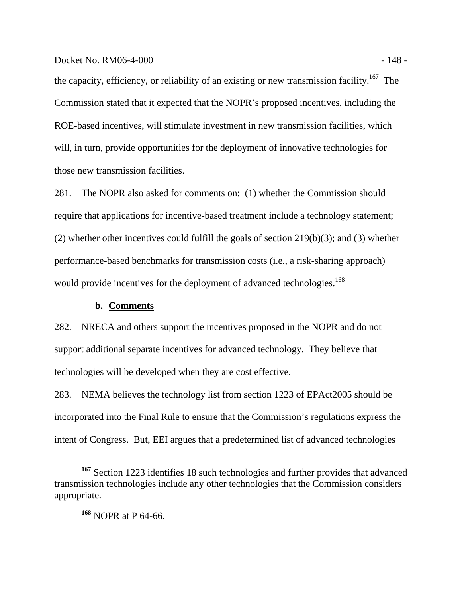#### Docket No. RM06-4-000 - 148 -

the capacity, efficiency, or reliability of an existing or new transmission facility.<sup>167</sup> The Commission stated that it expected that the NOPR's proposed incentives, including the ROE-based incentives, will stimulate investment in new transmission facilities, which will, in turn, provide opportunities for the deployment of innovative technologies for those new transmission facilities.

281. The NOPR also asked for comments on: (1) whether the Commission should require that applications for incentive-based treatment include a technology statement; (2) whether other incentives could fulfill the goals of section 219(b)(3); and (3) whether performance-based benchmarks for transmission costs (i.e., a risk-sharing approach) would provide incentives for the deployment of advanced technologies.<sup>168</sup>

#### **b. Comments**

282. NRECA and others support the incentives proposed in the NOPR and do not support additional separate incentives for advanced technology. They believe that technologies will be developed when they are cost effective.

283. NEMA believes the technology list from section 1223 of EPAct2005 should be incorporated into the Final Rule to ensure that the Commission's regulations express the intent of Congress. But, EEI argues that a predetermined list of advanced technologies

**<sup>168</sup>** NOPR at P 64-66.

**<sup>167</sup>** Section 1223 identifies 18 such technologies and further provides that advanced transmission technologies include any other technologies that the Commission considers appropriate.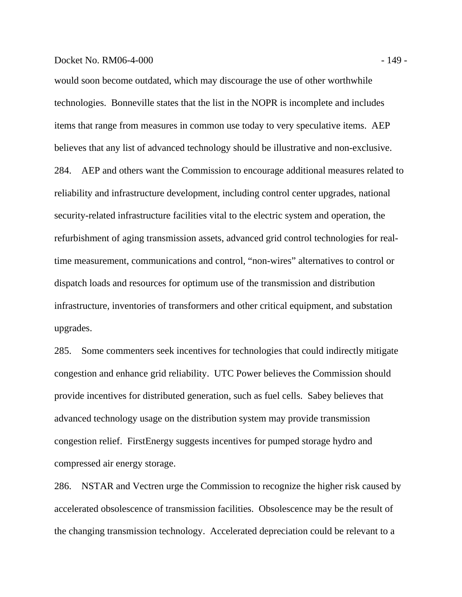#### Docket No. RM06-4-000 - 149 - 149 - 149 - 149 - 149 - 149 - 149 - 149 - 149 - 149 - 149 - 149 - 149 - 149 - 149 - 149 - 149 - 149 - 149 - 149 - 149 - 149 - 149 - 149 - 149 - 149 - 149 - 149 - 149 - 149 - 149 - 149 - 149 -

would soon become outdated, which may discourage the use of other worthwhile technologies. Bonneville states that the list in the NOPR is incomplete and includes items that range from measures in common use today to very speculative items. AEP believes that any list of advanced technology should be illustrative and non-exclusive. 284. AEP and others want the Commission to encourage additional measures related to reliability and infrastructure development, including control center upgrades, national security-related infrastructure facilities vital to the electric system and operation, the refurbishment of aging transmission assets, advanced grid control technologies for realtime measurement, communications and control, "non-wires" alternatives to control or dispatch loads and resources for optimum use of the transmission and distribution infrastructure, inventories of transformers and other critical equipment, and substation upgrades.

285. Some commenters seek incentives for technologies that could indirectly mitigate congestion and enhance grid reliability. UTC Power believes the Commission should provide incentives for distributed generation, such as fuel cells. Sabey believes that advanced technology usage on the distribution system may provide transmission congestion relief. FirstEnergy suggests incentives for pumped storage hydro and compressed air energy storage.

286. NSTAR and Vectren urge the Commission to recognize the higher risk caused by accelerated obsolescence of transmission facilities. Obsolescence may be the result of the changing transmission technology. Accelerated depreciation could be relevant to a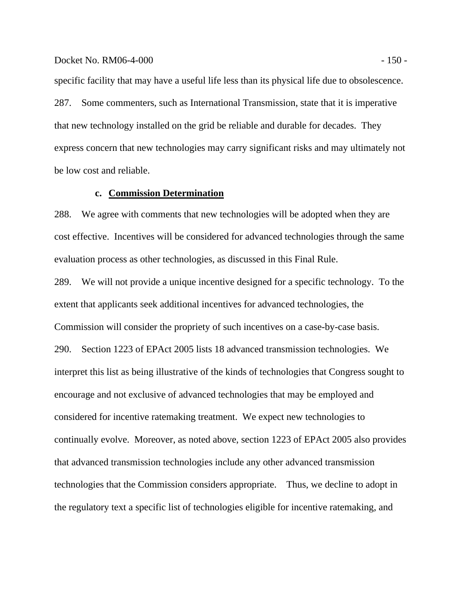#### Docket No. RM06-4-000 - 150 - 150 - 150 - 150 - 150 - 150 - 150 - 150 - 150 - 150 - 150 - 150 - 150 - 150 - 150 - 150 - 150 - 150 - 150 - 150 - 150 - 150 - 150 - 150 - 150 - 150 - 150 - 150 - 150 - 150 - 150 - 150 - 150 -

specific facility that may have a useful life less than its physical life due to obsolescence. 287. Some commenters, such as International Transmission, state that it is imperative that new technology installed on the grid be reliable and durable for decades. They express concern that new technologies may carry significant risks and may ultimately not be low cost and reliable.

## **c. Commission Determination**

288. We agree with comments that new technologies will be adopted when they are cost effective. Incentives will be considered for advanced technologies through the same evaluation process as other technologies, as discussed in this Final Rule.

289. We will not provide a unique incentive designed for a specific technology. To the extent that applicants seek additional incentives for advanced technologies, the Commission will consider the propriety of such incentives on a case-by-case basis. 290. Section 1223 of EPAct 2005 lists 18 advanced transmission technologies. We interpret this list as being illustrative of the kinds of technologies that Congress sought to encourage and not exclusive of advanced technologies that may be employed and considered for incentive ratemaking treatment. We expect new technologies to continually evolve. Moreover, as noted above, section 1223 of EPAct 2005 also provides that advanced transmission technologies include any other advanced transmission technologies that the Commission considers appropriate. Thus, we decline to adopt in the regulatory text a specific list of technologies eligible for incentive ratemaking, and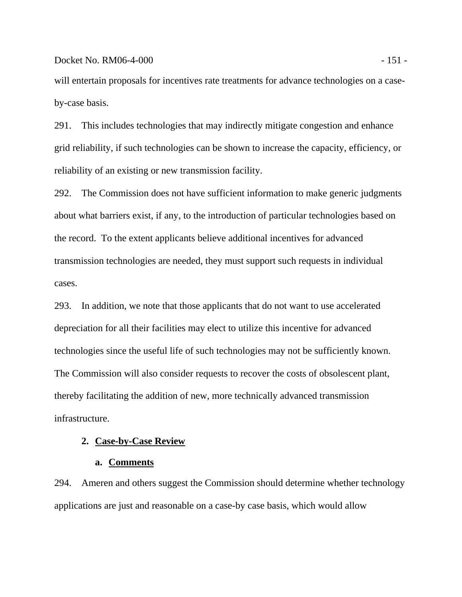#### Docket No. RM06-4-000 - 151 -

will entertain proposals for incentives rate treatments for advance technologies on a caseby-case basis.

291. This includes technologies that may indirectly mitigate congestion and enhance grid reliability, if such technologies can be shown to increase the capacity, efficiency, or reliability of an existing or new transmission facility.

292. The Commission does not have sufficient information to make generic judgments about what barriers exist, if any, to the introduction of particular technologies based on the record. To the extent applicants believe additional incentives for advanced transmission technologies are needed, they must support such requests in individual cases.

293. In addition, we note that those applicants that do not want to use accelerated depreciation for all their facilities may elect to utilize this incentive for advanced technologies since the useful life of such technologies may not be sufficiently known. The Commission will also consider requests to recover the costs of obsolescent plant, thereby facilitating the addition of new, more technically advanced transmission infrastructure.

# **2. Case-by-Case Review**

#### **a. Comments**

294. Ameren and others suggest the Commission should determine whether technology applications are just and reasonable on a case-by case basis, which would allow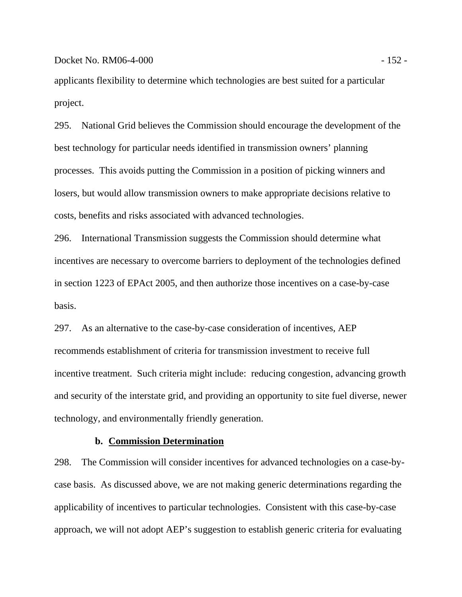applicants flexibility to determine which technologies are best suited for a particular project.

295. National Grid believes the Commission should encourage the development of the best technology for particular needs identified in transmission owners' planning processes. This avoids putting the Commission in a position of picking winners and losers, but would allow transmission owners to make appropriate decisions relative to costs, benefits and risks associated with advanced technologies.

296. International Transmission suggests the Commission should determine what incentives are necessary to overcome barriers to deployment of the technologies defined in section 1223 of EPAct 2005, and then authorize those incentives on a case-by-case basis.

297. As an alternative to the case-by-case consideration of incentives, AEP recommends establishment of criteria for transmission investment to receive full incentive treatment. Such criteria might include: reducing congestion, advancing growth and security of the interstate grid, and providing an opportunity to site fuel diverse, newer technology, and environmentally friendly generation.

# **b. Commission Determination**

298. The Commission will consider incentives for advanced technologies on a case-bycase basis. As discussed above, we are not making generic determinations regarding the applicability of incentives to particular technologies. Consistent with this case-by-case approach, we will not adopt AEP's suggestion to establish generic criteria for evaluating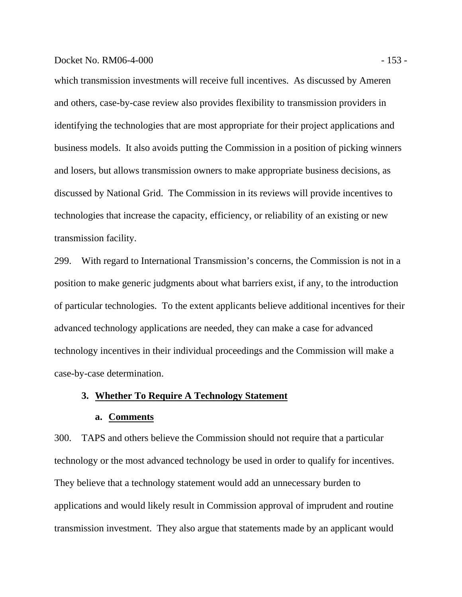#### Docket No. RM06-4-000 - 153 -

which transmission investments will receive full incentives. As discussed by Ameren and others, case-by-case review also provides flexibility to transmission providers in identifying the technologies that are most appropriate for their project applications and business models. It also avoids putting the Commission in a position of picking winners and losers, but allows transmission owners to make appropriate business decisions, as discussed by National Grid. The Commission in its reviews will provide incentives to technologies that increase the capacity, efficiency, or reliability of an existing or new transmission facility.

299. With regard to International Transmission's concerns, the Commission is not in a position to make generic judgments about what barriers exist, if any, to the introduction of particular technologies. To the extent applicants believe additional incentives for their advanced technology applications are needed, they can make a case for advanced technology incentives in their individual proceedings and the Commission will make a case-by-case determination.

# **3. Whether To Require A Technology Statement**

#### **a. Comments**

300. TAPS and others believe the Commission should not require that a particular technology or the most advanced technology be used in order to qualify for incentives. They believe that a technology statement would add an unnecessary burden to applications and would likely result in Commission approval of imprudent and routine transmission investment. They also argue that statements made by an applicant would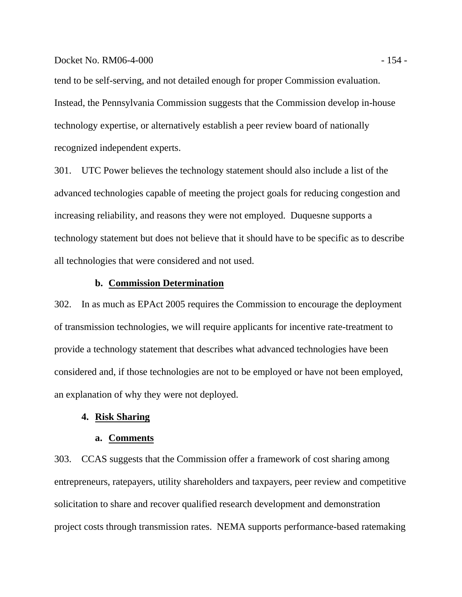#### Docket No. RM06-4-000 - 154 - 154 - 154 - 154 - 154 - 154 - 154 - 154 - 154 - 154 - 154 - 154 - 154 - 154 - 15

tend to be self-serving, and not detailed enough for proper Commission evaluation. Instead, the Pennsylvania Commission suggests that the Commission develop in-house technology expertise, or alternatively establish a peer review board of nationally recognized independent experts.

301. UTC Power believes the technology statement should also include a list of the advanced technologies capable of meeting the project goals for reducing congestion and increasing reliability, and reasons they were not employed. Duquesne supports a technology statement but does not believe that it should have to be specific as to describe all technologies that were considered and not used.

## **b. Commission Determination**

302. In as much as EPAct 2005 requires the Commission to encourage the deployment of transmission technologies, we will require applicants for incentive rate-treatment to provide a technology statement that describes what advanced technologies have been considered and, if those technologies are not to be employed or have not been employed, an explanation of why they were not deployed.

#### **4. Risk Sharing**

#### **a. Comments**

303. CCAS suggests that the Commission offer a framework of cost sharing among entrepreneurs, ratepayers, utility shareholders and taxpayers, peer review and competitive solicitation to share and recover qualified research development and demonstration project costs through transmission rates. NEMA supports performance-based ratemaking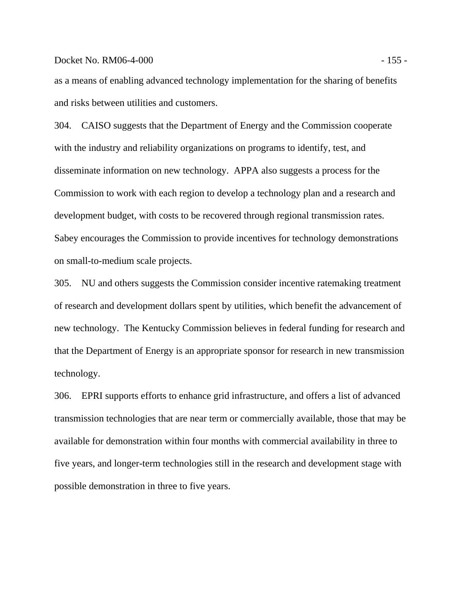#### Docket No. RM06-4-000 - 155 -

as a means of enabling advanced technology implementation for the sharing of benefits and risks between utilities and customers.

304. CAISO suggests that the Department of Energy and the Commission cooperate with the industry and reliability organizations on programs to identify, test, and disseminate information on new technology. APPA also suggests a process for the Commission to work with each region to develop a technology plan and a research and development budget, with costs to be recovered through regional transmission rates. Sabey encourages the Commission to provide incentives for technology demonstrations on small-to-medium scale projects.

305. NU and others suggests the Commission consider incentive ratemaking treatment of research and development dollars spent by utilities, which benefit the advancement of new technology. The Kentucky Commission believes in federal funding for research and that the Department of Energy is an appropriate sponsor for research in new transmission technology.

306. EPRI supports efforts to enhance grid infrastructure, and offers a list of advanced transmission technologies that are near term or commercially available, those that may be available for demonstration within four months with commercial availability in three to five years, and longer-term technologies still in the research and development stage with possible demonstration in three to five years.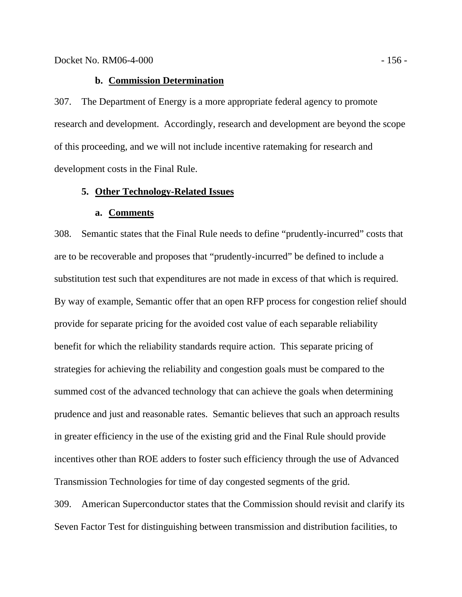# **b. Commission Determination**

307. The Department of Energy is a more appropriate federal agency to promote research and development. Accordingly, research and development are beyond the scope of this proceeding, and we will not include incentive ratemaking for research and development costs in the Final Rule.

#### **5. Other Technology-Related Issues**

#### **a. Comments**

308. Semantic states that the Final Rule needs to define "prudently-incurred" costs that are to be recoverable and proposes that "prudently-incurred" be defined to include a substitution test such that expenditures are not made in excess of that which is required. By way of example, Semantic offer that an open RFP process for congestion relief should provide for separate pricing for the avoided cost value of each separable reliability benefit for which the reliability standards require action. This separate pricing of strategies for achieving the reliability and congestion goals must be compared to the summed cost of the advanced technology that can achieve the goals when determining prudence and just and reasonable rates. Semantic believes that such an approach results in greater efficiency in the use of the existing grid and the Final Rule should provide incentives other than ROE adders to foster such efficiency through the use of Advanced Transmission Technologies for time of day congested segments of the grid. 309. American Superconductor states that the Commission should revisit and clarify its

Seven Factor Test for distinguishing between transmission and distribution facilities, to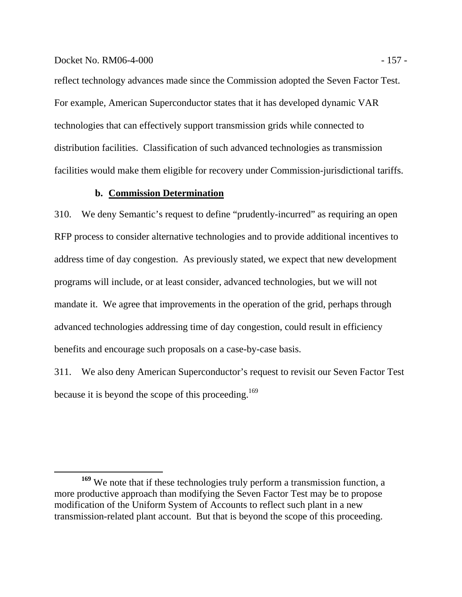#### Docket No. RM06-4-000 - 157 - 157 - 157 - 157 - 157 - 157 - 157 - 157 - 157 - 157 - 157 - 157 - 157 - 157 - 15

reflect technology advances made since the Commission adopted the Seven Factor Test. For example, American Superconductor states that it has developed dynamic VAR technologies that can effectively support transmission grids while connected to distribution facilities. Classification of such advanced technologies as transmission facilities would make them eligible for recovery under Commission-jurisdictional tariffs.

# **b. Commission Determination**

310. We deny Semantic's request to define "prudently-incurred" as requiring an open RFP process to consider alternative technologies and to provide additional incentives to address time of day congestion. As previously stated, we expect that new development programs will include, or at least consider, advanced technologies, but we will not mandate it. We agree that improvements in the operation of the grid, perhaps through advanced technologies addressing time of day congestion, could result in efficiency benefits and encourage such proposals on a case-by-case basis.

311. We also deny American Superconductor's request to revisit our Seven Factor Test because it is beyond the scope of this proceeding.<sup>169</sup>

**<sup>169</sup>** We note that if these technologies truly perform a transmission function, a more productive approach than modifying the Seven Factor Test may be to propose modification of the Uniform System of Accounts to reflect such plant in a new transmission-related plant account. But that is beyond the scope of this proceeding.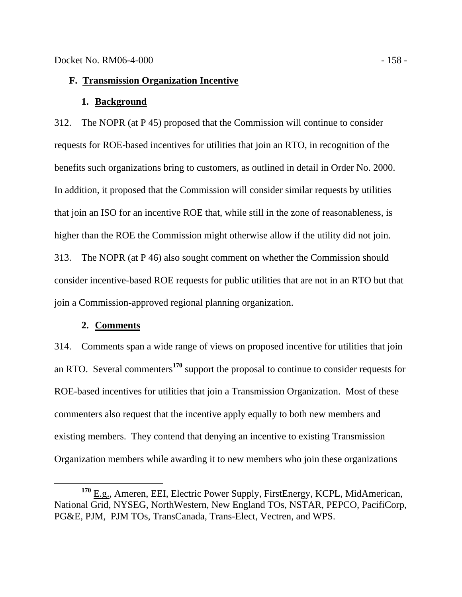# **F. Transmission Organization Incentive**

#### **1. Background**

312. The NOPR (at P 45) proposed that the Commission will continue to consider requests for ROE-based incentives for utilities that join an RTO, in recognition of the benefits such organizations bring to customers, as outlined in detail in Order No. 2000. In addition, it proposed that the Commission will consider similar requests by utilities that join an ISO for an incentive ROE that, while still in the zone of reasonableness, is higher than the ROE the Commission might otherwise allow if the utility did not join. 313. The NOPR (at P 46) also sought comment on whether the Commission should consider incentive-based ROE requests for public utilities that are not in an RTO but that join a Commission-approved regional planning organization.

# **2. Comments**

314. Comments span a wide range of views on proposed incentive for utilities that join an RTO. Several commenters**<sup>170</sup>** support the proposal to continue to consider requests for ROE-based incentives for utilities that join a Transmission Organization. Most of these commenters also request that the incentive apply equally to both new members and existing members. They contend that denying an incentive to existing Transmission Organization members while awarding it to new members who join these organizations

**<sup>170</sup>** E.g., Ameren, EEI, Electric Power Supply, FirstEnergy, KCPL, MidAmerican, National Grid, NYSEG, NorthWestern, New England TOs, NSTAR, PEPCO, PacifiCorp, PG&E, PJM, PJM TOs, TransCanada, Trans-Elect, Vectren, and WPS.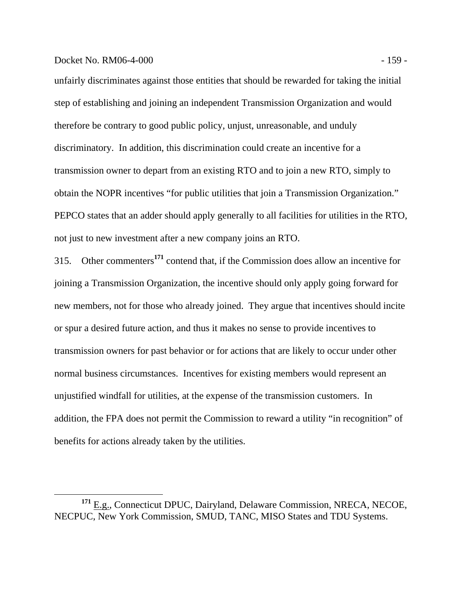#### Docket No. RM06-4-000 - 159 - 159 - 159 - 159 - 159 - 159 - 159 - 159 - 159 - 159 - 159 - 159 - 159 - 159 - 159 - 159 - 159 - 159 - 159 - 159 - 159 - 159 - 159 - 159 - 159 - 159 - 159 - 159 - 159 - 159 - 159 - 159 - 159 -

unfairly discriminates against those entities that should be rewarded for taking the initial step of establishing and joining an independent Transmission Organization and would therefore be contrary to good public policy, unjust, unreasonable, and unduly discriminatory. In addition, this discrimination could create an incentive for a transmission owner to depart from an existing RTO and to join a new RTO, simply to obtain the NOPR incentives "for public utilities that join a Transmission Organization." PEPCO states that an adder should apply generally to all facilities for utilities in the RTO, not just to new investment after a new company joins an RTO.

315. Other commenters**<sup>171</sup>** contend that, if the Commission does allow an incentive for joining a Transmission Organization, the incentive should only apply going forward for new members, not for those who already joined. They argue that incentives should incite or spur a desired future action, and thus it makes no sense to provide incentives to transmission owners for past behavior or for actions that are likely to occur under other normal business circumstances. Incentives for existing members would represent an unjustified windfall for utilities, at the expense of the transmission customers. In addition, the FPA does not permit the Commission to reward a utility "in recognition" of benefits for actions already taken by the utilities.

**<sup>171</sup>** E.g., Connecticut DPUC, Dairyland, Delaware Commission, NRECA, NECOE, NECPUC, New York Commission, SMUD, TANC, MISO States and TDU Systems.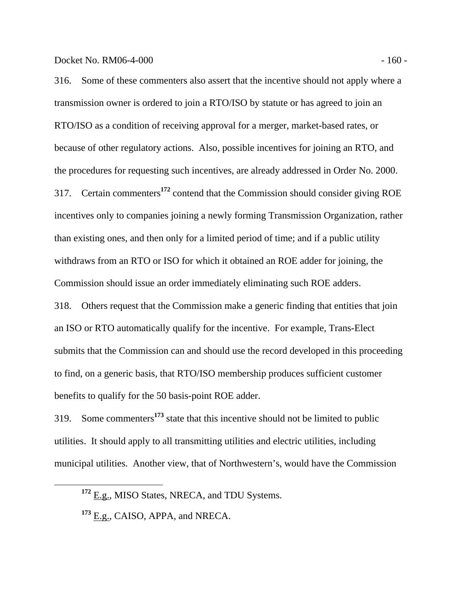316. Some of these commenters also assert that the incentive should not apply where a transmission owner is ordered to join a RTO/ISO by statute or has agreed to join an RTO/ISO as a condition of receiving approval for a merger, market-based rates, or because of other regulatory actions. Also, possible incentives for joining an RTO, and the procedures for requesting such incentives, are already addressed in Order No. 2000. 317. Certain commenters**<sup>172</sup>** contend that the Commission should consider giving ROE incentives only to companies joining a newly forming Transmission Organization, rather than existing ones, and then only for a limited period of time; and if a public utility withdraws from an RTO or ISO for which it obtained an ROE adder for joining, the Commission should issue an order immediately eliminating such ROE adders.

318. Others request that the Commission make a generic finding that entities that join an ISO or RTO automatically qualify for the incentive. For example, Trans-Elect submits that the Commission can and should use the record developed in this proceeding to find, on a generic basis, that RTO/ISO membership produces sufficient customer benefits to qualify for the 50 basis-point ROE adder.

319. Some commenters**<sup>173</sup>** state that this incentive should not be limited to public utilities. It should apply to all transmitting utilities and electric utilities, including municipal utilities. Another view, that of Northwestern's, would have the Commission

**<sup>172</sup>** E.g., MISO States, NRECA, and TDU Systems.

**<sup>173</sup>** E.g., CAISO, APPA, and NRECA.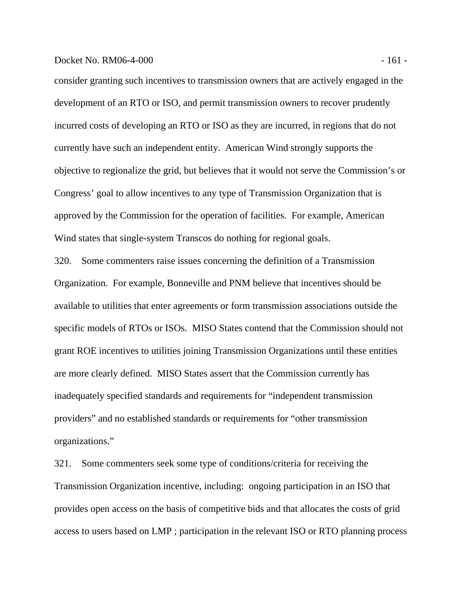consider granting such incentives to transmission owners that are actively engaged in the development of an RTO or ISO, and permit transmission owners to recover prudently incurred costs of developing an RTO or ISO as they are incurred, in regions that do not currently have such an independent entity. American Wind strongly supports the objective to regionalize the grid, but believes that it would not serve the Commission's or Congress' goal to allow incentives to any type of Transmission Organization that is approved by the Commission for the operation of facilities. For example, American Wind states that single-system Transcos do nothing for regional goals.

320. Some commenters raise issues concerning the definition of a Transmission Organization. For example, Bonneville and PNM believe that incentives should be available to utilities that enter agreements or form transmission associations outside the specific models of RTOs or ISOs. MISO States contend that the Commission should not grant ROE incentives to utilities joining Transmission Organizations until these entities are more clearly defined. MISO States assert that the Commission currently has inadequately specified standards and requirements for "independent transmission providers" and no established standards or requirements for "other transmission organizations."

321. Some commenters seek some type of conditions/criteria for receiving the Transmission Organization incentive, including: ongoing participation in an ISO that provides open access on the basis of competitive bids and that allocates the costs of grid access to users based on LMP ; participation in the relevant ISO or RTO planning process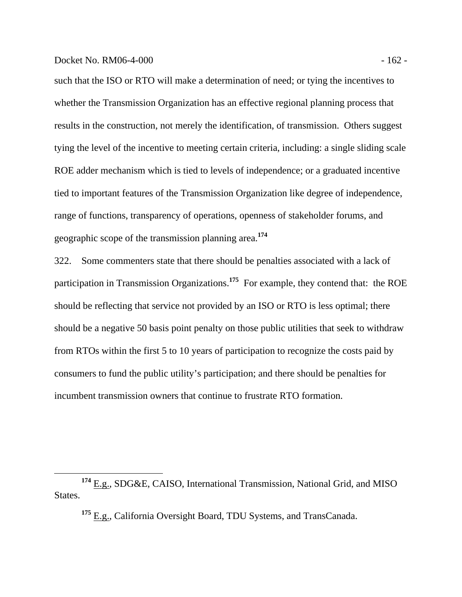such that the ISO or RTO will make a determination of need; or tying the incentives to whether the Transmission Organization has an effective regional planning process that results in the construction, not merely the identification, of transmission. Others suggest tying the level of the incentive to meeting certain criteria, including: a single sliding scale ROE adder mechanism which is tied to levels of independence; or a graduated incentive tied to important features of the Transmission Organization like degree of independence, range of functions, transparency of operations, openness of stakeholder forums, and geographic scope of the transmission planning area.**<sup>174</sup>**

322. Some commenters state that there should be penalties associated with a lack of participation in Transmission Organizations.**<sup>175</sup>** For example, they contend that: the ROE should be reflecting that service not provided by an ISO or RTO is less optimal; there should be a negative 50 basis point penalty on those public utilities that seek to withdraw from RTOs within the first 5 to 10 years of participation to recognize the costs paid by consumers to fund the public utility's participation; and there should be penalties for incumbent transmission owners that continue to frustrate RTO formation.

**<sup>175</sup>** E.g., California Oversight Board, TDU Systems, and TransCanada.

**<sup>174</sup>** E.g., SDG&E, CAISO, International Transmission, National Grid, and MISO States.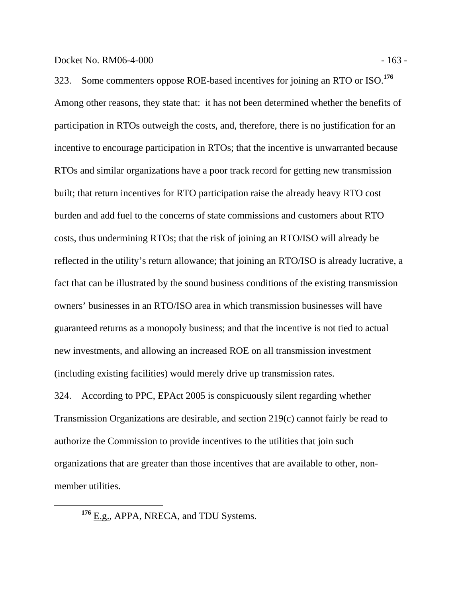323. Some commenters oppose ROE-based incentives for joining an RTO or ISO.**<sup>176</sup>** Among other reasons, they state that: it has not been determined whether the benefits of participation in RTOs outweigh the costs, and, therefore, there is no justification for an incentive to encourage participation in RTOs; that the incentive is unwarranted because RTOs and similar organizations have a poor track record for getting new transmission built; that return incentives for RTO participation raise the already heavy RTO cost burden and add fuel to the concerns of state commissions and customers about RTO costs, thus undermining RTOs; that the risk of joining an RTO/ISO will already be reflected in the utility's return allowance; that joining an RTO/ISO is already lucrative, a fact that can be illustrated by the sound business conditions of the existing transmission

(including existing facilities) would merely drive up transmission rates. 324. According to PPC, EPAct 2005 is conspicuously silent regarding whether Transmission Organizations are desirable, and section 219(c) cannot fairly be read to authorize the Commission to provide incentives to the utilities that join such organizations that are greater than those incentives that are available to other, nonmember utilities.

owners' businesses in an RTO/ISO area in which transmission businesses will have

guaranteed returns as a monopoly business; and that the incentive is not tied to actual

new investments, and allowing an increased ROE on all transmission investment

**<sup>176</sup>** E.g., APPA, NRECA, and TDU Systems.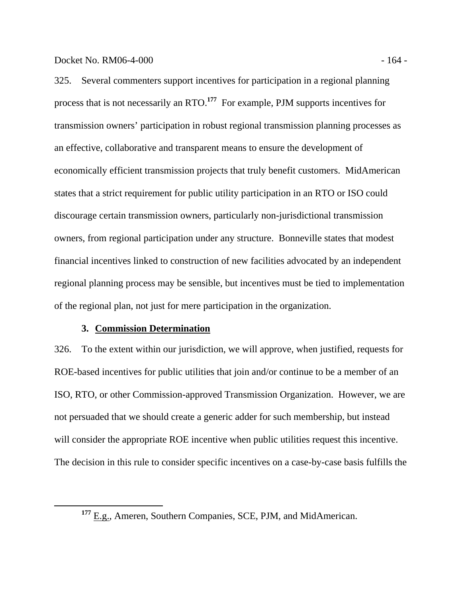325. Several commenters support incentives for participation in a regional planning process that is not necessarily an RTO.**<sup>177</sup>** For example, PJM supports incentives for transmission owners' participation in robust regional transmission planning processes as an effective, collaborative and transparent means to ensure the development of economically efficient transmission projects that truly benefit customers. MidAmerican states that a strict requirement for public utility participation in an RTO or ISO could discourage certain transmission owners, particularly non-jurisdictional transmission owners, from regional participation under any structure. Bonneville states that modest financial incentives linked to construction of new facilities advocated by an independent regional planning process may be sensible, but incentives must be tied to implementation of the regional plan, not just for mere participation in the organization.

# **3. Commission Determination**

326. To the extent within our jurisdiction, we will approve, when justified, requests for ROE-based incentives for public utilities that join and/or continue to be a member of an ISO, RTO, or other Commission-approved Transmission Organization. However, we are not persuaded that we should create a generic adder for such membership, but instead will consider the appropriate ROE incentive when public utilities request this incentive. The decision in this rule to consider specific incentives on a case-by-case basis fulfills the

**<sup>177</sup>** E.g., Ameren, Southern Companies, SCE, PJM, and MidAmerican.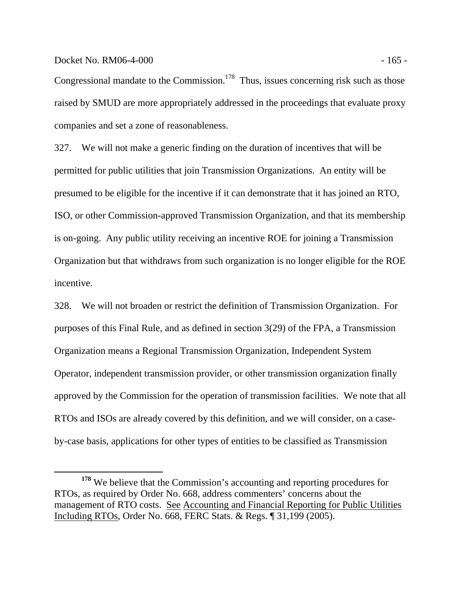Docket No. RM06-4-000 - 165 -

Congressional mandate to the Commission.<sup>178</sup> Thus, issues concerning risk such as those raised by SMUD are more appropriately addressed in the proceedings that evaluate proxy companies and set a zone of reasonableness.

327. We will not make a generic finding on the duration of incentives that will be permitted for public utilities that join Transmission Organizations. An entity will be presumed to be eligible for the incentive if it can demonstrate that it has joined an RTO, ISO, or other Commission-approved Transmission Organization, and that its membership is on-going. Any public utility receiving an incentive ROE for joining a Transmission Organization but that withdraws from such organization is no longer eligible for the ROE incentive.

328. We will not broaden or restrict the definition of Transmission Organization. For purposes of this Final Rule, and as defined in section 3(29) of the FPA, a Transmission Organization means a Regional Transmission Organization, Independent System Operator, independent transmission provider, or other transmission organization finally approved by the Commission for the operation of transmission facilities. We note that all RTOs and ISOs are already covered by this definition, and we will consider, on a caseby-case basis, applications for other types of entities to be classified as Transmission

**<sup>178</sup>** We believe that the Commission's accounting and reporting procedures for RTOs, as required by Order No. 668, address commenters' concerns about the management of RTO costs. See Accounting and Financial Reporting for Public Utilities Including RTOs, Order No. 668, FERC Stats. & Regs. ¶ 31,199 (2005).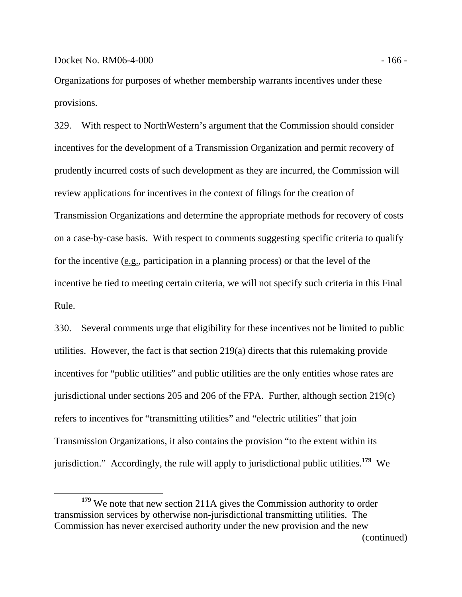Organizations for purposes of whether membership warrants incentives under these provisions.

329. With respect to NorthWestern's argument that the Commission should consider incentives for the development of a Transmission Organization and permit recovery of prudently incurred costs of such development as they are incurred, the Commission will review applications for incentives in the context of filings for the creation of Transmission Organizations and determine the appropriate methods for recovery of costs on a case-by-case basis. With respect to comments suggesting specific criteria to qualify for the incentive  $(e.g.,$  participation in a planning process) or that the level of the incentive be tied to meeting certain criteria, we will not specify such criteria in this Final Rule.

330. Several comments urge that eligibility for these incentives not be limited to public utilities. However, the fact is that section 219(a) directs that this rulemaking provide incentives for "public utilities" and public utilities are the only entities whose rates are jurisdictional under sections 205 and 206 of the FPA. Further, although section 219(c) refers to incentives for "transmitting utilities" and "electric utilities" that join Transmission Organizations, it also contains the provision "to the extent within its jurisdiction." Accordingly, the rule will apply to jurisdictional public utilities.**<sup>179</sup>** We

**<sup>179</sup>** We note that new section 211A gives the Commission authority to order transmission services by otherwise non-jurisdictional transmitting utilities. The Commission has never exercised authority under the new provision and the new (continued)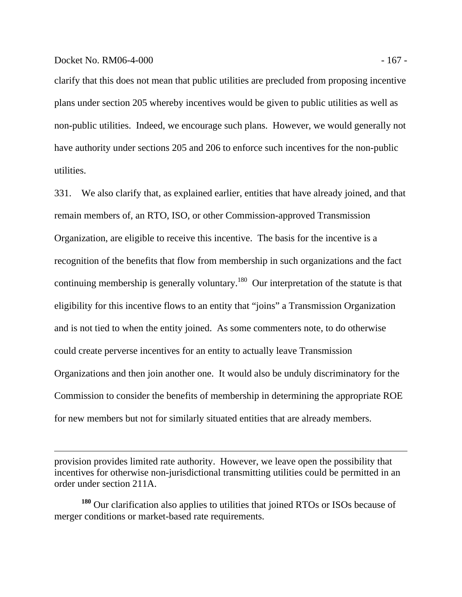$\overline{a}$ 

clarify that this does not mean that public utilities are precluded from proposing incentive plans under section 205 whereby incentives would be given to public utilities as well as non-public utilities. Indeed, we encourage such plans. However, we would generally not have authority under sections 205 and 206 to enforce such incentives for the non-public utilities.

331. We also clarify that, as explained earlier, entities that have already joined, and that remain members of, an RTO, ISO, or other Commission-approved Transmission Organization, are eligible to receive this incentive. The basis for the incentive is a recognition of the benefits that flow from membership in such organizations and the fact continuing membership is generally voluntary.<sup>180</sup> Our interpretation of the statute is that eligibility for this incentive flows to an entity that "joins" a Transmission Organization and is not tied to when the entity joined. As some commenters note, to do otherwise could create perverse incentives for an entity to actually leave Transmission Organizations and then join another one. It would also be unduly discriminatory for the Commission to consider the benefits of membership in determining the appropriate ROE for new members but not for similarly situated entities that are already members.

provision provides limited rate authority. However, we leave open the possibility that incentives for otherwise non-jurisdictional transmitting utilities could be permitted in an order under section 211A.

**<sup>180</sup>** Our clarification also applies to utilities that joined RTOs or ISOs because of merger conditions or market-based rate requirements.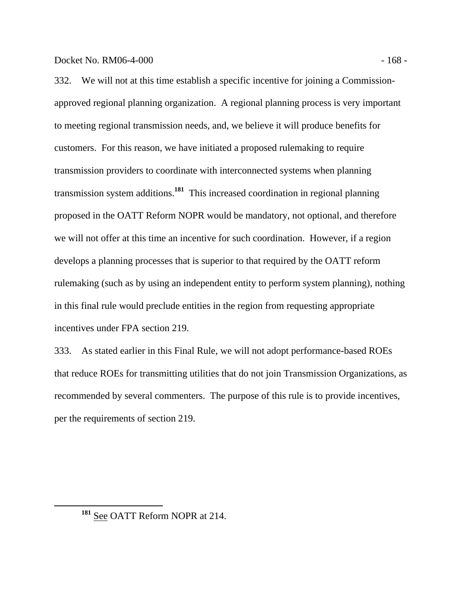332. We will not at this time establish a specific incentive for joining a Commissionapproved regional planning organization. A regional planning process is very important to meeting regional transmission needs, and, we believe it will produce benefits for customers. For this reason, we have initiated a proposed rulemaking to require transmission providers to coordinate with interconnected systems when planning transmission system additions.**<sup>181</sup>** This increased coordination in regional planning proposed in the OATT Reform NOPR would be mandatory, not optional, and therefore we will not offer at this time an incentive for such coordination. However, if a region develops a planning processes that is superior to that required by the OATT reform rulemaking (such as by using an independent entity to perform system planning), nothing in this final rule would preclude entities in the region from requesting appropriate incentives under FPA section 219.

333. As stated earlier in this Final Rule, we will not adopt performance-based ROEs that reduce ROEs for transmitting utilities that do not join Transmission Organizations, as recommended by several commenters. The purpose of this rule is to provide incentives, per the requirements of section 219.

**<sup>181</sup>** See OATT Reform NOPR at 214.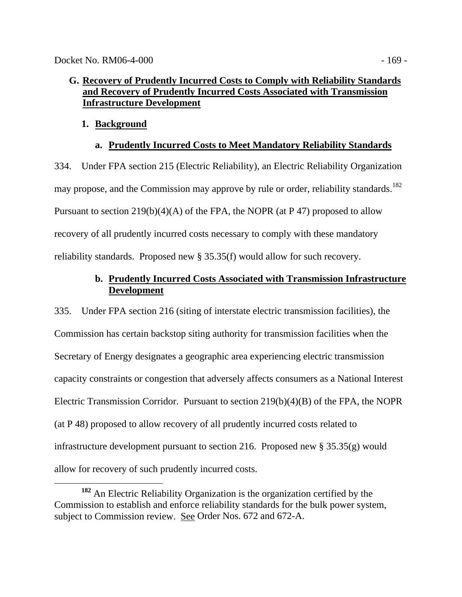# **G. Recovery of Prudently Incurred Costs to Comply with Reliability Standards and Recovery of Prudently Incurred Costs Associated with Transmission Infrastructure Development**

# **1. Background**

# **a. Prudently Incurred Costs to Meet Mandatory Reliability Standards**

334. Under FPA section 215 (Electric Reliability), an Electric Reliability Organization may propose, and the Commission may approve by rule or order, reliability standards.<sup>182</sup> Pursuant to section  $219(b)(4)(A)$  of the FPA, the NOPR (at P47) proposed to allow recovery of all prudently incurred costs necessary to comply with these mandatory reliability standards. Proposed new § 35.35(f) would allow for such recovery.

# **b. Prudently Incurred Costs Associated with Transmission Infrastructure Development**

335. Under FPA section 216 (siting of interstate electric transmission facilities), the Commission has certain backstop siting authority for transmission facilities when the Secretary of Energy designates a geographic area experiencing electric transmission capacity constraints or congestion that adversely affects consumers as a National Interest Electric Transmission Corridor. Pursuant to section 219(b)(4)(B) of the FPA, the NOPR (at P 48) proposed to allow recovery of all prudently incurred costs related to infrastructure development pursuant to section 216. Proposed new  $\S 35.35(g)$  would allow for recovery of such prudently incurred costs.

**<sup>182</sup>** An Electric Reliability Organization is the organization certified by the Commission to establish and enforce reliability standards for the bulk power system, subject to Commission review. See Order Nos. 672 and 672-A.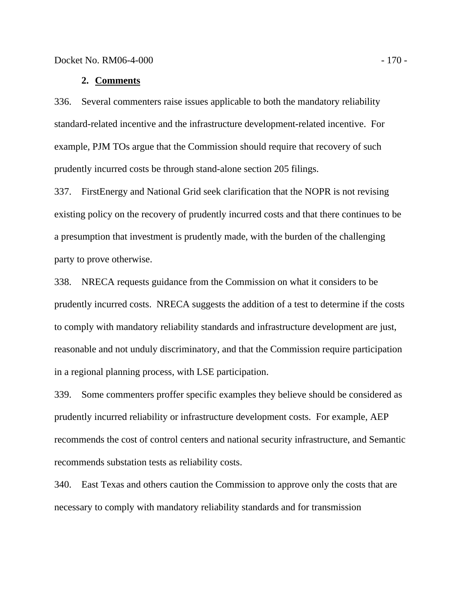#### **2. Comments**

336. Several commenters raise issues applicable to both the mandatory reliability standard-related incentive and the infrastructure development-related incentive. For example, PJM TOs argue that the Commission should require that recovery of such prudently incurred costs be through stand-alone section 205 filings.

337. FirstEnergy and National Grid seek clarification that the NOPR is not revising existing policy on the recovery of prudently incurred costs and that there continues to be a presumption that investment is prudently made, with the burden of the challenging party to prove otherwise.

338. NRECA requests guidance from the Commission on what it considers to be prudently incurred costs. NRECA suggests the addition of a test to determine if the costs to comply with mandatory reliability standards and infrastructure development are just, reasonable and not unduly discriminatory, and that the Commission require participation in a regional planning process, with LSE participation.

339. Some commenters proffer specific examples they believe should be considered as prudently incurred reliability or infrastructure development costs. For example, AEP recommends the cost of control centers and national security infrastructure, and Semantic recommends substation tests as reliability costs.

340. East Texas and others caution the Commission to approve only the costs that are necessary to comply with mandatory reliability standards and for transmission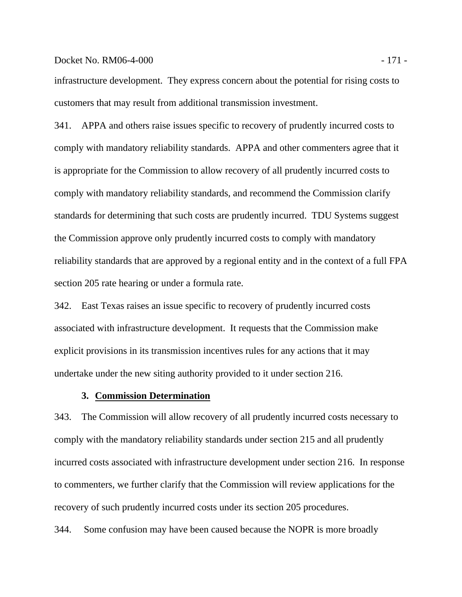#### Docket No. RM06-4-000 - 171 -

infrastructure development. They express concern about the potential for rising costs to customers that may result from additional transmission investment.

341. APPA and others raise issues specific to recovery of prudently incurred costs to comply with mandatory reliability standards. APPA and other commenters agree that it is appropriate for the Commission to allow recovery of all prudently incurred costs to comply with mandatory reliability standards, and recommend the Commission clarify standards for determining that such costs are prudently incurred. TDU Systems suggest the Commission approve only prudently incurred costs to comply with mandatory reliability standards that are approved by a regional entity and in the context of a full FPA section 205 rate hearing or under a formula rate.

342. East Texas raises an issue specific to recovery of prudently incurred costs associated with infrastructure development. It requests that the Commission make explicit provisions in its transmission incentives rules for any actions that it may undertake under the new siting authority provided to it under section 216.

# **3. Commission Determination**

343. The Commission will allow recovery of all prudently incurred costs necessary to comply with the mandatory reliability standards under section 215 and all prudently incurred costs associated with infrastructure development under section 216. In response to commenters, we further clarify that the Commission will review applications for the recovery of such prudently incurred costs under its section 205 procedures.

344. Some confusion may have been caused because the NOPR is more broadly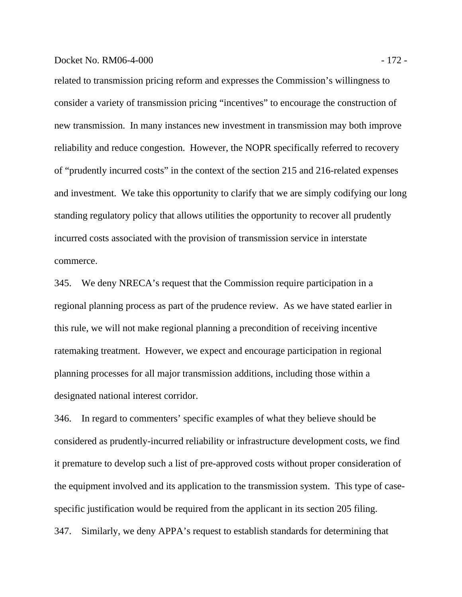# Docket No. RM06-4-000 - 172 -

related to transmission pricing reform and expresses the Commission's willingness to consider a variety of transmission pricing "incentives" to encourage the construction of new transmission. In many instances new investment in transmission may both improve reliability and reduce congestion. However, the NOPR specifically referred to recovery of "prudently incurred costs" in the context of the section 215 and 216-related expenses and investment. We take this opportunity to clarify that we are simply codifying our long standing regulatory policy that allows utilities the opportunity to recover all prudently incurred costs associated with the provision of transmission service in interstate commerce.

345. We deny NRECA's request that the Commission require participation in a regional planning process as part of the prudence review. As we have stated earlier in this rule, we will not make regional planning a precondition of receiving incentive ratemaking treatment. However, we expect and encourage participation in regional planning processes for all major transmission additions, including those within a designated national interest corridor.

346. In regard to commenters' specific examples of what they believe should be considered as prudently-incurred reliability or infrastructure development costs, we find it premature to develop such a list of pre-approved costs without proper consideration of the equipment involved and its application to the transmission system. This type of casespecific justification would be required from the applicant in its section 205 filing. 347. Similarly, we deny APPA's request to establish standards for determining that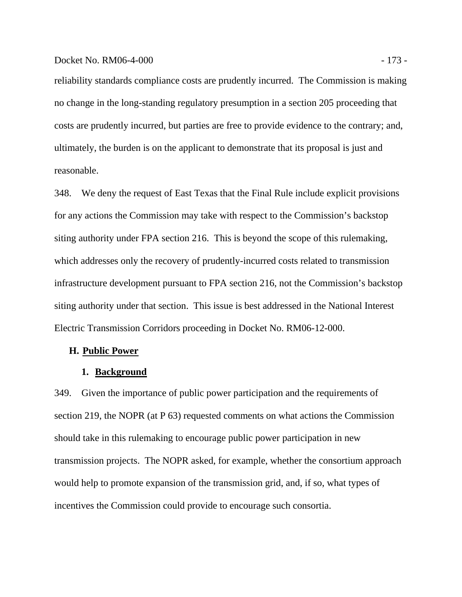# Docket No. RM06-4-000 - 173 -

reliability standards compliance costs are prudently incurred. The Commission is making no change in the long-standing regulatory presumption in a section 205 proceeding that costs are prudently incurred, but parties are free to provide evidence to the contrary; and, ultimately, the burden is on the applicant to demonstrate that its proposal is just and reasonable.

348. We deny the request of East Texas that the Final Rule include explicit provisions for any actions the Commission may take with respect to the Commission's backstop siting authority under FPA section 216. This is beyond the scope of this rulemaking, which addresses only the recovery of prudently-incurred costs related to transmission infrastructure development pursuant to FPA section 216, not the Commission's backstop siting authority under that section. This issue is best addressed in the National Interest Electric Transmission Corridors proceeding in Docket No. RM06-12-000.

## **H. Public Power**

#### **1. Background**

349. Given the importance of public power participation and the requirements of section 219, the NOPR (at P 63) requested comments on what actions the Commission should take in this rulemaking to encourage public power participation in new transmission projects. The NOPR asked, for example, whether the consortium approach would help to promote expansion of the transmission grid, and, if so, what types of incentives the Commission could provide to encourage such consortia.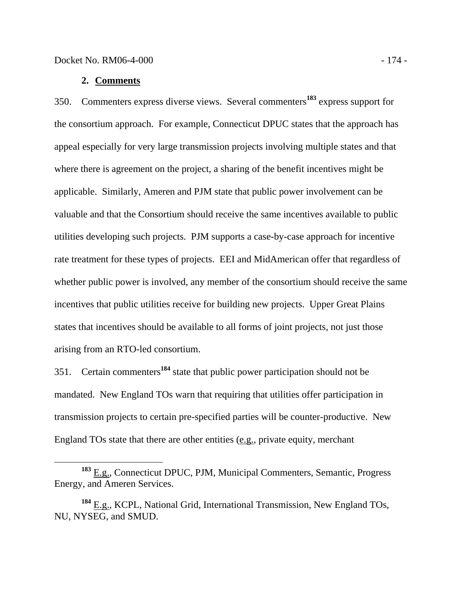## **2. Comments**

350. Commenters express diverse views. Several commenters**<sup>183</sup>** express support for the consortium approach. For example, Connecticut DPUC states that the approach has appeal especially for very large transmission projects involving multiple states and that where there is agreement on the project, a sharing of the benefit incentives might be applicable. Similarly, Ameren and PJM state that public power involvement can be valuable and that the Consortium should receive the same incentives available to public utilities developing such projects. PJM supports a case-by-case approach for incentive rate treatment for these types of projects. EEI and MidAmerican offer that regardless of whether public power is involved, any member of the consortium should receive the same incentives that public utilities receive for building new projects. Upper Great Plains states that incentives should be available to all forms of joint projects, not just those arising from an RTO-led consortium.

351. Certain commenters**<sup>184</sup>** state that public power participation should not be mandated. New England TOs warn that requiring that utilities offer participation in transmission projects to certain pre-specified parties will be counter-productive. New England TOs state that there are other entities (e.g., private equity, merchant

**<sup>183</sup>** E.g., Connecticut DPUC, PJM, Municipal Commenters, Semantic, Progress Energy, and Ameren Services.

**<sup>184</sup>** E.g., KCPL, National Grid, International Transmission, New England TOs, NU, NYSEG, and SMUD.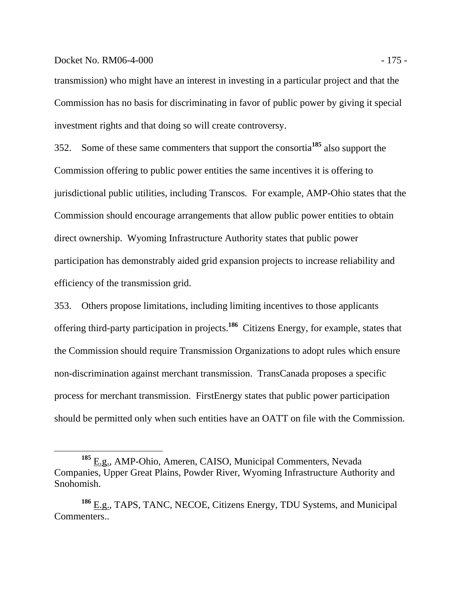#### Docket No. RM06-4-000 - 175 -

transmission) who might have an interest in investing in a particular project and that the Commission has no basis for discriminating in favor of public power by giving it special investment rights and that doing so will create controversy.

352. Some of these same commenters that support the consortia**<sup>185</sup>** also support the Commission offering to public power entities the same incentives it is offering to jurisdictional public utilities, including Transcos. For example, AMP-Ohio states that the Commission should encourage arrangements that allow public power entities to obtain direct ownership. Wyoming Infrastructure Authority states that public power participation has demonstrably aided grid expansion projects to increase reliability and efficiency of the transmission grid.

353. Others propose limitations, including limiting incentives to those applicants offering third-party participation in projects.**<sup>186</sup>** Citizens Energy, for example, states that the Commission should require Transmission Organizations to adopt rules which ensure non-discrimination against merchant transmission. TransCanada proposes a specific process for merchant transmission. FirstEnergy states that public power participation should be permitted only when such entities have an OATT on file with the Commission.

**<sup>185</sup>** E.g., AMP-Ohio, Ameren, CAISO, Municipal Commenters, Nevada Companies, Upper Great Plains, Powder River, Wyoming Infrastructure Authority and Snohomish.

**<sup>186</sup>** E.g., TAPS, TANC, NECOE, Citizens Energy, TDU Systems, and Municipal Commenters..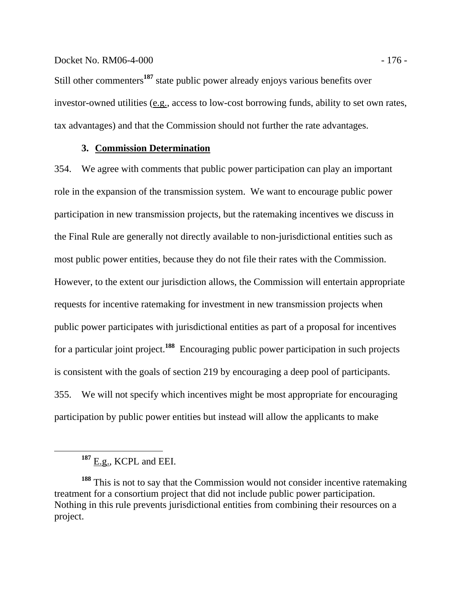## Docket No. RM06-4-000 - 176 - 176 - 176 - 176 - 176 - 176 - 176 - 176 - 176 - 176 - 176 - 176 - 176 - 176 - 176 - 176 - 176 - 176 - 176 - 176 - 176 - 176 - 176 - 176 - 176 - 176 - 176 - 176 - 176 - 176 - 176 - 176 - 176 -

Still other commenters**<sup>187</sup>** state public power already enjoys various benefits over investor-owned utilities (e.g., access to low-cost borrowing funds, ability to set own rates, tax advantages) and that the Commission should not further the rate advantages.

# **3. Commission Determination**

354. We agree with comments that public power participation can play an important role in the expansion of the transmission system. We want to encourage public power participation in new transmission projects, but the ratemaking incentives we discuss in the Final Rule are generally not directly available to non-jurisdictional entities such as most public power entities, because they do not file their rates with the Commission. However, to the extent our jurisdiction allows, the Commission will entertain appropriate requests for incentive ratemaking for investment in new transmission projects when public power participates with jurisdictional entities as part of a proposal for incentives for a particular joint project.**<sup>188</sup>** Encouraging public power participation in such projects is consistent with the goals of section 219 by encouraging a deep pool of participants. 355. We will not specify which incentives might be most appropriate for encouraging participation by public power entities but instead will allow the applicants to make

**<sup>187</sup>** E.g., KCPL and EEI.

**<sup>188</sup>** This is not to say that the Commission would not consider incentive ratemaking treatment for a consortium project that did not include public power participation. Nothing in this rule prevents jurisdictional entities from combining their resources on a project.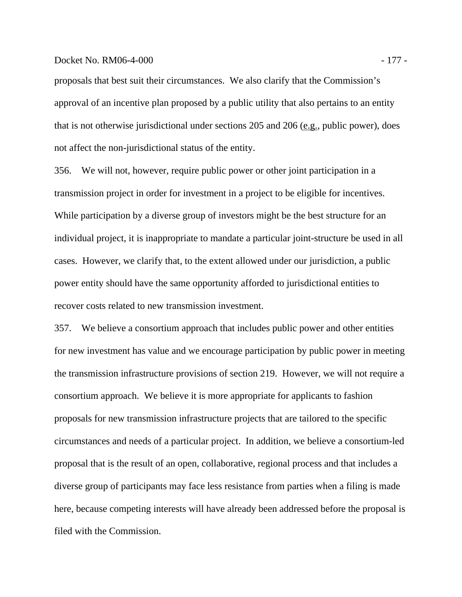# Docket No. RM06-4-000 - 177 -

proposals that best suit their circumstances. We also clarify that the Commission's approval of an incentive plan proposed by a public utility that also pertains to an entity that is not otherwise jurisdictional under sections 205 and 206 (e.g., public power), does not affect the non-jurisdictional status of the entity.

356. We will not, however, require public power or other joint participation in a transmission project in order for investment in a project to be eligible for incentives. While participation by a diverse group of investors might be the best structure for an individual project, it is inappropriate to mandate a particular joint-structure be used in all cases. However, we clarify that, to the extent allowed under our jurisdiction, a public power entity should have the same opportunity afforded to jurisdictional entities to recover costs related to new transmission investment.

357. We believe a consortium approach that includes public power and other entities for new investment has value and we encourage participation by public power in meeting the transmission infrastructure provisions of section 219. However, we will not require a consortium approach. We believe it is more appropriate for applicants to fashion proposals for new transmission infrastructure projects that are tailored to the specific circumstances and needs of a particular project. In addition, we believe a consortium-led proposal that is the result of an open, collaborative, regional process and that includes a diverse group of participants may face less resistance from parties when a filing is made here, because competing interests will have already been addressed before the proposal is filed with the Commission.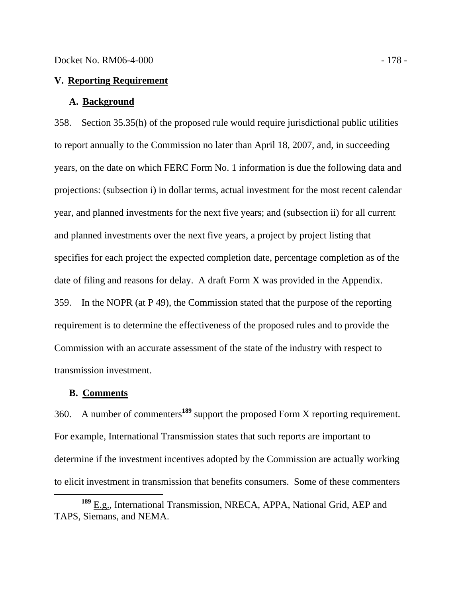## **V. Reporting Requirement**

## **A. Background**

358. Section 35.35(h) of the proposed rule would require jurisdictional public utilities to report annually to the Commission no later than April 18, 2007, and, in succeeding years, on the date on which FERC Form No. 1 information is due the following data and projections: (subsection i) in dollar terms, actual investment for the most recent calendar year, and planned investments for the next five years; and (subsection ii) for all current and planned investments over the next five years, a project by project listing that specifies for each project the expected completion date, percentage completion as of the date of filing and reasons for delay. A draft Form X was provided in the Appendix. 359. In the NOPR (at P 49), the Commission stated that the purpose of the reporting requirement is to determine the effectiveness of the proposed rules and to provide the Commission with an accurate assessment of the state of the industry with respect to transmission investment.

#### **B. Comments**

360. A number of commenters**<sup>189</sup>** support the proposed Form X reporting requirement. For example, International Transmission states that such reports are important to determine if the investment incentives adopted by the Commission are actually working to elicit investment in transmission that benefits consumers. Some of these commenters

**<sup>189</sup>** E.g., International Transmission, NRECA, APPA, National Grid, AEP and TAPS, Siemans, and NEMA.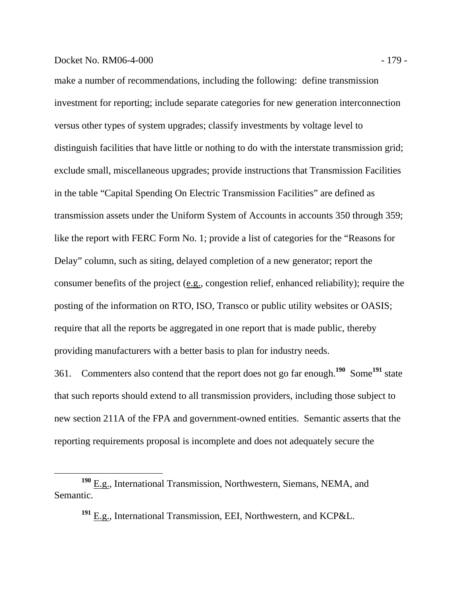# Docket No. RM06-4-000 - 179 -

make a number of recommendations, including the following: define transmission investment for reporting; include separate categories for new generation interconnection versus other types of system upgrades; classify investments by voltage level to distinguish facilities that have little or nothing to do with the interstate transmission grid; exclude small, miscellaneous upgrades; provide instructions that Transmission Facilities in the table "Capital Spending On Electric Transmission Facilities" are defined as transmission assets under the Uniform System of Accounts in accounts 350 through 359; like the report with FERC Form No. 1; provide a list of categories for the "Reasons for Delay" column, such as siting, delayed completion of a new generator; report the consumer benefits of the project (e.g., congestion relief, enhanced reliability); require the posting of the information on RTO, ISO, Transco or public utility websites or OASIS; require that all the reports be aggregated in one report that is made public, thereby providing manufacturers with a better basis to plan for industry needs.

361. Commenters also contend that the report does not go far enough.**<sup>190</sup>** Some**<sup>191</sup>** state that such reports should extend to all transmission providers, including those subject to new section 211A of the FPA and government-owned entities. Semantic asserts that the reporting requirements proposal is incomplete and does not adequately secure the

**<sup>190</sup>** E.g., International Transmission, Northwestern, Siemans, NEMA, and Semantic.

**<sup>191</sup>** E.g., International Transmission, EEI, Northwestern, and KCP&L.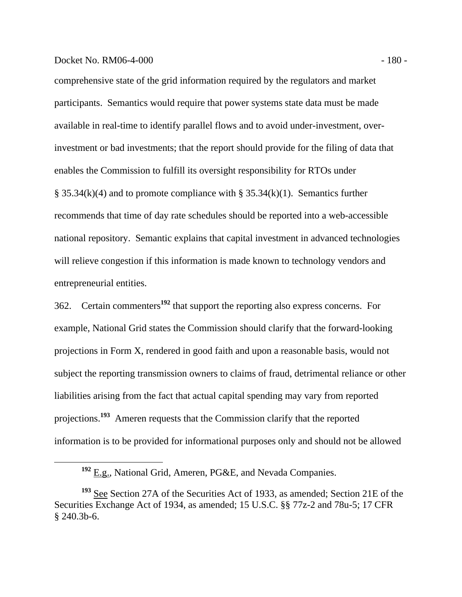## Docket No. RM06-4-000 - 180 - 180 - 180 - 180 - 180 - 180 - 180 - 180 - 180 - 180 - 180 - 180 - 180 - 180 - 180 - 180 - 180 - 180 - 180 - 180 - 180 - 180 - 180 - 180 - 180 - 180 - 180 - 180 - 180 - 180 - 180 - 180 - 180 -

comprehensive state of the grid information required by the regulators and market participants. Semantics would require that power systems state data must be made available in real-time to identify parallel flows and to avoid under-investment, overinvestment or bad investments; that the report should provide for the filing of data that enables the Commission to fulfill its oversight responsibility for RTOs under  $\S$  35.34(k)(4) and to promote compliance with  $\S$  35.34(k)(1). Semantics further recommends that time of day rate schedules should be reported into a web-accessible national repository. Semantic explains that capital investment in advanced technologies will relieve congestion if this information is made known to technology vendors and entrepreneurial entities.

362. Certain commenters**<sup>192</sup>** that support the reporting also express concerns. For example, National Grid states the Commission should clarify that the forward-looking projections in Form X, rendered in good faith and upon a reasonable basis, would not subject the reporting transmission owners to claims of fraud, detrimental reliance or other liabilities arising from the fact that actual capital spending may vary from reported projections.**<sup>193</sup>** Ameren requests that the Commission clarify that the reported information is to be provided for informational purposes only and should not be allowed

**<sup>192</sup>** E.g., National Grid, Ameren, PG&E, and Nevada Companies.

**<sup>193</sup>** See Section 27A of the Securities Act of 1933, as amended; Section 21E of the Securities Exchange Act of 1934, as amended; 15 U.S.C. §§ 77z-2 and 78u-5; 17 CFR § 240.3b-6.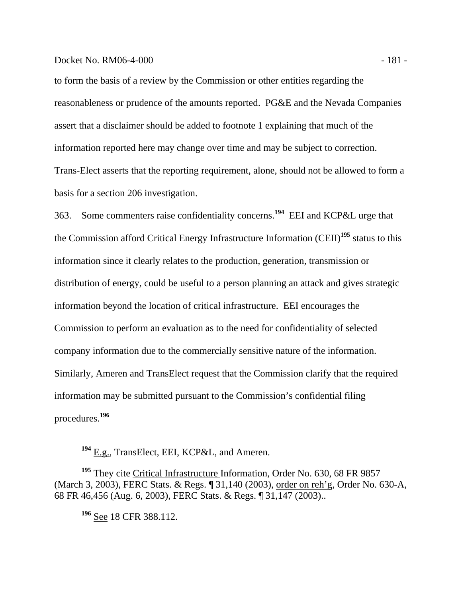## Docket No. RM06-4-000 - 181 -

to form the basis of a review by the Commission or other entities regarding the reasonableness or prudence of the amounts reported. PG&E and the Nevada Companies assert that a disclaimer should be added to footnote 1 explaining that much of the information reported here may change over time and may be subject to correction. Trans-Elect asserts that the reporting requirement, alone, should not be allowed to form a basis for a section 206 investigation.

363. Some commenters raise confidentiality concerns.**<sup>194</sup>** EEI and KCP&L urge that the Commission afford Critical Energy Infrastructure Information (CEII)**<sup>195</sup>** status to this information since it clearly relates to the production, generation, transmission or distribution of energy, could be useful to a person planning an attack and gives strategic information beyond the location of critical infrastructure. EEI encourages the Commission to perform an evaluation as to the need for confidentiality of selected company information due to the commercially sensitive nature of the information. Similarly, Ameren and TransElect request that the Commission clarify that the required information may be submitted pursuant to the Commission's confidential filing procedures.**<sup>196</sup>**

**<sup>196</sup>** See 18 CFR 388.112.

**<sup>194</sup>** E.g., TransElect, EEI, KCP&L, and Ameren.

<sup>&</sup>lt;sup>195</sup> They cite *Critical Infrastructure* Information, Order No. 630, 68 FR 9857 (March 3, 2003), FERC Stats. & Regs. ¶ 31,140 (2003), order on reh'g, Order No. 630-A, 68 FR 46,456 (Aug. 6, 2003), FERC Stats. & Regs. ¶ 31,147 (2003)..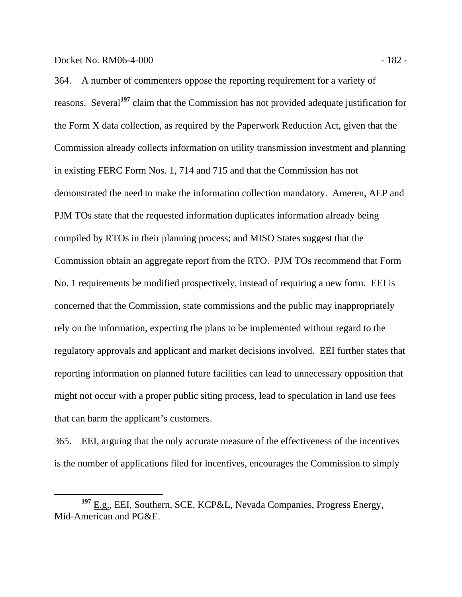364. A number of commenters oppose the reporting requirement for a variety of reasons. Several**<sup>197</sup>** claim that the Commission has not provided adequate justification for the Form X data collection, as required by the Paperwork Reduction Act, given that the Commission already collects information on utility transmission investment and planning in existing FERC Form Nos. 1, 714 and 715 and that the Commission has not demonstrated the need to make the information collection mandatory. Ameren, AEP and PJM TOs state that the requested information duplicates information already being compiled by RTOs in their planning process; and MISO States suggest that the Commission obtain an aggregate report from the RTO. PJM TOs recommend that Form No. 1 requirements be modified prospectively, instead of requiring a new form. EEI is concerned that the Commission, state commissions and the public may inappropriately rely on the information, expecting the plans to be implemented without regard to the regulatory approvals and applicant and market decisions involved. EEI further states that reporting information on planned future facilities can lead to unnecessary opposition that might not occur with a proper public siting process, lead to speculation in land use fees that can harm the applicant's customers.

365. EEI, arguing that the only accurate measure of the effectiveness of the incentives is the number of applications filed for incentives, encourages the Commission to simply

**<sup>197</sup>** E.g., EEI, Southern, SCE, KCP&L, Nevada Companies, Progress Energy, Mid-American and PG&E.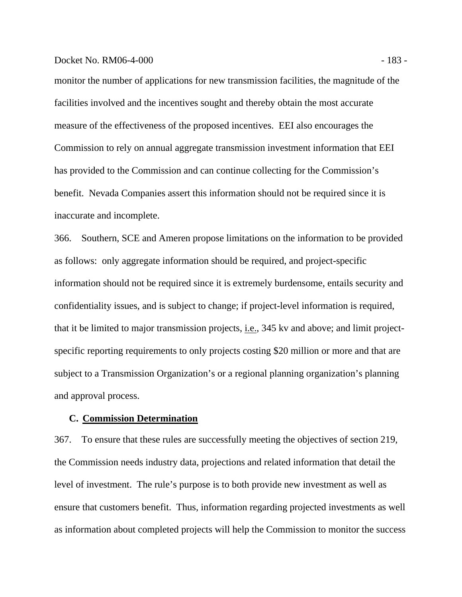### Docket No. RM06-4-000 - 183 -

monitor the number of applications for new transmission facilities, the magnitude of the facilities involved and the incentives sought and thereby obtain the most accurate measure of the effectiveness of the proposed incentives. EEI also encourages the Commission to rely on annual aggregate transmission investment information that EEI has provided to the Commission and can continue collecting for the Commission's benefit. Nevada Companies assert this information should not be required since it is inaccurate and incomplete.

366. Southern, SCE and Ameren propose limitations on the information to be provided as follows: only aggregate information should be required, and project-specific information should not be required since it is extremely burdensome, entails security and confidentiality issues, and is subject to change; if project-level information is required, that it be limited to major transmission projects, i.e., 345 kv and above; and limit projectspecific reporting requirements to only projects costing \$20 million or more and that are subject to a Transmission Organization's or a regional planning organization's planning and approval process.

## **C. Commission Determination**

367. To ensure that these rules are successfully meeting the objectives of section 219, the Commission needs industry data, projections and related information that detail the level of investment. The rule's purpose is to both provide new investment as well as ensure that customers benefit. Thus, information regarding projected investments as well as information about completed projects will help the Commission to monitor the success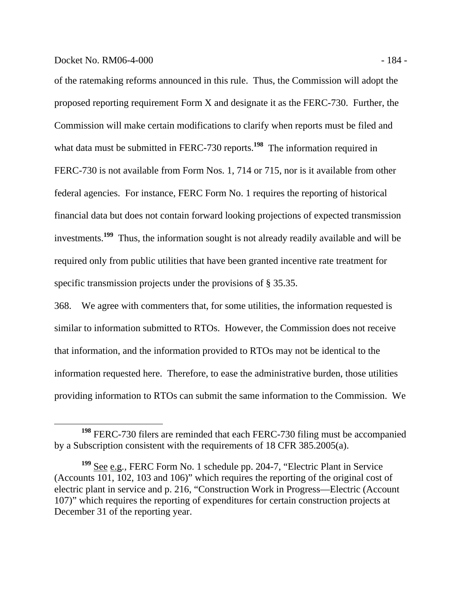of the ratemaking reforms announced in this rule. Thus, the Commission will adopt the proposed reporting requirement Form X and designate it as the FERC-730. Further, the Commission will make certain modifications to clarify when reports must be filed and what data must be submitted in FERC-730 reports.<sup>198</sup> The information required in FERC-730 is not available from Form Nos. 1, 714 or 715, nor is it available from other federal agencies. For instance, FERC Form No. 1 requires the reporting of historical financial data but does not contain forward looking projections of expected transmission investments.**<sup>199</sup>** Thus, the information sought is not already readily available and will be required only from public utilities that have been granted incentive rate treatment for specific transmission projects under the provisions of § 35.35.

368. We agree with commenters that, for some utilities, the information requested is similar to information submitted to RTOs. However, the Commission does not receive that information, and the information provided to RTOs may not be identical to the information requested here. Therefore, to ease the administrative burden, those utilities providing information to RTOs can submit the same information to the Commission. We

**<sup>198</sup>** FERC-730 filers are reminded that each FERC-730 filing must be accompanied by a Subscription consistent with the requirements of 18 CFR 385.2005(a).

**<sup>199</sup>** See e.g*.,* FERC Form No. 1 schedule pp. 204-7, "Electric Plant in Service (Accounts 101, 102, 103 and 106)" which requires the reporting of the original cost of electric plant in service and p. 216, "Construction Work in Progress—Electric (Account 107)" which requires the reporting of expenditures for certain construction projects at December 31 of the reporting year.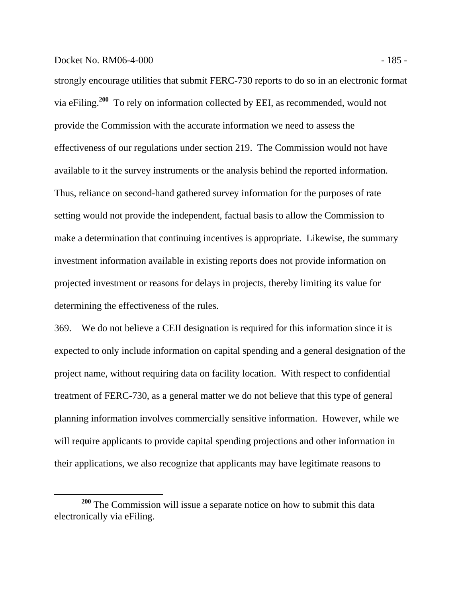## Docket No. RM06-4-000 - 185 -

strongly encourage utilities that submit FERC-730 reports to do so in an electronic format via eFiling.**<sup>200</sup>** To rely on information collected by EEI, as recommended, would not provide the Commission with the accurate information we need to assess the effectiveness of our regulations under section 219. The Commission would not have available to it the survey instruments or the analysis behind the reported information. Thus, reliance on second-hand gathered survey information for the purposes of rate setting would not provide the independent, factual basis to allow the Commission to make a determination that continuing incentives is appropriate. Likewise, the summary investment information available in existing reports does not provide information on projected investment or reasons for delays in projects, thereby limiting its value for determining the effectiveness of the rules.

369. We do not believe a CEII designation is required for this information since it is expected to only include information on capital spending and a general designation of the project name, without requiring data on facility location. With respect to confidential treatment of FERC-730, as a general matter we do not believe that this type of general planning information involves commercially sensitive information. However, while we will require applicants to provide capital spending projections and other information in their applications, we also recognize that applicants may have legitimate reasons to

**<sup>200</sup>** The Commission will issue a separate notice on how to submit this data electronically via eFiling.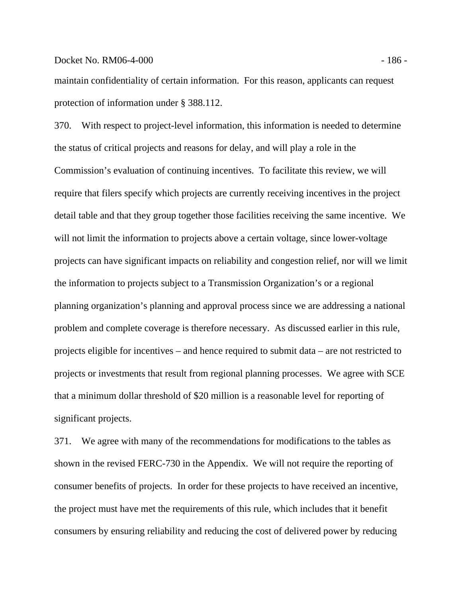### Docket No. RM06-4-000 - 186 -

maintain confidentiality of certain information. For this reason, applicants can request protection of information under § 388.112.

370. With respect to project-level information, this information is needed to determine the status of critical projects and reasons for delay, and will play a role in the Commission's evaluation of continuing incentives. To facilitate this review, we will require that filers specify which projects are currently receiving incentives in the project detail table and that they group together those facilities receiving the same incentive. We will not limit the information to projects above a certain voltage, since lower-voltage projects can have significant impacts on reliability and congestion relief, nor will we limit the information to projects subject to a Transmission Organization's or a regional planning organization's planning and approval process since we are addressing a national problem and complete coverage is therefore necessary. As discussed earlier in this rule, projects eligible for incentives – and hence required to submit data – are not restricted to projects or investments that result from regional planning processes. We agree with SCE that a minimum dollar threshold of \$20 million is a reasonable level for reporting of significant projects.

371. We agree with many of the recommendations for modifications to the tables as shown in the revised FERC-730 in the Appendix. We will not require the reporting of consumer benefits of projects. In order for these projects to have received an incentive, the project must have met the requirements of this rule, which includes that it benefit consumers by ensuring reliability and reducing the cost of delivered power by reducing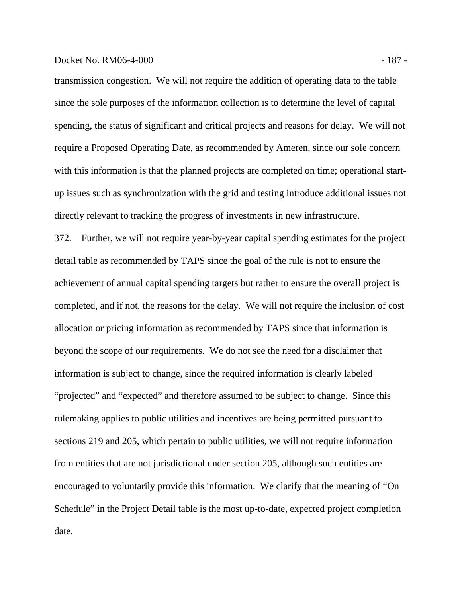### Docket No. RM06-4-000 - 187 -

transmission congestion. We will not require the addition of operating data to the table since the sole purposes of the information collection is to determine the level of capital spending, the status of significant and critical projects and reasons for delay. We will not require a Proposed Operating Date, as recommended by Ameren, since our sole concern with this information is that the planned projects are completed on time; operational startup issues such as synchronization with the grid and testing introduce additional issues not directly relevant to tracking the progress of investments in new infrastructure.

372. Further, we will not require year-by-year capital spending estimates for the project detail table as recommended by TAPS since the goal of the rule is not to ensure the achievement of annual capital spending targets but rather to ensure the overall project is completed, and if not, the reasons for the delay. We will not require the inclusion of cost allocation or pricing information as recommended by TAPS since that information is beyond the scope of our requirements. We do not see the need for a disclaimer that information is subject to change, since the required information is clearly labeled "projected" and "expected" and therefore assumed to be subject to change. Since this rulemaking applies to public utilities and incentives are being permitted pursuant to sections 219 and 205, which pertain to public utilities, we will not require information from entities that are not jurisdictional under section 205, although such entities are encouraged to voluntarily provide this information. We clarify that the meaning of "On Schedule" in the Project Detail table is the most up-to-date, expected project completion date.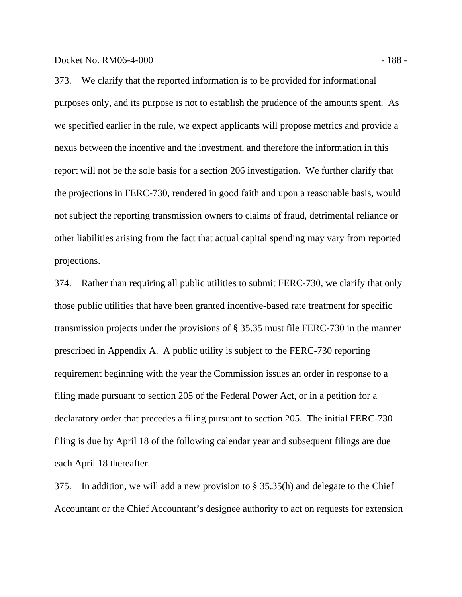373. We clarify that the reported information is to be provided for informational purposes only, and its purpose is not to establish the prudence of the amounts spent. As we specified earlier in the rule, we expect applicants will propose metrics and provide a nexus between the incentive and the investment, and therefore the information in this report will not be the sole basis for a section 206 investigation. We further clarify that the projections in FERC-730, rendered in good faith and upon a reasonable basis, would not subject the reporting transmission owners to claims of fraud, detrimental reliance or other liabilities arising from the fact that actual capital spending may vary from reported projections.

374. Rather than requiring all public utilities to submit FERC-730, we clarify that only those public utilities that have been granted incentive-based rate treatment for specific transmission projects under the provisions of § 35.35 must file FERC-730 in the manner prescribed in Appendix A. A public utility is subject to the FERC-730 reporting requirement beginning with the year the Commission issues an order in response to a filing made pursuant to section 205 of the Federal Power Act, or in a petition for a declaratory order that precedes a filing pursuant to section 205. The initial FERC-730 filing is due by April 18 of the following calendar year and subsequent filings are due each April 18 thereafter.

375. In addition, we will add a new provision to § 35.35(h) and delegate to the Chief Accountant or the Chief Accountant's designee authority to act on requests for extension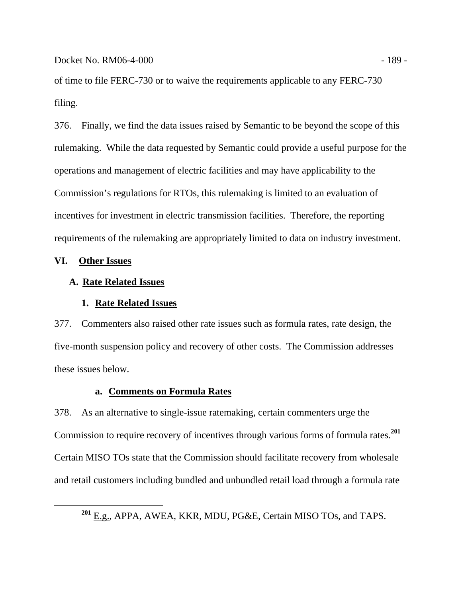Docket No. RM06-4-000 - 189 - 189 - 189 - 189 - 189 - 189 - 189 - 189 - 189 - 189 - 189 - 189 - 189 - 189 - 189 - 189 - 189 - 189 - 189 - 189 - 189 - 189 - 189 - 189 - 189 - 189 - 189 - 189 - 189 - 189 - 189 - 189 - 189 -

of time to file FERC-730 or to waive the requirements applicable to any FERC-730 filing.

376. Finally, we find the data issues raised by Semantic to be beyond the scope of this rulemaking. While the data requested by Semantic could provide a useful purpose for the operations and management of electric facilities and may have applicability to the Commission's regulations for RTOs, this rulemaking is limited to an evaluation of incentives for investment in electric transmission facilities. Therefore, the reporting requirements of the rulemaking are appropriately limited to data on industry investment.

# **VI. Other Issues**

# **A. Rate Related Issues**

### **1. Rate Related Issues**

377. Commenters also raised other rate issues such as formula rates, rate design, the five-month suspension policy and recovery of other costs. The Commission addresses these issues below.

# **a. Comments on Formula Rates**

378. As an alternative to single-issue ratemaking, certain commenters urge the Commission to require recovery of incentives through various forms of formula rates.**<sup>201</sup>** Certain MISO TOs state that the Commission should facilitate recovery from wholesale and retail customers including bundled and unbundled retail load through a formula rate

**<sup>201</sup>** E.g., APPA, AWEA, KKR, MDU, PG&E, Certain MISO TOs, and TAPS.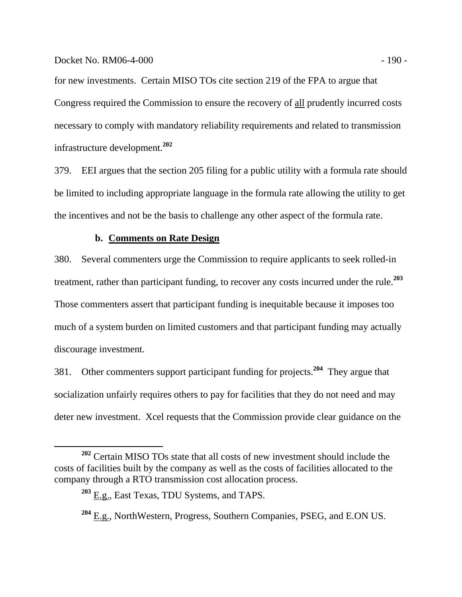## Docket No. RM06-4-000 - 190 - 190 - 190 - 190 - 190 - 190 - 190 - 190 - 190 - 190 - 190 - 190 - 190 - 190 - 190 - 190 - 190 - 190 - 190 - 190 - 190 - 190 - 190 - 190 - 190 - 190 - 190 - 191 - 191 - 191 - 191 - 191 - 191 -

for new investments. Certain MISO TOs cite section 219 of the FPA to argue that Congress required the Commission to ensure the recovery of all prudently incurred costs necessary to comply with mandatory reliability requirements and related to transmission infrastructure development.**<sup>202</sup>**

379. EEI argues that the section 205 filing for a public utility with a formula rate should be limited to including appropriate language in the formula rate allowing the utility to get the incentives and not be the basis to challenge any other aspect of the formula rate.

# **b. Comments on Rate Design**

380. Several commenters urge the Commission to require applicants to seek rolled-in treatment, rather than participant funding, to recover any costs incurred under the rule.**<sup>203</sup>** Those commenters assert that participant funding is inequitable because it imposes too much of a system burden on limited customers and that participant funding may actually discourage investment.

381. Other commenters support participant funding for projects.**<sup>204</sup>** They argue that socialization unfairly requires others to pay for facilities that they do not need and may deter new investment. Xcel requests that the Commission provide clear guidance on the

**<sup>202</sup>** Certain MISO TOs state that all costs of new investment should include the costs of facilities built by the company as well as the costs of facilities allocated to the company through a RTO transmission cost allocation process.

**<sup>203</sup>** E.g., East Texas, TDU Systems, and TAPS.

**<sup>204</sup>** E.g., NorthWestern, Progress, Southern Companies, PSEG, and E.ON US.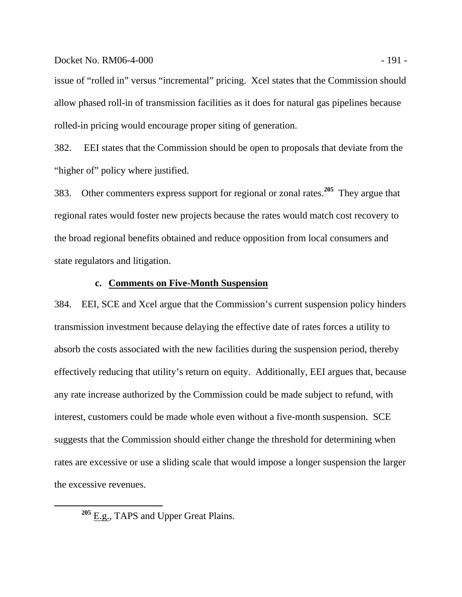## Docket No. RM06-4-000 - 191 -

issue of "rolled in" versus "incremental" pricing. Xcel states that the Commission should allow phased roll-in of transmission facilities as it does for natural gas pipelines because rolled-in pricing would encourage proper siting of generation.

382. EEI states that the Commission should be open to proposals that deviate from the "higher of" policy where justified.

383. Other commenters express support for regional or zonal rates.**<sup>205</sup>** They argue that regional rates would foster new projects because the rates would match cost recovery to the broad regional benefits obtained and reduce opposition from local consumers and state regulators and litigation.

## **c. Comments on Five-Month Suspension**

384. EEI, SCE and Xcel argue that the Commission's current suspension policy hinders transmission investment because delaying the effective date of rates forces a utility to absorb the costs associated with the new facilities during the suspension period, thereby effectively reducing that utility's return on equity. Additionally, EEI argues that, because any rate increase authorized by the Commission could be made subject to refund, with interest, customers could be made whole even without a five-month suspension. SCE suggests that the Commission should either change the threshold for determining when rates are excessive or use a sliding scale that would impose a longer suspension the larger the excessive revenues.

**<sup>205</sup>** E.g., TAPS and Upper Great Plains.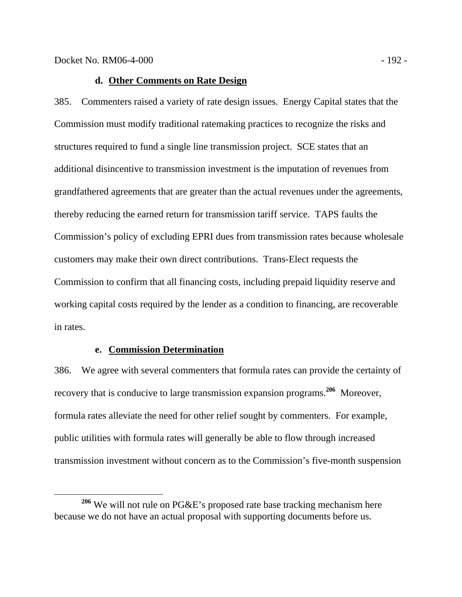## **d. Other Comments on Rate Design**

385. Commenters raised a variety of rate design issues. Energy Capital states that the Commission must modify traditional ratemaking practices to recognize the risks and structures required to fund a single line transmission project. SCE states that an additional disincentive to transmission investment is the imputation of revenues from grandfathered agreements that are greater than the actual revenues under the agreements, thereby reducing the earned return for transmission tariff service. TAPS faults the Commission's policy of excluding EPRI dues from transmission rates because wholesale customers may make their own direct contributions. Trans-Elect requests the Commission to confirm that all financing costs, including prepaid liquidity reserve and working capital costs required by the lender as a condition to financing, are recoverable in rates.

## **e. Commission Determination**

386. We agree with several commenters that formula rates can provide the certainty of recovery that is conducive to large transmission expansion programs.**<sup>206</sup>** Moreover, formula rates alleviate the need for other relief sought by commenters. For example, public utilities with formula rates will generally be able to flow through increased transmission investment without concern as to the Commission's five-month suspension

**<sup>206</sup>** We will not rule on PG&E's proposed rate base tracking mechanism here because we do not have an actual proposal with supporting documents before us.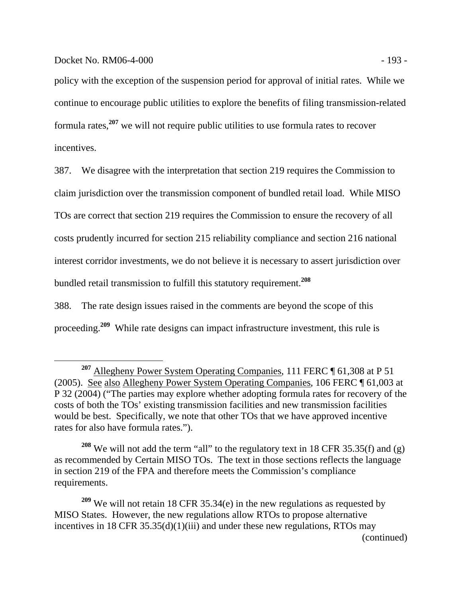policy with the exception of the suspension period for approval of initial rates. While we continue to encourage public utilities to explore the benefits of filing transmission-related formula rates,**<sup>207</sup>** we will not require public utilities to use formula rates to recover incentives.

387. We disagree with the interpretation that section 219 requires the Commission to claim jurisdiction over the transmission component of bundled retail load. While MISO TOs are correct that section 219 requires the Commission to ensure the recovery of all costs prudently incurred for section 215 reliability compliance and section 216 national interest corridor investments, we do not believe it is necessary to assert jurisdiction over bundled retail transmission to fulfill this statutory requirement.**<sup>208</sup>**

388. The rate design issues raised in the comments are beyond the scope of this proceeding.**<sup>209</sup>** While rate designs can impact infrastructure investment, this rule is

**<sup>208</sup>** We will not add the term "all" to the regulatory text in 18 CFR 35.35(f) and (g) as recommended by Certain MISO TOs. The text in those sections reflects the language in section 219 of the FPA and therefore meets the Commission's compliance requirements.

**<sup>209</sup>** We will not retain 18 CFR 35.34(e) in the new regulations as requested by MISO States. However, the new regulations allow RTOs to propose alternative incentives in 18 CFR 35.35(d)(1)(iii) and under these new regulations, RTOs may (continued)

<sup>&</sup>lt;sup>207</sup> Allegheny Power System Operating Companies, 111 FERC ¶ 61,308 at P 51 (2005). See also Allegheny Power System Operating Companies, 106 FERC ¶ 61,003 at P 32 (2004) ("The parties may explore whether adopting formula rates for recovery of the costs of both the TOs' existing transmission facilities and new transmission facilities would be best. Specifically, we note that other TOs that we have approved incentive rates for also have formula rates.").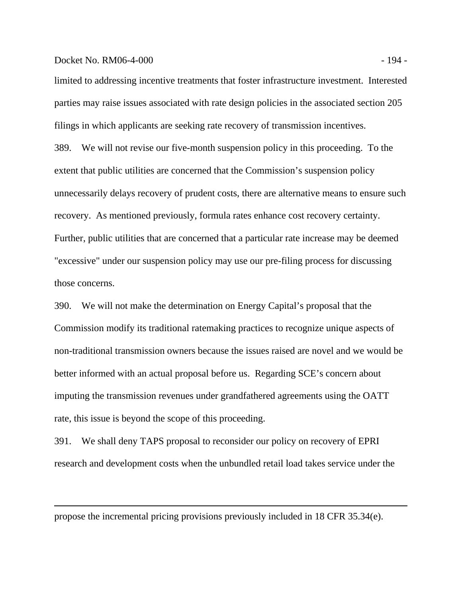### Docket No. RM06-4-000 - 194 -

 $\overline{a}$ 

limited to addressing incentive treatments that foster infrastructure investment. Interested parties may raise issues associated with rate design policies in the associated section 205 filings in which applicants are seeking rate recovery of transmission incentives.

389. We will not revise our five-month suspension policy in this proceeding. To the extent that public utilities are concerned that the Commission's suspension policy unnecessarily delays recovery of prudent costs, there are alternative means to ensure such recovery. As mentioned previously, formula rates enhance cost recovery certainty. Further, public utilities that are concerned that a particular rate increase may be deemed "excessive" under our suspension policy may use our pre-filing process for discussing those concerns.

390. We will not make the determination on Energy Capital's proposal that the Commission modify its traditional ratemaking practices to recognize unique aspects of non-traditional transmission owners because the issues raised are novel and we would be better informed with an actual proposal before us. Regarding SCE's concern about imputing the transmission revenues under grandfathered agreements using the OATT rate, this issue is beyond the scope of this proceeding.

391. We shall deny TAPS proposal to reconsider our policy on recovery of EPRI research and development costs when the unbundled retail load takes service under the

propose the incremental pricing provisions previously included in 18 CFR 35.34(e).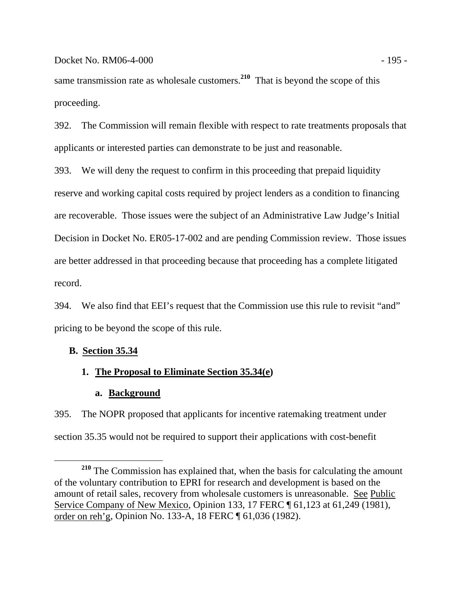same transmission rate as wholesale customers.**<sup>210</sup>** That is beyond the scope of this proceeding.

392. The Commission will remain flexible with respect to rate treatments proposals that applicants or interested parties can demonstrate to be just and reasonable.

393. We will deny the request to confirm in this proceeding that prepaid liquidity reserve and working capital costs required by project lenders as a condition to financing are recoverable. Those issues were the subject of an Administrative Law Judge's Initial Decision in Docket No. ER05-17-002 and are pending Commission review. Those issues are better addressed in that proceeding because that proceeding has a complete litigated record.

394. We also find that EEI's request that the Commission use this rule to revisit "and" pricing to be beyond the scope of this rule.

# **B. Section 35.34**

# **1. The Proposal to Eliminate Section 35.34(e)**

# **a. Background**

395. The NOPR proposed that applicants for incentive ratemaking treatment under section 35.35 would not be required to support their applications with cost-benefit

**<sup>210</sup>** The Commission has explained that, when the basis for calculating the amount of the voluntary contribution to EPRI for research and development is based on the amount of retail sales, recovery from wholesale customers is unreasonable. See Public Service Company of New Mexico, Opinion 133, 17 FERC ¶ 61,123 at 61,249 (1981), order on reh'g, Opinion No. 133-A, 18 FERC ¶ 61,036 (1982).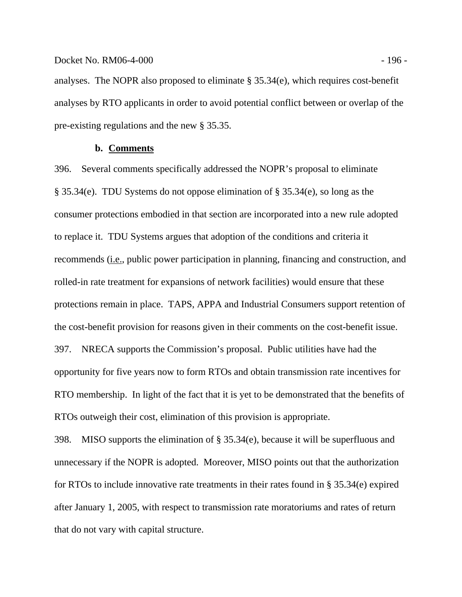## Docket No. RM06-4-000 - 196 - 196 - 196 - 196 - 196 - 196 - 196 - 196 - 196 - 196 - 196 - 196 - 196 - 197 - 19

analyses. The NOPR also proposed to eliminate § 35.34(e), which requires cost-benefit analyses by RTO applicants in order to avoid potential conflict between or overlap of the pre-existing regulations and the new § 35.35.

# **b. Comments**

396. Several comments specifically addressed the NOPR's proposal to eliminate § 35.34(e). TDU Systems do not oppose elimination of § 35.34(e), so long as the consumer protections embodied in that section are incorporated into a new rule adopted to replace it. TDU Systems argues that adoption of the conditions and criteria it recommends (i.e., public power participation in planning, financing and construction, and rolled-in rate treatment for expansions of network facilities) would ensure that these protections remain in place. TAPS, APPA and Industrial Consumers support retention of the cost-benefit provision for reasons given in their comments on the cost-benefit issue. 397. NRECA supports the Commission's proposal. Public utilities have had the opportunity for five years now to form RTOs and obtain transmission rate incentives for RTO membership. In light of the fact that it is yet to be demonstrated that the benefits of RTOs outweigh their cost, elimination of this provision is appropriate.

398. MISO supports the elimination of § 35.34(e), because it will be superfluous and unnecessary if the NOPR is adopted. Moreover, MISO points out that the authorization for RTOs to include innovative rate treatments in their rates found in § 35.34(e) expired after January 1, 2005, with respect to transmission rate moratoriums and rates of return that do not vary with capital structure.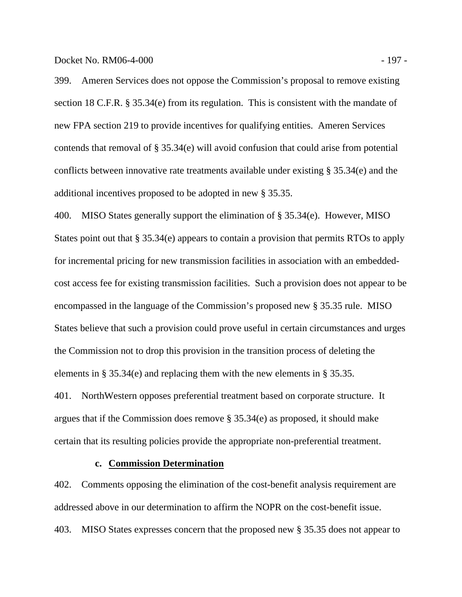Docket No. RM06-4-000 - 197 -

399. Ameren Services does not oppose the Commission's proposal to remove existing section 18 C.F.R. § 35.34(e) from its regulation. This is consistent with the mandate of new FPA section 219 to provide incentives for qualifying entities. Ameren Services contends that removal of § 35.34(e) will avoid confusion that could arise from potential conflicts between innovative rate treatments available under existing § 35.34(e) and the additional incentives proposed to be adopted in new § 35.35.

400. MISO States generally support the elimination of § 35.34(e). However, MISO States point out that § 35.34(e) appears to contain a provision that permits RTOs to apply for incremental pricing for new transmission facilities in association with an embeddedcost access fee for existing transmission facilities. Such a provision does not appear to be encompassed in the language of the Commission's proposed new § 35.35 rule. MISO States believe that such a provision could prove useful in certain circumstances and urges the Commission not to drop this provision in the transition process of deleting the elements in § 35.34(e) and replacing them with the new elements in § 35.35.

401. NorthWestern opposes preferential treatment based on corporate structure. It argues that if the Commission does remove § 35.34(e) as proposed, it should make certain that its resulting policies provide the appropriate non-preferential treatment.

# **c. Commission Determination**

402. Comments opposing the elimination of the cost-benefit analysis requirement are addressed above in our determination to affirm the NOPR on the cost-benefit issue. 403. MISO States expresses concern that the proposed new § 35.35 does not appear to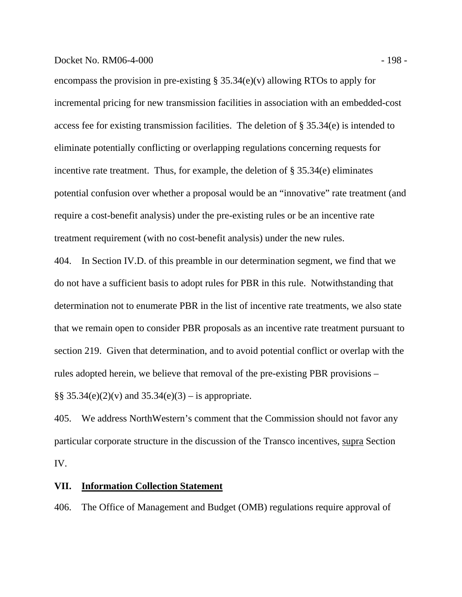### Docket No. RM06-4-000 - 198 -

encompass the provision in pre-existing § 35.34(e)(v) allowing RTOs to apply for incremental pricing for new transmission facilities in association with an embedded-cost access fee for existing transmission facilities. The deletion of § 35.34(e) is intended to eliminate potentially conflicting or overlapping regulations concerning requests for incentive rate treatment. Thus, for example, the deletion of § 35.34(e) eliminates potential confusion over whether a proposal would be an "innovative" rate treatment (and require a cost-benefit analysis) under the pre-existing rules or be an incentive rate treatment requirement (with no cost-benefit analysis) under the new rules.

404. In Section IV.D. of this preamble in our determination segment, we find that we do not have a sufficient basis to adopt rules for PBR in this rule. Notwithstanding that determination not to enumerate PBR in the list of incentive rate treatments, we also state that we remain open to consider PBR proposals as an incentive rate treatment pursuant to section 219. Given that determination, and to avoid potential conflict or overlap with the rules adopted herein, we believe that removal of the pre-existing PBR provisions – §§  $35.34(e)(2)(v)$  and  $35.34(e)(3) -$  is appropriate.

405. We address NorthWestern's comment that the Commission should not favor any particular corporate structure in the discussion of the Transco incentives, supra Section IV.

# **VII. Information Collection Statement**

406. The Office of Management and Budget (OMB) regulations require approval of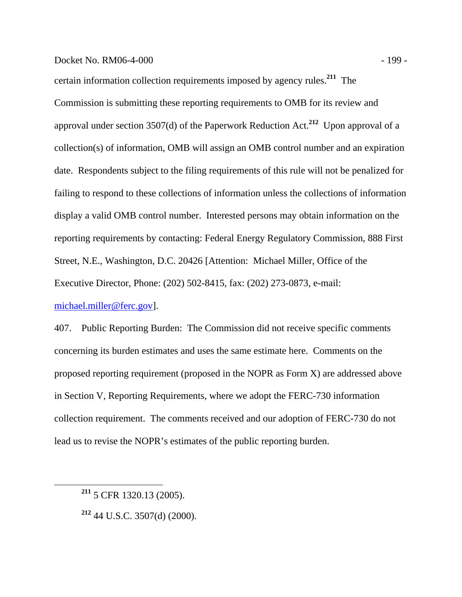# Docket No. RM06-4-000 - 199 -

certain information collection requirements imposed by agency rules.**<sup>211</sup>** The Commission is submitting these reporting requirements to OMB for its review and approval under section 3507(d) of the Paperwork Reduction Act.**<sup>212</sup>** Upon approval of a collection(s) of information, OMB will assign an OMB control number and an expiration date. Respondents subject to the filing requirements of this rule will not be penalized for failing to respond to these collections of information unless the collections of information display a valid OMB control number. Interested persons may obtain information on the reporting requirements by contacting: Federal Energy Regulatory Commission, 888 First Street, N.E., Washington, D.C. 20426 [Attention: Michael Miller, Office of the Executive Director, Phone: (202) 502-8415, fax: (202) 273-0873, e-mail: michael.miller@ferc.gov].

407. Public Reporting Burden: The Commission did not receive specific comments concerning its burden estimates and uses the same estimate here. Comments on the proposed reporting requirement (proposed in the NOPR as Form X) are addressed above in Section V, Reporting Requirements, where we adopt the FERC-730 information collection requirement. The comments received and our adoption of FERC-730 do not lead us to revise the NOPR's estimates of the public reporting burden.

**<sup>212</sup>** 44 U.S.C. 3507(d) (2000).

**<sup>211</sup>** 5 CFR 1320.13 (2005).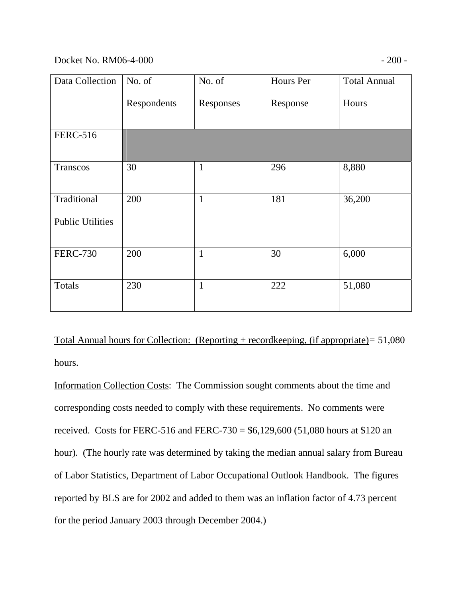# Docket No. RM06-4-000 - 200 -

| Data Collection         | No. of      | No. of       | Hours Per | <b>Total Annual</b> |
|-------------------------|-------------|--------------|-----------|---------------------|
|                         | Respondents | Responses    | Response  | Hours               |
| <b>FERC-516</b>         |             |              |           |                     |
| Transcos                | 30          | 1            | 296       | 8,880               |
| Traditional             | 200         | $\mathbf{1}$ | 181       | 36,200              |
| <b>Public Utilities</b> |             |              |           |                     |
| <b>FERC-730</b>         | 200         | $\mathbf{1}$ | 30        | 6,000               |
| Totals                  | 230         | $\mathbf{1}$ | 222       | 51,080              |

Total Annual hours for Collection: (Reporting + recordkeeping, (if appropriate)*=* 51,080 hours.

Information Collection Costs: The Commission sought comments about the time and corresponding costs needed to comply with these requirements. No comments were received. Costs for FERC-516 and FERC-730 =  $$6,129,600$  (51,080 hours at \$120 an hour). (The hourly rate was determined by taking the median annual salary from Bureau of Labor Statistics, Department of Labor Occupational Outlook Handbook. The figures reported by BLS are for 2002 and added to them was an inflation factor of 4.73 percent for the period January 2003 through December 2004.)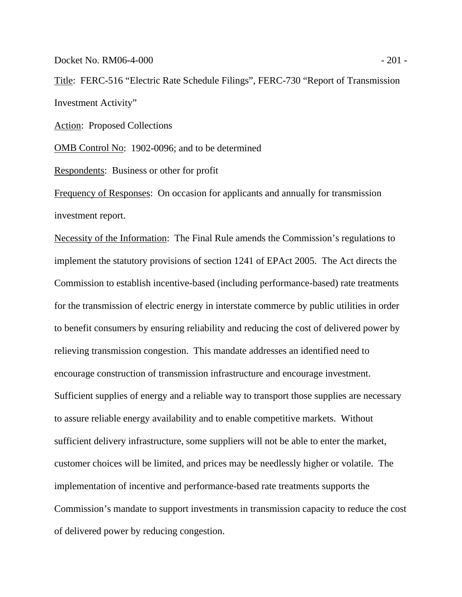Docket No. RM06-4-000 - 201 -

Title:FERC-516 "Electric Rate Schedule Filings", FERC-730 "Report of Transmission Investment Activity"

Action: Proposed Collections

OMB Control No:1902-0096; and to be determined

Respondents:Business or other for profit

Frequency of Responses:On occasion for applicants and annually for transmission investment report.

Necessity of the Information:The Final Rule amends the Commission's regulations to implement the statutory provisions of section 1241 of EPAct 2005. The Act directs the Commission to establish incentive-based (including performance-based) rate treatments for the transmission of electric energy in interstate commerce by public utilities in order to benefit consumers by ensuring reliability and reducing the cost of delivered power by relieving transmission congestion. This mandate addresses an identified need to encourage construction of transmission infrastructure and encourage investment. Sufficient supplies of energy and a reliable way to transport those supplies are necessary to assure reliable energy availability and to enable competitive markets. Without sufficient delivery infrastructure, some suppliers will not be able to enter the market, customer choices will be limited, and prices may be needlessly higher or volatile. The implementation of incentive and performance-based rate treatments supports the Commission's mandate to support investments in transmission capacity to reduce the cost of delivered power by reducing congestion.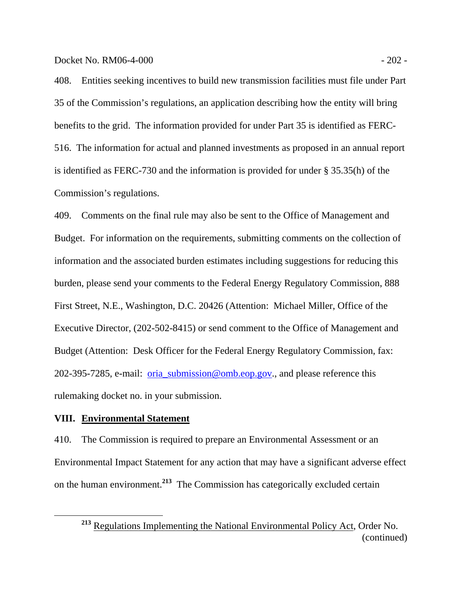Docket No. RM06-4-000 - 202 -

408. Entities seeking incentives to build new transmission facilities must file under Part 35 of the Commission's regulations, an application describing how the entity will bring benefits to the grid. The information provided for under Part 35 is identified as FERC-516. The information for actual and planned investments as proposed in an annual report is identified as FERC-730 and the information is provided for under § 35.35(h) of the Commission's regulations.

409. Comments on the final rule may also be sent to the Office of Management and Budget. For information on the requirements, submitting comments on the collection of information and the associated burden estimates including suggestions for reducing this burden, please send your comments to the Federal Energy Regulatory Commission, 888 First Street, N.E., Washington, D.C. 20426 (Attention: Michael Miller, Office of the Executive Director, (202-502-8415) or send comment to the Office of Management and Budget (Attention: Desk Officer for the Federal Energy Regulatory Commission, fax: 202-395-7285, e-mail: oria\_submission@omb.eop.gov., and please reference this rulemaking docket no. in your submission.

# **VIII. Environmental Statement**

410. The Commission is required to prepare an Environmental Assessment or an Environmental Impact Statement for any action that may have a significant adverse effect on the human environment.**<sup>213</sup>** The Commission has categorically excluded certain

**<sup>213</sup>** Regulations Implementing the National Environmental Policy Act, Order No. (continued)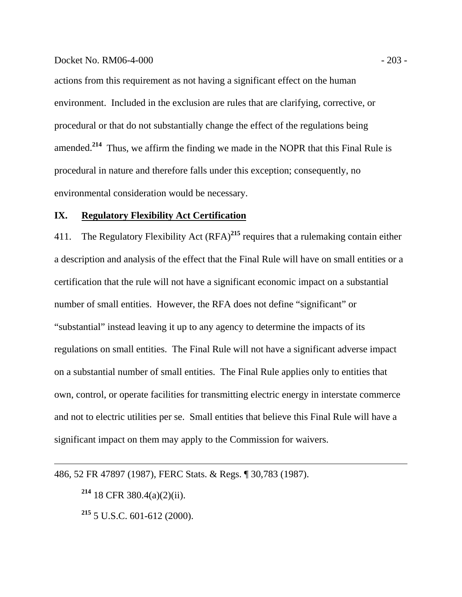## Docket No. RM06-4-000 - 203 -

actions from this requirement as not having a significant effect on the human environment. Included in the exclusion are rules that are clarifying, corrective, or procedural or that do not substantially change the effect of the regulations being amended.**<sup>214</sup>** Thus, we affirm the finding we made in the NOPR that this Final Rule is procedural in nature and therefore falls under this exception; consequently, no environmental consideration would be necessary.

# **IX. Regulatory Flexibility Act Certification**

411. The Regulatory Flexibility Act (RFA)**<sup>215</sup>** requires that a rulemaking contain either a description and analysis of the effect that the Final Rule will have on small entities or a certification that the rule will not have a significant economic impact on a substantial number of small entities. However, the RFA does not define "significant" or "substantial" instead leaving it up to any agency to determine the impacts of its regulations on small entities. The Final Rule will not have a significant adverse impact on a substantial number of small entities. The Final Rule applies only to entities that own, control, or operate facilities for transmitting electric energy in interstate commerce and not to electric utilities per se. Small entities that believe this Final Rule will have a significant impact on them may apply to the Commission for waivers.

486, 52 FR 47897 (1987), FERC Stats. & Regs. ¶ 30,783 (1987).

**<sup>214</sup>** 18 CFR 380.4(a)(2)(ii).

 $\overline{a}$ 

**<sup>215</sup>** 5 U.S.C. 601-612 (2000).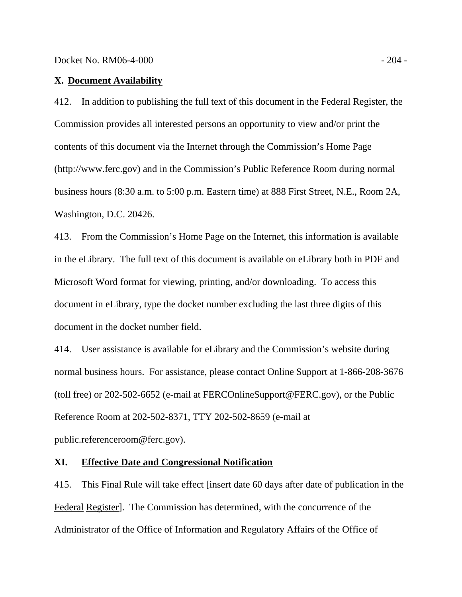### **X. Document Availability**

412. In addition to publishing the full text of this document in the Federal Register, the Commission provides all interested persons an opportunity to view and/or print the contents of this document via the Internet through the Commission's Home Page (http://www.ferc.gov) and in the Commission's Public Reference Room during normal business hours (8:30 a.m. to 5:00 p.m. Eastern time) at 888 First Street, N.E., Room 2A, Washington, D.C. 20426.

413. From the Commission's Home Page on the Internet, this information is available in the eLibrary. The full text of this document is available on eLibrary both in PDF and Microsoft Word format for viewing, printing, and/or downloading. To access this document in eLibrary, type the docket number excluding the last three digits of this document in the docket number field.

414. User assistance is available for eLibrary and the Commission's website during normal business hours. For assistance, please contact Online Support at 1-866-208-3676 (toll free) or 202-502-6652 (e-mail at FERCOnlineSupport@FERC.gov), or the Public Reference Room at 202-502-8371, TTY 202-502-8659 (e-mail at public.referenceroom@ferc.gov).

# **XI. Effective Date and Congressional Notification**

415. This Final Rule will take effect [insert date 60 days after date of publication in the Federal Register]. The Commission has determined, with the concurrence of the Administrator of the Office of Information and Regulatory Affairs of the Office of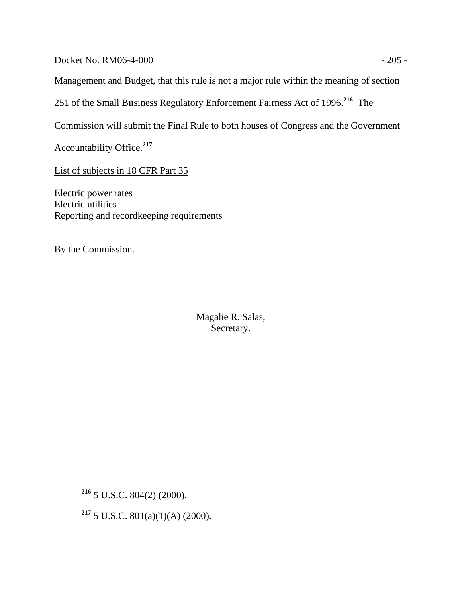Docket No. RM06-4-000 - 205 -

Management and Budget, that this rule is not a major rule within the meaning of section

251 of the Small B**u**siness Regulatory Enforcement Fairness Act of 1996.**<sup>216</sup>** The

Commission will submit the Final Rule to both houses of Congress and the Government

Accountability Office.**<sup>217</sup>**

List of subjects in 18 CFR Part 35

Electric power rates Electric utilities Reporting and recordkeeping requirements

By the Commission.

Magalie R. Salas, Secretary.

**<sup>217</sup>** 5 U.S.C. 801(a)(1)(A) (2000).

**<sup>216</sup>** 5 U.S.C. 804(2) (2000).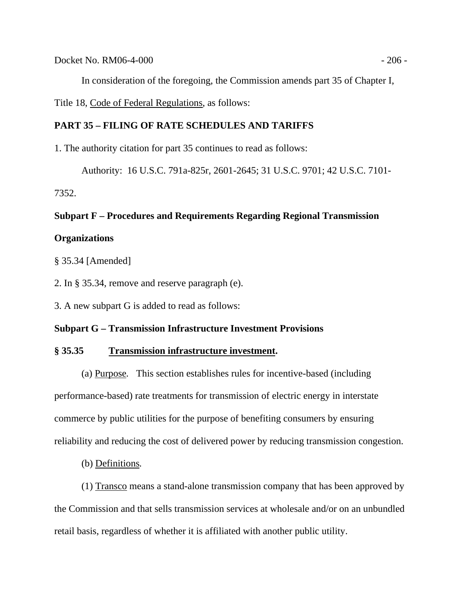Docket No. RM06-4-000 - 206 - 206 - 206 - 206 - 206 - 206 - 206 - 206 - 206 - 206 - 206 - 206 - 206 - 206 - 20

In consideration of the foregoing, the Commission amends part 35 of Chapter I,

Title 18, Code of Federal Regulations, as follows:

# **PART 35 – FILING OF RATE SCHEDULES AND TARIFFS**

1. The authority citation for part 35 continues to read as follows:

Authority: 16 U.S.C. 791a-825r, 2601-2645; 31 U.S.C. 9701; 42 U.S.C. 7101-

7352.

# **Subpart F – Procedures and Requirements Regarding Regional Transmission**

# **Organizations**

§ 35.34 [Amended]

2. In § 35.34, remove and reserve paragraph (e).

3. A new subpart G is added to read as follows:

# **Subpart G – Transmission Infrastructure Investment Provisions**

## **§ 35.35 Transmission infrastructure investment.**

 (a) Purpose*.* This section establishes rules for incentive-based (including performance-based) rate treatments for transmission of electric energy in interstate commerce by public utilities for the purpose of benefiting consumers by ensuring reliability and reducing the cost of delivered power by reducing transmission congestion.

(b) Definitions*.*

 (1) Transco means a stand-alone transmission company that has been approved by the Commission and that sells transmission services at wholesale and/or on an unbundled retail basis, regardless of whether it is affiliated with another public utility.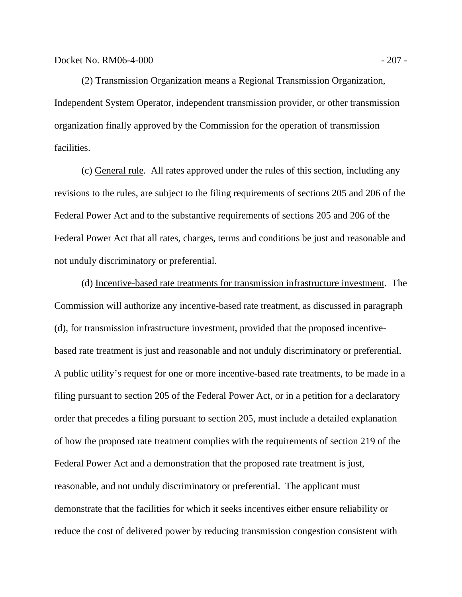(2) Transmission Organization means a Regional Transmission Organization, Independent System Operator, independent transmission provider, or other transmission organization finally approved by the Commission for the operation of transmission facilities.

 (c) General rule*.* All rates approved under the rules of this section, including any revisions to the rules, are subject to the filing requirements of sections 205 and 206 of the Federal Power Act and to the substantive requirements of sections 205 and 206 of the Federal Power Act that all rates, charges, terms and conditions be just and reasonable and not unduly discriminatory or preferential.

 (d) Incentive-based rate treatments for transmission infrastructure investment*.* The Commission will authorize any incentive-based rate treatment, as discussed in paragraph (d), for transmission infrastructure investment, provided that the proposed incentivebased rate treatment is just and reasonable and not unduly discriminatory or preferential. A public utility's request for one or more incentive-based rate treatments, to be made in a filing pursuant to section 205 of the Federal Power Act, or in a petition for a declaratory order that precedes a filing pursuant to section 205, must include a detailed explanation of how the proposed rate treatment complies with the requirements of section 219 of the Federal Power Act and a demonstration that the proposed rate treatment is just, reasonable, and not unduly discriminatory or preferential. The applicant must demonstrate that the facilities for which it seeks incentives either ensure reliability or reduce the cost of delivered power by reducing transmission congestion consistent with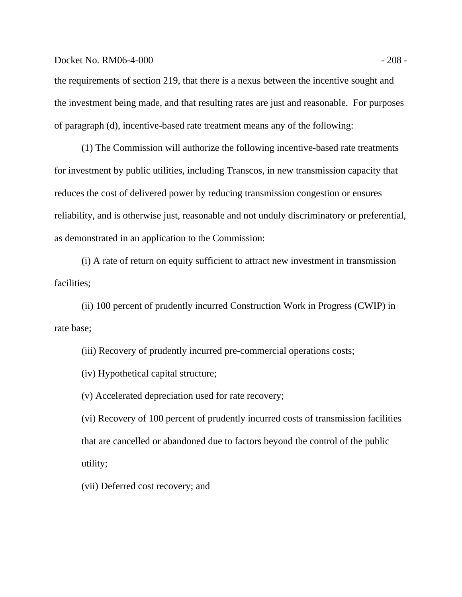## Docket No. RM06-4-000 - 208 -

the requirements of section 219, that there is a nexus between the incentive sought and the investment being made, and that resulting rates are just and reasonable. For purposes of paragraph (d), incentive-based rate treatment means any of the following:

 (1) The Commission will authorize the following incentive-based rate treatments for investment by public utilities, including Transcos, in new transmission capacity that reduces the cost of delivered power by reducing transmission congestion or ensures reliability, and is otherwise just, reasonable and not unduly discriminatory or preferential, as demonstrated in an application to the Commission:

 (i) A rate of return on equity sufficient to attract new investment in transmission facilities;

 (ii) 100 percent of prudently incurred Construction Work in Progress (CWIP) in rate base;

(iii) Recovery of prudently incurred pre-commercial operations costs;

(iv) Hypothetical capital structure;

(v) Accelerated depreciation used for rate recovery;

(vi) Recovery of 100 percent of prudently incurred costs of transmission facilities that are cancelled or abandoned due to factors beyond the control of the public utility;

(vii) Deferred cost recovery; and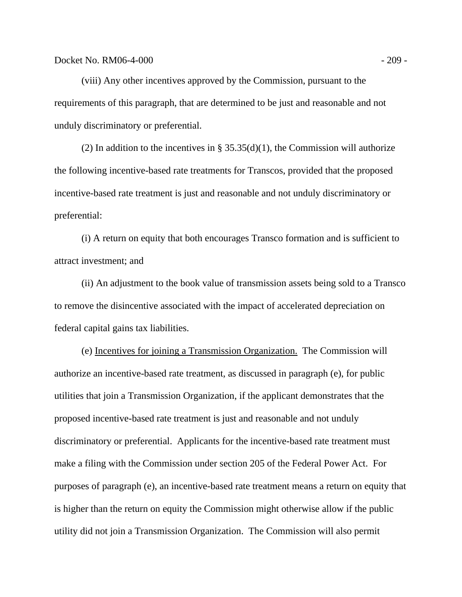(viii) Any other incentives approved by the Commission, pursuant to the requirements of this paragraph, that are determined to be just and reasonable and not unduly discriminatory or preferential.

(2) In addition to the incentives in §  $35.35(d)(1)$ , the Commission will authorize the following incentive-based rate treatments for Transcos, provided that the proposed incentive-based rate treatment is just and reasonable and not unduly discriminatory or preferential:

 (i) A return on equity that both encourages Transco formation and is sufficient to attract investment; and

 (ii) An adjustment to the book value of transmission assets being sold to a Transco to remove the disincentive associated with the impact of accelerated depreciation on federal capital gains tax liabilities.

 (e) Incentives for joining a Transmission Organization. The Commission will authorize an incentive-based rate treatment, as discussed in paragraph (e), for public utilities that join a Transmission Organization, if the applicant demonstrates that the proposed incentive-based rate treatment is just and reasonable and not unduly discriminatory or preferential. Applicants for the incentive-based rate treatment must make a filing with the Commission under section 205 of the Federal Power Act. For purposes of paragraph (e), an incentive-based rate treatment means a return on equity that is higher than the return on equity the Commission might otherwise allow if the public utility did not join a Transmission Organization. The Commission will also permit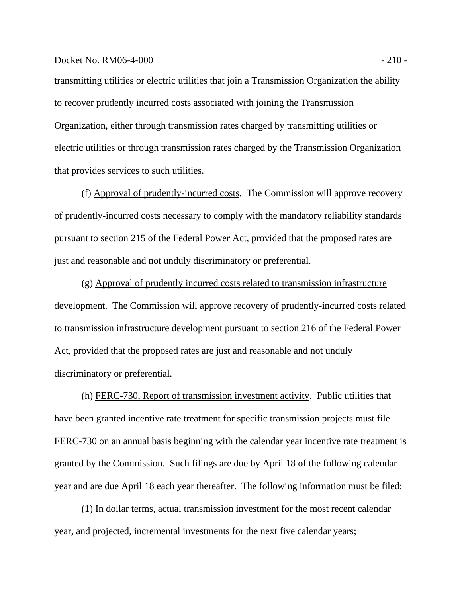### Docket No. RM06-4-000 - 210 - 220 - 220 - 220 - 220 - 220 - 220 - 220 - 220 - 220 - 220 - 220 - 220 - 220 - 220 - 220 - 220 - 220 - 220 - 220 - 220 - 220 - 220 - 220 - 220 - 220 - 220 - 220 - 220 - 220 - 220 - 220 - 220 -

transmitting utilities or electric utilities that join a Transmission Organization the ability to recover prudently incurred costs associated with joining the Transmission Organization, either through transmission rates charged by transmitting utilities or electric utilities or through transmission rates charged by the Transmission Organization that provides services to such utilities.

 (f) Approval of prudently-incurred costs*.* The Commission will approve recovery of prudently-incurred costs necessary to comply with the mandatory reliability standards pursuant to section 215 of the Federal Power Act, provided that the proposed rates are just and reasonable and not unduly discriminatory or preferential.

 (g) Approval of prudently incurred costs related to transmission infrastructure development. The Commission will approve recovery of prudently-incurred costs related to transmission infrastructure development pursuant to section 216 of the Federal Power Act, provided that the proposed rates are just and reasonable and not unduly discriminatory or preferential.

 (h) FERC-730, Report of transmission investment activity. Public utilities that have been granted incentive rate treatment for specific transmission projects must file FERC-730 on an annual basis beginning with the calendar year incentive rate treatment is granted by the Commission. Such filings are due by April 18 of the following calendar year and are due April 18 each year thereafter. The following information must be filed:

 (1) In dollar terms, actual transmission investment for the most recent calendar year, and projected, incremental investments for the next five calendar years;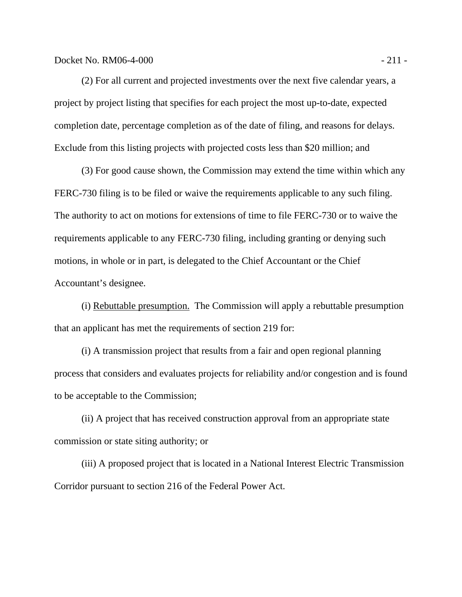(2) For all current and projected investments over the next five calendar years, a project by project listing that specifies for each project the most up-to-date, expected completion date, percentage completion as of the date of filing, and reasons for delays. Exclude from this listing projects with projected costs less than \$20 million; and

 (3) For good cause shown, the Commission may extend the time within which any FERC-730 filing is to be filed or waive the requirements applicable to any such filing. The authority to act on motions for extensions of time to file FERC-730 or to waive the requirements applicable to any FERC-730 filing, including granting or denying such motions, in whole or in part, is delegated to the Chief Accountant or the Chief Accountant's designee.

 (i) Rebuttable presumption. The Commission will apply a rebuttable presumption that an applicant has met the requirements of section 219 for:

 (i) A transmission project that results from a fair and open regional planning process that considers and evaluates projects for reliability and/or congestion and is found to be acceptable to the Commission;

 (ii) A project that has received construction approval from an appropriate state commission or state siting authority; or

 (iii) A proposed project that is located in a National Interest Electric Transmission Corridor pursuant to section 216 of the Federal Power Act.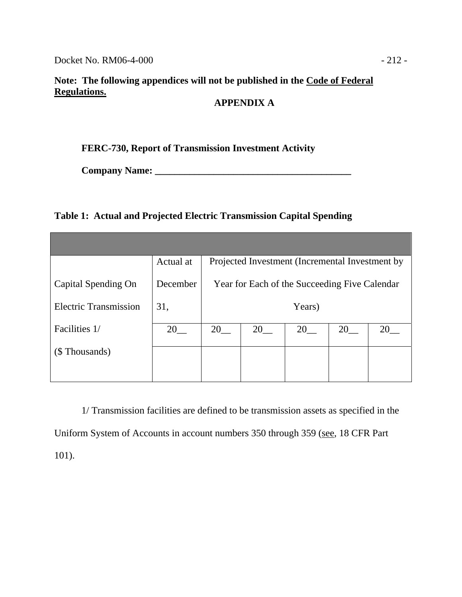## **Note: The following appendices will not be published in the Code of Federal Regulations.**

# **APPENDIX A**

## **FERC-730, Report of Transmission Investment Activity**

**Company Name: \_\_\_\_\_\_\_\_\_\_\_\_\_\_\_\_\_\_\_\_\_\_\_\_\_\_\_\_\_\_\_\_\_\_\_\_\_\_\_\_** 

## **Table 1: Actual and Projected Electric Transmission Capital Spending**

|                              | Actual at | Projected Investment (Incremental Investment by |    |    |    |    |
|------------------------------|-----------|-------------------------------------------------|----|----|----|----|
| Capital Spending On          | December  | Year for Each of the Succeeding Five Calendar   |    |    |    |    |
| <b>Electric Transmission</b> | 31,       | Years)                                          |    |    |    |    |
| Facilities 1/                | 20        | 20                                              | 20 | 20 | 20 | 20 |
| (\$ Thousands)               |           |                                                 |    |    |    |    |
|                              |           |                                                 |    |    |    |    |

1/ Transmission facilities are defined to be transmission assets as specified in the Uniform System of Accounts in account numbers 350 through 359 (see, 18 CFR Part 101).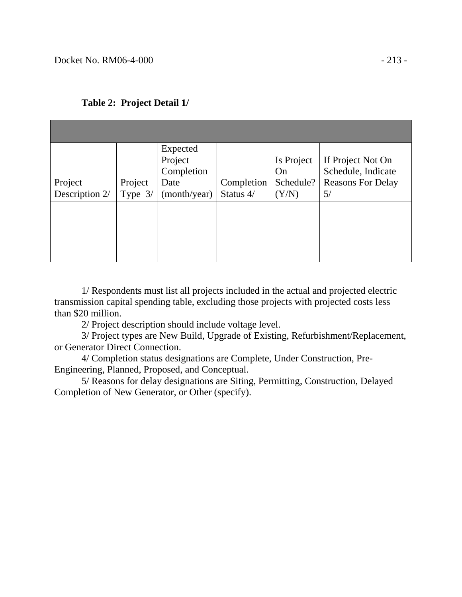| Project<br>Description 2/ | Project<br>Type $3/$ | Expected<br>Project<br>Completion<br>Date<br>(month/year) | Completion<br>Status 4/ | Is Project<br>On<br>Schedule?<br>(Y/N) | If Project Not On<br>Schedule, Indicate<br><b>Reasons For Delay</b><br>5/ |
|---------------------------|----------------------|-----------------------------------------------------------|-------------------------|----------------------------------------|---------------------------------------------------------------------------|
|                           |                      |                                                           |                         |                                        |                                                                           |

|  | Table 2: Project Detail 1/ |
|--|----------------------------|
|--|----------------------------|

1/ Respondents must list all projects included in the actual and projected electric transmission capital spending table, excluding those projects with projected costs less than \$20 million.

2/ Project description should include voltage level.

3/ Project types are New Build, Upgrade of Existing, Refurbishment/Replacement, or Generator Direct Connection.

4/ Completion status designations are Complete, Under Construction, Pre-Engineering, Planned, Proposed, and Conceptual.

5/ Reasons for delay designations are Siting, Permitting, Construction, Delayed Completion of New Generator, or Other (specify).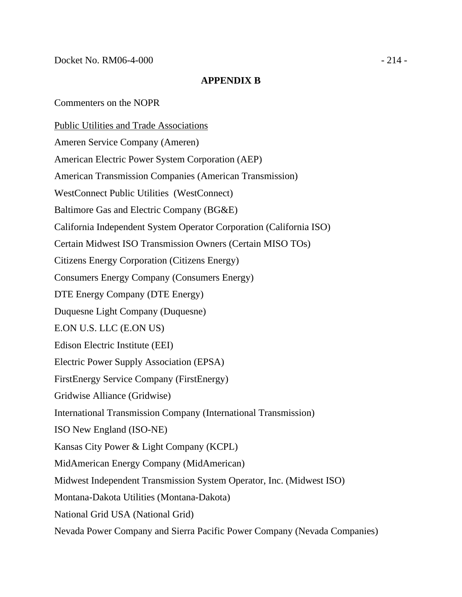## **APPENDIX B**

Commenters on the NOPR

Public Utilities and Trade Associations Ameren Service Company (Ameren) American Electric Power System Corporation (AEP) American Transmission Companies (American Transmission) WestConnect Public Utilities (WestConnect) Baltimore Gas and Electric Company (BG&E) California Independent System Operator Corporation (California ISO) Certain Midwest ISO Transmission Owners (Certain MISO TOs) Citizens Energy Corporation (Citizens Energy) Consumers Energy Company (Consumers Energy) DTE Energy Company (DTE Energy) Duquesne Light Company (Duquesne) E.ON U.S. LLC (E.ON US) Edison Electric Institute (EEI) Electric Power Supply Association (EPSA) FirstEnergy Service Company (FirstEnergy) Gridwise Alliance (Gridwise) International Transmission Company (International Transmission) ISO New England (ISO-NE) Kansas City Power & Light Company (KCPL) MidAmerican Energy Company (MidAmerican) Midwest Independent Transmission System Operator, Inc. (Midwest ISO) Montana-Dakota Utilities (Montana-Dakota) National Grid USA (National Grid) Nevada Power Company and Sierra Pacific Power Company (Nevada Companies)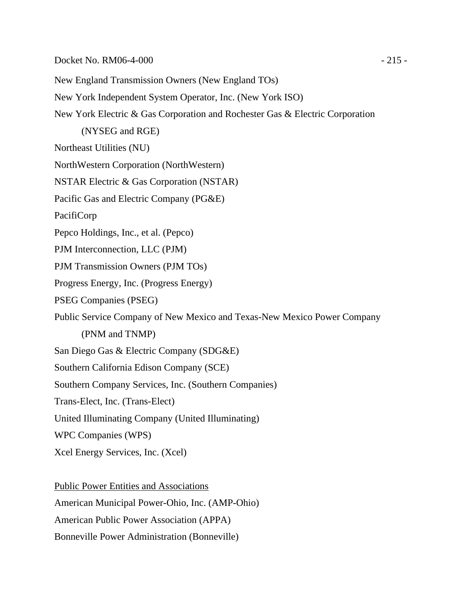New England Transmission Owners (New England TOs) New York Independent System Operator, Inc. (New York ISO) New York Electric & Gas Corporation and Rochester Gas & Electric Corporation (NYSEG and RGE) Northeast Utilities (NU) NorthWestern Corporation (NorthWestern) NSTAR Electric & Gas Corporation (NSTAR) Pacific Gas and Electric Company (PG&E) PacifiCorp Pepco Holdings, Inc., et al. (Pepco) PJM Interconnection, LLC (PJM) PJM Transmission Owners (PJM TOs) Progress Energy, Inc. (Progress Energy) PSEG Companies (PSEG) Public Service Company of New Mexico and Texas-New Mexico Power Company (PNM and TNMP) San Diego Gas & Electric Company (SDG&E) Southern California Edison Company (SCE) Southern Company Services, Inc. (Southern Companies) Trans-Elect, Inc. (Trans-Elect) United Illuminating Company (United Illuminating) WPC Companies (WPS) Xcel Energy Services, Inc. (Xcel)

Public Power Entities and Associations American Municipal Power-Ohio, Inc. (AMP-Ohio) American Public Power Association (APPA) Bonneville Power Administration (Bonneville)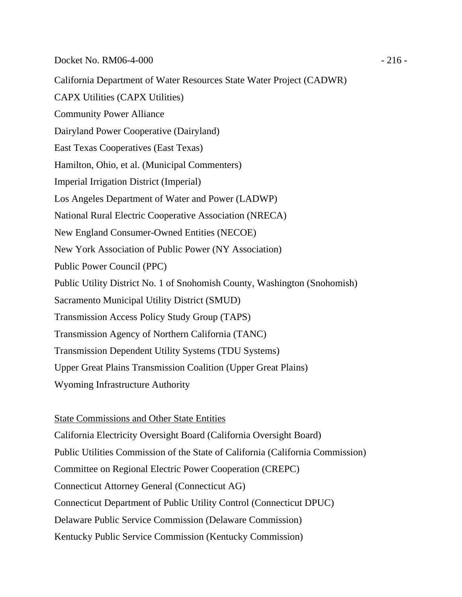California Department of Water Resources State Water Project (CADWR) CAPX Utilities (CAPX Utilities) Community Power Alliance Dairyland Power Cooperative (Dairyland) East Texas Cooperatives (East Texas) Hamilton, Ohio, et al. (Municipal Commenters) Imperial Irrigation District (Imperial) Los Angeles Department of Water and Power (LADWP) National Rural Electric Cooperative Association (NRECA) New England Consumer-Owned Entities (NECOE) New York Association of Public Power (NY Association) Public Power Council (PPC) Public Utility District No. 1 of Snohomish County, Washington (Snohomish) Sacramento Municipal Utility District (SMUD) Transmission Access Policy Study Group (TAPS) Transmission Agency of Northern California (TANC) Transmission Dependent Utility Systems (TDU Systems) Upper Great Plains Transmission Coalition (Upper Great Plains) Wyoming Infrastructure Authority

State Commissions and Other State Entities California Electricity Oversight Board (California Oversight Board) Public Utilities Commission of the State of California (California Commission) Committee on Regional Electric Power Cooperation (CREPC) Connecticut Attorney General (Connecticut AG) Connecticut Department of Public Utility Control (Connecticut DPUC) Delaware Public Service Commission (Delaware Commission) Kentucky Public Service Commission (Kentucky Commission)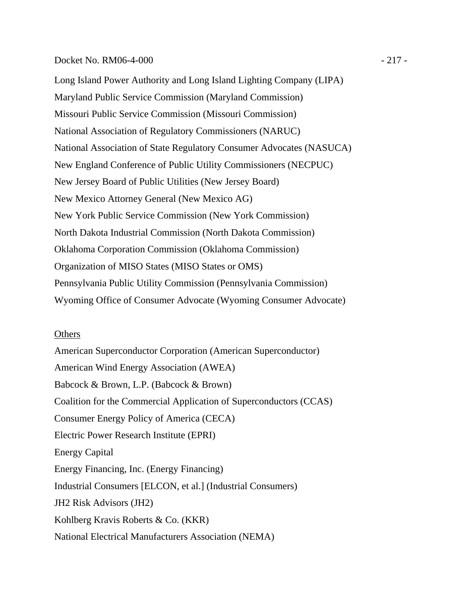### Docket No. RM06-4-000 - 217 -

Long Island Power Authority and Long Island Lighting Company (LIPA) Maryland Public Service Commission (Maryland Commission) Missouri Public Service Commission (Missouri Commission) National Association of Regulatory Commissioners (NARUC) National Association of State Regulatory Consumer Advocates (NASUCA) New England Conference of Public Utility Commissioners (NECPUC) New Jersey Board of Public Utilities (New Jersey Board) New Mexico Attorney General (New Mexico AG) New York Public Service Commission (New York Commission) North Dakota Industrial Commission (North Dakota Commission) Oklahoma Corporation Commission (Oklahoma Commission) Organization of MISO States (MISO States or OMS) Pennsylvania Public Utility Commission (Pennsylvania Commission) Wyoming Office of Consumer Advocate (Wyoming Consumer Advocate)

#### **Others**

American Superconductor Corporation (American Superconductor) American Wind Energy Association (AWEA) Babcock & Brown, L.P. (Babcock & Brown) Coalition for the Commercial Application of Superconductors (CCAS) Consumer Energy Policy of America (CECA) Electric Power Research Institute (EPRI) Energy Capital Energy Financing, Inc. (Energy Financing) Industrial Consumers [ELCON, et al.] (Industrial Consumers) JH2 Risk Advisors (JH2) Kohlberg Kravis Roberts & Co. (KKR) National Electrical Manufacturers Association (NEMA)